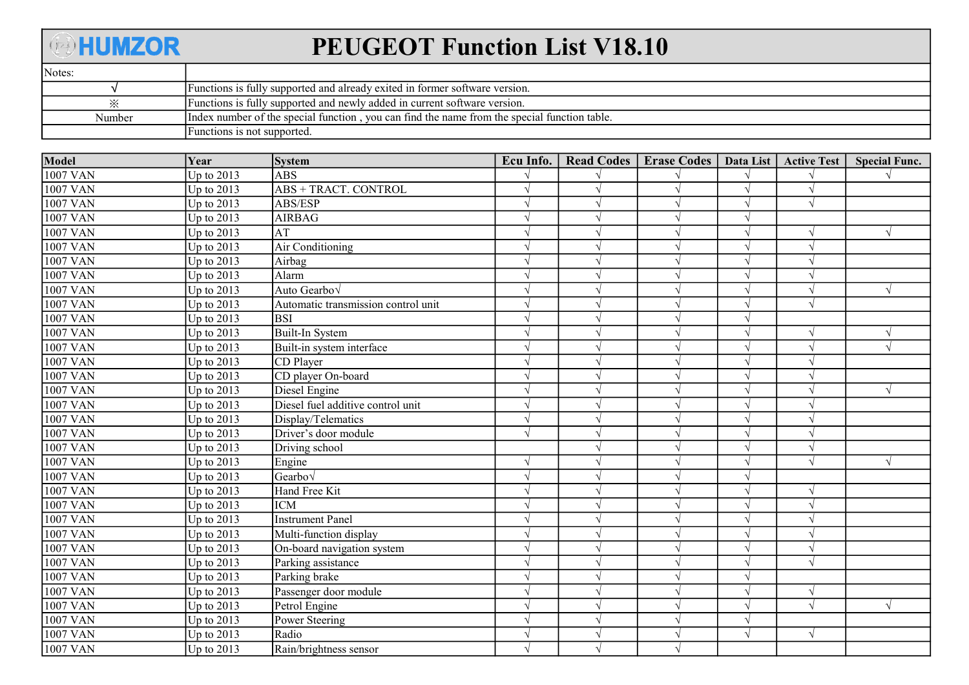## **ABBUMZOR**

## PEUGEOT Function List V18.10

| Notes. |                                                                                              |
|--------|----------------------------------------------------------------------------------------------|
|        | Functions is fully supported and already exited in former software version.                  |
| ✕      | Functions is fully supported and newly added in current software version.                    |
| Number | Index number of the special function, you can find the name from the special function table. |
|        | Functions is not supported.                                                                  |

| Model           | Year         | <b>System</b>                       | Ecu Info. | Read Codes   Erase Codes | Data List  | <b>Active Test</b> | <b>Special Func.</b> |
|-----------------|--------------|-------------------------------------|-----------|--------------------------|------------|--------------------|----------------------|
| 1007 VAN        | Up to $2013$ | ABS                                 |           |                          |            |                    |                      |
| 1007 VAN        | Up to $2013$ | ABS + TRACT. CONTROL                |           |                          |            |                    |                      |
| <b>1007 VAN</b> | Up to $2013$ | ABS/ESP                             |           |                          |            | $\sqrt{ }$         |                      |
| <b>1007 VAN</b> | Up to 2013   | <b>AIRBAG</b>                       |           | V                        |            |                    |                      |
| <b>1007 VAN</b> | Up to 2013   | AT                                  |           |                          |            |                    | $\sqrt{ }$           |
| <b>1007 VAN</b> | Up to 2013   | Air Conditioning                    |           |                          |            |                    |                      |
| 1007 VAN        | Up to 2013   | Airbag                              |           |                          |            |                    |                      |
| <b>1007 VAN</b> | Up to 2013   | Alarm                               |           |                          |            |                    |                      |
| 1007 VAN        | Up to $2013$ | Auto Gearbov                        |           | $\sqrt{ }$               |            | $\sqrt{ }$         | $\sqrt{ }$           |
| 1007 VAN        | Up to $2013$ | Automatic transmission control unit |           |                          |            | $\sqrt{ }$         |                      |
| <b>1007 VAN</b> | Up to 2013   | lbsi                                |           |                          |            |                    |                      |
| <b>1007 VAN</b> | Up to $2013$ | Built-In System                     |           |                          |            | $\sqrt{ }$         | $\sqrt{ }$           |
| 1007 VAN        | Up to 2013   | Built-in system interface           |           |                          |            |                    | $\sqrt{ }$           |
| 1007 VAN        | Up to 2013   | CD Player                           |           |                          |            |                    |                      |
| 1007 VAN        | Up to 2013   | CD player On-board                  |           |                          |            |                    |                      |
| 1007 VAN        | Up to $2013$ | Diesel Engine                       |           |                          |            |                    | $\sqrt{ }$           |
| <b>1007 VAN</b> | Up to 2013   | Diesel fuel additive control unit   |           |                          |            |                    |                      |
| <b>1007 VAN</b> | Up to 2013   | Display/Telematics                  |           |                          |            |                    |                      |
| <b>1007 VAN</b> | Up to 2013   | Driver's door module                |           |                          |            |                    |                      |
| 1007 VAN        | Up to 2013   | Driving school                      |           |                          |            |                    |                      |
| 1007 VAN        | Up to 2013   | Engine                              |           |                          |            |                    | $\sqrt{ }$           |
| <b>1007 VAN</b> | Up to $2013$ | Gearbov                             |           |                          |            |                    |                      |
| <b>1007 VAN</b> | Up to 2013   | Hand Free Kit                       |           |                          |            | $\sqrt{ }$         |                      |
| <b>1007 VAN</b> | Up to $2013$ | <b>ICM</b>                          |           |                          |            |                    |                      |
| <b>1007 VAN</b> | Up to 2013   | <b>Instrument Panel</b>             |           |                          |            |                    |                      |
| <b>1007 VAN</b> | Up to 2013   | Multi-function display              |           | V                        |            |                    |                      |
| 1007 VAN        | Up to 2013   | On-board navigation system          |           |                          |            |                    |                      |
| 1007 VAN        | Up to 2013   | Parking assistance                  |           |                          |            |                    |                      |
| <b>1007 VAN</b> | Up to 2013   | Parking brake                       |           |                          |            |                    |                      |
| 1007 VAN        | Up to $2013$ | Passenger door module               |           |                          |            | $\sqrt{ }$         |                      |
| 1007 VAN        | Up to $2013$ | Petrol Engine                       |           |                          |            | $\sqrt{ }$         | $\sqrt{ }$           |
| <b>1007 VAN</b> | Up to 2013   | Power Steering                      |           |                          |            |                    |                      |
| <b>1007 VAN</b> | Up to 2013   | Radio                               |           | V                        | $\sqrt{ }$ | $\sqrt{ }$         |                      |
| 1007 VAN        | Up to 2013   | Rain/brightness sensor              |           | $\sqrt{ }$               |            |                    |                      |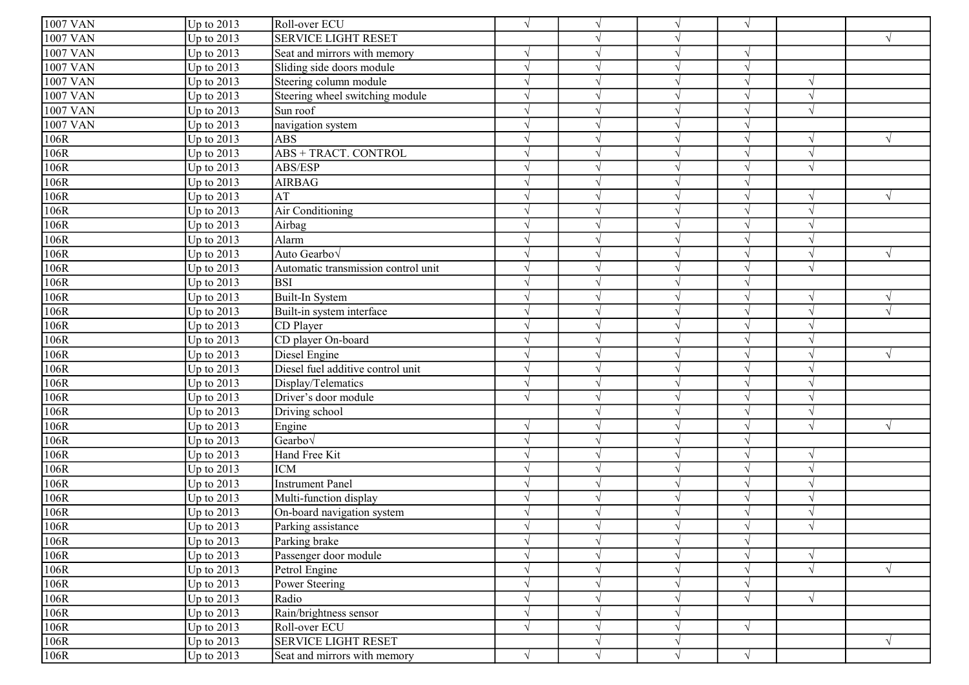| $\sqrt{1007}$ VAN | Up to $2013$ | Roll-over ECU                       | $\sqrt{ }$    |               |            | $\sqrt{ }$    |               |            |
|-------------------|--------------|-------------------------------------|---------------|---------------|------------|---------------|---------------|------------|
| 1007 VAN          | Up to 2013   | <b>SERVICE LIGHT RESET</b>          |               |               |            |               |               | $\sqrt{ }$ |
| 1007 VAN          | Up to 2013   | Seat and mirrors with memory        |               |               |            | V             |               |            |
| 1007 VAN          | Up to 2013   | Sliding side doors module           | $\sqrt{ }$    |               |            | $\sqrt{ }$    |               |            |
| <b>1007 VAN</b>   | Up to 2013   | Steering column module              | $\mathcal{L}$ |               |            | V             | $\sqrt{ }$    |            |
| 1007 VAN          | Up to 2013   | Steering wheel switching module     |               |               |            | $\sqrt{ }$    | $\sqrt{ }$    |            |
| 1007 VAN          | Up to 2013   | Sun roof                            |               |               |            |               |               |            |
| 1007 VAN          | Up to 2013   | navigation system                   | V             |               |            | $\sqrt{}$     |               |            |
| 106R              | Up to 2013   | <b>ABS</b>                          | ٦             |               |            | V             | $\gamma$      | $\sqrt{ }$ |
| 106R              | Up to 2013   | ABS + TRACT. CONTROL                | $\sqrt{ }$    | $\mathcal{N}$ |            | $\sqrt{ }$    | $\sqrt{ }$    |            |
| 106R              | Up to $2013$ | ABS/ESP                             | $\sqrt{ }$    | $\mathcal{L}$ |            | $\sqrt{ }$    | $\sqrt{ }$    |            |
| 106R              | Up to 2013   | <b>AIRBAG</b>                       | $\gamma$      | $\lambda$     |            | $\sqrt{ }$    |               |            |
| 106R              | Up to 2013   | AT                                  |               |               |            |               |               | $\sqrt{ }$ |
| 106R              | Up to 2013   | Air Conditioning                    | $\mathcal{L}$ |               |            | $\sqrt{}$     | $\sqrt{ }$    |            |
| 106R              | Up to 2013   | Airbag                              |               |               |            |               |               |            |
| 106R              | Up to 2013   | Alarm                               | $\mathcal{L}$ |               |            | V             | $\gamma$      |            |
| 106R              | Up to 2013   | Auto Gearbo <sub>V</sub>            | $\sqrt{ }$    | $\mathcal{L}$ |            | $\sqrt{ }$    | $\sqrt{ }$    | $\sqrt{ }$ |
| 106R              | Up to 2013   | Automatic transmission control unit | $\mathcal{L}$ |               |            | $\sqrt{}$     | $\sqrt{ }$    |            |
| 106R              | Up to 2013   | <b>BSI</b>                          |               |               |            |               |               |            |
| 106R              | Up to 2013   | Built-In System                     |               |               |            | $\sqrt{}$     | $\sqrt{ }$    | $\sqrt{ }$ |
| 106R              | Up to 2013   | Built-in system interface           |               |               |            | V             |               |            |
| 106R              | Up to 2013   | CD Player                           | $\sqrt{ }$    | $\mathcal{N}$ |            | $\sqrt{ }$    | $\sqrt{ }$    |            |
| 106R              | Up to 2013   | CD player On-board                  | V             | $\mathcal{N}$ |            | $\sqrt{ }$    | $\sqrt{ }$    |            |
| 106R              | Up to 2013   | Diesel Engine                       | $\mathcal{L}$ | $\mathcal{L}$ |            | $\sqrt{}$     | $\sqrt{ }$    | $\sqrt{ }$ |
| 106R              | Up to 2013   | Diesel fuel additive control unit   | $\gamma$      |               |            | $\sqrt{ }$    | $\sqrt{ }$    |            |
| $106R$            | Up to 2013   | Display/Telematics                  | $\mathcal{L}$ |               |            |               | $\mathcal{L}$ |            |
| 106R              | Up to 2013   | Driver's door module                | $\mathcal{L}$ |               |            | N             |               |            |
| 106R              | Up to 2013   | Driving school                      |               |               |            | V             | $\sqrt{ }$    |            |
| 106R              | Up to 2013   | Engine                              | $\mathcal{L}$ |               |            | V             | $\sqrt{ }$    | $\sqrt{ }$ |
| 106R              | Up to 2013   | Gearbov                             | $\mathcal{L}$ |               |            | $\sqrt{}$     |               |            |
| 106R              | Up to 2013   | Hand Free Kit                       |               |               |            | $\sqrt{}$     | $\sqrt{ }$    |            |
| 106R              | Up to 2013   | <b>ICM</b>                          |               |               |            |               |               |            |
| 106R              | Up to 2013   | <b>Instrument Panel</b>             |               |               |            | $\sqrt{ }$    |               |            |
| 106R              | Up to 2013   | Multi-function display              | $\sqrt{ }$    |               |            | $\sqrt{ }$    | $\gamma$      |            |
| 106R              | Up to 2013   | On-board navigation system          | $\mathcal{L}$ |               |            | $\mathcal{N}$ | $\lambda$     |            |
| 106R              | Up to $2013$ | Parking assistance                  | $\sqrt{ }$    |               |            | $\sqrt{ }$    | $\mathcal{N}$ |            |
| 106R              | Up to $2013$ | Parking brake                       | $\sqrt{ }$    | $\sqrt{ }$    | $\sqrt{ }$ | $\sqrt{ }$    |               |            |
| 106R              | Up to 2013   | Passenger door module               | $\sqrt{ }$    | $\mathcal{N}$ |            | $\sqrt{ }$    |               |            |
| 106R              | Up to $2013$ | Petrol Engine                       | $\sqrt{ }$    | $\sqrt{ }$    | $\gamma$   | $\sqrt{}$     | $\sqrt{ }$    | $\sqrt{ }$ |
| 106R              | Up to 2013   | Power Steering                      | $\sqrt{ }$    | N             | $\gamma$   | $\sqrt{}$     |               |            |
| 106R              | Up to $2013$ | Radio                               | $\sqrt{}$     | N             |            | $\sqrt{ }$    | $\sqrt{ }$    |            |
| 106R              | Up to $2013$ | Rain/brightness sensor              | $\sqrt{ }$    | $\sqrt{ }$    | $\gamma$   |               |               |            |
| 106R              | Up to $2013$ | Roll-over ECU                       | $\sqrt{ }$    | $\sqrt{ }$    | $\gamma$   | $\sqrt{ }$    |               |            |
| 106R              | Up to $2013$ | SERVICE LIGHT RESET                 |               |               |            |               |               | $\sqrt{ }$ |
| 106R              | Up to $2013$ | Seat and mirrors with memory        | $\sqrt{ }$    | $\sqrt{ }$    | $\sqrt{ }$ | $\sqrt{ }$    |               |            |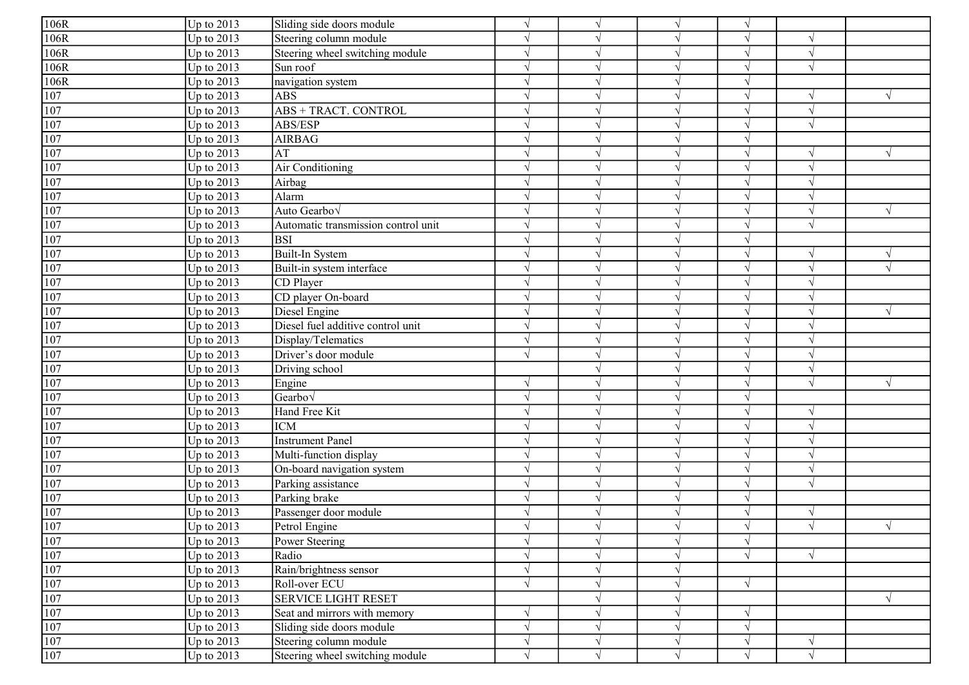| 106R             | Up to $2013$ | Sliding side doors module           | $\sqrt{ }$    | $\sqrt{ }$    |              | $\sqrt{ }$ |               |            |
|------------------|--------------|-------------------------------------|---------------|---------------|--------------|------------|---------------|------------|
| 106R             | Up to 2013   | Steering column module              |               |               |              | V          |               |            |
| 106R             | Up to 2013   | Steering wheel switching module     | N             |               | $\mathcal N$ | $\sqrt{ }$ | $\sqrt{ }$    |            |
| 106R             | Up to 2013   | Sun roof                            | $\mathcal{L}$ |               |              | $\sqrt{ }$ | $\sqrt{ }$    |            |
| 106R             | Up to 2013   | navigation system                   | $\sqrt{ }$    |               |              | $\sqrt{ }$ |               |            |
| $\overline{107}$ | Up to 2013   | <b>ABS</b>                          | N             |               |              | $\sqrt{ }$ | $\mathcal{L}$ | $\sqrt{ }$ |
| 107              | Up to 2013   | <b>ABS + TRACT. CONTROL</b>         | N             |               |              | $\sqrt{ }$ |               |            |
| 107              | Up to 2013   | ABS/ESP                             | $\sqrt{ }$    | $\sqrt{ }$    |              | $\sqrt{ }$ | $\sqrt{ }$    |            |
| 107              | Up to 2013   | <b>AIRBAG</b>                       | N             |               | $\mathcal N$ | $\sqrt{ }$ |               |            |
| 107              | Up to 2013   | AT                                  | $\sqrt{ }$    | $\mathcal{L}$ |              | $\sqrt{ }$ | $\sqrt{ }$    | $\sqrt{}$  |
| 107              | Up to 2013   | Air Conditioning                    | $\sqrt{ }$    | $\sqrt{ }$    |              | $\sqrt{ }$ | $\sqrt{ }$    |            |
| 107              | Up to 2013   | Airbag                              | $\sqrt{ }$    | $\sqrt{ }$    | $\sqrt{ }$   | $\sqrt{ }$ | $\sqrt{ }$    |            |
| 107              | Up to $2013$ | Alarm                               | $\mathcal{L}$ |               |              | $\sqrt{}$  | $\sqrt{ }$    |            |
| 107              | Up to 2013   | Auto Gearbo√                        | $\sqrt{ }$    | $\gamma$      |              | $\sqrt{ }$ | $\sqrt{ }$    | $\sqrt{ }$ |
| 107              | Up to $2013$ | Automatic transmission control unit | $\sqrt{ }$    |               |              | V          | $\sqrt{ }$    |            |
| 107              | Up to 2013   | <b>BSI</b>                          | $\gamma$      |               | $\mathcal N$ | $\sqrt{ }$ |               |            |
| 107              | Up to 2013   | Built-In System                     | $\mathcal{N}$ |               | $\sqrt{ }$   | $\sqrt{ }$ | $\sqrt{ }$    | $\sqrt{}$  |
| 107              | Up to 2013   | Built-in system interface           | $\mathcal{L}$ | $\mathcal{L}$ |              | $\sqrt{ }$ | $\sqrt{ }$    | $\sqrt{ }$ |
| 107              | Up to 2013   | CD Player                           |               |               |              | $\sqrt{}$  |               |            |
| 107              | Up to 2013   | CD player On-board                  | N             |               |              | $\sqrt{ }$ | $\sqrt{ }$    |            |
| 107              | Up to 2013   | Diesel Engine                       | N             | $\mathcal{L}$ |              | $\sqrt{ }$ | $\sqrt{ }$    | $\sqrt{ }$ |
| $\overline{107}$ | Up to 2013   | Diesel fuel additive control unit   | N             | N             | $\sqrt{ }$   | $\sqrt{ }$ | $\sqrt{ }$    |            |
| 107              | Up to 2013   | Display/Telematics                  | $\sqrt{ }$    | $\sqrt{ }$    |              | $\sqrt{ }$ | $\sqrt{ }$    |            |
| 107              | Up to 2013   | Driver's door module                | $\sqrt{ }$    | $\sqrt{ }$    |              | $\sqrt{ }$ | $\sqrt{ }$    |            |
| 107              | Up to 2013   | Driving school                      |               |               |              | $\sqrt{ }$ | $\sqrt{ }$    |            |
| 107              | Up to 2013   | Engine                              |               |               |              | V          | $\sqrt{ }$    | $\sqrt{ }$ |
| 107              | Up to 2013   | Gearbo√                             | $\sqrt{ }$    |               |              | $\sqrt{ }$ |               |            |
| 107              | Up to 2013   | Hand Free Kit                       | $\gamma$      |               | $\sqrt{ }$   | $\sqrt{ }$ | $\mathcal{N}$ |            |
| 107              | Up to 2013   | <b>ICM</b>                          | $\mathcal{L}$ |               |              | $\sqrt{ }$ | $\sqrt{ }$    |            |
| 107              | Up to 2013   | <b>Instrument Panel</b>             | $\mathcal{L}$ |               |              | $\sqrt{}$  | $\sqrt{2}$    |            |
| 107              | Up to 2013   | Multi-function display              | $\sqrt{ }$    |               |              | $\sqrt{}$  | $\sqrt{ }$    |            |
| $\overline{107}$ | Up to 2013   | On-board navigation system          | N             |               |              | $\sqrt{ }$ |               |            |
| $\overline{107}$ | Up to 2013   | Parking assistance                  | N             | $\mathcal{L}$ |              | $\sqrt{ }$ | $\sqrt{ }$    |            |
| 107              | Up to 2013   | Parking brake                       | N             | $\mathcal{L}$ | $\sqrt{ }$   | $\sqrt{}$  |               |            |
| 107              | Up to 2013   | Passenger door module               | $\mathcal{N}$ |               |              | $\sqrt{}$  | $\sqrt{ }$    |            |
| 107              | Up to $2013$ | Petrol Engine                       | $\mathcal{N}$ |               |              | $\sqrt{ }$ | $\sqrt{ }$    | $\sqrt{ }$ |
| 107              | Up to $2013$ | Power Steering                      | $\sqrt{ }$    | $\sqrt{ }$    | $\sqrt{ }$   | $\sqrt{}$  |               |            |
| 107              | Up to 2013   | Radio                               | $\sqrt{ }$    | $\sqrt{ }$    |              | $\sqrt{ }$ |               |            |
| 107              | Up to 2013   | Rain/brightness sensor              | $\sqrt{ }$    | $\sqrt{ }$    | $\sqrt{ }$   |            |               |            |
| 107              | Up to 2013   | Roll-over ECU                       | $\sqrt{ }$    | $\gamma$      | $\sqrt{ }$   | $\sqrt{ }$ |               |            |
| $\overline{107}$ | Up to 2013   | <b>SERVICE LIGHT RESET</b>          |               | $\gamma$      |              |            |               | $\sqrt{ }$ |
| 107              | Up to 2013   | Seat and mirrors with memory        | $\sqrt{ }$    | $\mathcal{L}$ | $\sqrt{ }$   | $\sqrt{}$  |               |            |
| 107              | Up to 2013   | Sliding side doors module           | $\sqrt{}$     | $\sqrt{ }$    |              | $\sqrt{ }$ |               |            |
| 107              | Up to 2013   | Steering column module              | N             | $\sqrt{ }$    | $\sqrt{ }$   | $\sqrt{ }$ | $\sqrt{ }$    |            |
| 107              | Up to $2013$ | Steering wheel switching module     | $\sqrt{}$     | $\sqrt{ }$    | $\sqrt{}$    | $\sqrt{}$  | $\sqrt{ }$    |            |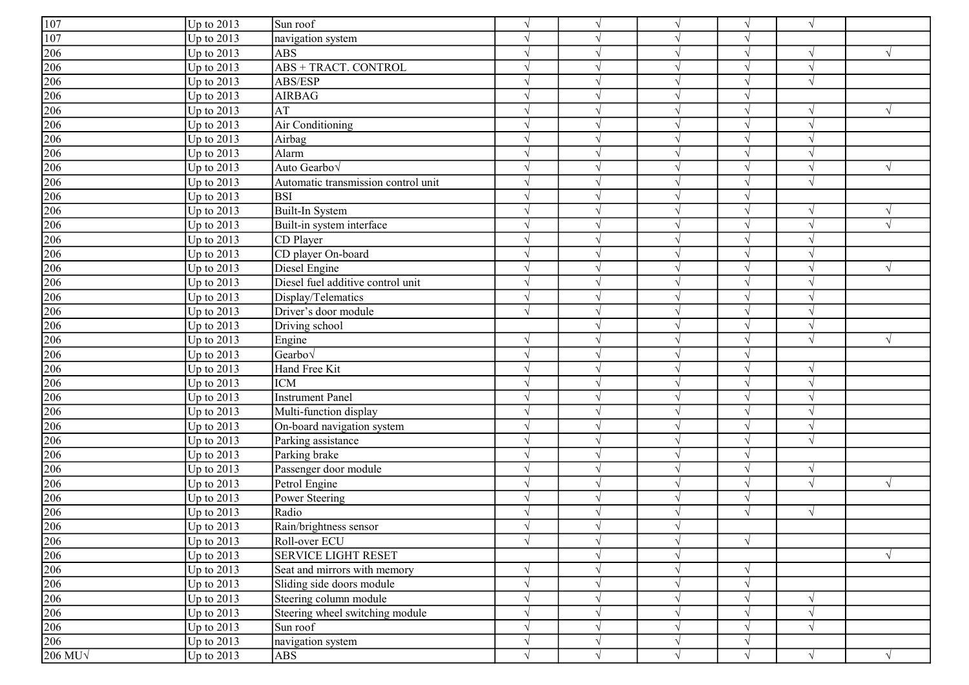| $\sqrt{ }$<br>$\sqrt{ }$<br>$\sqrt{ }$<br>$\mathcal{N}$<br>$\overline{107}$<br>Up to $2013$<br>navigation system<br>$\mathcal{N}$<br>$\gamma$<br>V<br>$\frac{206}{206}$<br>Up to $2013$<br><b>ABS</b><br>$\sqrt{ }$<br>$\mathcal{L}$<br>$\sqrt{ }$<br><b>ABS + TRACT. CONTROL</b><br>Up to $2013$<br>$\sqrt{ }$<br>$\gamma$<br>$\sqrt{ }$<br>206<br>Up to $2013$<br>ABS/ESP<br>$\sqrt{ }$<br>$\gamma$<br>$\sqrt{ }$<br>$\mathcal{A}$<br>206<br>Up to $2013$<br><b>AIRBAG</b><br>$\sqrt{ }$<br>$\sqrt{ }$<br>$\sqrt{}$<br>206<br>Up to $2013$<br>AT<br>$\sqrt{ }$<br>$\sqrt{ }$<br>V<br>206<br>Up to $2013$<br>Air Conditioning<br>$\sqrt{ }$<br>$\sqrt{ }$<br>$\sqrt{ }$<br>$\sqrt{ }$<br>$\begin{array}{r}\n\hline\n206 \\ \hline\n206 \\ \hline\n206 \\ \hline\n206 \\ \hline\n206 \\ \hline\n206\n\end{array}$<br>Up to 2013<br>Airbag<br>$\sqrt{ }$<br>$\sqrt{ }$<br>$\sqrt{ }$<br>$\mathcal{L}$<br>Up to 2013<br>Alarm<br>$\sqrt{ }$<br>$\sqrt{ }$<br>$\sqrt{ }$<br>$\overline{\mathcal{N}}$<br>Up to $2013$<br>Auto Gearbo√<br>$\sqrt{ }$<br>$\sqrt{ }$<br>$\sqrt{ }$<br>$\mathcal{N}$<br>Up to 2013<br>Automatic transmission control unit<br>$\sqrt{ }$<br>$\sqrt{ }$<br>Up to $2013$<br><b>BSI</b><br>$\gamma$<br>$\gamma$<br>N<br>Up to $2013$<br>Built-In System<br>$\sqrt{ }$<br>$\sqrt{ }$<br>$\sqrt{ }$<br>$\gamma$<br>$\frac{206}{206}$<br>Up to $2013$<br>Built-in system interface<br>$\mathcal{N}$<br>$\gamma$<br>$\mathcal{N}$<br>Up to $2013$<br>CD Player<br>$\sqrt{ }$<br>$\gamma$<br>$\sqrt{ }$<br>$\overline{206}$<br>Up to $2013$<br>CD player On-board<br>$\sqrt{ }$<br>$\sqrt{ }$<br>$\sqrt{ }$<br>Up to $2013$<br>Diesel Engine<br>$\mathcal{N}$<br>$\gamma$<br>N<br>Up to $2013$<br>Diesel fuel additive control unit<br>$\sqrt{ }$<br>$\sqrt{ }$<br>$\sqrt{}$<br>Up to $2013$<br>Display/Telematics<br>$\sqrt{ }$<br>$\sqrt{ }$<br>$\overline{\mathcal{N}}$<br>$\sqrt{ }$<br>206<br>206<br>206<br>206<br>206<br>206<br>Up to $2013$<br>Driver's door module<br>$\sqrt{ }$<br>$\sqrt{ }$<br>$\sqrt{ }$<br>Up to $2013$<br>Driving school<br>$\sqrt{ }$<br>$\sqrt{ }$<br>$\sqrt{ }$<br>Up to 2013<br>$\sqrt{ }$<br>$\overline{\mathcal{N}}$<br>Engine<br>$\sqrt{ }$<br>$\sqrt{ }$<br>Up to 2013<br>$Gearbo\sqrt$<br>$\sqrt{ }$<br>$\sqrt{ }$<br>$\sqrt{ }$<br>Up to 2013<br>Hand Free Kit<br>$\sqrt{ }$<br>$\sqrt{ }$<br>$\sqrt{ }$<br>Up to $2013$<br><b>ICM</b><br>$\sqrt{ }$<br>V<br>$\gamma$<br>$\frac{206}{206}$<br>Up to 2013<br>Instrument Panel<br>$\gamma$<br>$\gamma$<br>V<br>Up to $2013$<br>Multi-function display<br>$\sqrt{ }$<br>$\sqrt{ }$<br>$\sqrt{ }$<br>206<br>Up to $2013$<br>On-board navigation system<br>$\sqrt{ }$<br>$\sqrt{ }$<br>$\sqrt{ }$<br>$\mathcal{N}$<br>206<br>Up to 2013<br>Parking assistance<br>$\mathcal{L}$<br>$\gamma$<br>206<br>Up to $2013$<br>Parking brake<br>$\sqrt{ }$<br>$\sqrt{ }$<br>$\sqrt{ }$<br>206<br>Up to $2013$<br>Passenger door module<br>$\sqrt{ }$<br>$\sqrt{ }$<br>$\sqrt{}$<br>$\sqrt{ }$<br>$\frac{206}{206}$ $\frac{206}{206}$<br>$\sqrt{ }$<br>Up to $2013$<br>Petrol Engine<br>V<br>$\sqrt{ }$<br>$\sqrt{ }$<br>$\sqrt{ }$<br>Up to 2013<br>Power Steering<br>$\sqrt{ }$<br>$\sqrt{ }$<br>$\sqrt{ }$<br>Up to 2013<br>Radio<br>$\sqrt{ }$<br>$\sqrt{ }$<br>$\sqrt{ }$<br>$\sqrt{ }$<br>Up to $2013$<br>Rain/brightness sensor<br>$\frac{206}{206}$ $\frac{206}{206}$<br>Roll-over ECU<br>Up to $2013$<br>$\sqrt{ }$<br>$\sqrt{}$<br>$\sqrt{}$<br>$\sqrt{}$<br>Up to $2013$<br><b>SERVICE LIGHT RESET</b><br>$\sqrt{ }$<br>Up to $2013$<br>Seat and mirrors with memory<br>$\sqrt{ }$<br>$\sqrt{ }$<br>$\sqrt{ }$<br>Up to $2013$<br>Sliding side doors module<br>$\sqrt{ }$<br>$\sqrt{ }$<br>$\sqrt{ }$<br>Up to $2013$<br>Steering column module<br>$\sqrt{ }$<br>$\sqrt{ }$<br>$\sqrt{ }$<br>206<br>Steering wheel switching module<br>Up to $2013$<br>$\sqrt{ }$<br>$\sqrt{ }$<br>$\mathbf{\hat{v}}$<br>$\sqrt{ }$<br>206<br>Up to $2013$<br>Sun roof<br>$\sqrt{ }$<br>$\sqrt{ }$<br>$\sqrt{ }$<br>$\overline{206}$<br>Up to $2013$<br>navigation system<br>$\sqrt{ }$<br>$\sqrt{ }$<br>V<br>$\sqrt{}$<br>Up to $2013$<br>$\sqrt{ }$<br>$\sqrt{ }$<br>$\sqrt{}$<br>ABS<br>$\sqrt{ }$<br>$\sqrt{ }$ |                  |              |          |  |  |  |
|-------------------------------------------------------------------------------------------------------------------------------------------------------------------------------------------------------------------------------------------------------------------------------------------------------------------------------------------------------------------------------------------------------------------------------------------------------------------------------------------------------------------------------------------------------------------------------------------------------------------------------------------------------------------------------------------------------------------------------------------------------------------------------------------------------------------------------------------------------------------------------------------------------------------------------------------------------------------------------------------------------------------------------------------------------------------------------------------------------------------------------------------------------------------------------------------------------------------------------------------------------------------------------------------------------------------------------------------------------------------------------------------------------------------------------------------------------------------------------------------------------------------------------------------------------------------------------------------------------------------------------------------------------------------------------------------------------------------------------------------------------------------------------------------------------------------------------------------------------------------------------------------------------------------------------------------------------------------------------------------------------------------------------------------------------------------------------------------------------------------------------------------------------------------------------------------------------------------------------------------------------------------------------------------------------------------------------------------------------------------------------------------------------------------------------------------------------------------------------------------------------------------------------------------------------------------------------------------------------------------------------------------------------------------------------------------------------------------------------------------------------------------------------------------------------------------------------------------------------------------------------------------------------------------------------------------------------------------------------------------------------------------------------------------------------------------------------------------------------------------------------------------------------------------------------------------------------------------------------------------------------------------------------------------------------------------------------------------------------------------------------------------------------------------------------------------------------------------------------------------------------------------------------------------------------------------------------------------------------------------------------------------------------------------------------------------------------------------------------------------------------------------------------------------------------------------------------------------------------------------------------------------------------------------------------------------------------------------------------------------------------------------------------------------------------------------------------------------------------------------------------------------------------------------------------------------------------|------------------|--------------|----------|--|--|--|
|                                                                                                                                                                                                                                                                                                                                                                                                                                                                                                                                                                                                                                                                                                                                                                                                                                                                                                                                                                                                                                                                                                                                                                                                                                                                                                                                                                                                                                                                                                                                                                                                                                                                                                                                                                                                                                                                                                                                                                                                                                                                                                                                                                                                                                                                                                                                                                                                                                                                                                                                                                                                                                                                                                                                                                                                                                                                                                                                                                                                                                                                                                                                                                                                                                                                                                                                                                                                                                                                                                                                                                                                                                                                                                                                                                                                                                                                                                                                                                                                                                                                                                                                                                                                       | 107              | Up to $2013$ | Sun roof |  |  |  |
|                                                                                                                                                                                                                                                                                                                                                                                                                                                                                                                                                                                                                                                                                                                                                                                                                                                                                                                                                                                                                                                                                                                                                                                                                                                                                                                                                                                                                                                                                                                                                                                                                                                                                                                                                                                                                                                                                                                                                                                                                                                                                                                                                                                                                                                                                                                                                                                                                                                                                                                                                                                                                                                                                                                                                                                                                                                                                                                                                                                                                                                                                                                                                                                                                                                                                                                                                                                                                                                                                                                                                                                                                                                                                                                                                                                                                                                                                                                                                                                                                                                                                                                                                                                                       |                  |              |          |  |  |  |
|                                                                                                                                                                                                                                                                                                                                                                                                                                                                                                                                                                                                                                                                                                                                                                                                                                                                                                                                                                                                                                                                                                                                                                                                                                                                                                                                                                                                                                                                                                                                                                                                                                                                                                                                                                                                                                                                                                                                                                                                                                                                                                                                                                                                                                                                                                                                                                                                                                                                                                                                                                                                                                                                                                                                                                                                                                                                                                                                                                                                                                                                                                                                                                                                                                                                                                                                                                                                                                                                                                                                                                                                                                                                                                                                                                                                                                                                                                                                                                                                                                                                                                                                                                                                       |                  |              |          |  |  |  |
|                                                                                                                                                                                                                                                                                                                                                                                                                                                                                                                                                                                                                                                                                                                                                                                                                                                                                                                                                                                                                                                                                                                                                                                                                                                                                                                                                                                                                                                                                                                                                                                                                                                                                                                                                                                                                                                                                                                                                                                                                                                                                                                                                                                                                                                                                                                                                                                                                                                                                                                                                                                                                                                                                                                                                                                                                                                                                                                                                                                                                                                                                                                                                                                                                                                                                                                                                                                                                                                                                                                                                                                                                                                                                                                                                                                                                                                                                                                                                                                                                                                                                                                                                                                                       |                  |              |          |  |  |  |
|                                                                                                                                                                                                                                                                                                                                                                                                                                                                                                                                                                                                                                                                                                                                                                                                                                                                                                                                                                                                                                                                                                                                                                                                                                                                                                                                                                                                                                                                                                                                                                                                                                                                                                                                                                                                                                                                                                                                                                                                                                                                                                                                                                                                                                                                                                                                                                                                                                                                                                                                                                                                                                                                                                                                                                                                                                                                                                                                                                                                                                                                                                                                                                                                                                                                                                                                                                                                                                                                                                                                                                                                                                                                                                                                                                                                                                                                                                                                                                                                                                                                                                                                                                                                       |                  |              |          |  |  |  |
|                                                                                                                                                                                                                                                                                                                                                                                                                                                                                                                                                                                                                                                                                                                                                                                                                                                                                                                                                                                                                                                                                                                                                                                                                                                                                                                                                                                                                                                                                                                                                                                                                                                                                                                                                                                                                                                                                                                                                                                                                                                                                                                                                                                                                                                                                                                                                                                                                                                                                                                                                                                                                                                                                                                                                                                                                                                                                                                                                                                                                                                                                                                                                                                                                                                                                                                                                                                                                                                                                                                                                                                                                                                                                                                                                                                                                                                                                                                                                                                                                                                                                                                                                                                                       |                  |              |          |  |  |  |
|                                                                                                                                                                                                                                                                                                                                                                                                                                                                                                                                                                                                                                                                                                                                                                                                                                                                                                                                                                                                                                                                                                                                                                                                                                                                                                                                                                                                                                                                                                                                                                                                                                                                                                                                                                                                                                                                                                                                                                                                                                                                                                                                                                                                                                                                                                                                                                                                                                                                                                                                                                                                                                                                                                                                                                                                                                                                                                                                                                                                                                                                                                                                                                                                                                                                                                                                                                                                                                                                                                                                                                                                                                                                                                                                                                                                                                                                                                                                                                                                                                                                                                                                                                                                       |                  |              |          |  |  |  |
|                                                                                                                                                                                                                                                                                                                                                                                                                                                                                                                                                                                                                                                                                                                                                                                                                                                                                                                                                                                                                                                                                                                                                                                                                                                                                                                                                                                                                                                                                                                                                                                                                                                                                                                                                                                                                                                                                                                                                                                                                                                                                                                                                                                                                                                                                                                                                                                                                                                                                                                                                                                                                                                                                                                                                                                                                                                                                                                                                                                                                                                                                                                                                                                                                                                                                                                                                                                                                                                                                                                                                                                                                                                                                                                                                                                                                                                                                                                                                                                                                                                                                                                                                                                                       |                  |              |          |  |  |  |
|                                                                                                                                                                                                                                                                                                                                                                                                                                                                                                                                                                                                                                                                                                                                                                                                                                                                                                                                                                                                                                                                                                                                                                                                                                                                                                                                                                                                                                                                                                                                                                                                                                                                                                                                                                                                                                                                                                                                                                                                                                                                                                                                                                                                                                                                                                                                                                                                                                                                                                                                                                                                                                                                                                                                                                                                                                                                                                                                                                                                                                                                                                                                                                                                                                                                                                                                                                                                                                                                                                                                                                                                                                                                                                                                                                                                                                                                                                                                                                                                                                                                                                                                                                                                       |                  |              |          |  |  |  |
|                                                                                                                                                                                                                                                                                                                                                                                                                                                                                                                                                                                                                                                                                                                                                                                                                                                                                                                                                                                                                                                                                                                                                                                                                                                                                                                                                                                                                                                                                                                                                                                                                                                                                                                                                                                                                                                                                                                                                                                                                                                                                                                                                                                                                                                                                                                                                                                                                                                                                                                                                                                                                                                                                                                                                                                                                                                                                                                                                                                                                                                                                                                                                                                                                                                                                                                                                                                                                                                                                                                                                                                                                                                                                                                                                                                                                                                                                                                                                                                                                                                                                                                                                                                                       |                  |              |          |  |  |  |
|                                                                                                                                                                                                                                                                                                                                                                                                                                                                                                                                                                                                                                                                                                                                                                                                                                                                                                                                                                                                                                                                                                                                                                                                                                                                                                                                                                                                                                                                                                                                                                                                                                                                                                                                                                                                                                                                                                                                                                                                                                                                                                                                                                                                                                                                                                                                                                                                                                                                                                                                                                                                                                                                                                                                                                                                                                                                                                                                                                                                                                                                                                                                                                                                                                                                                                                                                                                                                                                                                                                                                                                                                                                                                                                                                                                                                                                                                                                                                                                                                                                                                                                                                                                                       |                  |              |          |  |  |  |
|                                                                                                                                                                                                                                                                                                                                                                                                                                                                                                                                                                                                                                                                                                                                                                                                                                                                                                                                                                                                                                                                                                                                                                                                                                                                                                                                                                                                                                                                                                                                                                                                                                                                                                                                                                                                                                                                                                                                                                                                                                                                                                                                                                                                                                                                                                                                                                                                                                                                                                                                                                                                                                                                                                                                                                                                                                                                                                                                                                                                                                                                                                                                                                                                                                                                                                                                                                                                                                                                                                                                                                                                                                                                                                                                                                                                                                                                                                                                                                                                                                                                                                                                                                                                       |                  |              |          |  |  |  |
|                                                                                                                                                                                                                                                                                                                                                                                                                                                                                                                                                                                                                                                                                                                                                                                                                                                                                                                                                                                                                                                                                                                                                                                                                                                                                                                                                                                                                                                                                                                                                                                                                                                                                                                                                                                                                                                                                                                                                                                                                                                                                                                                                                                                                                                                                                                                                                                                                                                                                                                                                                                                                                                                                                                                                                                                                                                                                                                                                                                                                                                                                                                                                                                                                                                                                                                                                                                                                                                                                                                                                                                                                                                                                                                                                                                                                                                                                                                                                                                                                                                                                                                                                                                                       |                  |              |          |  |  |  |
|                                                                                                                                                                                                                                                                                                                                                                                                                                                                                                                                                                                                                                                                                                                                                                                                                                                                                                                                                                                                                                                                                                                                                                                                                                                                                                                                                                                                                                                                                                                                                                                                                                                                                                                                                                                                                                                                                                                                                                                                                                                                                                                                                                                                                                                                                                                                                                                                                                                                                                                                                                                                                                                                                                                                                                                                                                                                                                                                                                                                                                                                                                                                                                                                                                                                                                                                                                                                                                                                                                                                                                                                                                                                                                                                                                                                                                                                                                                                                                                                                                                                                                                                                                                                       |                  |              |          |  |  |  |
|                                                                                                                                                                                                                                                                                                                                                                                                                                                                                                                                                                                                                                                                                                                                                                                                                                                                                                                                                                                                                                                                                                                                                                                                                                                                                                                                                                                                                                                                                                                                                                                                                                                                                                                                                                                                                                                                                                                                                                                                                                                                                                                                                                                                                                                                                                                                                                                                                                                                                                                                                                                                                                                                                                                                                                                                                                                                                                                                                                                                                                                                                                                                                                                                                                                                                                                                                                                                                                                                                                                                                                                                                                                                                                                                                                                                                                                                                                                                                                                                                                                                                                                                                                                                       |                  |              |          |  |  |  |
|                                                                                                                                                                                                                                                                                                                                                                                                                                                                                                                                                                                                                                                                                                                                                                                                                                                                                                                                                                                                                                                                                                                                                                                                                                                                                                                                                                                                                                                                                                                                                                                                                                                                                                                                                                                                                                                                                                                                                                                                                                                                                                                                                                                                                                                                                                                                                                                                                                                                                                                                                                                                                                                                                                                                                                                                                                                                                                                                                                                                                                                                                                                                                                                                                                                                                                                                                                                                                                                                                                                                                                                                                                                                                                                                                                                                                                                                                                                                                                                                                                                                                                                                                                                                       |                  |              |          |  |  |  |
|                                                                                                                                                                                                                                                                                                                                                                                                                                                                                                                                                                                                                                                                                                                                                                                                                                                                                                                                                                                                                                                                                                                                                                                                                                                                                                                                                                                                                                                                                                                                                                                                                                                                                                                                                                                                                                                                                                                                                                                                                                                                                                                                                                                                                                                                                                                                                                                                                                                                                                                                                                                                                                                                                                                                                                                                                                                                                                                                                                                                                                                                                                                                                                                                                                                                                                                                                                                                                                                                                                                                                                                                                                                                                                                                                                                                                                                                                                                                                                                                                                                                                                                                                                                                       |                  |              |          |  |  |  |
|                                                                                                                                                                                                                                                                                                                                                                                                                                                                                                                                                                                                                                                                                                                                                                                                                                                                                                                                                                                                                                                                                                                                                                                                                                                                                                                                                                                                                                                                                                                                                                                                                                                                                                                                                                                                                                                                                                                                                                                                                                                                                                                                                                                                                                                                                                                                                                                                                                                                                                                                                                                                                                                                                                                                                                                                                                                                                                                                                                                                                                                                                                                                                                                                                                                                                                                                                                                                                                                                                                                                                                                                                                                                                                                                                                                                                                                                                                                                                                                                                                                                                                                                                                                                       | 206              |              |          |  |  |  |
|                                                                                                                                                                                                                                                                                                                                                                                                                                                                                                                                                                                                                                                                                                                                                                                                                                                                                                                                                                                                                                                                                                                                                                                                                                                                                                                                                                                                                                                                                                                                                                                                                                                                                                                                                                                                                                                                                                                                                                                                                                                                                                                                                                                                                                                                                                                                                                                                                                                                                                                                                                                                                                                                                                                                                                                                                                                                                                                                                                                                                                                                                                                                                                                                                                                                                                                                                                                                                                                                                                                                                                                                                                                                                                                                                                                                                                                                                                                                                                                                                                                                                                                                                                                                       | 206              |              |          |  |  |  |
|                                                                                                                                                                                                                                                                                                                                                                                                                                                                                                                                                                                                                                                                                                                                                                                                                                                                                                                                                                                                                                                                                                                                                                                                                                                                                                                                                                                                                                                                                                                                                                                                                                                                                                                                                                                                                                                                                                                                                                                                                                                                                                                                                                                                                                                                                                                                                                                                                                                                                                                                                                                                                                                                                                                                                                                                                                                                                                                                                                                                                                                                                                                                                                                                                                                                                                                                                                                                                                                                                                                                                                                                                                                                                                                                                                                                                                                                                                                                                                                                                                                                                                                                                                                                       | 206              |              |          |  |  |  |
|                                                                                                                                                                                                                                                                                                                                                                                                                                                                                                                                                                                                                                                                                                                                                                                                                                                                                                                                                                                                                                                                                                                                                                                                                                                                                                                                                                                                                                                                                                                                                                                                                                                                                                                                                                                                                                                                                                                                                                                                                                                                                                                                                                                                                                                                                                                                                                                                                                                                                                                                                                                                                                                                                                                                                                                                                                                                                                                                                                                                                                                                                                                                                                                                                                                                                                                                                                                                                                                                                                                                                                                                                                                                                                                                                                                                                                                                                                                                                                                                                                                                                                                                                                                                       |                  |              |          |  |  |  |
|                                                                                                                                                                                                                                                                                                                                                                                                                                                                                                                                                                                                                                                                                                                                                                                                                                                                                                                                                                                                                                                                                                                                                                                                                                                                                                                                                                                                                                                                                                                                                                                                                                                                                                                                                                                                                                                                                                                                                                                                                                                                                                                                                                                                                                                                                                                                                                                                                                                                                                                                                                                                                                                                                                                                                                                                                                                                                                                                                                                                                                                                                                                                                                                                                                                                                                                                                                                                                                                                                                                                                                                                                                                                                                                                                                                                                                                                                                                                                                                                                                                                                                                                                                                                       |                  |              |          |  |  |  |
|                                                                                                                                                                                                                                                                                                                                                                                                                                                                                                                                                                                                                                                                                                                                                                                                                                                                                                                                                                                                                                                                                                                                                                                                                                                                                                                                                                                                                                                                                                                                                                                                                                                                                                                                                                                                                                                                                                                                                                                                                                                                                                                                                                                                                                                                                                                                                                                                                                                                                                                                                                                                                                                                                                                                                                                                                                                                                                                                                                                                                                                                                                                                                                                                                                                                                                                                                                                                                                                                                                                                                                                                                                                                                                                                                                                                                                                                                                                                                                                                                                                                                                                                                                                                       |                  |              |          |  |  |  |
|                                                                                                                                                                                                                                                                                                                                                                                                                                                                                                                                                                                                                                                                                                                                                                                                                                                                                                                                                                                                                                                                                                                                                                                                                                                                                                                                                                                                                                                                                                                                                                                                                                                                                                                                                                                                                                                                                                                                                                                                                                                                                                                                                                                                                                                                                                                                                                                                                                                                                                                                                                                                                                                                                                                                                                                                                                                                                                                                                                                                                                                                                                                                                                                                                                                                                                                                                                                                                                                                                                                                                                                                                                                                                                                                                                                                                                                                                                                                                                                                                                                                                                                                                                                                       |                  |              |          |  |  |  |
|                                                                                                                                                                                                                                                                                                                                                                                                                                                                                                                                                                                                                                                                                                                                                                                                                                                                                                                                                                                                                                                                                                                                                                                                                                                                                                                                                                                                                                                                                                                                                                                                                                                                                                                                                                                                                                                                                                                                                                                                                                                                                                                                                                                                                                                                                                                                                                                                                                                                                                                                                                                                                                                                                                                                                                                                                                                                                                                                                                                                                                                                                                                                                                                                                                                                                                                                                                                                                                                                                                                                                                                                                                                                                                                                                                                                                                                                                                                                                                                                                                                                                                                                                                                                       |                  |              |          |  |  |  |
|                                                                                                                                                                                                                                                                                                                                                                                                                                                                                                                                                                                                                                                                                                                                                                                                                                                                                                                                                                                                                                                                                                                                                                                                                                                                                                                                                                                                                                                                                                                                                                                                                                                                                                                                                                                                                                                                                                                                                                                                                                                                                                                                                                                                                                                                                                                                                                                                                                                                                                                                                                                                                                                                                                                                                                                                                                                                                                                                                                                                                                                                                                                                                                                                                                                                                                                                                                                                                                                                                                                                                                                                                                                                                                                                                                                                                                                                                                                                                                                                                                                                                                                                                                                                       |                  |              |          |  |  |  |
|                                                                                                                                                                                                                                                                                                                                                                                                                                                                                                                                                                                                                                                                                                                                                                                                                                                                                                                                                                                                                                                                                                                                                                                                                                                                                                                                                                                                                                                                                                                                                                                                                                                                                                                                                                                                                                                                                                                                                                                                                                                                                                                                                                                                                                                                                                                                                                                                                                                                                                                                                                                                                                                                                                                                                                                                                                                                                                                                                                                                                                                                                                                                                                                                                                                                                                                                                                                                                                                                                                                                                                                                                                                                                                                                                                                                                                                                                                                                                                                                                                                                                                                                                                                                       |                  |              |          |  |  |  |
|                                                                                                                                                                                                                                                                                                                                                                                                                                                                                                                                                                                                                                                                                                                                                                                                                                                                                                                                                                                                                                                                                                                                                                                                                                                                                                                                                                                                                                                                                                                                                                                                                                                                                                                                                                                                                                                                                                                                                                                                                                                                                                                                                                                                                                                                                                                                                                                                                                                                                                                                                                                                                                                                                                                                                                                                                                                                                                                                                                                                                                                                                                                                                                                                                                                                                                                                                                                                                                                                                                                                                                                                                                                                                                                                                                                                                                                                                                                                                                                                                                                                                                                                                                                                       |                  |              |          |  |  |  |
|                                                                                                                                                                                                                                                                                                                                                                                                                                                                                                                                                                                                                                                                                                                                                                                                                                                                                                                                                                                                                                                                                                                                                                                                                                                                                                                                                                                                                                                                                                                                                                                                                                                                                                                                                                                                                                                                                                                                                                                                                                                                                                                                                                                                                                                                                                                                                                                                                                                                                                                                                                                                                                                                                                                                                                                                                                                                                                                                                                                                                                                                                                                                                                                                                                                                                                                                                                                                                                                                                                                                                                                                                                                                                                                                                                                                                                                                                                                                                                                                                                                                                                                                                                                                       |                  |              |          |  |  |  |
|                                                                                                                                                                                                                                                                                                                                                                                                                                                                                                                                                                                                                                                                                                                                                                                                                                                                                                                                                                                                                                                                                                                                                                                                                                                                                                                                                                                                                                                                                                                                                                                                                                                                                                                                                                                                                                                                                                                                                                                                                                                                                                                                                                                                                                                                                                                                                                                                                                                                                                                                                                                                                                                                                                                                                                                                                                                                                                                                                                                                                                                                                                                                                                                                                                                                                                                                                                                                                                                                                                                                                                                                                                                                                                                                                                                                                                                                                                                                                                                                                                                                                                                                                                                                       |                  |              |          |  |  |  |
|                                                                                                                                                                                                                                                                                                                                                                                                                                                                                                                                                                                                                                                                                                                                                                                                                                                                                                                                                                                                                                                                                                                                                                                                                                                                                                                                                                                                                                                                                                                                                                                                                                                                                                                                                                                                                                                                                                                                                                                                                                                                                                                                                                                                                                                                                                                                                                                                                                                                                                                                                                                                                                                                                                                                                                                                                                                                                                                                                                                                                                                                                                                                                                                                                                                                                                                                                                                                                                                                                                                                                                                                                                                                                                                                                                                                                                                                                                                                                                                                                                                                                                                                                                                                       |                  |              |          |  |  |  |
|                                                                                                                                                                                                                                                                                                                                                                                                                                                                                                                                                                                                                                                                                                                                                                                                                                                                                                                                                                                                                                                                                                                                                                                                                                                                                                                                                                                                                                                                                                                                                                                                                                                                                                                                                                                                                                                                                                                                                                                                                                                                                                                                                                                                                                                                                                                                                                                                                                                                                                                                                                                                                                                                                                                                                                                                                                                                                                                                                                                                                                                                                                                                                                                                                                                                                                                                                                                                                                                                                                                                                                                                                                                                                                                                                                                                                                                                                                                                                                                                                                                                                                                                                                                                       |                  |              |          |  |  |  |
|                                                                                                                                                                                                                                                                                                                                                                                                                                                                                                                                                                                                                                                                                                                                                                                                                                                                                                                                                                                                                                                                                                                                                                                                                                                                                                                                                                                                                                                                                                                                                                                                                                                                                                                                                                                                                                                                                                                                                                                                                                                                                                                                                                                                                                                                                                                                                                                                                                                                                                                                                                                                                                                                                                                                                                                                                                                                                                                                                                                                                                                                                                                                                                                                                                                                                                                                                                                                                                                                                                                                                                                                                                                                                                                                                                                                                                                                                                                                                                                                                                                                                                                                                                                                       |                  |              |          |  |  |  |
|                                                                                                                                                                                                                                                                                                                                                                                                                                                                                                                                                                                                                                                                                                                                                                                                                                                                                                                                                                                                                                                                                                                                                                                                                                                                                                                                                                                                                                                                                                                                                                                                                                                                                                                                                                                                                                                                                                                                                                                                                                                                                                                                                                                                                                                                                                                                                                                                                                                                                                                                                                                                                                                                                                                                                                                                                                                                                                                                                                                                                                                                                                                                                                                                                                                                                                                                                                                                                                                                                                                                                                                                                                                                                                                                                                                                                                                                                                                                                                                                                                                                                                                                                                                                       |                  |              |          |  |  |  |
|                                                                                                                                                                                                                                                                                                                                                                                                                                                                                                                                                                                                                                                                                                                                                                                                                                                                                                                                                                                                                                                                                                                                                                                                                                                                                                                                                                                                                                                                                                                                                                                                                                                                                                                                                                                                                                                                                                                                                                                                                                                                                                                                                                                                                                                                                                                                                                                                                                                                                                                                                                                                                                                                                                                                                                                                                                                                                                                                                                                                                                                                                                                                                                                                                                                                                                                                                                                                                                                                                                                                                                                                                                                                                                                                                                                                                                                                                                                                                                                                                                                                                                                                                                                                       |                  |              |          |  |  |  |
|                                                                                                                                                                                                                                                                                                                                                                                                                                                                                                                                                                                                                                                                                                                                                                                                                                                                                                                                                                                                                                                                                                                                                                                                                                                                                                                                                                                                                                                                                                                                                                                                                                                                                                                                                                                                                                                                                                                                                                                                                                                                                                                                                                                                                                                                                                                                                                                                                                                                                                                                                                                                                                                                                                                                                                                                                                                                                                                                                                                                                                                                                                                                                                                                                                                                                                                                                                                                                                                                                                                                                                                                                                                                                                                                                                                                                                                                                                                                                                                                                                                                                                                                                                                                       |                  |              |          |  |  |  |
|                                                                                                                                                                                                                                                                                                                                                                                                                                                                                                                                                                                                                                                                                                                                                                                                                                                                                                                                                                                                                                                                                                                                                                                                                                                                                                                                                                                                                                                                                                                                                                                                                                                                                                                                                                                                                                                                                                                                                                                                                                                                                                                                                                                                                                                                                                                                                                                                                                                                                                                                                                                                                                                                                                                                                                                                                                                                                                                                                                                                                                                                                                                                                                                                                                                                                                                                                                                                                                                                                                                                                                                                                                                                                                                                                                                                                                                                                                                                                                                                                                                                                                                                                                                                       |                  |              |          |  |  |  |
|                                                                                                                                                                                                                                                                                                                                                                                                                                                                                                                                                                                                                                                                                                                                                                                                                                                                                                                                                                                                                                                                                                                                                                                                                                                                                                                                                                                                                                                                                                                                                                                                                                                                                                                                                                                                                                                                                                                                                                                                                                                                                                                                                                                                                                                                                                                                                                                                                                                                                                                                                                                                                                                                                                                                                                                                                                                                                                                                                                                                                                                                                                                                                                                                                                                                                                                                                                                                                                                                                                                                                                                                                                                                                                                                                                                                                                                                                                                                                                                                                                                                                                                                                                                                       |                  |              |          |  |  |  |
|                                                                                                                                                                                                                                                                                                                                                                                                                                                                                                                                                                                                                                                                                                                                                                                                                                                                                                                                                                                                                                                                                                                                                                                                                                                                                                                                                                                                                                                                                                                                                                                                                                                                                                                                                                                                                                                                                                                                                                                                                                                                                                                                                                                                                                                                                                                                                                                                                                                                                                                                                                                                                                                                                                                                                                                                                                                                                                                                                                                                                                                                                                                                                                                                                                                                                                                                                                                                                                                                                                                                                                                                                                                                                                                                                                                                                                                                                                                                                                                                                                                                                                                                                                                                       |                  |              |          |  |  |  |
|                                                                                                                                                                                                                                                                                                                                                                                                                                                                                                                                                                                                                                                                                                                                                                                                                                                                                                                                                                                                                                                                                                                                                                                                                                                                                                                                                                                                                                                                                                                                                                                                                                                                                                                                                                                                                                                                                                                                                                                                                                                                                                                                                                                                                                                                                                                                                                                                                                                                                                                                                                                                                                                                                                                                                                                                                                                                                                                                                                                                                                                                                                                                                                                                                                                                                                                                                                                                                                                                                                                                                                                                                                                                                                                                                                                                                                                                                                                                                                                                                                                                                                                                                                                                       |                  |              |          |  |  |  |
|                                                                                                                                                                                                                                                                                                                                                                                                                                                                                                                                                                                                                                                                                                                                                                                                                                                                                                                                                                                                                                                                                                                                                                                                                                                                                                                                                                                                                                                                                                                                                                                                                                                                                                                                                                                                                                                                                                                                                                                                                                                                                                                                                                                                                                                                                                                                                                                                                                                                                                                                                                                                                                                                                                                                                                                                                                                                                                                                                                                                                                                                                                                                                                                                                                                                                                                                                                                                                                                                                                                                                                                                                                                                                                                                                                                                                                                                                                                                                                                                                                                                                                                                                                                                       |                  |              |          |  |  |  |
|                                                                                                                                                                                                                                                                                                                                                                                                                                                                                                                                                                                                                                                                                                                                                                                                                                                                                                                                                                                                                                                                                                                                                                                                                                                                                                                                                                                                                                                                                                                                                                                                                                                                                                                                                                                                                                                                                                                                                                                                                                                                                                                                                                                                                                                                                                                                                                                                                                                                                                                                                                                                                                                                                                                                                                                                                                                                                                                                                                                                                                                                                                                                                                                                                                                                                                                                                                                                                                                                                                                                                                                                                                                                                                                                                                                                                                                                                                                                                                                                                                                                                                                                                                                                       |                  |              |          |  |  |  |
|                                                                                                                                                                                                                                                                                                                                                                                                                                                                                                                                                                                                                                                                                                                                                                                                                                                                                                                                                                                                                                                                                                                                                                                                                                                                                                                                                                                                                                                                                                                                                                                                                                                                                                                                                                                                                                                                                                                                                                                                                                                                                                                                                                                                                                                                                                                                                                                                                                                                                                                                                                                                                                                                                                                                                                                                                                                                                                                                                                                                                                                                                                                                                                                                                                                                                                                                                                                                                                                                                                                                                                                                                                                                                                                                                                                                                                                                                                                                                                                                                                                                                                                                                                                                       |                  |              |          |  |  |  |
|                                                                                                                                                                                                                                                                                                                                                                                                                                                                                                                                                                                                                                                                                                                                                                                                                                                                                                                                                                                                                                                                                                                                                                                                                                                                                                                                                                                                                                                                                                                                                                                                                                                                                                                                                                                                                                                                                                                                                                                                                                                                                                                                                                                                                                                                                                                                                                                                                                                                                                                                                                                                                                                                                                                                                                                                                                                                                                                                                                                                                                                                                                                                                                                                                                                                                                                                                                                                                                                                                                                                                                                                                                                                                                                                                                                                                                                                                                                                                                                                                                                                                                                                                                                                       |                  |              |          |  |  |  |
|                                                                                                                                                                                                                                                                                                                                                                                                                                                                                                                                                                                                                                                                                                                                                                                                                                                                                                                                                                                                                                                                                                                                                                                                                                                                                                                                                                                                                                                                                                                                                                                                                                                                                                                                                                                                                                                                                                                                                                                                                                                                                                                                                                                                                                                                                                                                                                                                                                                                                                                                                                                                                                                                                                                                                                                                                                                                                                                                                                                                                                                                                                                                                                                                                                                                                                                                                                                                                                                                                                                                                                                                                                                                                                                                                                                                                                                                                                                                                                                                                                                                                                                                                                                                       | $206$ MU $\sqrt$ |              |          |  |  |  |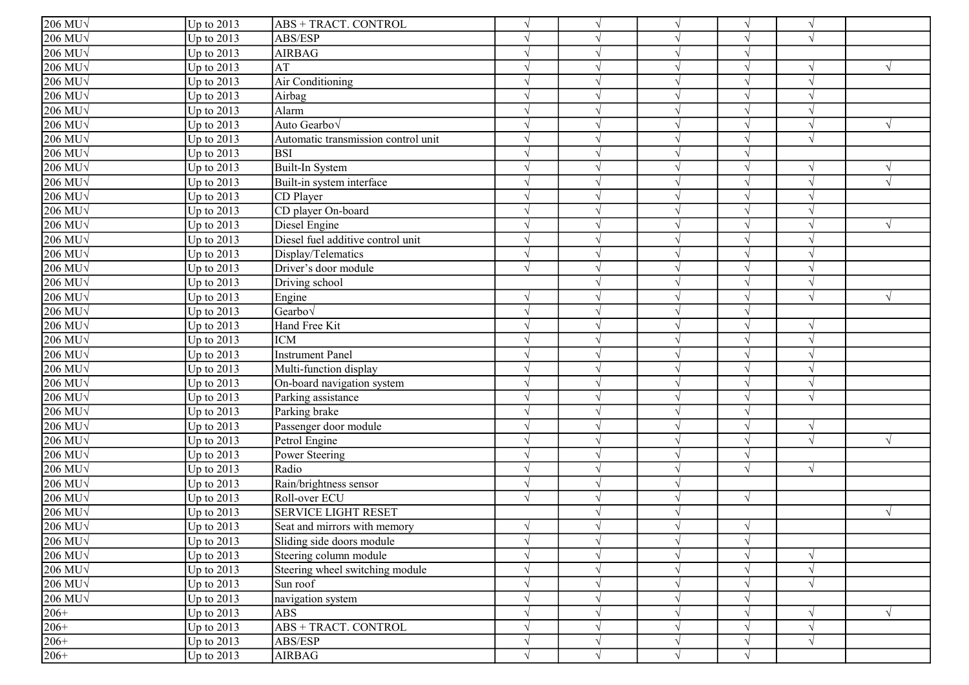| $206$ MU $\sqrt$    | Up to $2013$ | ABS + TRACT. CONTROL                | $\sqrt{ }$    | $\sqrt{ }$    |            | $\sqrt{ }$ | $\sqrt{ }$ |           |
|---------------------|--------------|-------------------------------------|---------------|---------------|------------|------------|------------|-----------|
| 206 MU <sub>V</sub> | Up to $2013$ | ABS/ESP                             | $\gamma$      |               |            | $\sqrt{ }$ |            |           |
| 206 MU <sub>V</sub> | Up to $2013$ | <b>AIRBAG</b>                       |               |               |            | $\sqrt{ }$ |            |           |
| $206$ MU $\sqrt$    | Up to $2013$ | AT                                  | $\gamma$      |               |            | $\sqrt{ }$ |            |           |
| $206$ MU $\sqrt$    | Up to $2013$ | Air Conditioning                    | $\mathcal{L}$ |               |            | $\sqrt{ }$ | $\sqrt{ }$ |           |
| $206$ MU $\sqrt$    | Up to $2013$ | Airbag                              |               |               |            |            |            |           |
| $206$ MU $\sqrt$    | Up to $2013$ | Alarm                               | $\sqrt{ }$    |               |            | $\sqrt{ }$ |            |           |
| $206$ MU $\sqrt$    | Up to $2013$ | Auto Gearbo                         | $\sqrt{ }$    |               |            | $\sqrt{ }$ | $\sqrt{ }$ |           |
| $206$ MU $\sqrt$    | Up to $2013$ | Automatic transmission control unit | $\sqrt{ }$    | $\mathcal{N}$ |            | $\sqrt{ }$ | $\sqrt{ }$ |           |
| $206$ MU $\sqrt$    | Up to 2013   | <b>BSI</b>                          | $\mathcal{L}$ | $\sqrt{ }$    |            | $\sqrt{ }$ |            |           |
| $206$ MU $\sqrt$    | Up to 2013   | Built-In System                     | $\sqrt{ }$    | $\mathcal{N}$ |            | $\sqrt{ }$ | $\sqrt{ }$ |           |
| $206$ MU $\sqrt{ }$ | Up to 2013   | Built-in system interface           | $\mathcal{L}$ |               |            | $\sqrt{ }$ | $\sqrt{ }$ |           |
| $206$ MU $\sqrt{ }$ | Up to 2013   | CD Player                           | $\sqrt{ }$    |               |            | $\sqrt{ }$ |            |           |
| $206$ MU $\sqrt{ }$ | Up to 2013   | CD player On-board                  | $\gamma$      |               |            | $\sqrt{ }$ |            |           |
| $206$ MU $\sqrt$    | Up to $2013$ | Diesel Engine                       | $\gamma$      |               |            | $\sqrt{ }$ | $\sqrt{ }$ | V         |
| $206$ MU $\sqrt{ }$ | Up to $2013$ | Diesel fuel additive control unit   | $\mathcal{L}$ |               |            | $\sqrt{ }$ |            |           |
| $206$ MU $\sqrt$    | Up to 2013   | Display/Telematics                  | $\gamma$      |               |            | $\sqrt{ }$ |            |           |
| $206$ MU $\sqrt$    | Up to $2013$ | Driver's door module                | $\sqrt{ }$    | $\mathcal{L}$ |            | $\sqrt{ }$ |            |           |
| $206$ MU $\sqrt$    | Up to 2013   | Driving school                      |               |               |            | $\sqrt{ }$ |            |           |
| $206$ MU $\sqrt$    | Up to $2013$ | Engine                              | $\sqrt{ }$    |               |            | $\sqrt{ }$ | $\sqrt{ }$ |           |
| $206$ MU $\sqrt$    | Up to $2013$ | Gearbo√                             | $\sqrt{ }$    | $\sqrt{ }$    |            | $\sqrt{ }$ |            |           |
| $206$ MU $\sqrt$    | Up to $2013$ | Hand Free Kit                       | $\gamma$      | $\sqrt{ }$    |            | $\sqrt{ }$ | $\sqrt{ }$ |           |
| $206$ MU $\sqrt$    | Up to 2013   | <b>ICM</b>                          | $\mathcal{L}$ | $\sqrt{ }$    |            | $\sqrt{ }$ | $\sqrt{ }$ |           |
| 206 MU <sub>V</sub> | Up to 2013   | <b>Instrument Panel</b>             |               | $\sqrt{ }$    |            | $\sqrt{ }$ |            |           |
| $206$ MU $\sqrt{ }$ | Up to 2013   | Multi-function display              |               |               |            |            |            |           |
| $206$ MU $\sqrt{ }$ | Up to $2013$ | On-board navigation system          | $\gamma$      |               |            | $\sqrt{ }$ |            |           |
| $206$ MU $\sqrt{ }$ | Up to $2013$ | Parking assistance                  | $\gamma$      |               |            | $\sqrt{ }$ | $\sqrt{ }$ |           |
| $206$ MU $\sqrt$    | Up to $2013$ | Parking brake                       |               |               |            | $\sqrt{ }$ |            |           |
| $206$ MU $\sqrt$    | Up to $2013$ | Passenger door module               | $\mathcal{L}$ | $\mathcal{L}$ |            | $\sqrt{ }$ | $\sqrt{ }$ |           |
| 206 MU <sub>V</sub> | Up to $2013$ | Petrol Engine                       | $\mathcal{L}$ |               |            | $\sqrt{ }$ | $\sqrt{ }$ | $\sqrt{}$ |
| 206 MU $\sqrt$      | Up to 2013   | Power Steering                      |               |               |            | $\sqrt{ }$ |            |           |
| $206$ MU $\sqrt$    | Up to $2013$ | Radio                               | $\sqrt{ }$    | $\sqrt{ }$    |            | $\sqrt{ }$ | $\sqrt{ }$ |           |
| $206$ MU $\sqrt$    | Up to $2013$ | Rain/brightness sensor              | $\mathcal{L}$ |               |            |            |            |           |
| $206$ MU $\sqrt$    | Up to 2013   | Roll-over ECU                       | $\sqrt{ }$    | $\mathcal{N}$ |            | $\sqrt{ }$ |            |           |
| $206$ MU $\sqrt$    | Up to 2013   | <b>SERVICE LIGHT RESET</b>          |               | $\mathcal{N}$ |            |            |            | V         |
| $206$ MU $\sqrt$    | Up to $2013$ | Seat and mirrors with memory        | $\sqrt{ }$    |               |            | $\sqrt{ }$ |            |           |
| $206$ MU $\sqrt{ }$ | Up to $2013$ | Sliding side doors module           | $\sqrt{ }$    | $\sqrt{ }$    | $\sqrt{ }$ | $\sqrt{}$  |            |           |
| 206 MU $\sqrt$      | Up to 2013   | Steering column module              | $\sqrt{ }$    | $\sqrt{ }$    |            | $\sqrt{}$  |            |           |
| $206$ MU $\sqrt{ }$ | Up to $2013$ | Steering wheel switching module     | $\sqrt{ }$    | $\sqrt{ }$    |            | $\sqrt{ }$ | $\sqrt{}$  |           |
| 206 MU <sub>V</sub> | Up to $2013$ | Sun roof                            | $\sqrt{ }$    | $\mathcal{N}$ |            | $\sqrt{ }$ | $\sqrt{ }$ |           |
| $206$ MU $\sqrt$    | Up to $2013$ | navigation system                   | $\sqrt{ }$    | $\sqrt{ }$    |            | $\sqrt{ }$ |            |           |
| $206+$              | Up to $2013$ | <b>ABS</b>                          | $\sqrt{ }$    | $\sqrt{ }$    |            | $\sqrt{}$  |            |           |
| $206+$              | Up to $2013$ | <b>ABS + TRACT. CONTROL</b>         | $\sqrt{ }$    | $\sqrt{ }$    |            | $\sqrt{ }$ | $\sqrt{ }$ |           |
| $206+$              | Up to $2013$ | ABS/ESP                             | $\sqrt{ }$    | $\sqrt{ }$    |            | $\sqrt{ }$ | $\sqrt{}$  |           |
| $206+$              | Up to $2013$ | AIRBAG                              | $\sqrt{}$     | $\sqrt{ }$    | $\sqrt{ }$ | $\sqrt{ }$ |            |           |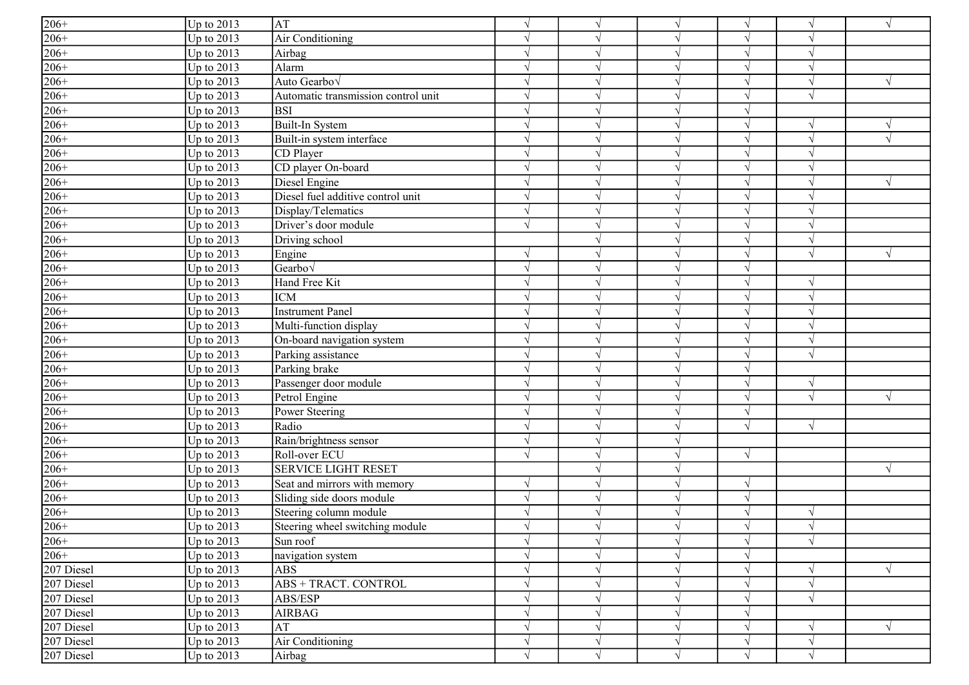| $206+$                                     | Up to $2013$      | AT                                  | $\sqrt{ }$    | $\sqrt{ }$    |          | V          | $\sqrt{ }$ | $\sqrt{}$  |
|--------------------------------------------|-------------------|-------------------------------------|---------------|---------------|----------|------------|------------|------------|
| $206+$                                     | Up to 2013        | Air Conditioning                    | $\gamma$      | $\lambda$     |          | $\sqrt{ }$ |            |            |
| $\frac{206+}{ }$                           | Up to $2013$      | Airbag                              | $\gamma$      |               |          | $\sqrt{ }$ |            |            |
| $206+$                                     | Up to $2013$      | Alarm                               |               |               |          | V          |            |            |
| $206+$                                     | Up to $2013$      | Auto Gearbov                        | $\mathcal{L}$ |               |          | V          |            |            |
| $206+$                                     | Up to 2013        | Automatic transmission control unit | $\sqrt{ }$    |               |          | V          | $\sqrt{ }$ |            |
| $206+$                                     | Up to 2013        | <b>BSI</b>                          | $\sqrt{ }$    | $\mathcal{N}$ |          | V          |            |            |
| $\frac{206+}{206+}$                        | Up to 2013        | Built-In System                     | $\sqrt{ }$    | $\mathcal{N}$ |          | $\sqrt{ }$ | $\sqrt{ }$ |            |
|                                            | Up to 2013        | Built-in system interface           | $\mathcal{L}$ | $\mathcal{L}$ |          | $\sqrt{ }$ | $\sqrt{ }$ |            |
|                                            | Up to 2013        | CD Player                           | $\sqrt{ }$    | $\sim$        |          | $\sqrt{ }$ | $\sqrt{ }$ |            |
| $206+$                                     | Up to 2013        | CD player On-board                  | $\mathcal{L}$ |               |          | $\sqrt{ }$ |            |            |
| $206+$                                     | Up to 2013        | Diesel Engine                       | $\sqrt{ }$    | $\mathcal{N}$ |          | $\sqrt{}$  |            |            |
| $206+$                                     | Up to 2013        | Diesel fuel additive control unit   | $\gamma$      |               |          | V          |            |            |
|                                            | Up to 2013        | Display/Telematics                  | $\gamma$      | $\lambda$     |          | V          |            |            |
| $\frac{206+}{206+}$                        | Up to 2013        | Driver's door module                | $\sqrt{ }$    | $\mathcal{N}$ |          | $\sqrt{ }$ |            |            |
| $206+$                                     | Up to $2013$      | Driving school                      |               |               |          | $\sqrt{}$  | $\sqrt{ }$ |            |
| $206+$                                     | Up to $2013$      | Engine                              | $\sqrt{ }$    |               |          | V          | $\sqrt{ }$ |            |
| $206+$                                     | Up to 2013        | Gearbo $\sqrt$                      | $\sqrt{ }$    | $\sqrt{ }$    |          | $\sqrt{}$  |            |            |
| $206+$                                     | Up to $2013$      | Hand Free Kit                       | $\mathcal{L}$ | $\mathcal{N}$ |          | V          | $\sqrt{ }$ |            |
| $\frac{206+}{206+}$                        | Up to $2013$      | <b>ICM</b>                          | $\sqrt{ }$    | $\sqrt{ }$    |          | $\sqrt{ }$ | $\sqrt{ }$ |            |
|                                            | Up to 2013        | <b>Instrument Panel</b>             | $\sqrt{ }$    | $\sqrt{ }$    |          | $\sqrt{ }$ | $\sqrt{ }$ |            |
|                                            | Up to 2013        | Multi-function display              | $\sqrt{ }$    | $\sqrt{ }$    |          | $\sqrt{ }$ | $\sqrt{ }$ |            |
| $206+$                                     | Up to 2013        | On-board navigation system          | $\mathcal{L}$ |               |          | $\sqrt{ }$ |            |            |
| $206+$                                     | Up to 2013        | Parking assistance                  | $\sqrt{ }$    | $\mathcal{N}$ |          | $\sqrt{}$  |            |            |
| $206+$                                     | Up to 2013        | Parking brake                       | $\gamma$      |               |          | V          |            |            |
| $206+$                                     | Up to 2013        | Passenger door module               | $\gamma$      | $\lambda$     |          | V          | $\sqrt{ }$ |            |
| $206+$                                     | Up to 2013        | Petrol Engine                       | $\gamma$      | $\lambda$     |          | $\sqrt{ }$ | $\sqrt{ }$ |            |
| $206+$                                     | Up to 2013        | Power Steering                      | $\mathcal{L}$ |               |          | $\sqrt{}$  |            |            |
| $206+$                                     | Up to $2013$      | Radio                               | $\gamma$      |               |          | $\sqrt{ }$ | $\sqrt{ }$ |            |
| $206+$                                     | Up to 2013        | Rain/brightness sensor              | $\sqrt{ }$    | $\mathcal{N}$ |          |            |            |            |
| $206+$                                     | Up to 2013        | Roll-over ECU                       | $\sqrt{ }$    | $\mathcal{N}$ |          | $\sqrt{ }$ |            |            |
| $206+$                                     | Up to 2013        | <b>SERVICE LIGHT RESET</b>          |               | $\mathcal{N}$ |          |            |            | $\sqrt{ }$ |
| $\frac{206+}{206+}$<br>$\frac{206+}{206+}$ | Up to 2013        | Seat and mirrors with memory        | $\sqrt{ }$    | $\sqrt{ }$    |          | $\sqrt{ }$ |            |            |
|                                            | Up to 2013        | Sliding side doors module           | $\mathbf{v}$  | $\sqrt{ }$    |          | $\sqrt{ }$ |            |            |
|                                            | Up to 2013        | Steering column module              | $\mathcal{L}$ |               |          | $\sqrt{ }$ | $\sqrt{ }$ |            |
|                                            | Up to $2013$      | Steering wheel switching module     |               |               |          |            |            |            |
| $206+$                                     | Up to $2013$      | Sun roof                            | $\sqrt{ }$    | $\sqrt{ }$    | $\gamma$ | $\sqrt{}$  | $\sqrt{}$  |            |
| $206+$                                     | Up to 2013        | navigation system                   | $\sqrt{ }$    | $\sqrt{ }$    |          | $\sqrt{ }$ |            |            |
| 207 Diesel                                 | <b>Up to 2013</b> | <b>ABS</b>                          | $\gamma$      | $\gamma$      |          | $\sqrt{ }$ |            |            |
| 207 Diesel                                 | Up to 2013        | <b>ABS + TRACT. CONTROL</b>         | $\gamma$      |               |          | $\sqrt{}$  | $\sqrt{ }$ |            |
| 207 Diesel                                 | Up to $2013$      | ABS/ESP                             | $\sqrt{ }$    | $\sqrt{ }$    |          | $\sqrt{}$  | $\sqrt{ }$ |            |
| 207 Diesel                                 | Up to $2013$      | <b>AIRBAG</b>                       |               |               |          | V          |            |            |
| 207 Diesel                                 | Up to $2013$      | AT                                  | $\sqrt{ }$    | $\sqrt{ }$    |          | $\sqrt{}$  | $\sqrt{ }$ |            |
| 207 Diesel                                 | Up to $2013$      | Air Conditioning                    | $\gamma$      | $\sqrt{ }$    | N        | V          | $\sqrt{}$  |            |
| 207 Diesel                                 | Up to $2013$      | Airbag                              | $\sqrt{ }$    | $\mathcal{N}$ |          | $\sqrt{ }$ | $\sqrt{ }$ |            |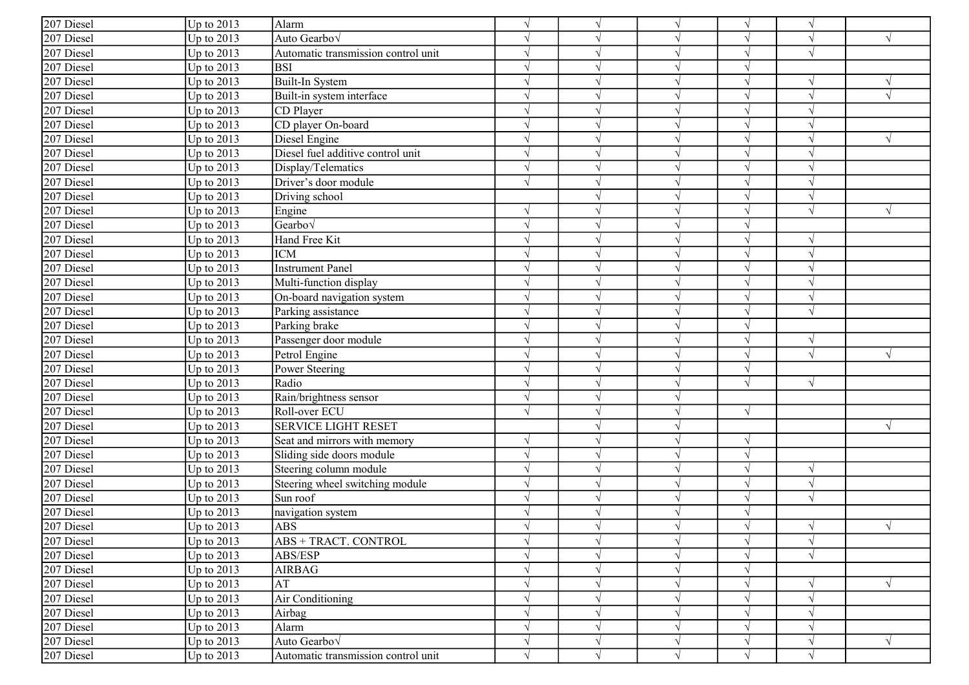| 207 Diesel | Up to 2013   | Alarm                               | $\sqrt{ }$    | $\sqrt{ }$    |            |            |   |
|------------|--------------|-------------------------------------|---------------|---------------|------------|------------|---|
| 207 Diesel | Up to $2013$ | Auto Gearbo <sub>V</sub>            | $\gamma$      | $\gamma$      | $\sqrt{ }$ |            |   |
| 207 Diesel | Up to 2013   | Automatic transmission control unit | $\sqrt{ }$    | $\gamma$      | $\sqrt{ }$ |            |   |
| 207 Diesel | Up to 2013   | <b>BSI</b>                          | $\sqrt{ }$    | $\mathcal{L}$ | $\sqrt{}$  |            |   |
| 207 Diesel | Up to 2013   | Built-In System                     | $\sqrt{ }$    |               | $\sqrt{ }$ |            |   |
| 207 Diesel | Up to 2013   | Built-in system interface           | $\sqrt{ }$    | $\mathcal{L}$ | $\sqrt{ }$ |            |   |
| 207 Diesel | Up to 2013   | CD Player                           | $\sqrt{ }$    | $\sqrt{ }$    | $\sqrt{ }$ |            |   |
| 207 Diesel | Up to 2013   | CD player On-board                  | $\sqrt{ }$    | $\sqrt{ }$    | $\sqrt{}$  | V          |   |
| 207 Diesel | Up to $2013$ | Diesel Engine                       | $\sqrt{ }$    | $\mathcal{L}$ | $\sqrt{ }$ |            |   |
| 207 Diesel | Up to $2013$ | Diesel fuel additive control unit   | $\sqrt{ }$    | $\sqrt{ }$    | $\sqrt{ }$ |            |   |
| 207 Diesel | Up to $2013$ | Display/Telematics                  | $\sqrt{ }$    | $\sqrt{ }$    | $\sqrt{}$  |            |   |
| 207 Diesel | Up to $2013$ | Driver's door module                | $\sqrt{ }$    | $\sqrt{ }$    | $\sqrt{ }$ |            |   |
| 207 Diesel | Up to $2013$ | Driving school                      |               |               |            |            |   |
| 207 Diesel | Up to 2013   | Engine                              | $\sqrt{ }$    | $\gamma$      | $\sqrt{ }$ | $\sqrt{ }$ | V |
| 207 Diesel | Up to 2013   | Gearbov                             | $\gamma$      | $\gamma$      | $\sqrt{ }$ |            |   |
| 207 Diesel | Up to 2013   | Hand Free Kit                       |               | $\mathcal{L}$ | $\sqrt{}$  |            |   |
| 207 Diesel | Up to 2013   | <b>ICM</b>                          | $\sqrt{ }$    | $\gamma$      | $\sqrt{}$  |            |   |
| 207 Diesel | Up to 2013   | Instrument Panel                    |               | $\mathcal{L}$ | $\sqrt{ }$ |            |   |
| 207 Diesel | Up to 2013   | Multi-function display              |               | $\mathcal{L}$ | $\sqrt{ }$ |            |   |
| 207 Diesel | Up to 2013   | On-board navigation system          | $\sqrt{ }$    | $\sqrt{ }$    | $\sqrt{}$  | $\sqrt{ }$ |   |
| 207 Diesel | Up to 2013   | Parking assistance                  | $\sqrt{ }$    | $\sqrt{ }$    | $\sqrt{ }$ |            |   |
| 207 Diesel | Up to 2013   | Parking brake                       | $\sqrt{ }$    | $\sqrt{ }$    | $\sqrt{}$  |            |   |
| 207 Diesel | Up to 2013   | Passenger door module               | $\sqrt{ }$    | $\sqrt{ }$    | $\sqrt{ }$ | $\sqrt{ }$ |   |
| 207 Diesel | Up to 2013   | Petrol Engine                       | $\gamma$      | $\mathcal{L}$ | $\sqrt{ }$ |            |   |
| 207 Diesel | Up to $2013$ | Power Steering                      | $\sqrt{ }$    | $\sqrt{ }$    | $\sqrt{}$  |            |   |
| 207 Diesel | Up to 2013   | Radio                               |               |               | $\sqrt{}$  | $\sqrt{ }$ |   |
| 207 Diesel | Up to 2013   | Rain/brightness sensor              | $\gamma$      | $\gamma$      |            |            |   |
| 207 Diesel | Up to 2013   | Roll-over ECU                       | $\sqrt{ }$    | $\gamma$      | $\sqrt{ }$ |            |   |
| 207 Diesel | Up to 2013   | <b>SERVICE LIGHT RESET</b>          |               | $\gamma$      |            |            |   |
| 207 Diesel | Up to 2013   | Seat and mirrors with memory        | $\sqrt{ }$    |               | $\sqrt{ }$ |            |   |
| 207 Diesel | Up to 2013   | Sliding side doors module           | $\sqrt{ }$    | $\sqrt{ }$    | $\sqrt{ }$ |            |   |
| 207 Diesel | Up to 2013   | Steering column module              | $\sqrt{ }$    | $\sqrt{ }$    | $\sqrt{ }$ | V          |   |
| 207 Diesel | Up to 2013   | Steering wheel switching module     | $\sqrt{ }$    | $\sqrt{ }$    | $\sqrt{ }$ | $\sqrt{}$  |   |
| 207 Diesel | Up to 2013   | Sun roof                            | $\sqrt{ }$    | $\sqrt{ }$    | $\sqrt{ }$ | $\sqrt{}$  |   |
| 207 Diesel | Up to 2013   | navigation system                   | $\sqrt{ }$    | $\gamma$      | $\sqrt{}$  |            |   |
| 207 Diesel | Up to $2013$ | <b>ABS</b>                          |               |               |            |            |   |
| 207 Diesel | Up to 2013   | ABS + TRACT. CONTROL                | $\sqrt{ }$    | $\sqrt{}$     | $\sqrt{}$  | $\sqrt{ }$ |   |
| 207 Diesel | Up to $2013$ | ABS/ESP                             | $\mathcal{N}$ | $\sqrt{ }$    | $\sqrt{ }$ |            |   |
| 207 Diesel | Up to 2013   | AIRBAG                              |               | $\gamma$      | $\sqrt{ }$ |            |   |
| 207 Diesel | Up to 2013   | AT                                  |               |               | $\sqrt{ }$ |            |   |
| 207 Diesel | Up to 2013   | Air Conditioning                    | $\gamma$      |               | $\sqrt{ }$ |            |   |
| 207 Diesel | Up to 2013   | Airbag                              | $\mathcal{L}$ | $\gamma$      | $\sqrt{ }$ |            |   |
| 207 Diesel | Up to $2013$ | Alarm                               |               | $\sqrt{ }$    | $\sqrt{ }$ |            |   |
| 207 Diesel | Up to 2013   | Auto Gearbo <sub>V</sub>            |               | $\sqrt{ }$    | V          |            | V |
| 207 Diesel | Up to $2013$ | Automatic transmission control unit | $\sqrt{ }$    | $\sqrt{ }$    | $\sqrt{}$  | $\sqrt{ }$ |   |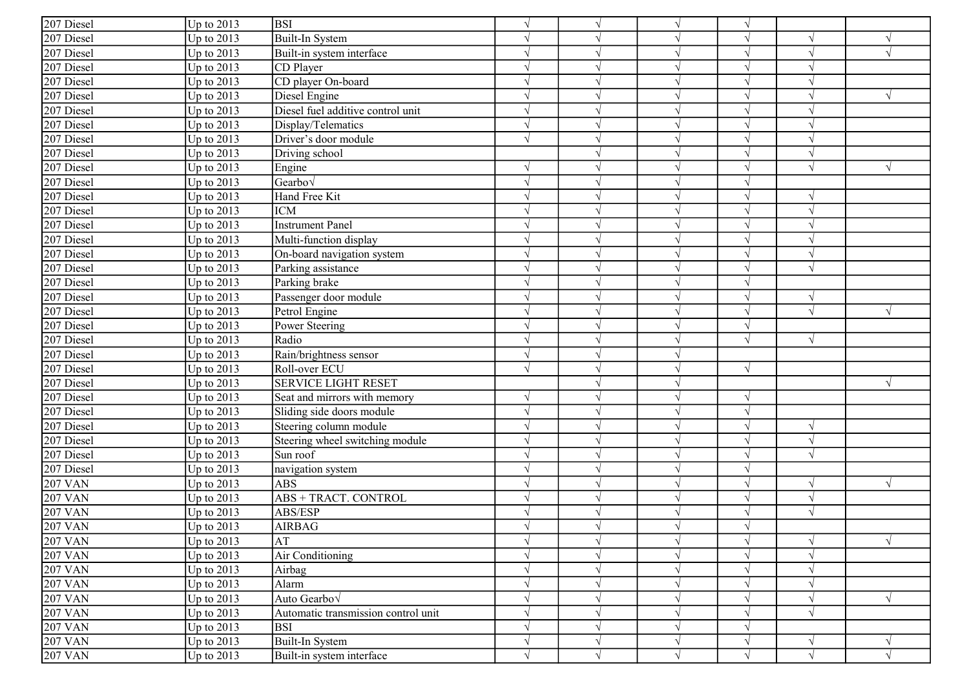| 207 Diesel                                | Up to $2013$ | <b>BSI</b>                          | $\sqrt{ }$    | $\sqrt{ }$    |            | $\sqrt{ }$    |            |            |
|-------------------------------------------|--------------|-------------------------------------|---------------|---------------|------------|---------------|------------|------------|
| 207 Diesel                                | Up to $2013$ | Built-In System                     | $\gamma$      |               |            | $\sqrt{ }$    |            |            |
| 207 Diesel                                | Up to $2013$ | Built-in system interface           | $\mathcal{L}$ | $\mathcal{L}$ |            | $\sqrt{ }$    |            |            |
| 207 Diesel                                | Up to 2013   | CD Player                           | $\mathcal{L}$ |               |            | $\sqrt{ }$    |            |            |
| 207 Diesel                                | Up to $2013$ | CD player On-board                  | $\mathcal{L}$ |               |            | $\sqrt{ }$    |            |            |
| 207 Diesel                                | Up to 2013   | Diesel Engine                       | $\sqrt{ }$    |               |            | $\sqrt{ }$    |            |            |
| 207 Diesel                                | Up to $2013$ | Diesel fuel additive control unit   | $\sqrt{ }$    |               |            | $\sqrt{ }$    |            |            |
| 207 Diesel                                | Up to 2013   | Display/Telematics                  | $\sqrt{ }$    | $\sqrt{ }$    |            | $\sqrt{ }$    |            |            |
| 207 Diesel                                | Up to 2013   | Driver's door module                | $\sqrt{ }$    | $\sqrt{ }$    |            | $\sqrt{ }$    |            |            |
| 207 Diesel                                | Up to 2013   | Driving school                      |               | $\mathcal{L}$ |            | $\sqrt{ }$    | $\sqrt{ }$ |            |
| 207 Diesel                                | Up to 2013   | Engine                              | $\gamma$      |               |            | $\sqrt{ }$    |            |            |
| 207 Diesel                                | Up to 2013   | Gearbo $\sqrt$                      | $\sqrt{ }$    |               |            | $\sqrt{ }$    |            |            |
| 207 Diesel                                | Up to $2013$ | Hand Free Kit                       | $\gamma$      |               |            | $\sqrt{ }$    |            |            |
| 207 Diesel                                | Up to $2013$ | <b>ICM</b>                          |               |               |            |               |            |            |
| 207 Diesel                                | Up to $2013$ | <b>Instrument Panel</b>             |               |               |            | $\mathcal{L}$ |            |            |
| 207 Diesel                                | Up to 2013   | Multi-function display              | $\gamma$      |               |            | $\sqrt{ }$    |            |            |
| 207 Diesel                                | Up to $2013$ | On-board navigation system          | $\Delta$      |               |            | $\sqrt{ }$    |            |            |
| 207 Diesel                                | Up to $2013$ | Parking assistance                  |               |               |            | $\sqrt{ }$    |            |            |
| 207 Diesel                                | Up to 2013   | Parking brake                       | $\sqrt{ }$    |               |            | $\sqrt{ }$    |            |            |
| 207 Diesel                                | Up to $2013$ | Passenger door module               | $\mathcal{L}$ | $\sqrt{ }$    |            | $\sqrt{ }$    | $\sqrt{ }$ |            |
| 207 Diesel                                | Up to $2013$ | Petrol Engine                       | $\sqrt{ }$    | $\sqrt{ }$    |            | $\sqrt{ }$    | $\sqrt{ }$ |            |
| 207 Diesel                                | Up to 2013   | Power Steering                      | $\mathcal{L}$ | $\sqrt{ }$    |            | $\sqrt{ }$    |            |            |
| 207 Diesel                                | Up to 2013   | Radio                               | $\mathcal{L}$ | $\sqrt{ }$    |            | $\sqrt{ }$    | $\sqrt{ }$ |            |
| 207 Diesel                                | Up to $2013$ | Rain/brightness sensor              | $\mathcal{L}$ |               |            |               |            |            |
| 207 Diesel                                | Up to 2013   | Roll-over ECU                       | $\sqrt{ }$    | $\sqrt{ }$    |            | $\sqrt{}$     |            |            |
| 207 Diesel                                | Up to $2013$ | <b>SERVICE LIGHT RESET</b>          |               |               |            |               |            |            |
| 207 Diesel                                | Up to $2013$ | Seat and mirrors with memory        | $\gamma$      |               |            | $\sqrt{ }$    |            |            |
| 207 Diesel                                | Up to 2013   | Sliding side doors module           | $\mathcal{L}$ | $\mathcal{L}$ |            | $\sqrt{ }$    |            |            |
| 207 Diesel                                | Up to 2013   | Steering column module              | $\sqrt{ }$    |               |            | $\sqrt{ }$    | $\sqrt{ }$ |            |
| 207 Diesel                                | Up to $2013$ | Steering wheel switching module     | $\mathcal{L}$ |               |            |               |            |            |
| 207 Diesel                                | Up to 2013   | Sun roof                            | $\sqrt{ }$    | $\sqrt{ }$    |            | $\sqrt{ }$    |            |            |
| 207 Diesel                                | Up to 2013   | navigation system                   | $\sqrt{ }$    |               |            | $\sqrt{ }$    |            |            |
| <b>207 VAN</b>                            | Up to 2013   | <b>ABS</b>                          | $\sqrt{ }$    | $\mathcal{N}$ |            | $\sqrt{ }$    | $\sqrt{ }$ | V          |
| <b>207 VAN</b>                            | Up to $2013$ | ABS + TRACT. CONTROL                | $\sqrt{ }$    | $\sqrt{ }$    |            | $\sqrt{ }$    | $\sqrt{ }$ |            |
| <b>207 VAN</b>                            | Up to 2013   | ABS/ESP                             | $\mathcal{L}$ | $\mathcal{N}$ |            | $\sqrt{ }$    | $\sqrt{ }$ |            |
| <b>207 VAN</b>                            | Up to $2013$ | <b>AIRBAG</b>                       |               |               |            |               |            |            |
| <b>207 VAN</b>                            | Up to $2013$ | AT                                  | $\sqrt{ }$    | $\sqrt{ }$    |            | $\sqrt{}$     | $\sqrt{ }$ | $\sqrt{ }$ |
| <b>207 VAN</b>                            | Up to 2013   | Air Conditioning                    | $\sqrt{ }$    | $\mathcal{N}$ |            | $\sqrt{}$     | $\sqrt{ }$ |            |
| $207$ VAN                                 | Up to $2013$ | Airbag                              |               | ٦             |            | $\sqrt{ }$    | $\sqrt{ }$ |            |
| <b>207 VAN</b>                            | Up to $2013$ | Alarm                               | $\gamma$      |               |            | $\sqrt{ }$    |            |            |
| <b>207 VAN</b>                            | Up to $2013$ | Auto Gearbov                        | $\gamma$      |               |            | $\sqrt{ }$    | $\sqrt{}$  |            |
| <b>207 VAN</b>                            | Up to $2013$ | Automatic transmission control unit | $\sqrt{2}$    |               |            | $\sqrt{ }$    | $\sqrt{ }$ |            |
| <b>207 VAN</b>                            | Up to $2013$ | <b>BSI</b>                          | $\mathcal{L}$ | $\mathcal{L}$ |            | $\sqrt{ }$    |            |            |
| $\frac{207 \text{ VAN}}{207 \text{ VAN}}$ | Up to $2013$ | Built-In System                     | $\sqrt{ }$    | $\mathcal{N}$ |            | $\sqrt{}$     | $\sqrt{}$  |            |
|                                           | Up to $2013$ | Built-in system interface           | $\sqrt{ }$    | $\sqrt{ }$    | $\sqrt{ }$ | $\sqrt{ }$    | $\sqrt{2}$ |            |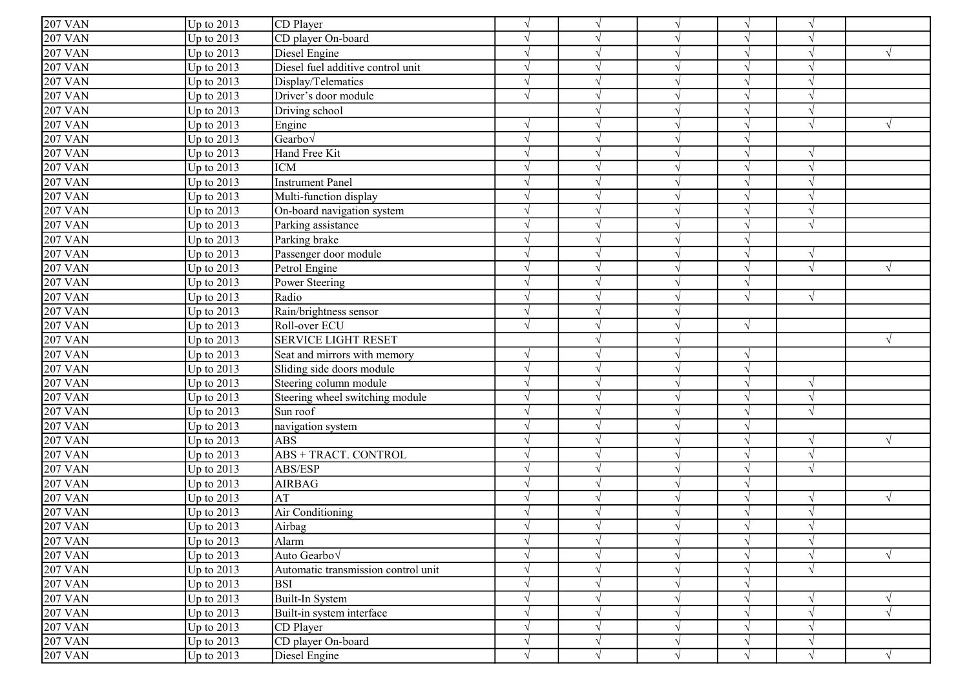| Up to 2013<br>CD Player<br>$\sqrt{}$<br>$\sqrt{ }$<br>$\sqrt{ }$<br>$\gamma$<br>V<br>Up to 2013<br>CD player On-board<br>$\sqrt{ }$<br>$\sqrt{ }$<br>$\gamma$<br>Up to 2013<br>Diesel Engine<br>$\sqrt{}$<br>$\mathcal{L}$<br>$\mathcal{L}$<br>Up to 2013<br>Diesel fuel additive control unit<br>$\sqrt{}$<br>$\mathcal{L}$<br>Up to 2013<br>$\sqrt{ }$<br>Display/Telematics<br>$\sqrt{ }$<br>$\mathcal{L}$<br>Up to 2013<br>Driver's door module<br>$\sqrt{ }$<br>$\sqrt{ }$<br>$\sqrt{ }$<br>Up to 2013<br>Driving school<br>$\sqrt{ }$<br>$\sqrt{ }$<br>$\mathcal{L}$<br>Up to 2013<br>$\sqrt{ }$<br>Engine<br>$\sqrt{ }$<br>$\sqrt{ }$<br>$\sqrt{ }$<br>Up to 2013<br>$\sqrt{ }$<br>Gearbov<br>$\sqrt{ }$<br>$\sqrt{ }$<br>Up to 2013<br>Hand Free Kit<br>$\sqrt{ }$<br>$\sqrt{ }$<br>$\mathcal{L}$<br>$\sqrt{}$<br>Up to 2013<br><b>ICM</b><br>$\sqrt{ }$<br>$\sqrt{ }$<br>$\mathcal{N}$<br>$\gamma$<br>Up to 2013<br><b>Instrument Panel</b><br>$\sqrt{ }$<br>$\sqrt{ }$<br>$\sqrt{ }$<br>$\mathcal{N}$<br>Up to 2013<br>$\sqrt{ }$<br>Multi-function display<br>$\sqrt{ }$<br>$\sqrt{ }$<br>$\gamma$<br>Up to 2013<br>On-board navigation system<br>$\sqrt{ }$<br>$\sqrt{ }$<br>$\mathcal{N}$<br>$\lambda$<br>Up to 2013<br>Parking assistance<br>$\sqrt{}$<br>$\sqrt{ }$<br>$\sqrt{ }$<br>$\mathcal{L}$<br>Up to 2013<br>Parking brake<br>$\sqrt{}$<br>$\sqrt{ }$<br>$\sqrt{ }$<br>Up to 2013<br>Passenger door module<br>$\sqrt{}$<br>$\sqrt{ }$<br>$\gamma$<br>$\sqrt{ }$<br><b>207 VAN</b><br>Up to 2013<br>$\sqrt{ }$<br>Petrol Engine<br>$\sqrt{ }$<br>$\sqrt{ }$<br>Up to 2013<br>$\sqrt{}$<br><b>207 VAN</b><br>Power Steering<br>$\mathcal{L}$<br>$\mathcal{N}$<br>Radio<br><b>207 VAN</b><br>Up to 2013<br>$\sqrt{ }$<br>$\sqrt{}$<br>$\mathcal{L}$<br>$\mathcal{N}$<br><b>207 VAN</b><br>Up to 2013<br>Rain/brightness sensor<br>$\sqrt{ }$<br>$\sqrt{ }$<br><b>207 VAN</b><br>Up to 2013<br>Roll-over ECU<br>$\sqrt{ }$<br>$\sqrt{ }$<br>$\sqrt{ }$<br>$\gamma$<br>Up to 2013<br><b>SERVICE LIGHT RESET</b><br>$\mathcal{L}$<br><b>207 VAN</b><br>Up to 2013<br>Seat and mirrors with memory<br>$\sqrt{ }$<br>$\sqrt{ }$<br>$\sqrt{ }$<br><b>207 VAN</b><br>Up to 2013<br>Sliding side doors module<br>$\sqrt{ }$<br>$\sqrt{ }$<br>$\sqrt{ }$<br><b>207 VAN</b><br>Up to 2013<br>Steering column module<br>$\sqrt{ }$<br>$\sqrt{ }$<br>$\sqrt{}$<br>$\gamma$<br>Up to 2013<br>Steering wheel switching module<br>$\sqrt{ }$<br>$\sqrt{ }$<br>$\sqrt{ }$<br>$\gamma$<br><b>207 VAN</b><br>Up to 2013<br>Sun roof<br>$\sqrt{ }$<br>$\sqrt{ }$<br>$\sqrt{ }$<br>$\gamma$<br>Up to 2013<br>navigation system<br>$\sqrt{ }$<br>$\sqrt{ }$<br>$\mathcal{L}$<br><b>207 VAN</b><br><b>ABS</b><br>Up to 2013<br>$\sqrt{ }$<br>$\sqrt{ }$<br>$\sqrt{ }$<br><b>207 VAN</b><br>Up to 2013<br>ABS + TRACT. CONTROL<br>$\sqrt{ }$<br>$\sqrt{ }$<br>$\sqrt{ }$<br>$\sqrt{ }$<br>Up to 2013<br>ABS/ESP<br>$\sqrt{}$<br>$\sqrt{ }$<br>$\sqrt{ }$<br>$\sqrt{ }$<br>Up to 2013<br><b>207 VAN</b><br><b>AIRBAG</b><br>$\sqrt{ }$<br>$\sqrt{ }$<br>$\mathcal{N}$<br>Up to 2013<br>AT<br>$\sqrt{ }$<br>$\sqrt{}$<br>$\sqrt{ }$<br>$\sqrt{ }$<br>$\sqrt{ }$<br>Up to 2013<br>$\sqrt{}$<br>Air Conditioning<br>$\sqrt{ }$<br>$\sqrt{ }$<br>$\gamma$<br>Airbag<br>Up to $2013$<br>$\sqrt{ }$<br>$\sqrt{2}07$ VAN<br>Up to $2013$<br>Alarm<br>$\sqrt{ }$<br>$\sqrt{}$<br>$\sqrt{}$<br>$\sqrt{}$<br>$\sqrt{ }$<br>Up to 2013<br>Auto Gearbo√<br>$\sqrt{}$<br>$\sqrt{ }$<br>$\sqrt{ }$<br>$\sqrt{ }$<br>$\sqrt{}$<br>$\sqrt{ }$<br>Automatic transmission control unit<br>Up to 2013<br>$\sqrt{ }$<br>$\sqrt{ }$<br>$\sqrt{ }$<br>$\gamma$<br><b>207 VAN</b><br>Up to 2013<br><b>BSI</b><br>$\sqrt{}$<br>$\sqrt{ }$<br>$\sqrt{ }$<br>Up to 2013<br>Built-In System<br>$\sqrt{}$<br>$\sqrt{ }$<br>$\sqrt{ }$<br>$\sqrt{}$<br>Up to 2013<br>Built-in system interface<br>$\sqrt{ }$<br>$\mathcal{N}$<br>$\sqrt{ }$<br><b>207 VAN</b><br>Up to 2013<br>$\sqrt{ }$<br>$\sqrt{}$<br>CD Player<br>$\sqrt{ }$<br>$\sqrt{ }$<br>CD player On-board<br><b>207 VAN</b><br>Up to 2013<br>$\sqrt{}$<br>$\sqrt{}$<br>$\sqrt{ }$<br>$\sqrt{}$<br>$\sqrt{ }$<br>$\sqrt{ }$<br>$\sqrt{ }$ |                      |              |               |  |            |            |            |           |
|--------------------------------------------------------------------------------------------------------------------------------------------------------------------------------------------------------------------------------------------------------------------------------------------------------------------------------------------------------------------------------------------------------------------------------------------------------------------------------------------------------------------------------------------------------------------------------------------------------------------------------------------------------------------------------------------------------------------------------------------------------------------------------------------------------------------------------------------------------------------------------------------------------------------------------------------------------------------------------------------------------------------------------------------------------------------------------------------------------------------------------------------------------------------------------------------------------------------------------------------------------------------------------------------------------------------------------------------------------------------------------------------------------------------------------------------------------------------------------------------------------------------------------------------------------------------------------------------------------------------------------------------------------------------------------------------------------------------------------------------------------------------------------------------------------------------------------------------------------------------------------------------------------------------------------------------------------------------------------------------------------------------------------------------------------------------------------------------------------------------------------------------------------------------------------------------------------------------------------------------------------------------------------------------------------------------------------------------------------------------------------------------------------------------------------------------------------------------------------------------------------------------------------------------------------------------------------------------------------------------------------------------------------------------------------------------------------------------------------------------------------------------------------------------------------------------------------------------------------------------------------------------------------------------------------------------------------------------------------------------------------------------------------------------------------------------------------------------------------------------------------------------------------------------------------------------------------------------------------------------------------------------------------------------------------------------------------------------------------------------------------------------------------------------------------------------------------------------------------------------------------------------------------------------------------------------------------------------------------------------------------------------------------------------------------------------------------------------------------------------------------------------------------------------------------------------------------------------------------------------------------------------------------------------------------------------------------------------------------------------------------------------------------------------------------------------------------------------------------------------------------------------------------------------|----------------------|--------------|---------------|--|------------|------------|------------|-----------|
|                                                                                                                                                                                                                                                                                                                                                                                                                                                                                                                                                                                                                                                                                                                                                                                                                                                                                                                                                                                                                                                                                                                                                                                                                                                                                                                                                                                                                                                                                                                                                                                                                                                                                                                                                                                                                                                                                                                                                                                                                                                                                                                                                                                                                                                                                                                                                                                                                                                                                                                                                                                                                                                                                                                                                                                                                                                                                                                                                                                                                                                                                                                                                                                                                                                                                                                                                                                                                                                                                                                                                                                                                                                                                                                                                                                                                                                                                                                                                                                                                                                                                                                                                                    | $207$ VAN            |              |               |  |            |            |            |           |
|                                                                                                                                                                                                                                                                                                                                                                                                                                                                                                                                                                                                                                                                                                                                                                                                                                                                                                                                                                                                                                                                                                                                                                                                                                                                                                                                                                                                                                                                                                                                                                                                                                                                                                                                                                                                                                                                                                                                                                                                                                                                                                                                                                                                                                                                                                                                                                                                                                                                                                                                                                                                                                                                                                                                                                                                                                                                                                                                                                                                                                                                                                                                                                                                                                                                                                                                                                                                                                                                                                                                                                                                                                                                                                                                                                                                                                                                                                                                                                                                                                                                                                                                                                    | $\overline{207}$ VAN |              |               |  |            |            |            |           |
|                                                                                                                                                                                                                                                                                                                                                                                                                                                                                                                                                                                                                                                                                                                                                                                                                                                                                                                                                                                                                                                                                                                                                                                                                                                                                                                                                                                                                                                                                                                                                                                                                                                                                                                                                                                                                                                                                                                                                                                                                                                                                                                                                                                                                                                                                                                                                                                                                                                                                                                                                                                                                                                                                                                                                                                                                                                                                                                                                                                                                                                                                                                                                                                                                                                                                                                                                                                                                                                                                                                                                                                                                                                                                                                                                                                                                                                                                                                                                                                                                                                                                                                                                                    | <b>207 VAN</b>       |              |               |  |            |            |            |           |
|                                                                                                                                                                                                                                                                                                                                                                                                                                                                                                                                                                                                                                                                                                                                                                                                                                                                                                                                                                                                                                                                                                                                                                                                                                                                                                                                                                                                                                                                                                                                                                                                                                                                                                                                                                                                                                                                                                                                                                                                                                                                                                                                                                                                                                                                                                                                                                                                                                                                                                                                                                                                                                                                                                                                                                                                                                                                                                                                                                                                                                                                                                                                                                                                                                                                                                                                                                                                                                                                                                                                                                                                                                                                                                                                                                                                                                                                                                                                                                                                                                                                                                                                                                    | <b>207 VAN</b>       |              |               |  |            |            |            |           |
|                                                                                                                                                                                                                                                                                                                                                                                                                                                                                                                                                                                                                                                                                                                                                                                                                                                                                                                                                                                                                                                                                                                                                                                                                                                                                                                                                                                                                                                                                                                                                                                                                                                                                                                                                                                                                                                                                                                                                                                                                                                                                                                                                                                                                                                                                                                                                                                                                                                                                                                                                                                                                                                                                                                                                                                                                                                                                                                                                                                                                                                                                                                                                                                                                                                                                                                                                                                                                                                                                                                                                                                                                                                                                                                                                                                                                                                                                                                                                                                                                                                                                                                                                                    | <b>207 VAN</b>       |              |               |  |            |            |            |           |
|                                                                                                                                                                                                                                                                                                                                                                                                                                                                                                                                                                                                                                                                                                                                                                                                                                                                                                                                                                                                                                                                                                                                                                                                                                                                                                                                                                                                                                                                                                                                                                                                                                                                                                                                                                                                                                                                                                                                                                                                                                                                                                                                                                                                                                                                                                                                                                                                                                                                                                                                                                                                                                                                                                                                                                                                                                                                                                                                                                                                                                                                                                                                                                                                                                                                                                                                                                                                                                                                                                                                                                                                                                                                                                                                                                                                                                                                                                                                                                                                                                                                                                                                                                    | 207 VAN              |              |               |  |            |            |            |           |
|                                                                                                                                                                                                                                                                                                                                                                                                                                                                                                                                                                                                                                                                                                                                                                                                                                                                                                                                                                                                                                                                                                                                                                                                                                                                                                                                                                                                                                                                                                                                                                                                                                                                                                                                                                                                                                                                                                                                                                                                                                                                                                                                                                                                                                                                                                                                                                                                                                                                                                                                                                                                                                                                                                                                                                                                                                                                                                                                                                                                                                                                                                                                                                                                                                                                                                                                                                                                                                                                                                                                                                                                                                                                                                                                                                                                                                                                                                                                                                                                                                                                                                                                                                    | <b>207 VAN</b>       |              |               |  |            |            |            |           |
|                                                                                                                                                                                                                                                                                                                                                                                                                                                                                                                                                                                                                                                                                                                                                                                                                                                                                                                                                                                                                                                                                                                                                                                                                                                                                                                                                                                                                                                                                                                                                                                                                                                                                                                                                                                                                                                                                                                                                                                                                                                                                                                                                                                                                                                                                                                                                                                                                                                                                                                                                                                                                                                                                                                                                                                                                                                                                                                                                                                                                                                                                                                                                                                                                                                                                                                                                                                                                                                                                                                                                                                                                                                                                                                                                                                                                                                                                                                                                                                                                                                                                                                                                                    | <b>207 VAN</b>       |              |               |  |            |            |            |           |
|                                                                                                                                                                                                                                                                                                                                                                                                                                                                                                                                                                                                                                                                                                                                                                                                                                                                                                                                                                                                                                                                                                                                                                                                                                                                                                                                                                                                                                                                                                                                                                                                                                                                                                                                                                                                                                                                                                                                                                                                                                                                                                                                                                                                                                                                                                                                                                                                                                                                                                                                                                                                                                                                                                                                                                                                                                                                                                                                                                                                                                                                                                                                                                                                                                                                                                                                                                                                                                                                                                                                                                                                                                                                                                                                                                                                                                                                                                                                                                                                                                                                                                                                                                    | 207 VAN              |              |               |  |            |            |            |           |
|                                                                                                                                                                                                                                                                                                                                                                                                                                                                                                                                                                                                                                                                                                                                                                                                                                                                                                                                                                                                                                                                                                                                                                                                                                                                                                                                                                                                                                                                                                                                                                                                                                                                                                                                                                                                                                                                                                                                                                                                                                                                                                                                                                                                                                                                                                                                                                                                                                                                                                                                                                                                                                                                                                                                                                                                                                                                                                                                                                                                                                                                                                                                                                                                                                                                                                                                                                                                                                                                                                                                                                                                                                                                                                                                                                                                                                                                                                                                                                                                                                                                                                                                                                    | <b>207 VAN</b>       |              |               |  |            |            |            |           |
|                                                                                                                                                                                                                                                                                                                                                                                                                                                                                                                                                                                                                                                                                                                                                                                                                                                                                                                                                                                                                                                                                                                                                                                                                                                                                                                                                                                                                                                                                                                                                                                                                                                                                                                                                                                                                                                                                                                                                                                                                                                                                                                                                                                                                                                                                                                                                                                                                                                                                                                                                                                                                                                                                                                                                                                                                                                                                                                                                                                                                                                                                                                                                                                                                                                                                                                                                                                                                                                                                                                                                                                                                                                                                                                                                                                                                                                                                                                                                                                                                                                                                                                                                                    | <b>207 VAN</b>       |              |               |  |            |            |            |           |
|                                                                                                                                                                                                                                                                                                                                                                                                                                                                                                                                                                                                                                                                                                                                                                                                                                                                                                                                                                                                                                                                                                                                                                                                                                                                                                                                                                                                                                                                                                                                                                                                                                                                                                                                                                                                                                                                                                                                                                                                                                                                                                                                                                                                                                                                                                                                                                                                                                                                                                                                                                                                                                                                                                                                                                                                                                                                                                                                                                                                                                                                                                                                                                                                                                                                                                                                                                                                                                                                                                                                                                                                                                                                                                                                                                                                                                                                                                                                                                                                                                                                                                                                                                    | <b>207 VAN</b>       |              |               |  |            |            |            |           |
|                                                                                                                                                                                                                                                                                                                                                                                                                                                                                                                                                                                                                                                                                                                                                                                                                                                                                                                                                                                                                                                                                                                                                                                                                                                                                                                                                                                                                                                                                                                                                                                                                                                                                                                                                                                                                                                                                                                                                                                                                                                                                                                                                                                                                                                                                                                                                                                                                                                                                                                                                                                                                                                                                                                                                                                                                                                                                                                                                                                                                                                                                                                                                                                                                                                                                                                                                                                                                                                                                                                                                                                                                                                                                                                                                                                                                                                                                                                                                                                                                                                                                                                                                                    | <b>207 VAN</b>       |              |               |  |            |            |            |           |
|                                                                                                                                                                                                                                                                                                                                                                                                                                                                                                                                                                                                                                                                                                                                                                                                                                                                                                                                                                                                                                                                                                                                                                                                                                                                                                                                                                                                                                                                                                                                                                                                                                                                                                                                                                                                                                                                                                                                                                                                                                                                                                                                                                                                                                                                                                                                                                                                                                                                                                                                                                                                                                                                                                                                                                                                                                                                                                                                                                                                                                                                                                                                                                                                                                                                                                                                                                                                                                                                                                                                                                                                                                                                                                                                                                                                                                                                                                                                                                                                                                                                                                                                                                    | <b>207 VAN</b>       |              |               |  |            |            |            |           |
|                                                                                                                                                                                                                                                                                                                                                                                                                                                                                                                                                                                                                                                                                                                                                                                                                                                                                                                                                                                                                                                                                                                                                                                                                                                                                                                                                                                                                                                                                                                                                                                                                                                                                                                                                                                                                                                                                                                                                                                                                                                                                                                                                                                                                                                                                                                                                                                                                                                                                                                                                                                                                                                                                                                                                                                                                                                                                                                                                                                                                                                                                                                                                                                                                                                                                                                                                                                                                                                                                                                                                                                                                                                                                                                                                                                                                                                                                                                                                                                                                                                                                                                                                                    | <b>207 VAN</b>       |              |               |  |            |            |            |           |
|                                                                                                                                                                                                                                                                                                                                                                                                                                                                                                                                                                                                                                                                                                                                                                                                                                                                                                                                                                                                                                                                                                                                                                                                                                                                                                                                                                                                                                                                                                                                                                                                                                                                                                                                                                                                                                                                                                                                                                                                                                                                                                                                                                                                                                                                                                                                                                                                                                                                                                                                                                                                                                                                                                                                                                                                                                                                                                                                                                                                                                                                                                                                                                                                                                                                                                                                                                                                                                                                                                                                                                                                                                                                                                                                                                                                                                                                                                                                                                                                                                                                                                                                                                    | <b>207 VAN</b>       |              |               |  |            |            |            |           |
|                                                                                                                                                                                                                                                                                                                                                                                                                                                                                                                                                                                                                                                                                                                                                                                                                                                                                                                                                                                                                                                                                                                                                                                                                                                                                                                                                                                                                                                                                                                                                                                                                                                                                                                                                                                                                                                                                                                                                                                                                                                                                                                                                                                                                                                                                                                                                                                                                                                                                                                                                                                                                                                                                                                                                                                                                                                                                                                                                                                                                                                                                                                                                                                                                                                                                                                                                                                                                                                                                                                                                                                                                                                                                                                                                                                                                                                                                                                                                                                                                                                                                                                                                                    | <b>207 VAN</b>       |              |               |  |            |            |            |           |
|                                                                                                                                                                                                                                                                                                                                                                                                                                                                                                                                                                                                                                                                                                                                                                                                                                                                                                                                                                                                                                                                                                                                                                                                                                                                                                                                                                                                                                                                                                                                                                                                                                                                                                                                                                                                                                                                                                                                                                                                                                                                                                                                                                                                                                                                                                                                                                                                                                                                                                                                                                                                                                                                                                                                                                                                                                                                                                                                                                                                                                                                                                                                                                                                                                                                                                                                                                                                                                                                                                                                                                                                                                                                                                                                                                                                                                                                                                                                                                                                                                                                                                                                                                    |                      |              |               |  |            |            |            |           |
|                                                                                                                                                                                                                                                                                                                                                                                                                                                                                                                                                                                                                                                                                                                                                                                                                                                                                                                                                                                                                                                                                                                                                                                                                                                                                                                                                                                                                                                                                                                                                                                                                                                                                                                                                                                                                                                                                                                                                                                                                                                                                                                                                                                                                                                                                                                                                                                                                                                                                                                                                                                                                                                                                                                                                                                                                                                                                                                                                                                                                                                                                                                                                                                                                                                                                                                                                                                                                                                                                                                                                                                                                                                                                                                                                                                                                                                                                                                                                                                                                                                                                                                                                                    |                      |              |               |  |            |            |            |           |
|                                                                                                                                                                                                                                                                                                                                                                                                                                                                                                                                                                                                                                                                                                                                                                                                                                                                                                                                                                                                                                                                                                                                                                                                                                                                                                                                                                                                                                                                                                                                                                                                                                                                                                                                                                                                                                                                                                                                                                                                                                                                                                                                                                                                                                                                                                                                                                                                                                                                                                                                                                                                                                                                                                                                                                                                                                                                                                                                                                                                                                                                                                                                                                                                                                                                                                                                                                                                                                                                                                                                                                                                                                                                                                                                                                                                                                                                                                                                                                                                                                                                                                                                                                    |                      |              |               |  |            |            |            |           |
|                                                                                                                                                                                                                                                                                                                                                                                                                                                                                                                                                                                                                                                                                                                                                                                                                                                                                                                                                                                                                                                                                                                                                                                                                                                                                                                                                                                                                                                                                                                                                                                                                                                                                                                                                                                                                                                                                                                                                                                                                                                                                                                                                                                                                                                                                                                                                                                                                                                                                                                                                                                                                                                                                                                                                                                                                                                                                                                                                                                                                                                                                                                                                                                                                                                                                                                                                                                                                                                                                                                                                                                                                                                                                                                                                                                                                                                                                                                                                                                                                                                                                                                                                                    |                      |              |               |  |            |            |            |           |
|                                                                                                                                                                                                                                                                                                                                                                                                                                                                                                                                                                                                                                                                                                                                                                                                                                                                                                                                                                                                                                                                                                                                                                                                                                                                                                                                                                                                                                                                                                                                                                                                                                                                                                                                                                                                                                                                                                                                                                                                                                                                                                                                                                                                                                                                                                                                                                                                                                                                                                                                                                                                                                                                                                                                                                                                                                                                                                                                                                                                                                                                                                                                                                                                                                                                                                                                                                                                                                                                                                                                                                                                                                                                                                                                                                                                                                                                                                                                                                                                                                                                                                                                                                    |                      |              |               |  |            |            |            |           |
|                                                                                                                                                                                                                                                                                                                                                                                                                                                                                                                                                                                                                                                                                                                                                                                                                                                                                                                                                                                                                                                                                                                                                                                                                                                                                                                                                                                                                                                                                                                                                                                                                                                                                                                                                                                                                                                                                                                                                                                                                                                                                                                                                                                                                                                                                                                                                                                                                                                                                                                                                                                                                                                                                                                                                                                                                                                                                                                                                                                                                                                                                                                                                                                                                                                                                                                                                                                                                                                                                                                                                                                                                                                                                                                                                                                                                                                                                                                                                                                                                                                                                                                                                                    | <b>207 VAN</b>       |              |               |  |            |            |            |           |
|                                                                                                                                                                                                                                                                                                                                                                                                                                                                                                                                                                                                                                                                                                                                                                                                                                                                                                                                                                                                                                                                                                                                                                                                                                                                                                                                                                                                                                                                                                                                                                                                                                                                                                                                                                                                                                                                                                                                                                                                                                                                                                                                                                                                                                                                                                                                                                                                                                                                                                                                                                                                                                                                                                                                                                                                                                                                                                                                                                                                                                                                                                                                                                                                                                                                                                                                                                                                                                                                                                                                                                                                                                                                                                                                                                                                                                                                                                                                                                                                                                                                                                                                                                    |                      |              |               |  |            |            |            |           |
|                                                                                                                                                                                                                                                                                                                                                                                                                                                                                                                                                                                                                                                                                                                                                                                                                                                                                                                                                                                                                                                                                                                                                                                                                                                                                                                                                                                                                                                                                                                                                                                                                                                                                                                                                                                                                                                                                                                                                                                                                                                                                                                                                                                                                                                                                                                                                                                                                                                                                                                                                                                                                                                                                                                                                                                                                                                                                                                                                                                                                                                                                                                                                                                                                                                                                                                                                                                                                                                                                                                                                                                                                                                                                                                                                                                                                                                                                                                                                                                                                                                                                                                                                                    |                      |              |               |  |            |            |            |           |
|                                                                                                                                                                                                                                                                                                                                                                                                                                                                                                                                                                                                                                                                                                                                                                                                                                                                                                                                                                                                                                                                                                                                                                                                                                                                                                                                                                                                                                                                                                                                                                                                                                                                                                                                                                                                                                                                                                                                                                                                                                                                                                                                                                                                                                                                                                                                                                                                                                                                                                                                                                                                                                                                                                                                                                                                                                                                                                                                                                                                                                                                                                                                                                                                                                                                                                                                                                                                                                                                                                                                                                                                                                                                                                                                                                                                                                                                                                                                                                                                                                                                                                                                                                    |                      |              |               |  |            |            |            |           |
|                                                                                                                                                                                                                                                                                                                                                                                                                                                                                                                                                                                                                                                                                                                                                                                                                                                                                                                                                                                                                                                                                                                                                                                                                                                                                                                                                                                                                                                                                                                                                                                                                                                                                                                                                                                                                                                                                                                                                                                                                                                                                                                                                                                                                                                                                                                                                                                                                                                                                                                                                                                                                                                                                                                                                                                                                                                                                                                                                                                                                                                                                                                                                                                                                                                                                                                                                                                                                                                                                                                                                                                                                                                                                                                                                                                                                                                                                                                                                                                                                                                                                                                                                                    | <b>207 VAN</b>       |              |               |  |            |            |            |           |
|                                                                                                                                                                                                                                                                                                                                                                                                                                                                                                                                                                                                                                                                                                                                                                                                                                                                                                                                                                                                                                                                                                                                                                                                                                                                                                                                                                                                                                                                                                                                                                                                                                                                                                                                                                                                                                                                                                                                                                                                                                                                                                                                                                                                                                                                                                                                                                                                                                                                                                                                                                                                                                                                                                                                                                                                                                                                                                                                                                                                                                                                                                                                                                                                                                                                                                                                                                                                                                                                                                                                                                                                                                                                                                                                                                                                                                                                                                                                                                                                                                                                                                                                                                    |                      |              |               |  |            |            |            |           |
|                                                                                                                                                                                                                                                                                                                                                                                                                                                                                                                                                                                                                                                                                                                                                                                                                                                                                                                                                                                                                                                                                                                                                                                                                                                                                                                                                                                                                                                                                                                                                                                                                                                                                                                                                                                                                                                                                                                                                                                                                                                                                                                                                                                                                                                                                                                                                                                                                                                                                                                                                                                                                                                                                                                                                                                                                                                                                                                                                                                                                                                                                                                                                                                                                                                                                                                                                                                                                                                                                                                                                                                                                                                                                                                                                                                                                                                                                                                                                                                                                                                                                                                                                                    | <b>207 VAN</b>       |              |               |  |            |            |            |           |
|                                                                                                                                                                                                                                                                                                                                                                                                                                                                                                                                                                                                                                                                                                                                                                                                                                                                                                                                                                                                                                                                                                                                                                                                                                                                                                                                                                                                                                                                                                                                                                                                                                                                                                                                                                                                                                                                                                                                                                                                                                                                                                                                                                                                                                                                                                                                                                                                                                                                                                                                                                                                                                                                                                                                                                                                                                                                                                                                                                                                                                                                                                                                                                                                                                                                                                                                                                                                                                                                                                                                                                                                                                                                                                                                                                                                                                                                                                                                                                                                                                                                                                                                                                    |                      |              |               |  |            |            |            |           |
|                                                                                                                                                                                                                                                                                                                                                                                                                                                                                                                                                                                                                                                                                                                                                                                                                                                                                                                                                                                                                                                                                                                                                                                                                                                                                                                                                                                                                                                                                                                                                                                                                                                                                                                                                                                                                                                                                                                                                                                                                                                                                                                                                                                                                                                                                                                                                                                                                                                                                                                                                                                                                                                                                                                                                                                                                                                                                                                                                                                                                                                                                                                                                                                                                                                                                                                                                                                                                                                                                                                                                                                                                                                                                                                                                                                                                                                                                                                                                                                                                                                                                                                                                                    |                      |              |               |  |            |            |            |           |
|                                                                                                                                                                                                                                                                                                                                                                                                                                                                                                                                                                                                                                                                                                                                                                                                                                                                                                                                                                                                                                                                                                                                                                                                                                                                                                                                                                                                                                                                                                                                                                                                                                                                                                                                                                                                                                                                                                                                                                                                                                                                                                                                                                                                                                                                                                                                                                                                                                                                                                                                                                                                                                                                                                                                                                                                                                                                                                                                                                                                                                                                                                                                                                                                                                                                                                                                                                                                                                                                                                                                                                                                                                                                                                                                                                                                                                                                                                                                                                                                                                                                                                                                                                    | <b>207 VAN</b>       |              |               |  |            |            |            |           |
|                                                                                                                                                                                                                                                                                                                                                                                                                                                                                                                                                                                                                                                                                                                                                                                                                                                                                                                                                                                                                                                                                                                                                                                                                                                                                                                                                                                                                                                                                                                                                                                                                                                                                                                                                                                                                                                                                                                                                                                                                                                                                                                                                                                                                                                                                                                                                                                                                                                                                                                                                                                                                                                                                                                                                                                                                                                                                                                                                                                                                                                                                                                                                                                                                                                                                                                                                                                                                                                                                                                                                                                                                                                                                                                                                                                                                                                                                                                                                                                                                                                                                                                                                                    |                      |              |               |  |            |            |            |           |
|                                                                                                                                                                                                                                                                                                                                                                                                                                                                                                                                                                                                                                                                                                                                                                                                                                                                                                                                                                                                                                                                                                                                                                                                                                                                                                                                                                                                                                                                                                                                                                                                                                                                                                                                                                                                                                                                                                                                                                                                                                                                                                                                                                                                                                                                                                                                                                                                                                                                                                                                                                                                                                                                                                                                                                                                                                                                                                                                                                                                                                                                                                                                                                                                                                                                                                                                                                                                                                                                                                                                                                                                                                                                                                                                                                                                                                                                                                                                                                                                                                                                                                                                                                    | 207 VAN              |              |               |  |            |            |            |           |
|                                                                                                                                                                                                                                                                                                                                                                                                                                                                                                                                                                                                                                                                                                                                                                                                                                                                                                                                                                                                                                                                                                                                                                                                                                                                                                                                                                                                                                                                                                                                                                                                                                                                                                                                                                                                                                                                                                                                                                                                                                                                                                                                                                                                                                                                                                                                                                                                                                                                                                                                                                                                                                                                                                                                                                                                                                                                                                                                                                                                                                                                                                                                                                                                                                                                                                                                                                                                                                                                                                                                                                                                                                                                                                                                                                                                                                                                                                                                                                                                                                                                                                                                                                    | <b>207 VAN</b>       |              |               |  |            |            |            |           |
|                                                                                                                                                                                                                                                                                                                                                                                                                                                                                                                                                                                                                                                                                                                                                                                                                                                                                                                                                                                                                                                                                                                                                                                                                                                                                                                                                                                                                                                                                                                                                                                                                                                                                                                                                                                                                                                                                                                                                                                                                                                                                                                                                                                                                                                                                                                                                                                                                                                                                                                                                                                                                                                                                                                                                                                                                                                                                                                                                                                                                                                                                                                                                                                                                                                                                                                                                                                                                                                                                                                                                                                                                                                                                                                                                                                                                                                                                                                                                                                                                                                                                                                                                                    | <b>207 VAN</b>       |              |               |  |            |            |            |           |
|                                                                                                                                                                                                                                                                                                                                                                                                                                                                                                                                                                                                                                                                                                                                                                                                                                                                                                                                                                                                                                                                                                                                                                                                                                                                                                                                                                                                                                                                                                                                                                                                                                                                                                                                                                                                                                                                                                                                                                                                                                                                                                                                                                                                                                                                                                                                                                                                                                                                                                                                                                                                                                                                                                                                                                                                                                                                                                                                                                                                                                                                                                                                                                                                                                                                                                                                                                                                                                                                                                                                                                                                                                                                                                                                                                                                                                                                                                                                                                                                                                                                                                                                                                    |                      |              |               |  |            |            |            |           |
|                                                                                                                                                                                                                                                                                                                                                                                                                                                                                                                                                                                                                                                                                                                                                                                                                                                                                                                                                                                                                                                                                                                                                                                                                                                                                                                                                                                                                                                                                                                                                                                                                                                                                                                                                                                                                                                                                                                                                                                                                                                                                                                                                                                                                                                                                                                                                                                                                                                                                                                                                                                                                                                                                                                                                                                                                                                                                                                                                                                                                                                                                                                                                                                                                                                                                                                                                                                                                                                                                                                                                                                                                                                                                                                                                                                                                                                                                                                                                                                                                                                                                                                                                                    | <b>207 VAN</b>       |              |               |  |            |            |            |           |
|                                                                                                                                                                                                                                                                                                                                                                                                                                                                                                                                                                                                                                                                                                                                                                                                                                                                                                                                                                                                                                                                                                                                                                                                                                                                                                                                                                                                                                                                                                                                                                                                                                                                                                                                                                                                                                                                                                                                                                                                                                                                                                                                                                                                                                                                                                                                                                                                                                                                                                                                                                                                                                                                                                                                                                                                                                                                                                                                                                                                                                                                                                                                                                                                                                                                                                                                                                                                                                                                                                                                                                                                                                                                                                                                                                                                                                                                                                                                                                                                                                                                                                                                                                    | <b>207 VAN</b>       |              |               |  |            |            |            |           |
|                                                                                                                                                                                                                                                                                                                                                                                                                                                                                                                                                                                                                                                                                                                                                                                                                                                                                                                                                                                                                                                                                                                                                                                                                                                                                                                                                                                                                                                                                                                                                                                                                                                                                                                                                                                                                                                                                                                                                                                                                                                                                                                                                                                                                                                                                                                                                                                                                                                                                                                                                                                                                                                                                                                                                                                                                                                                                                                                                                                                                                                                                                                                                                                                                                                                                                                                                                                                                                                                                                                                                                                                                                                                                                                                                                                                                                                                                                                                                                                                                                                                                                                                                                    |                      |              |               |  |            |            |            |           |
|                                                                                                                                                                                                                                                                                                                                                                                                                                                                                                                                                                                                                                                                                                                                                                                                                                                                                                                                                                                                                                                                                                                                                                                                                                                                                                                                                                                                                                                                                                                                                                                                                                                                                                                                                                                                                                                                                                                                                                                                                                                                                                                                                                                                                                                                                                                                                                                                                                                                                                                                                                                                                                                                                                                                                                                                                                                                                                                                                                                                                                                                                                                                                                                                                                                                                                                                                                                                                                                                                                                                                                                                                                                                                                                                                                                                                                                                                                                                                                                                                                                                                                                                                                    | <b>207 VAN</b>       |              |               |  |            |            |            |           |
|                                                                                                                                                                                                                                                                                                                                                                                                                                                                                                                                                                                                                                                                                                                                                                                                                                                                                                                                                                                                                                                                                                                                                                                                                                                                                                                                                                                                                                                                                                                                                                                                                                                                                                                                                                                                                                                                                                                                                                                                                                                                                                                                                                                                                                                                                                                                                                                                                                                                                                                                                                                                                                                                                                                                                                                                                                                                                                                                                                                                                                                                                                                                                                                                                                                                                                                                                                                                                                                                                                                                                                                                                                                                                                                                                                                                                                                                                                                                                                                                                                                                                                                                                                    | <b>207 VAN</b>       |              |               |  |            |            |            |           |
|                                                                                                                                                                                                                                                                                                                                                                                                                                                                                                                                                                                                                                                                                                                                                                                                                                                                                                                                                                                                                                                                                                                                                                                                                                                                                                                                                                                                                                                                                                                                                                                                                                                                                                                                                                                                                                                                                                                                                                                                                                                                                                                                                                                                                                                                                                                                                                                                                                                                                                                                                                                                                                                                                                                                                                                                                                                                                                                                                                                                                                                                                                                                                                                                                                                                                                                                                                                                                                                                                                                                                                                                                                                                                                                                                                                                                                                                                                                                                                                                                                                                                                                                                                    |                      |              |               |  |            |            |            |           |
|                                                                                                                                                                                                                                                                                                                                                                                                                                                                                                                                                                                                                                                                                                                                                                                                                                                                                                                                                                                                                                                                                                                                                                                                                                                                                                                                                                                                                                                                                                                                                                                                                                                                                                                                                                                                                                                                                                                                                                                                                                                                                                                                                                                                                                                                                                                                                                                                                                                                                                                                                                                                                                                                                                                                                                                                                                                                                                                                                                                                                                                                                                                                                                                                                                                                                                                                                                                                                                                                                                                                                                                                                                                                                                                                                                                                                                                                                                                                                                                                                                                                                                                                                                    |                      |              |               |  |            |            |            |           |
|                                                                                                                                                                                                                                                                                                                                                                                                                                                                                                                                                                                                                                                                                                                                                                                                                                                                                                                                                                                                                                                                                                                                                                                                                                                                                                                                                                                                                                                                                                                                                                                                                                                                                                                                                                                                                                                                                                                                                                                                                                                                                                                                                                                                                                                                                                                                                                                                                                                                                                                                                                                                                                                                                                                                                                                                                                                                                                                                                                                                                                                                                                                                                                                                                                                                                                                                                                                                                                                                                                                                                                                                                                                                                                                                                                                                                                                                                                                                                                                                                                                                                                                                                                    | $\overline{207}$ VAN | Up to $2013$ | Diesel Engine |  | $\sqrt{ }$ | $\sqrt{ }$ | $\sqrt{2}$ | $\sqrt{}$ |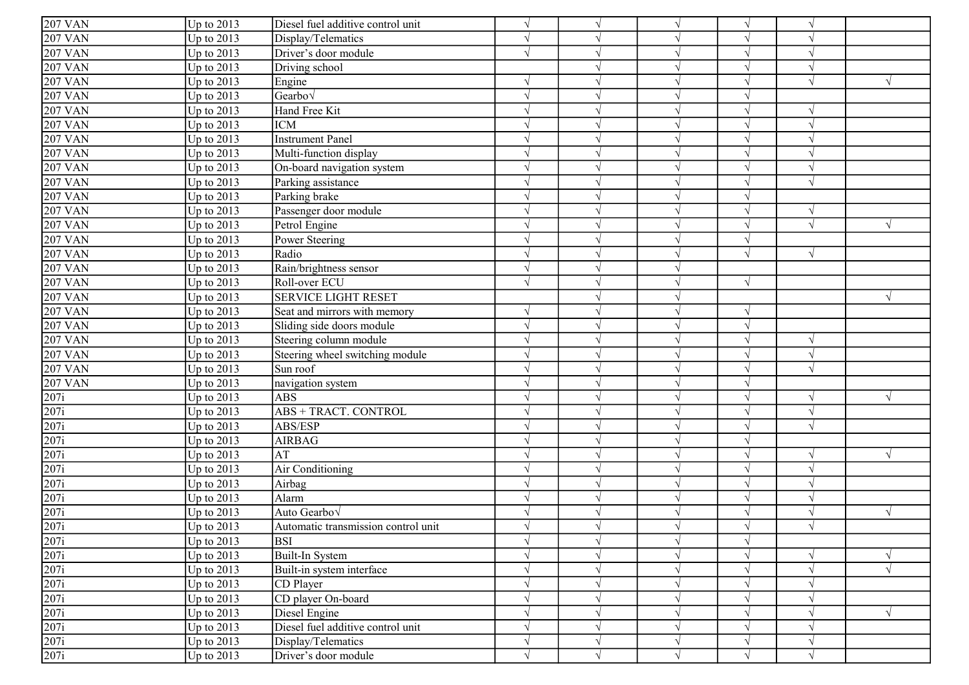| $207$ VAN         | Up to 2013   | Diesel fuel additive control unit   | $\sqrt{ }$    | $\sqrt{ }$    |            | $\sqrt{ }$ | $\sqrt{ }$ |           |
|-------------------|--------------|-------------------------------------|---------------|---------------|------------|------------|------------|-----------|
| <b>207 VAN</b>    | Up to 2013   | Display/Telematics                  | $\sqrt{ }$    |               |            | V          |            |           |
| <b>207 VAN</b>    | Up to 2013   | Driver's door module                | $\sqrt{ }$    | $\gamma$      |            | $\sqrt{ }$ | $\sqrt{ }$ |           |
| <b>207 VAN</b>    | Up to 2013   | Driving school                      |               | $\gamma$      |            | $\sqrt{ }$ | $\sqrt{ }$ |           |
| <b>207 VAN</b>    | Up to 2013   | Engine                              | $\mathcal{L}$ | $\sqrt{ }$    |            | $\sqrt{ }$ | $\sqrt{ }$ |           |
| <b>207 VAN</b>    | Up to 2013   | Gearbov                             |               |               |            | $\sqrt{}$  |            |           |
| <b>207 VAN</b>    | Up to 2013   | Hand Free Kit                       | $\mathcal{N}$ | $\sqrt{ }$    |            | $\sqrt{ }$ | $\sqrt{ }$ |           |
| <b>207 VAN</b>    | Up to 2013   | <b>ICM</b>                          | $\mathcal{N}$ | $\sqrt{ }$    |            | $\sqrt{ }$ | $\sqrt{ }$ |           |
| <b>207 VAN</b>    | Up to 2013   | <b>Instrument Panel</b>             | $\sqrt{ }$    | $\sqrt{ }$    |            | $\sqrt{ }$ | $\sqrt{ }$ |           |
| <b>207 VAN</b>    | Up to 2013   | Multi-function display              | $\sqrt{ }$    | $\sqrt{ }$    |            | $\sqrt{ }$ | $\sqrt{ }$ |           |
| <b>207 VAN</b>    | Up to 2013   | On-board navigation system          | $\sqrt{ }$    | $\sqrt{ }$    |            | $\sqrt{ }$ | $\sqrt{ }$ |           |
| <b>207 VAN</b>    | Up to 2013   | Parking assistance                  | $\sqrt{ }$    | $\sqrt{ }$    |            | $\sqrt{ }$ | $\sqrt{ }$ |           |
| <b>207 VAN</b>    | Up to 2013   | Parking brake                       | $\mathcal{L}$ | $\sqrt{ }$    |            | $\sqrt{ }$ |            |           |
| <b>207 VAN</b>    | Up to 2013   | Passenger door module               | $\mathcal{L}$ | $\gamma$      |            | $\sqrt{ }$ | $\sqrt{}$  |           |
| <b>207 VAN</b>    | Up to 2013   | Petrol Engine                       | $\mathcal{N}$ | $\gamma$      |            | $\sqrt{ }$ | $\sqrt{}$  | V         |
| <b>207 VAN</b>    | Up to 2013   | Power Steering                      | $\mathcal{N}$ | $\gamma$      |            | $\sqrt{ }$ |            |           |
| <b>207 VAN</b>    | Up to 2013   | Radio                               | $\mathcal{L}$ | $\mathcal{L}$ |            | $\sqrt{ }$ | $\sqrt{ }$ |           |
| <b>207 VAN</b>    | Up to 2013   | Rain/brightness sensor              | $\sqrt{ }$    | $\mathcal{L}$ |            |            |            |           |
| <b>207 VAN</b>    | Up to 2013   | Roll-over ECU                       |               | $\gamma$      |            | $\sqrt{ }$ |            |           |
| <b>207 VAN</b>    | Up to 2013   | <b>SERVICE LIGHT RESET</b>          |               | $\sqrt{ }$    |            |            |            |           |
| <b>207 VAN</b>    | Up to 2013   | Seat and mirrors with memory        | $\sqrt{ }$    | $\sqrt{ }$    |            | $\sqrt{ }$ |            |           |
| <b>207 VAN</b>    | Up to 2013   | Sliding side doors module           | $\sqrt{ }$    | $\sqrt{ }$    |            | $\sqrt{ }$ |            |           |
| $\sqrt{207}$ VAN  | Up to 2013   | Steering column module              | $\sqrt{ }$    | $\mathcal{L}$ |            | $\sqrt{ }$ | $\sqrt{ }$ |           |
| <b>207 VAN</b>    | Up to 2013   | Steering wheel switching module     | $\sqrt{ }$    | $\sqrt{ }$    |            | $\sqrt{}$  | $\sqrt{ }$ |           |
| <b>207 VAN</b>    | Up to 2013   | Sun roof                            |               | $\mathcal{L}$ |            | $\sqrt{ }$ |            |           |
| <b>207 VAN</b>    | Up to 2013   | navigation system                   |               | $\gamma$      |            | $\sqrt{}$  |            |           |
| 207i              | Up to 2013   | ABS                                 | $\mathcal{L}$ | $\gamma$      |            | $\sqrt{}$  |            | V         |
| 207i              | Up to 2013   | <b>ABS + TRACT. CONTROL</b>         | $\mathcal{L}$ |               |            | $\sqrt{ }$ |            |           |
| $\overline{207i}$ | Up to 2013   | ABS/ESP                             | $\sqrt{ }$    | $\gamma$      |            | $\sqrt{ }$ | $\sqrt{ }$ |           |
| 207i              | Up to 2013   | <b>AIRBAG</b>                       | $\sqrt{ }$    | $\sqrt{ }$    |            | $\sqrt{ }$ |            |           |
| 207i              | Up to 2013   | AT                                  |               |               |            | $\sqrt{ }$ |            |           |
| $\overline{207i}$ | Up to 2013   | Air Conditioning                    | $\sqrt{}$     | $\sqrt{ }$    |            | $\sqrt{ }$ | $\sqrt{ }$ |           |
| 207i              | Up to 2013   | Airbag                              | $\mathcal{N}$ | $\mathcal{L}$ |            | $\sqrt{ }$ |            |           |
| 207i              | Up to 2013   | Alarm                               | $\mathcal{N}$ | $\gamma$      |            | $\sqrt{ }$ | $\sqrt{ }$ |           |
| $\overline{207i}$ | Up to 2013   | Auto Gearbov                        | $\sqrt{ }$    | $\mathcal{L}$ |            | $\sqrt{ }$ | $\sqrt{ }$ | $\sqrt{}$ |
| 207i              | $Up$ to 2013 | Automatic transmission control unit |               |               |            | $\sqrt{ }$ |            |           |
| 207i              | Up to 2013   | <b>BSI</b>                          | $\sqrt{ }$    | $\sqrt{ }$    |            | $\sqrt{ }$ |            |           |
| 207i              | Up to 2013   | Built-In System                     | $\sqrt{ }$    | $\sqrt{ }$    |            | $\sqrt{ }$ |            |           |
| $\overline{207i}$ | Up to 2013   | Built-in system interface           | $\mathcal{L}$ | $\sqrt{ }$    |            | $\sqrt{ }$ | $\sqrt{}$  |           |
| 207i              | Up to 2013   | CD Player                           | $\sqrt{ }$    | $\gamma$      |            | $\sqrt{ }$ | $\sqrt{}$  |           |
| 207i              | Up to 2013   | CD player On-board                  | $\sqrt{ }$    | $\sqrt{ }$    | $\sqrt{ }$ | $\sqrt{ }$ | $\sqrt{ }$ |           |
| $\overline{207i}$ | Up to 2013   | Diesel Engine                       | $\sqrt{ }$    | $\sqrt{ }$    |            | $\sqrt{ }$ | $\sqrt{ }$ |           |
| $\overline{207i}$ | Up to 2013   | Diesel fuel additive control unit   | $\sqrt{ }$    | $\sqrt{ }$    |            | $\sqrt{ }$ | $\sqrt{}$  |           |
| 207i              | Up to 2013   | Display/Telematics                  | $\sqrt{ }$    | $\sqrt{ }$    |            | $\sqrt{}$  | $\sqrt{ }$ |           |
| 207i              | Up to $2013$ | Driver's door module                | $\sqrt{}$     | $\sqrt{ }$    | $\sqrt{}$  | $\sqrt{ }$ | $\sqrt{}$  |           |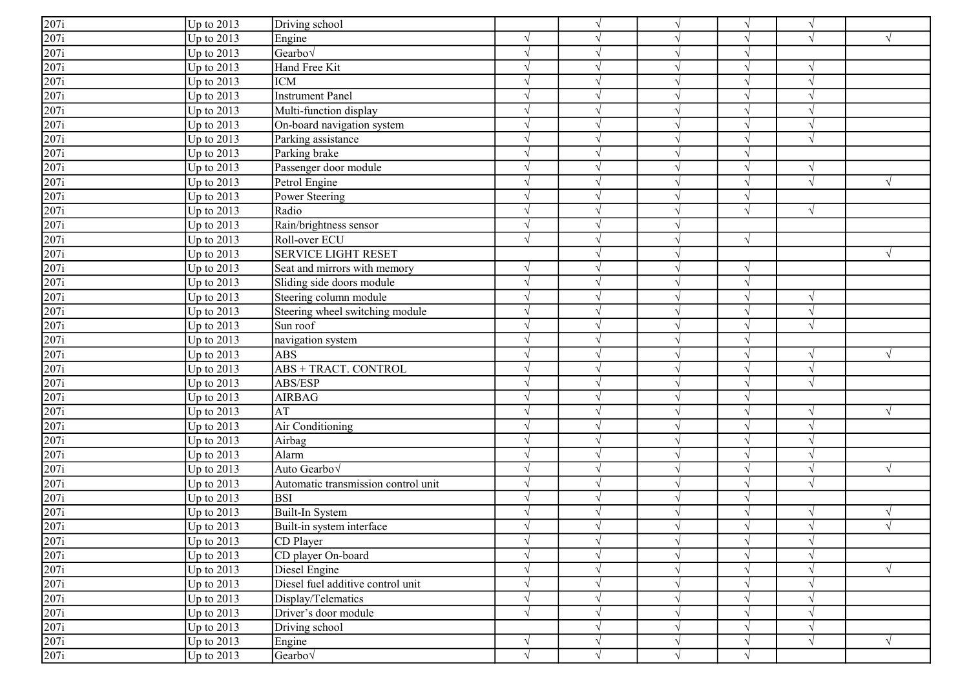| 207i              | Up to 2013   | Driving school                      |               | $\sqrt{ }$    | $\gamma$   | V          | $\gamma$                 |            |
|-------------------|--------------|-------------------------------------|---------------|---------------|------------|------------|--------------------------|------------|
| 207i              | Up to 2013   | Engine                              | $\mathcal{L}$ | $\gamma$      | N          | V          | $\sqrt{ }$               |            |
| 207i              | Up to 2013   | $\vert$ Gearbo $\sqrt$              | $\sqrt{ }$    |               | $\sqrt{ }$ | $\sqrt{ }$ |                          |            |
| 207i              | Up to 2013   | Hand Free Kit                       | $\mathcal{L}$ |               |            | $\sqrt{}$  | $\gamma$                 |            |
| 207i              | Up to $2013$ | <b>ICM</b>                          |               |               |            | $\sqrt{}$  | $\gamma$                 |            |
| 207i              | Up to 2013   | <b>Instrument Panel</b>             |               |               |            | $\sqrt{ }$ |                          |            |
| 207i              | Up to 2013   | Multi-function display              | $\mathcal{N}$ | $\sqrt{ }$    |            | $\sqrt{ }$ |                          |            |
| 207i              | Up to 2013   | On-board navigation system          | $\mathcal{N}$ | $\mathcal{L}$ | $\sqrt{ }$ | $\sqrt{ }$ | $\gamma$                 |            |
| 207i              | Up to 2013   | Parking assistance                  | $\mathcal{N}$ | $\gamma$      | $\gamma$   | $\sqrt{ }$ | $\sqrt{ }$               |            |
| $\overline{207i}$ | Up to 2013   | Parking brake                       | $\sqrt{ }$    | $\sqrt{ }$    |            | $\sqrt{ }$ |                          |            |
| 207i              | Up to 2013   | Passenger door module               | $\sqrt{ }$    | $\mathcal{L}$ |            | $\sqrt{}$  | $\gamma$                 |            |
| 207i              | Up to 2013   | Petrol Engine                       |               |               |            | $\sqrt{ }$ | $\overline{\mathcal{N}}$ |            |
| 207i              | Up to 2013   | Power Steering                      |               |               |            | V          |                          |            |
| 207i              | Up to 2013   | Radio                               | $\mathcal{L}$ |               | N          | $\sqrt{ }$ | $\sqrt{ }$               |            |
| 207i              | Up to 2013   | Rain/brightness sensor              | $\mathcal{N}$ |               | N          |            |                          |            |
| $\overline{207i}$ | Up to 2013   | Roll-over ECU                       | $\sqrt{ }$    | $\gamma$      |            | $\sqrt{ }$ |                          |            |
| 207i              | Up to 2013   | <b>SERVICE LIGHT RESET</b>          |               | $\mathcal{L}$ |            |            |                          |            |
| 207i              | Up to 2013   | Seat and mirrors with memory        | $\mathcal{N}$ |               |            | V          |                          |            |
| 207i              | Up to 2013   | Sliding side doors module           | $\mathcal{N}$ | $\sqrt{ }$    |            | V          |                          |            |
| 207i              | Up to 2013   | Steering column module              | $\mathcal{N}$ | $\sqrt{ }$    | $\sqrt{ }$ | $\sqrt{ }$ | $\sqrt{ }$               |            |
| 207i              | Up to 2013   | Steering wheel switching module     | $\sqrt{ }$    | $\sqrt{ }$    | $\sqrt{ }$ | $\sqrt{ }$ | $\sqrt{ }$               |            |
| $\overline{207i}$ | Up to $2013$ | Sun roof                            | $\mathcal{N}$ | $\mathcal{L}$ | $\sqrt{ }$ | $\sqrt{ }$ | $\overline{\mathcal{N}}$ |            |
| 207i              | Up to 2013   | navigation system                   | $\sqrt{ }$    | $\sqrt{ }$    | $\sqrt{ }$ | $\sqrt{ }$ |                          |            |
| 207i              | Up to 2013   | <b>ABS</b>                          | $\mathcal{L}$ | $\mathcal{L}$ |            | $\sqrt{ }$ | $\mathcal{L}$            |            |
| $\overline{207i}$ | Up to 2013   | ABS + TRACT. CONTROL                | $\mathcal{L}$ |               |            | $\sqrt{}$  | $\gamma$                 |            |
| 207i              | Up to 2013   | ABS/ESP                             | $\mathcal{L}$ |               |            | $\sqrt{}$  |                          |            |
| 207i              | Up to 2013   | <b>AIRBAG</b>                       | $\mathcal{N}$ |               | $\gamma$   | $\sqrt{}$  |                          |            |
| 207i              | Up to 2013   | AT                                  | $\mathcal{N}$ |               | $\sqrt{ }$ | $\sqrt{ }$ | $\gamma$                 |            |
| 207i              | Up to 2013   | Air Conditioning                    | $\mathcal{L}$ | $\mathcal{L}$ |            | $\sqrt{}$  | $\mathcal{N}$            |            |
| 207i              | Up to 2013   | Airbag                              |               |               |            | V          |                          |            |
| 207i              | Up to 2013   | Alarm                               | $\mathcal{N}$ | $\sqrt{ }$    |            | $\sqrt{}$  | $\sqrt{2}$               |            |
| 207i              | Up to 2013   | Auto Gearbov                        | $\mathcal{N}$ | $\sqrt{ }$    |            | $\sqrt{ }$ | $\sqrt{2}$               |            |
| 207i              | Up to 2013   | Automatic transmission control unit | $\sqrt{}$     | $\sqrt{ }$    | $\sqrt{ }$ | $\sqrt{ }$ | $\sqrt{2}$               |            |
| 207i              | Up to 2013   | <b>BSI</b>                          | $\sqrt{ }$    | $\sqrt{ }$    | $\sqrt{ }$ | $\sqrt{ }$ |                          |            |
| $\overline{207i}$ | Up to 2013   | Built-In System                     | $\sqrt{ }$    | $\sqrt{ }$    | $\gamma$   | $\sqrt{ }$ | $\gamma$                 |            |
| 207i              | Up to 2013   | Built-in system interface           |               |               |            |            |                          |            |
| $\overline{207i}$ | Up to 2013   | CD Player                           | $\sqrt{ }$    | $\sqrt{ }$    | $\sqrt{ }$ | $\sqrt{}$  | $\sqrt{}$                |            |
| $\overline{207i}$ | Up to 2013   | CD player On-board                  | $\sqrt{ }$    | $\sqrt{ }$    | $\sqrt{ }$ | $\sqrt{}$  | $\sqrt{ }$               |            |
| 207i              | Up to 2013   | Diesel Engine                       | $\sqrt{ }$    | $\sqrt{ }$    | $\sqrt{ }$ | $\sqrt{}$  | $\sqrt{ }$               | $\sqrt{ }$ |
| $\overline{207i}$ | Up to 2013   | Diesel fuel additive control unit   | $\sqrt{ }$    | $\gamma$      | $\sqrt{ }$ | $\sqrt{ }$ | $\gamma$                 |            |
| $\overline{207i}$ | Up to 2013   | Display/Telematics                  | $\sqrt{ }$    | $\sqrt{ }$    | $\sqrt{ }$ | $\sqrt{ }$ | $\gamma$                 |            |
| 207i              | Up to 2013   | Driver's door module                | $\sqrt{ }$    | $\sqrt{ }$    | $\sqrt{ }$ | $\sqrt{}$  | $\mathcal{N}$            |            |
| $\overline{207i}$ | Up to 2013   | Driving school                      |               | $\sqrt{ }$    | $\sqrt{}$  | $\sqrt{}$  | $\gamma$                 |            |
| $\overline{207i}$ | Up to 2013   | Engine                              | $\sqrt{}$     | $\sqrt{ }$    | $\sqrt{ }$ | $\sqrt{}$  | $\sqrt{}$                | $\sqrt{ }$ |
| $\overline{207i}$ | Up to 2013   | Gearbo $\sqrt$                      | $\sqrt{ }$    | $\sqrt{ }$    | $\sqrt{ }$ | $\sqrt{ }$ |                          |            |
|                   |              |                                     |               |               |            |            |                          |            |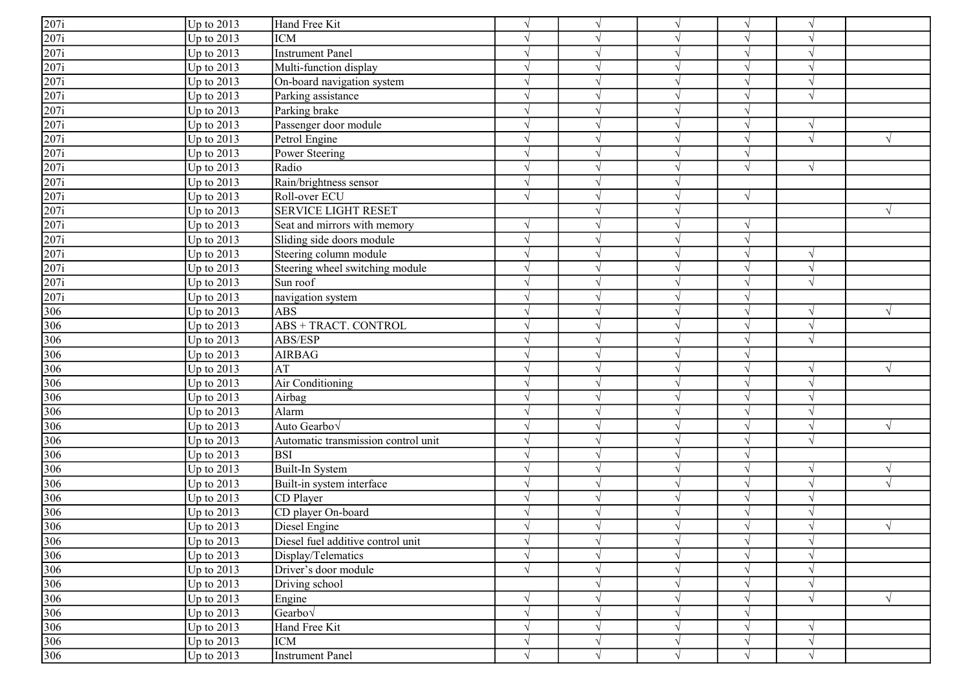| $\overline{207i}$<br>Up to 2013<br><b>ICM</b><br>V<br>$\gamma$<br>$\boldsymbol{\mathcal{A}}$<br>207i<br>Up to 2013<br><b>Instrument Panel</b><br>$\sqrt{ }$<br>$\gamma$<br>$\lambda$<br>$\overline{207i}$<br>Up to $2013$<br>Multi-function display<br>$\sqrt{ }$<br>$\mathcal{L}$<br>$\overline{207i}$<br>Up to $2013$<br>On-board navigation system<br>V<br>$\sqrt{ }$<br>$\gamma$<br>$\overline{207i}$<br>Up to 2013<br>Parking assistance<br>$\sqrt{ }$<br>V<br>$\overline{207i}$<br>Up to 2013<br>Parking brake<br>$\sqrt{ }$<br>V<br>$\overline{207i}$<br>Up to $2013$<br>Passenger door module<br>$\sqrt{ }$<br>$\sqrt{ }$<br>$\sqrt{ }$<br>$\mathcal{N}$<br>$\frac{\frac{1}{207i}}{\frac{207i}{207i}}$<br>Up to 2013<br>Petrol Engine<br>$\sqrt{ }$<br>$\sqrt{ }$<br>$\sqrt{ }$<br>$\sqrt{ }$<br>Up to 2013<br>Power Steering<br>$\sqrt{ }$<br>$\mathcal{L}$<br>$\sqrt{ }$<br>Up to 2013<br>$\sqrt{}$<br>Radio<br>$\sqrt{ }$<br>$\sqrt{ }$<br>$\mathcal{N}$<br>Up to 2013<br>Rain/brightness sensor<br>$\sqrt{ }$<br>$\lambda$<br>Roll-over ECU<br>Up to 2013<br>$\sqrt{ }$<br>$\sqrt{ }$<br>$\overline{207i}$<br>Up to 2013<br><b>SERVICE LIGHT RESET</b><br>V<br>Up to 2013<br>Seat and mirrors with memory<br>$\gamma$<br>$\sqrt{}$<br>Up to 2013<br>Sliding side doors module<br>$\sqrt{}$<br>$\gamma$<br>Up to $2013$<br>Steering column module<br>$\sqrt{}$<br>$\sqrt{ }$<br>$\sqrt{ }$<br>$\sqrt{ }$<br>Up to $2013$<br>Steering wheel switching module<br>V<br>$\mathcal{L}$<br>Up to $2013$<br>Sun roof<br>$\sqrt{ }$<br>$\sqrt{ }$<br>V<br>Up to 2013<br>$\sqrt{}$<br>$\sqrt{ }$<br>navigation system<br>$\sqrt{ }$<br>$\frac{306}{306}$ $\frac{306}{306}$ $\frac{306}{306}$<br>Up to $2013$<br><b>ABS</b><br>$\sqrt{ }$<br>$\sqrt{ }$<br>$\gamma$<br>$\sqrt{ }$<br>Up to $2013$<br><b>ABS + TRACT. CONTROL</b><br>$\sqrt{ }$<br>$\sqrt{ }$<br>$\sqrt{ }$<br>$\sqrt{ }$<br>Up to 2013<br>ABS/ESP<br>$\sqrt{}$<br>$\sqrt{ }$<br>$\sqrt{ }$<br>$\sqrt{ }$<br>Up to 2013<br><b>AIRBAG</b><br>$\sqrt{ }$<br>$\gamma$<br>$\lambda$<br>Up to 2013<br>AT<br>$\sqrt{ }$<br>$\sqrt{ }$<br>$\sqrt{ }$<br>$\mathcal{N}$<br>306<br>Up to 2013<br>Air Conditioning<br>$\sqrt{ }$<br>V<br>$\gamma$<br>$\lambda$<br>$\frac{306}{306}$<br>Up to 2013<br>Airbag<br>V<br>$\gamma$<br>$\boldsymbol{\mathcal{A}}$<br>Up to 2013<br>Alarm<br>$\sqrt{ }$<br>$\sqrt{ }$<br>$\mathcal{L}$<br>$\lambda$<br>306<br>Up to $2013$<br>Auto Gearbo√<br>$\sqrt{ }$<br>$\sqrt{ }$<br>$\sqrt{ }$<br>$\sqrt{ }$<br>$\mathcal{N}$<br>306<br>Up to $2013$<br>Automatic transmission control unit<br>$\mathcal{L}$<br>V<br>306<br>Up to 2013<br><b>BSI</b><br>$\sqrt{ }$<br>$\sqrt{ }$<br>$\mathcal{N}$<br>Up to 2013<br>Built-In System<br>$\sqrt{ }$<br>V<br>$\sqrt{ }$<br>$\mathcal{N}$<br>306<br>Up to 2013<br>Built-in system interface<br>$\sqrt{ }$<br>$\sqrt{ }$<br>$\sqrt{ }$<br>$\mathcal{N}$<br>$\frac{306}{306}$<br>$\frac{306}{306}$<br>Up to 2013<br>CD Player<br>$\sqrt{ }$<br>$\sqrt{ }$<br>$\sqrt{ }$<br>$\sqrt{ }$<br>Up to 2013<br>CD player On-board<br>$\sqrt{ }$<br>$\sqrt{ }$<br>$\sqrt{ }$<br>$\mathcal{N}$<br>Diesel Engine<br>Up to 2013<br>$\frac{306}{306}$ $\frac{306}{306}$ $\frac{306}{306}$<br>Up to $2013$<br>Diesel fuel additive control unit<br>$\sqrt{}$<br>$\sqrt{ }$<br>$\sqrt{ }$<br>$\sqrt{ }$<br>$\sqrt{}$<br>Up to 2013<br>Display/Telematics<br>$\sqrt{ }$<br>$\sqrt{ }$<br>$\sqrt{ }$<br>$\sqrt{ }$<br>Up to 2013<br>Driver's door module<br>$\sqrt{ }$<br>V<br>$\sqrt{ }$<br>$\mathcal{N}$<br>Up to 2013<br>Driving school<br>$\sqrt{ }$<br>$\sqrt{ }$<br>$\mathcal{L}$<br>Up to $2013$<br>Engine<br>$\sqrt{ }$<br>$\sqrt{ }$<br>$\sqrt{ }$<br>$\sqrt{ }$<br>$\mathcal{N}$<br>306<br>Up to $2013$<br>Gearbo $\sqrt$<br>$\sqrt{}$<br>$\sqrt{ }$<br>306<br>Hand Free Kit<br>Up to $2013$<br>$\sqrt{}$<br>$\sqrt{ }$<br>$\gamma$<br>306<br>Up to $2013$<br><b>ICM</b><br>$\sqrt{}$<br>$\sqrt{}$<br>$\sqrt{ }$<br>$\sqrt{ }$<br>$\sqrt{}$<br>$\sqrt{}$<br>$\sqrt{}$<br>$\sqrt{ }$<br>$\sqrt{ }$ |                   |              |                         |            |            |            |            |  |
|------------------------------------------------------------------------------------------------------------------------------------------------------------------------------------------------------------------------------------------------------------------------------------------------------------------------------------------------------------------------------------------------------------------------------------------------------------------------------------------------------------------------------------------------------------------------------------------------------------------------------------------------------------------------------------------------------------------------------------------------------------------------------------------------------------------------------------------------------------------------------------------------------------------------------------------------------------------------------------------------------------------------------------------------------------------------------------------------------------------------------------------------------------------------------------------------------------------------------------------------------------------------------------------------------------------------------------------------------------------------------------------------------------------------------------------------------------------------------------------------------------------------------------------------------------------------------------------------------------------------------------------------------------------------------------------------------------------------------------------------------------------------------------------------------------------------------------------------------------------------------------------------------------------------------------------------------------------------------------------------------------------------------------------------------------------------------------------------------------------------------------------------------------------------------------------------------------------------------------------------------------------------------------------------------------------------------------------------------------------------------------------------------------------------------------------------------------------------------------------------------------------------------------------------------------------------------------------------------------------------------------------------------------------------------------------------------------------------------------------------------------------------------------------------------------------------------------------------------------------------------------------------------------------------------------------------------------------------------------------------------------------------------------------------------------------------------------------------------------------------------------------------------------------------------------------------------------------------------------------------------------------------------------------------------------------------------------------------------------------------------------------------------------------------------------------------------------------------------------------------------------------------------------------------------------------------------------------------------------------------------------------------------------------------------------------------------------------------------------------------------------------------------------------------------------------------------------------------------------------------------------------------------------------------------------------------------------------------------------------------------------------------|-------------------|--------------|-------------------------|------------|------------|------------|------------|--|
|                                                                                                                                                                                                                                                                                                                                                                                                                                                                                                                                                                                                                                                                                                                                                                                                                                                                                                                                                                                                                                                                                                                                                                                                                                                                                                                                                                                                                                                                                                                                                                                                                                                                                                                                                                                                                                                                                                                                                                                                                                                                                                                                                                                                                                                                                                                                                                                                                                                                                                                                                                                                                                                                                                                                                                                                                                                                                                                                                                                                                                                                                                                                                                                                                                                                                                                                                                                                                                                                                                                                                                                                                                                                                                                                                                                                                                                                                                                                                                                                                        | $\overline{207i}$ | Up to $2013$ | Hand Free Kit           | $\sqrt{ }$ | $\sqrt{ }$ | $\sqrt{ }$ | $\sqrt{ }$ |  |
|                                                                                                                                                                                                                                                                                                                                                                                                                                                                                                                                                                                                                                                                                                                                                                                                                                                                                                                                                                                                                                                                                                                                                                                                                                                                                                                                                                                                                                                                                                                                                                                                                                                                                                                                                                                                                                                                                                                                                                                                                                                                                                                                                                                                                                                                                                                                                                                                                                                                                                                                                                                                                                                                                                                                                                                                                                                                                                                                                                                                                                                                                                                                                                                                                                                                                                                                                                                                                                                                                                                                                                                                                                                                                                                                                                                                                                                                                                                                                                                                                        |                   |              |                         |            |            |            |            |  |
|                                                                                                                                                                                                                                                                                                                                                                                                                                                                                                                                                                                                                                                                                                                                                                                                                                                                                                                                                                                                                                                                                                                                                                                                                                                                                                                                                                                                                                                                                                                                                                                                                                                                                                                                                                                                                                                                                                                                                                                                                                                                                                                                                                                                                                                                                                                                                                                                                                                                                                                                                                                                                                                                                                                                                                                                                                                                                                                                                                                                                                                                                                                                                                                                                                                                                                                                                                                                                                                                                                                                                                                                                                                                                                                                                                                                                                                                                                                                                                                                                        |                   |              |                         |            |            |            |            |  |
|                                                                                                                                                                                                                                                                                                                                                                                                                                                                                                                                                                                                                                                                                                                                                                                                                                                                                                                                                                                                                                                                                                                                                                                                                                                                                                                                                                                                                                                                                                                                                                                                                                                                                                                                                                                                                                                                                                                                                                                                                                                                                                                                                                                                                                                                                                                                                                                                                                                                                                                                                                                                                                                                                                                                                                                                                                                                                                                                                                                                                                                                                                                                                                                                                                                                                                                                                                                                                                                                                                                                                                                                                                                                                                                                                                                                                                                                                                                                                                                                                        |                   |              |                         |            |            |            |            |  |
|                                                                                                                                                                                                                                                                                                                                                                                                                                                                                                                                                                                                                                                                                                                                                                                                                                                                                                                                                                                                                                                                                                                                                                                                                                                                                                                                                                                                                                                                                                                                                                                                                                                                                                                                                                                                                                                                                                                                                                                                                                                                                                                                                                                                                                                                                                                                                                                                                                                                                                                                                                                                                                                                                                                                                                                                                                                                                                                                                                                                                                                                                                                                                                                                                                                                                                                                                                                                                                                                                                                                                                                                                                                                                                                                                                                                                                                                                                                                                                                                                        |                   |              |                         |            |            |            |            |  |
|                                                                                                                                                                                                                                                                                                                                                                                                                                                                                                                                                                                                                                                                                                                                                                                                                                                                                                                                                                                                                                                                                                                                                                                                                                                                                                                                                                                                                                                                                                                                                                                                                                                                                                                                                                                                                                                                                                                                                                                                                                                                                                                                                                                                                                                                                                                                                                                                                                                                                                                                                                                                                                                                                                                                                                                                                                                                                                                                                                                                                                                                                                                                                                                                                                                                                                                                                                                                                                                                                                                                                                                                                                                                                                                                                                                                                                                                                                                                                                                                                        |                   |              |                         |            |            |            |            |  |
|                                                                                                                                                                                                                                                                                                                                                                                                                                                                                                                                                                                                                                                                                                                                                                                                                                                                                                                                                                                                                                                                                                                                                                                                                                                                                                                                                                                                                                                                                                                                                                                                                                                                                                                                                                                                                                                                                                                                                                                                                                                                                                                                                                                                                                                                                                                                                                                                                                                                                                                                                                                                                                                                                                                                                                                                                                                                                                                                                                                                                                                                                                                                                                                                                                                                                                                                                                                                                                                                                                                                                                                                                                                                                                                                                                                                                                                                                                                                                                                                                        |                   |              |                         |            |            |            |            |  |
|                                                                                                                                                                                                                                                                                                                                                                                                                                                                                                                                                                                                                                                                                                                                                                                                                                                                                                                                                                                                                                                                                                                                                                                                                                                                                                                                                                                                                                                                                                                                                                                                                                                                                                                                                                                                                                                                                                                                                                                                                                                                                                                                                                                                                                                                                                                                                                                                                                                                                                                                                                                                                                                                                                                                                                                                                                                                                                                                                                                                                                                                                                                                                                                                                                                                                                                                                                                                                                                                                                                                                                                                                                                                                                                                                                                                                                                                                                                                                                                                                        |                   |              |                         |            |            |            |            |  |
|                                                                                                                                                                                                                                                                                                                                                                                                                                                                                                                                                                                                                                                                                                                                                                                                                                                                                                                                                                                                                                                                                                                                                                                                                                                                                                                                                                                                                                                                                                                                                                                                                                                                                                                                                                                                                                                                                                                                                                                                                                                                                                                                                                                                                                                                                                                                                                                                                                                                                                                                                                                                                                                                                                                                                                                                                                                                                                                                                                                                                                                                                                                                                                                                                                                                                                                                                                                                                                                                                                                                                                                                                                                                                                                                                                                                                                                                                                                                                                                                                        |                   |              |                         |            |            |            |            |  |
|                                                                                                                                                                                                                                                                                                                                                                                                                                                                                                                                                                                                                                                                                                                                                                                                                                                                                                                                                                                                                                                                                                                                                                                                                                                                                                                                                                                                                                                                                                                                                                                                                                                                                                                                                                                                                                                                                                                                                                                                                                                                                                                                                                                                                                                                                                                                                                                                                                                                                                                                                                                                                                                                                                                                                                                                                                                                                                                                                                                                                                                                                                                                                                                                                                                                                                                                                                                                                                                                                                                                                                                                                                                                                                                                                                                                                                                                                                                                                                                                                        |                   |              |                         |            |            |            |            |  |
|                                                                                                                                                                                                                                                                                                                                                                                                                                                                                                                                                                                                                                                                                                                                                                                                                                                                                                                                                                                                                                                                                                                                                                                                                                                                                                                                                                                                                                                                                                                                                                                                                                                                                                                                                                                                                                                                                                                                                                                                                                                                                                                                                                                                                                                                                                                                                                                                                                                                                                                                                                                                                                                                                                                                                                                                                                                                                                                                                                                                                                                                                                                                                                                                                                                                                                                                                                                                                                                                                                                                                                                                                                                                                                                                                                                                                                                                                                                                                                                                                        |                   |              |                         |            |            |            |            |  |
|                                                                                                                                                                                                                                                                                                                                                                                                                                                                                                                                                                                                                                                                                                                                                                                                                                                                                                                                                                                                                                                                                                                                                                                                                                                                                                                                                                                                                                                                                                                                                                                                                                                                                                                                                                                                                                                                                                                                                                                                                                                                                                                                                                                                                                                                                                                                                                                                                                                                                                                                                                                                                                                                                                                                                                                                                                                                                                                                                                                                                                                                                                                                                                                                                                                                                                                                                                                                                                                                                                                                                                                                                                                                                                                                                                                                                                                                                                                                                                                                                        |                   |              |                         |            |            |            |            |  |
|                                                                                                                                                                                                                                                                                                                                                                                                                                                                                                                                                                                                                                                                                                                                                                                                                                                                                                                                                                                                                                                                                                                                                                                                                                                                                                                                                                                                                                                                                                                                                                                                                                                                                                                                                                                                                                                                                                                                                                                                                                                                                                                                                                                                                                                                                                                                                                                                                                                                                                                                                                                                                                                                                                                                                                                                                                                                                                                                                                                                                                                                                                                                                                                                                                                                                                                                                                                                                                                                                                                                                                                                                                                                                                                                                                                                                                                                                                                                                                                                                        |                   |              |                         |            |            |            |            |  |
|                                                                                                                                                                                                                                                                                                                                                                                                                                                                                                                                                                                                                                                                                                                                                                                                                                                                                                                                                                                                                                                                                                                                                                                                                                                                                                                                                                                                                                                                                                                                                                                                                                                                                                                                                                                                                                                                                                                                                                                                                                                                                                                                                                                                                                                                                                                                                                                                                                                                                                                                                                                                                                                                                                                                                                                                                                                                                                                                                                                                                                                                                                                                                                                                                                                                                                                                                                                                                                                                                                                                                                                                                                                                                                                                                                                                                                                                                                                                                                                                                        |                   |              |                         |            |            |            |            |  |
|                                                                                                                                                                                                                                                                                                                                                                                                                                                                                                                                                                                                                                                                                                                                                                                                                                                                                                                                                                                                                                                                                                                                                                                                                                                                                                                                                                                                                                                                                                                                                                                                                                                                                                                                                                                                                                                                                                                                                                                                                                                                                                                                                                                                                                                                                                                                                                                                                                                                                                                                                                                                                                                                                                                                                                                                                                                                                                                                                                                                                                                                                                                                                                                                                                                                                                                                                                                                                                                                                                                                                                                                                                                                                                                                                                                                                                                                                                                                                                                                                        | $\overline{207i}$ |              |                         |            |            |            |            |  |
|                                                                                                                                                                                                                                                                                                                                                                                                                                                                                                                                                                                                                                                                                                                                                                                                                                                                                                                                                                                                                                                                                                                                                                                                                                                                                                                                                                                                                                                                                                                                                                                                                                                                                                                                                                                                                                                                                                                                                                                                                                                                                                                                                                                                                                                                                                                                                                                                                                                                                                                                                                                                                                                                                                                                                                                                                                                                                                                                                                                                                                                                                                                                                                                                                                                                                                                                                                                                                                                                                                                                                                                                                                                                                                                                                                                                                                                                                                                                                                                                                        | $\overline{207i}$ |              |                         |            |            |            |            |  |
|                                                                                                                                                                                                                                                                                                                                                                                                                                                                                                                                                                                                                                                                                                                                                                                                                                                                                                                                                                                                                                                                                                                                                                                                                                                                                                                                                                                                                                                                                                                                                                                                                                                                                                                                                                                                                                                                                                                                                                                                                                                                                                                                                                                                                                                                                                                                                                                                                                                                                                                                                                                                                                                                                                                                                                                                                                                                                                                                                                                                                                                                                                                                                                                                                                                                                                                                                                                                                                                                                                                                                                                                                                                                                                                                                                                                                                                                                                                                                                                                                        | 207i              |              |                         |            |            |            |            |  |
|                                                                                                                                                                                                                                                                                                                                                                                                                                                                                                                                                                                                                                                                                                                                                                                                                                                                                                                                                                                                                                                                                                                                                                                                                                                                                                                                                                                                                                                                                                                                                                                                                                                                                                                                                                                                                                                                                                                                                                                                                                                                                                                                                                                                                                                                                                                                                                                                                                                                                                                                                                                                                                                                                                                                                                                                                                                                                                                                                                                                                                                                                                                                                                                                                                                                                                                                                                                                                                                                                                                                                                                                                                                                                                                                                                                                                                                                                                                                                                                                                        | 207i              |              |                         |            |            |            |            |  |
|                                                                                                                                                                                                                                                                                                                                                                                                                                                                                                                                                                                                                                                                                                                                                                                                                                                                                                                                                                                                                                                                                                                                                                                                                                                                                                                                                                                                                                                                                                                                                                                                                                                                                                                                                                                                                                                                                                                                                                                                                                                                                                                                                                                                                                                                                                                                                                                                                                                                                                                                                                                                                                                                                                                                                                                                                                                                                                                                                                                                                                                                                                                                                                                                                                                                                                                                                                                                                                                                                                                                                                                                                                                                                                                                                                                                                                                                                                                                                                                                                        | $\overline{207i}$ |              |                         |            |            |            |            |  |
|                                                                                                                                                                                                                                                                                                                                                                                                                                                                                                                                                                                                                                                                                                                                                                                                                                                                                                                                                                                                                                                                                                                                                                                                                                                                                                                                                                                                                                                                                                                                                                                                                                                                                                                                                                                                                                                                                                                                                                                                                                                                                                                                                                                                                                                                                                                                                                                                                                                                                                                                                                                                                                                                                                                                                                                                                                                                                                                                                                                                                                                                                                                                                                                                                                                                                                                                                                                                                                                                                                                                                                                                                                                                                                                                                                                                                                                                                                                                                                                                                        | $\overline{207i}$ |              |                         |            |            |            |            |  |
|                                                                                                                                                                                                                                                                                                                                                                                                                                                                                                                                                                                                                                                                                                                                                                                                                                                                                                                                                                                                                                                                                                                                                                                                                                                                                                                                                                                                                                                                                                                                                                                                                                                                                                                                                                                                                                                                                                                                                                                                                                                                                                                                                                                                                                                                                                                                                                                                                                                                                                                                                                                                                                                                                                                                                                                                                                                                                                                                                                                                                                                                                                                                                                                                                                                                                                                                                                                                                                                                                                                                                                                                                                                                                                                                                                                                                                                                                                                                                                                                                        |                   |              |                         |            |            |            |            |  |
|                                                                                                                                                                                                                                                                                                                                                                                                                                                                                                                                                                                                                                                                                                                                                                                                                                                                                                                                                                                                                                                                                                                                                                                                                                                                                                                                                                                                                                                                                                                                                                                                                                                                                                                                                                                                                                                                                                                                                                                                                                                                                                                                                                                                                                                                                                                                                                                                                                                                                                                                                                                                                                                                                                                                                                                                                                                                                                                                                                                                                                                                                                                                                                                                                                                                                                                                                                                                                                                                                                                                                                                                                                                                                                                                                                                                                                                                                                                                                                                                                        |                   |              |                         |            |            |            |            |  |
|                                                                                                                                                                                                                                                                                                                                                                                                                                                                                                                                                                                                                                                                                                                                                                                                                                                                                                                                                                                                                                                                                                                                                                                                                                                                                                                                                                                                                                                                                                                                                                                                                                                                                                                                                                                                                                                                                                                                                                                                                                                                                                                                                                                                                                                                                                                                                                                                                                                                                                                                                                                                                                                                                                                                                                                                                                                                                                                                                                                                                                                                                                                                                                                                                                                                                                                                                                                                                                                                                                                                                                                                                                                                                                                                                                                                                                                                                                                                                                                                                        |                   |              |                         |            |            |            |            |  |
|                                                                                                                                                                                                                                                                                                                                                                                                                                                                                                                                                                                                                                                                                                                                                                                                                                                                                                                                                                                                                                                                                                                                                                                                                                                                                                                                                                                                                                                                                                                                                                                                                                                                                                                                                                                                                                                                                                                                                                                                                                                                                                                                                                                                                                                                                                                                                                                                                                                                                                                                                                                                                                                                                                                                                                                                                                                                                                                                                                                                                                                                                                                                                                                                                                                                                                                                                                                                                                                                                                                                                                                                                                                                                                                                                                                                                                                                                                                                                                                                                        |                   |              |                         |            |            |            |            |  |
|                                                                                                                                                                                                                                                                                                                                                                                                                                                                                                                                                                                                                                                                                                                                                                                                                                                                                                                                                                                                                                                                                                                                                                                                                                                                                                                                                                                                                                                                                                                                                                                                                                                                                                                                                                                                                                                                                                                                                                                                                                                                                                                                                                                                                                                                                                                                                                                                                                                                                                                                                                                                                                                                                                                                                                                                                                                                                                                                                                                                                                                                                                                                                                                                                                                                                                                                                                                                                                                                                                                                                                                                                                                                                                                                                                                                                                                                                                                                                                                                                        |                   |              |                         |            |            |            |            |  |
|                                                                                                                                                                                                                                                                                                                                                                                                                                                                                                                                                                                                                                                                                                                                                                                                                                                                                                                                                                                                                                                                                                                                                                                                                                                                                                                                                                                                                                                                                                                                                                                                                                                                                                                                                                                                                                                                                                                                                                                                                                                                                                                                                                                                                                                                                                                                                                                                                                                                                                                                                                                                                                                                                                                                                                                                                                                                                                                                                                                                                                                                                                                                                                                                                                                                                                                                                                                                                                                                                                                                                                                                                                                                                                                                                                                                                                                                                                                                                                                                                        |                   |              |                         |            |            |            |            |  |
|                                                                                                                                                                                                                                                                                                                                                                                                                                                                                                                                                                                                                                                                                                                                                                                                                                                                                                                                                                                                                                                                                                                                                                                                                                                                                                                                                                                                                                                                                                                                                                                                                                                                                                                                                                                                                                                                                                                                                                                                                                                                                                                                                                                                                                                                                                                                                                                                                                                                                                                                                                                                                                                                                                                                                                                                                                                                                                                                                                                                                                                                                                                                                                                                                                                                                                                                                                                                                                                                                                                                                                                                                                                                                                                                                                                                                                                                                                                                                                                                                        |                   |              |                         |            |            |            |            |  |
|                                                                                                                                                                                                                                                                                                                                                                                                                                                                                                                                                                                                                                                                                                                                                                                                                                                                                                                                                                                                                                                                                                                                                                                                                                                                                                                                                                                                                                                                                                                                                                                                                                                                                                                                                                                                                                                                                                                                                                                                                                                                                                                                                                                                                                                                                                                                                                                                                                                                                                                                                                                                                                                                                                                                                                                                                                                                                                                                                                                                                                                                                                                                                                                                                                                                                                                                                                                                                                                                                                                                                                                                                                                                                                                                                                                                                                                                                                                                                                                                                        |                   |              |                         |            |            |            |            |  |
|                                                                                                                                                                                                                                                                                                                                                                                                                                                                                                                                                                                                                                                                                                                                                                                                                                                                                                                                                                                                                                                                                                                                                                                                                                                                                                                                                                                                                                                                                                                                                                                                                                                                                                                                                                                                                                                                                                                                                                                                                                                                                                                                                                                                                                                                                                                                                                                                                                                                                                                                                                                                                                                                                                                                                                                                                                                                                                                                                                                                                                                                                                                                                                                                                                                                                                                                                                                                                                                                                                                                                                                                                                                                                                                                                                                                                                                                                                                                                                                                                        |                   |              |                         |            |            |            |            |  |
|                                                                                                                                                                                                                                                                                                                                                                                                                                                                                                                                                                                                                                                                                                                                                                                                                                                                                                                                                                                                                                                                                                                                                                                                                                                                                                                                                                                                                                                                                                                                                                                                                                                                                                                                                                                                                                                                                                                                                                                                                                                                                                                                                                                                                                                                                                                                                                                                                                                                                                                                                                                                                                                                                                                                                                                                                                                                                                                                                                                                                                                                                                                                                                                                                                                                                                                                                                                                                                                                                                                                                                                                                                                                                                                                                                                                                                                                                                                                                                                                                        |                   |              |                         |            |            |            |            |  |
|                                                                                                                                                                                                                                                                                                                                                                                                                                                                                                                                                                                                                                                                                                                                                                                                                                                                                                                                                                                                                                                                                                                                                                                                                                                                                                                                                                                                                                                                                                                                                                                                                                                                                                                                                                                                                                                                                                                                                                                                                                                                                                                                                                                                                                                                                                                                                                                                                                                                                                                                                                                                                                                                                                                                                                                                                                                                                                                                                                                                                                                                                                                                                                                                                                                                                                                                                                                                                                                                                                                                                                                                                                                                                                                                                                                                                                                                                                                                                                                                                        |                   |              |                         |            |            |            |            |  |
|                                                                                                                                                                                                                                                                                                                                                                                                                                                                                                                                                                                                                                                                                                                                                                                                                                                                                                                                                                                                                                                                                                                                                                                                                                                                                                                                                                                                                                                                                                                                                                                                                                                                                                                                                                                                                                                                                                                                                                                                                                                                                                                                                                                                                                                                                                                                                                                                                                                                                                                                                                                                                                                                                                                                                                                                                                                                                                                                                                                                                                                                                                                                                                                                                                                                                                                                                                                                                                                                                                                                                                                                                                                                                                                                                                                                                                                                                                                                                                                                                        | 306               |              |                         |            |            |            |            |  |
|                                                                                                                                                                                                                                                                                                                                                                                                                                                                                                                                                                                                                                                                                                                                                                                                                                                                                                                                                                                                                                                                                                                                                                                                                                                                                                                                                                                                                                                                                                                                                                                                                                                                                                                                                                                                                                                                                                                                                                                                                                                                                                                                                                                                                                                                                                                                                                                                                                                                                                                                                                                                                                                                                                                                                                                                                                                                                                                                                                                                                                                                                                                                                                                                                                                                                                                                                                                                                                                                                                                                                                                                                                                                                                                                                                                                                                                                                                                                                                                                                        |                   |              |                         |            |            |            |            |  |
|                                                                                                                                                                                                                                                                                                                                                                                                                                                                                                                                                                                                                                                                                                                                                                                                                                                                                                                                                                                                                                                                                                                                                                                                                                                                                                                                                                                                                                                                                                                                                                                                                                                                                                                                                                                                                                                                                                                                                                                                                                                                                                                                                                                                                                                                                                                                                                                                                                                                                                                                                                                                                                                                                                                                                                                                                                                                                                                                                                                                                                                                                                                                                                                                                                                                                                                                                                                                                                                                                                                                                                                                                                                                                                                                                                                                                                                                                                                                                                                                                        |                   |              |                         |            |            |            |            |  |
|                                                                                                                                                                                                                                                                                                                                                                                                                                                                                                                                                                                                                                                                                                                                                                                                                                                                                                                                                                                                                                                                                                                                                                                                                                                                                                                                                                                                                                                                                                                                                                                                                                                                                                                                                                                                                                                                                                                                                                                                                                                                                                                                                                                                                                                                                                                                                                                                                                                                                                                                                                                                                                                                                                                                                                                                                                                                                                                                                                                                                                                                                                                                                                                                                                                                                                                                                                                                                                                                                                                                                                                                                                                                                                                                                                                                                                                                                                                                                                                                                        |                   |              |                         |            |            |            |            |  |
|                                                                                                                                                                                                                                                                                                                                                                                                                                                                                                                                                                                                                                                                                                                                                                                                                                                                                                                                                                                                                                                                                                                                                                                                                                                                                                                                                                                                                                                                                                                                                                                                                                                                                                                                                                                                                                                                                                                                                                                                                                                                                                                                                                                                                                                                                                                                                                                                                                                                                                                                                                                                                                                                                                                                                                                                                                                                                                                                                                                                                                                                                                                                                                                                                                                                                                                                                                                                                                                                                                                                                                                                                                                                                                                                                                                                                                                                                                                                                                                                                        |                   |              |                         |            |            |            |            |  |
|                                                                                                                                                                                                                                                                                                                                                                                                                                                                                                                                                                                                                                                                                                                                                                                                                                                                                                                                                                                                                                                                                                                                                                                                                                                                                                                                                                                                                                                                                                                                                                                                                                                                                                                                                                                                                                                                                                                                                                                                                                                                                                                                                                                                                                                                                                                                                                                                                                                                                                                                                                                                                                                                                                                                                                                                                                                                                                                                                                                                                                                                                                                                                                                                                                                                                                                                                                                                                                                                                                                                                                                                                                                                                                                                                                                                                                                                                                                                                                                                                        |                   |              |                         |            |            |            |            |  |
|                                                                                                                                                                                                                                                                                                                                                                                                                                                                                                                                                                                                                                                                                                                                                                                                                                                                                                                                                                                                                                                                                                                                                                                                                                                                                                                                                                                                                                                                                                                                                                                                                                                                                                                                                                                                                                                                                                                                                                                                                                                                                                                                                                                                                                                                                                                                                                                                                                                                                                                                                                                                                                                                                                                                                                                                                                                                                                                                                                                                                                                                                                                                                                                                                                                                                                                                                                                                                                                                                                                                                                                                                                                                                                                                                                                                                                                                                                                                                                                                                        |                   |              |                         |            |            |            |            |  |
|                                                                                                                                                                                                                                                                                                                                                                                                                                                                                                                                                                                                                                                                                                                                                                                                                                                                                                                                                                                                                                                                                                                                                                                                                                                                                                                                                                                                                                                                                                                                                                                                                                                                                                                                                                                                                                                                                                                                                                                                                                                                                                                                                                                                                                                                                                                                                                                                                                                                                                                                                                                                                                                                                                                                                                                                                                                                                                                                                                                                                                                                                                                                                                                                                                                                                                                                                                                                                                                                                                                                                                                                                                                                                                                                                                                                                                                                                                                                                                                                                        |                   |              |                         |            |            |            |            |  |
|                                                                                                                                                                                                                                                                                                                                                                                                                                                                                                                                                                                                                                                                                                                                                                                                                                                                                                                                                                                                                                                                                                                                                                                                                                                                                                                                                                                                                                                                                                                                                                                                                                                                                                                                                                                                                                                                                                                                                                                                                                                                                                                                                                                                                                                                                                                                                                                                                                                                                                                                                                                                                                                                                                                                                                                                                                                                                                                                                                                                                                                                                                                                                                                                                                                                                                                                                                                                                                                                                                                                                                                                                                                                                                                                                                                                                                                                                                                                                                                                                        |                   |              |                         |            |            |            |            |  |
|                                                                                                                                                                                                                                                                                                                                                                                                                                                                                                                                                                                                                                                                                                                                                                                                                                                                                                                                                                                                                                                                                                                                                                                                                                                                                                                                                                                                                                                                                                                                                                                                                                                                                                                                                                                                                                                                                                                                                                                                                                                                                                                                                                                                                                                                                                                                                                                                                                                                                                                                                                                                                                                                                                                                                                                                                                                                                                                                                                                                                                                                                                                                                                                                                                                                                                                                                                                                                                                                                                                                                                                                                                                                                                                                                                                                                                                                                                                                                                                                                        |                   |              |                         |            |            |            |            |  |
|                                                                                                                                                                                                                                                                                                                                                                                                                                                                                                                                                                                                                                                                                                                                                                                                                                                                                                                                                                                                                                                                                                                                                                                                                                                                                                                                                                                                                                                                                                                                                                                                                                                                                                                                                                                                                                                                                                                                                                                                                                                                                                                                                                                                                                                                                                                                                                                                                                                                                                                                                                                                                                                                                                                                                                                                                                                                                                                                                                                                                                                                                                                                                                                                                                                                                                                                                                                                                                                                                                                                                                                                                                                                                                                                                                                                                                                                                                                                                                                                                        |                   |              |                         |            |            |            |            |  |
|                                                                                                                                                                                                                                                                                                                                                                                                                                                                                                                                                                                                                                                                                                                                                                                                                                                                                                                                                                                                                                                                                                                                                                                                                                                                                                                                                                                                                                                                                                                                                                                                                                                                                                                                                                                                                                                                                                                                                                                                                                                                                                                                                                                                                                                                                                                                                                                                                                                                                                                                                                                                                                                                                                                                                                                                                                                                                                                                                                                                                                                                                                                                                                                                                                                                                                                                                                                                                                                                                                                                                                                                                                                                                                                                                                                                                                                                                                                                                                                                                        |                   |              |                         |            |            |            |            |  |
|                                                                                                                                                                                                                                                                                                                                                                                                                                                                                                                                                                                                                                                                                                                                                                                                                                                                                                                                                                                                                                                                                                                                                                                                                                                                                                                                                                                                                                                                                                                                                                                                                                                                                                                                                                                                                                                                                                                                                                                                                                                                                                                                                                                                                                                                                                                                                                                                                                                                                                                                                                                                                                                                                                                                                                                                                                                                                                                                                                                                                                                                                                                                                                                                                                                                                                                                                                                                                                                                                                                                                                                                                                                                                                                                                                                                                                                                                                                                                                                                                        |                   |              |                         |            |            |            |            |  |
|                                                                                                                                                                                                                                                                                                                                                                                                                                                                                                                                                                                                                                                                                                                                                                                                                                                                                                                                                                                                                                                                                                                                                                                                                                                                                                                                                                                                                                                                                                                                                                                                                                                                                                                                                                                                                                                                                                                                                                                                                                                                                                                                                                                                                                                                                                                                                                                                                                                                                                                                                                                                                                                                                                                                                                                                                                                                                                                                                                                                                                                                                                                                                                                                                                                                                                                                                                                                                                                                                                                                                                                                                                                                                                                                                                                                                                                                                                                                                                                                                        | 306               | Up to $2013$ | <b>Instrument Panel</b> |            |            |            |            |  |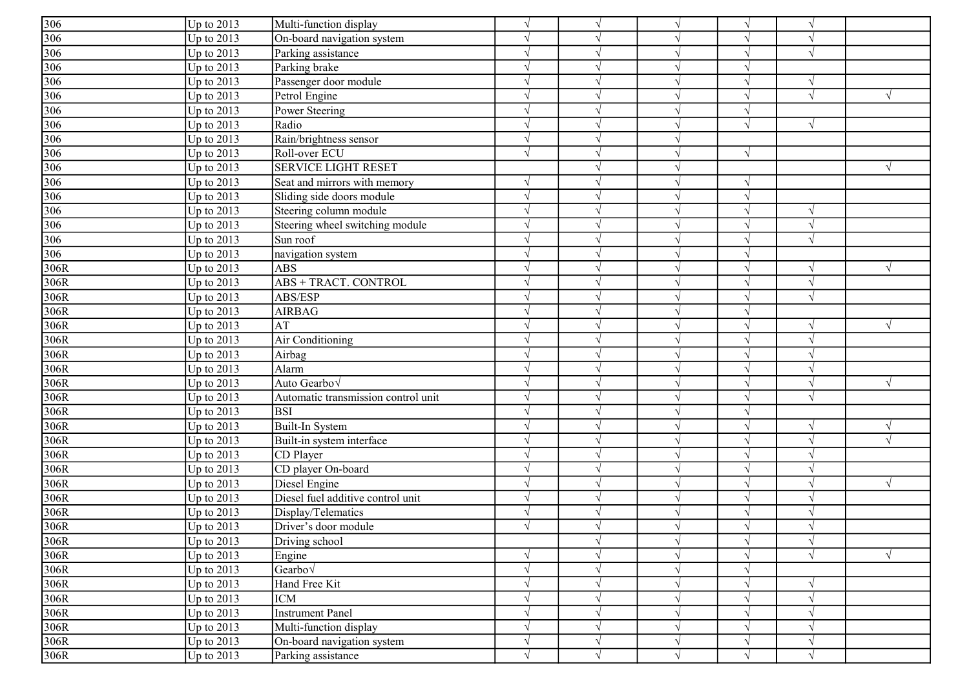| $\frac{306}{306}$ | Up to $2013$ | Multi-function display              | $\sqrt{ }$ | $\sqrt{ }$    | $\sqrt{}$  | $\sqrt{ }$    |                          |            |
|-------------------|--------------|-------------------------------------|------------|---------------|------------|---------------|--------------------------|------------|
|                   | Up to 2013   | On-board navigation system          | $\sqrt{ }$ | $\gamma$      |            | $\sqrt{ }$    |                          |            |
| 306               | Up to 2013   | Parking assistance                  | $\gamma$   | $\gamma$      |            | V             |                          |            |
| 306               | Up to $2013$ | Parking brake                       | $\sqrt{ }$ | $\mathcal{L}$ |            | $\sqrt{ }$    |                          |            |
| 306               | Up to $2013$ | Passenger door module               | $\sqrt{ }$ | $\sqrt{ }$    |            | $\sqrt{ }$    | $\mathcal{L}$            |            |
| 306               | Up to 2013   | Petrol Engine                       | $\sqrt{ }$ | $\gamma$      |            |               |                          |            |
| 306               | Up to $2013$ | Power Steering                      | $\sqrt{ }$ | $\sqrt{ }$    |            | $\sqrt{ }$    |                          |            |
| 306               | Up to 2013   | Radio                               | $\sqrt{ }$ | $\sqrt{ }$    |            | $\sqrt{ }$    | $\sqrt{ }$               |            |
| 306               | Up to 2013   | Rain/brightness sensor              | $\sqrt{ }$ | $\sqrt{ }$    |            |               |                          |            |
| 306               | Up to 2013   | Roll-over ECU                       | $\sqrt{ }$ | $\sqrt{ }$    |            | $\sqrt{ }$    |                          |            |
| 306               | Up to 2013   | <b>SERVICE LIGHT RESET</b>          |            | $\sqrt{ }$    |            |               |                          |            |
| 306               | Up to $2013$ | Seat and mirrors with memory        | $\sqrt{ }$ | $\sqrt{ }$    |            | $\sqrt{ }$    |                          |            |
| 306               | Up to 2013   | Sliding side doors module           | $\sqrt{ }$ | $\sqrt{ }$    |            | $\sqrt{ }$    |                          |            |
| 306               | Up to 2013   | Steering column module              | $\gamma$   | $\gamma$      |            |               |                          |            |
| 306               | Up to $2013$ | Steering wheel switching module     | $\sqrt{ }$ | $\gamma$      |            | N             | $\mathcal{N}$            |            |
| 306               | Up to $2013$ | Sun roof                            | $\sqrt{ }$ | $\gamma$      |            | $\sqrt{ }$    |                          |            |
| 306               | Up to $2013$ | navigation system                   | $\gamma$   | $\mathcal{L}$ |            | $\sqrt{ }$    |                          |            |
| 306R              | Up to $2013$ | <b>ABS</b>                          | $\sqrt{ }$ | $\mathcal{L}$ |            | $\sqrt{ }$    | $\mathcal{N}$            |            |
| 306R              | Up to $2013$ | ABS + TRACT. CONTROL                | $\sqrt{ }$ | $\gamma$      |            | $\sqrt{ }$    |                          |            |
| 306R              | Up to $2013$ | ABS/ESP                             |            | $\gamma$      |            | $\sqrt{ }$    |                          |            |
| 306R              | Up to $2013$ | <b>AIRBAG</b>                       | $\sqrt{ }$ | $\sqrt{ }$    |            | $\sqrt{ }$    |                          |            |
| 306R              | Up to $2013$ | AT                                  | $\sqrt{ }$ | $\sqrt{ }$    |            | $\sqrt{ }$    | $\sqrt{ }$               |            |
| 306R              | Up to 2013   | Air Conditioning                    | $\sqrt{ }$ | $\sqrt{ }$    |            | $\sqrt{ }$    |                          |            |
| 306R              | Up to 2013   | Airbag                              | $\sqrt{ }$ | $\sqrt{ }$    |            | $\sqrt{ }$    | $\overline{\mathcal{N}}$ |            |
| 306R              | Up to 2013   | Alarm                               | $\gamma$   | $\sqrt{ }$    |            |               |                          |            |
| 306R              | Up to $2013$ | Auto Gearbo√                        |            | $\gamma$      |            |               |                          |            |
| 306R              | Up to $2013$ | Automatic transmission control unit | $\sqrt{ }$ | $\gamma$      |            | N             |                          |            |
| 306R              | Up to $2013$ | <b>BSI</b>                          | $\sqrt{ }$ | $\gamma$      |            | $\mathcal{N}$ |                          |            |
| 306R              | Up to $2013$ | Built-In System                     | $\sqrt{ }$ | $\sqrt{ }$    |            | $\sqrt{ }$    | $\mathcal{A}$            |            |
| 306R              | Up to $2013$ | Built-in system interface           | $\sqrt{ }$ | $\sqrt{ }$    |            | $\sqrt{ }$    |                          | $\sqrt{ }$ |
| 306R              | Up to 2013   | CD Player                           | $\sqrt{ }$ | $\mathcal{L}$ |            |               |                          |            |
| 306R              | Up to $2013$ | CD player On-board                  | $\sqrt{ }$ | $\sqrt{ }$    |            | $\sqrt{ }$    |                          |            |
| 306R              | Up to $2013$ | Diesel Engine                       | $\sqrt{ }$ | $\sqrt{ }$    |            | N             |                          | V          |
| 306R              | Up to $2013$ | Diesel fuel additive control unit   | $\sqrt{ }$ | $\sqrt{ }$    |            | $\sqrt{ }$    |                          |            |
| 306R              | Up to 2013   | Display/Telematics                  | $\sqrt{ }$ | $\sqrt{ }$    |            | $\sqrt{ }$    | $\mathcal{L}$            |            |
| 306R              | Up to $2013$ | Driver's door module                |            | $\sqrt{ }$    |            | $\sqrt{ }$    |                          |            |
| 306R              | Up to $2013$ | Driving school                      |            | $\sqrt{}$     | $\sqrt{ }$ | $\sqrt{}$     | $\sqrt{ }$               |            |
| 306R              | Up to $2013$ | Engine                              | $\sqrt{ }$ | $\sqrt{ }$    | $\sqrt{ }$ | $\sqrt{ }$    | $\sqrt{ }$               | V          |
| 306R              | Up to $2013$ | Gearbo $\sqrt$                      | $\sqrt{ }$ | $\sqrt{ }$    |            | $\sqrt{ }$    |                          |            |
| 306R              | Up to $2013$ | Hand Free Kit                       | $\sqrt{ }$ | $\sqrt{ }$    | $\sqrt{}$  | $\sqrt{ }$    |                          |            |
| 306R              | Up to $2013$ | <b>ICM</b>                          | $\sqrt{ }$ | $\sqrt{ }$    | $\sqrt{ }$ | $\sqrt{ }$    | $\sqrt{ }$               |            |
| 306R              | Up to $2013$ | Instrument Panel                    | $\sqrt{ }$ | $\sqrt{ }$    | $\sqrt{}$  | $\sqrt{ }$    | $\mathcal{N}$            |            |
| 306R              | Up to $2013$ | Multi-function display              | $\sqrt{ }$ | $\sqrt{ }$    | $\sqrt{ }$ | $\sqrt{ }$    | $\gamma$                 |            |
| 306R              | Up to $2013$ | On-board navigation system          | $\sqrt{ }$ | $\sqrt{}$     | $\sqrt{ }$ | $\sqrt{ }$    | $\sqrt{ }$               |            |
| 306R              | Up to $2013$ | Parking assistance                  | $\sqrt{ }$ | $\sqrt{ }$    | $\sqrt{}$  | $\sqrt{ }$    | $\sqrt{ }$               |            |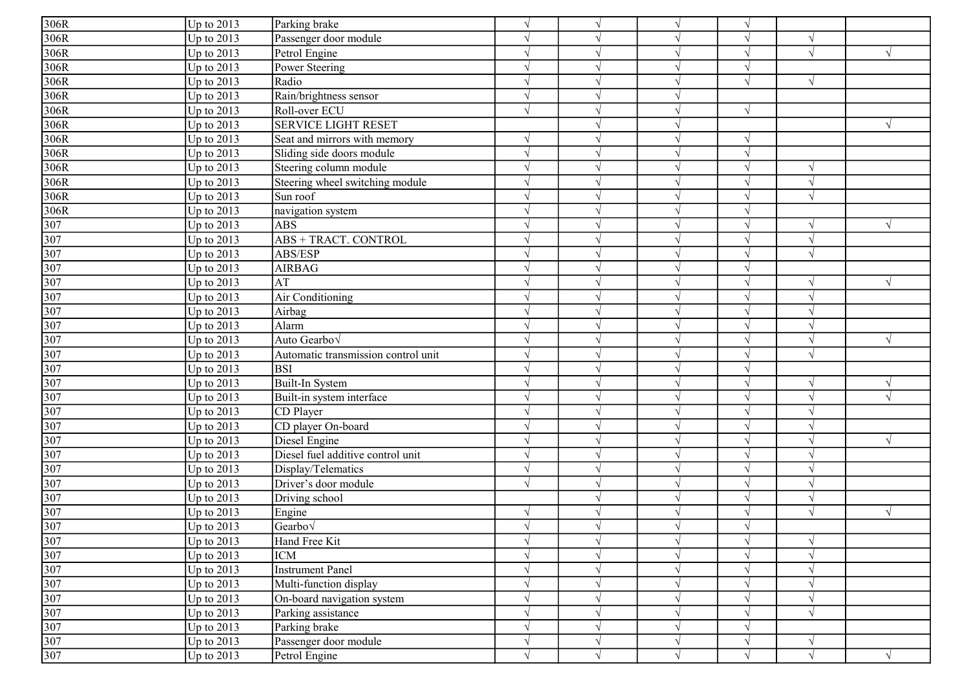| 306R                                                  | Up to $2013$ | Parking brake                       | $\sqrt{ }$    | $\sqrt{ }$    | $\sqrt{}$  | $\sqrt{ }$    |                          |            |
|-------------------------------------------------------|--------------|-------------------------------------|---------------|---------------|------------|---------------|--------------------------|------------|
| 306R                                                  | Up to 2013   | Passenger door module               | $\sqrt{ }$    | $\sqrt{ }$    |            | $\sqrt{ }$    |                          |            |
| 306R                                                  | Up to 2013   | Petrol Engine                       | $\gamma$      | $\gamma$      |            | $\sqrt{ }$    | $\sqrt{ }$               |            |
| 306R                                                  | Up to $2013$ | Power Steering                      | $\sqrt{ }$    | $\sqrt{ }$    |            | $\sqrt{ }$    |                          |            |
| 306R                                                  | Up to $2013$ | Radio                               | $\sqrt{ }$    | $\sqrt{ }$    |            | $\sqrt{ }$    | $\sqrt{ }$               |            |
| 306R                                                  | Up to 2013   | Rain/brightness sensor              | $\sqrt{ }$    | $\sqrt{ }$    |            |               |                          |            |
| 306R                                                  | Up to $2013$ | Roll-over ECU                       | $\sqrt{ }$    | $\sqrt{ }$    |            | $\sqrt{ }$    |                          |            |
| 306R                                                  | Up to 2013   | <b>SERVICE LIGHT RESET</b>          |               | $\sqrt{ }$    |            |               |                          |            |
| 306R                                                  | Up to 2013   | Seat and mirrors with memory        | $\sqrt{ }$    | $\sqrt{ }$    |            | $\sqrt{ }$    |                          |            |
| 306R                                                  | Up to 2013   | Sliding side doors module           | $\sqrt{ }$    | $\sqrt{ }$    |            | $\sqrt{ }$    |                          |            |
| 306R                                                  | Up to 2013   | Steering column module              | $\sqrt{ }$    | $\sqrt{ }$    |            | $\sqrt{ }$    | $\sqrt{ }$               |            |
| 306R                                                  | Up to $2013$ | Steering wheel switching module     | $\sqrt{ }$    | $\sqrt{ }$    |            | $\sqrt{ }$    | $\overline{\mathcal{N}}$ |            |
| 306R                                                  | Up to 2013   | Sun roof                            | $\sqrt{ }$    | $\sqrt{ }$    |            | $\sqrt{ }$    | $\mathcal{L}$            |            |
| 306R                                                  | Up to $2013$ | navigation system                   | $\gamma$      | $\gamma$      |            | N             |                          |            |
| 307                                                   | Up to $2013$ | <b>ABS</b>                          | $\sqrt{ }$    | $\gamma$      |            | $\sqrt{ }$    | $\mathcal{N}$            | V          |
| 307                                                   | Up to $2013$ | ABS + TRACT. CONTROL                | $\sqrt{ }$    | $\gamma$      |            | $\sqrt{ }$    | $\mathcal{L}$            |            |
| 307                                                   | Up to $2013$ | ABS/ESP                             | $\sqrt{ }$    | $\mathcal{L}$ |            | $\sqrt{ }$    | $\overline{\mathcal{N}}$ |            |
| 307                                                   | Up to $2013$ | <b>AIRBAG</b>                       | $\sqrt{ }$    | $\mathcal{L}$ |            | $\sqrt{ }$    |                          |            |
| 307                                                   | Up to $2013$ | AT                                  | $\sqrt{ }$    | $\sqrt{ }$    |            | $\sqrt{ }$    |                          |            |
| 307                                                   | Up to $2013$ | Air Conditioning                    | $\mathcal{N}$ | $\sqrt{ }$    |            | V             |                          |            |
| 307                                                   | Up to $2013$ | Airbag                              | $\sqrt{ }$    | $\sqrt{ }$    |            | $\sqrt{ }$    | $\overline{\mathcal{N}}$ |            |
|                                                       | Up to $2013$ | Alarm                               | $\sqrt{ }$    | $\sqrt{ }$    |            | $\sqrt{ }$    | $\mathcal{A}$            |            |
|                                                       | Up to 2013   | Auto Gearbov                        | $\sqrt{ }$    | $\sqrt{ }$    |            | $\sqrt{ }$    | $\mathcal{N}$            |            |
| $\frac{307}{307}$ $\frac{307}{307}$ $\frac{307}{307}$ | Up to 2013   | Automatic transmission control unit | $\sqrt{ }$    | $\sqrt{ }$    |            | $\sqrt{ }$    | $\overline{1}$           |            |
|                                                       | Up to 2013   | <b>BSI</b>                          | $\sqrt{ }$    | $\sqrt{ }$    |            | $\sqrt{ }$    |                          |            |
|                                                       | Up to $2013$ | Built-In System                     | $\mathcal{L}$ | $\gamma$      |            | V             |                          |            |
|                                                       | Up to $2013$ | Built-in system interface           | $\sqrt{ }$    | $\sqrt{ }$    |            | N             |                          | $\sqrt{}$  |
|                                                       | Up to $2013$ | CD Player                           | $\sqrt{ }$    | $\gamma$      |            | $\mathcal{N}$ |                          |            |
| $\frac{307}{307}$                                     | Up to $2013$ | CD player On-board                  | $\sqrt{ }$    | $\sqrt{ }$    |            | $\sqrt{ }$    |                          |            |
| 307                                                   | Up to $2013$ | Diesel Engine                       | $\sqrt{ }$    | $\sqrt{ }$    |            | $\sqrt{ }$    |                          | $\sqrt{ }$ |
| 307                                                   | Up to 2013   | Diesel fuel additive control unit   | $\sqrt{ }$    | $\sqrt{ }$    |            | $\sqrt{ }$    |                          |            |
| 307                                                   | Up to $2013$ | Display/Telematics                  | $\sqrt{ }$    | $\sqrt{ }$    |            | $\sqrt{ }$    |                          |            |
| 307                                                   | Up to $2013$ | Driver's door module                | $\sqrt{ }$    | $\sqrt{ }$    |            | $\sqrt{ }$    |                          |            |
|                                                       | Up to $2013$ | Driving school                      |               | $\sqrt{ }$    |            | $\sqrt{ }$    | $\mathcal{N}$            |            |
| $\frac{307}{307}$                                     | Up to 2013   | Engine                              | $\sqrt{ }$    | $\sqrt{ }$    |            | $\sqrt{ }$    | $\sqrt{ }$               | $\sqrt{ }$ |
| 307                                                   | Up to $2013$ | $Gearbo\sqrt$                       | $\mathcal{N}$ | $\sqrt{ }$    |            | $\sqrt{ }$    |                          |            |
|                                                       | Up to $2013$ | Hand Free Kit                       | $\sqrt{ }$    | $\sqrt{}$     | $\sqrt{}$  | $\sqrt{}$     | $\sqrt{ }$               |            |
|                                                       | Up to 2013   | <b>ICM</b>                          | $\sqrt{ }$    | $\sqrt{ }$    | $\sqrt{}$  | $\sqrt{}$     | $\sqrt{ }$               |            |
|                                                       | Up to 2013   | <b>Instrument Panel</b>             | $\sqrt{ }$    | $\sqrt{ }$    |            | $\sqrt{ }$    | $\sqrt{}$                |            |
| $\frac{307}{307}$ $\frac{307}{307}$ $\frac{307}{307}$ | Up to $2013$ | Multi-function display              | $\sqrt{ }$    | $\sqrt{ }$    |            | $\sqrt{ }$    | $\sqrt{}$                |            |
|                                                       | Up to $2013$ | On-board navigation system          | $\sqrt{ }$    | $\sqrt{}$     |            | $\sqrt{ }$    | $\sqrt{ }$               |            |
|                                                       | Up to $2013$ | Parking assistance                  | $\sqrt{ }$    | $\sqrt{ }$    | $\sqrt{}$  | $\sqrt{ }$    | $\sqrt{ }$               |            |
| 307                                                   | Up to $2013$ | Parking brake                       | $\sqrt{ }$    | $\sqrt{ }$    |            | $\sqrt{ }$    |                          |            |
| 307                                                   | Up to $2013$ | Passenger door module               | $\sqrt{ }$    | $\sqrt{}$     |            | $\sqrt{ }$    | $\sqrt{ }$               |            |
| 307                                                   | Up to $2013$ | Petrol Engine                       | $\sqrt{ }$    | $\sqrt{ }$    | $\sqrt{ }$ | $\sqrt{ }$    | $\sqrt{ }$               |            |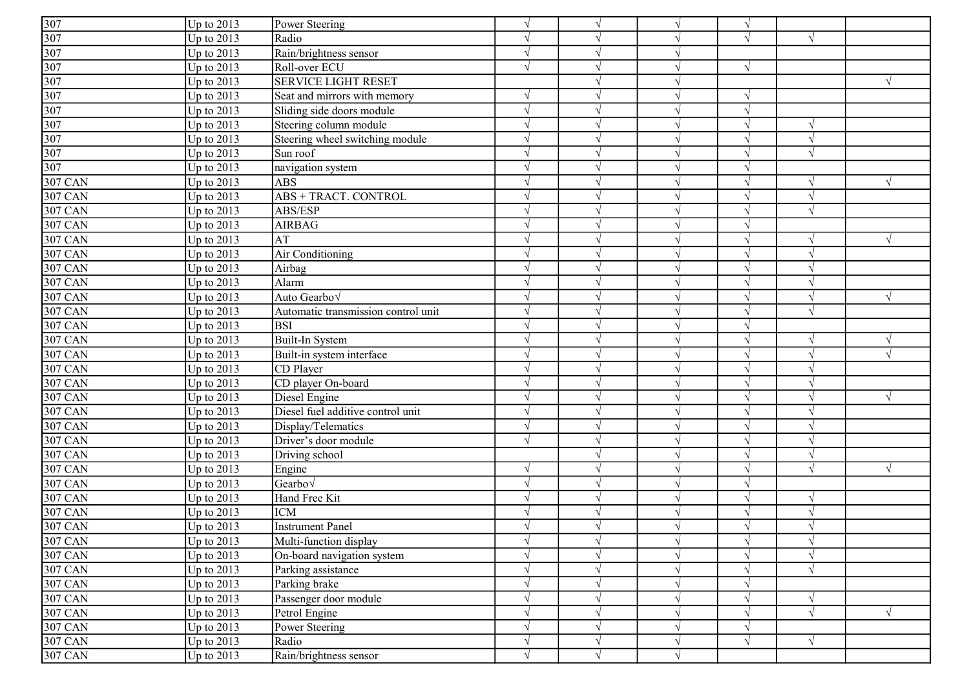|                                     | Up to $2013$            | Power Steering                      | $\sqrt{ }$    |               |           | $\sqrt{ }$    |               |            |
|-------------------------------------|-------------------------|-------------------------------------|---------------|---------------|-----------|---------------|---------------|------------|
| $\frac{307}{307}$ $\frac{307}{307}$ | Up to 2013              | Radio                               |               |               |           |               | $\sqrt{ }$    |            |
|                                     | Up to $2013$            | Rain/brightness sensor              | V             |               |           |               |               |            |
|                                     | Up to 2013              | Roll-over ECU                       | $\sqrt{ }$    |               |           | $\sqrt{ }$    |               |            |
|                                     | Up to 2013              | <b>SERVICE LIGHT RESET</b>          |               |               |           |               |               | $\sqrt{ }$ |
| 307                                 | Up to 2013              | Seat and mirrors with memory        |               |               |           | V             |               |            |
| 307                                 | Up to 2013              | Sliding side doors module           |               |               |           | $\sqrt{}$     |               |            |
| 307                                 | Up to $\overline{2013}$ | Steering column module              | $\sqrt{ }$    |               |           | V             | $\sqrt{ }$    |            |
| 307                                 | Up to 2013              | Steering wheel switching module     | $\sqrt{ }$    |               |           | V             | $\sqrt{ }$    |            |
| 307                                 | Up to 2013              | Sun roof                            | $\sqrt{ }$    | $\mathcal{N}$ |           | $\sqrt{ }$    | $\gamma$      |            |
| $\overline{307}$                    | Up to 2013              | navigation system                   | $\sqrt{ }$    | $\mathcal{L}$ |           | $\sqrt{ }$    |               |            |
| <b>307 CAN</b>                      | Up to 2013              | <b>ABS</b>                          | $\mathcal{L}$ | $\lambda$     |           | $\sqrt{ }$    | $\sqrt{ }$    | $\sqrt{ }$ |
| 307 CAN                             | Up to 2013              | ABS + TRACT. CONTROL                |               |               |           |               |               |            |
| 307 CAN                             | Up to 2013              | ABS/ESP                             | $\mathcal{L}$ |               |           | $\sqrt{}$     | $\sqrt{ }$    |            |
| 307 CAN                             | Up to 2013              | <b>AIRBAG</b>                       |               |               |           | N             |               |            |
| $307$ CAN                           | Up to 2013              | AT                                  | $\mathcal{L}$ |               |           | $\sqrt{ }$    | $\sqrt{ }$    | $\sqrt{ }$ |
| 307 CAN                             | Up to 2013              | Air Conditioning                    | $\mathcal{L}$ | $\mathcal{L}$ |           | $\sqrt{ }$    | $\sqrt{ }$    |            |
| $307$ CAN                           | Up to 2013              | Airbag                              |               |               |           | V             |               |            |
| $307$ CAN                           | Up to 2013              | Alarm                               |               |               |           |               |               |            |
| 307 CAN                             | Up to 2013              | Auto Gearbov                        |               |               |           | $\sqrt{}$     | $\gamma$      | $\sqrt{ }$ |
| 307 CAN                             | Up to 2013              | Automatic transmission control unit | ٦             |               |           | $\sqrt{ }$    |               |            |
| 307 CAN                             | Up to 2013              | <b>BSI</b>                          | $\sqrt{ }$    | $\mathcal{N}$ |           | $\sqrt{ }$    |               |            |
| 307 CAN                             | Up to 2013              | Built-In System                     | V             | $\mathcal{N}$ |           | $\sqrt{ }$    | $\sqrt{ }$    | $\sqrt{ }$ |
| <b>307 CAN</b>                      | Up to 2013              | Built-in system interface           | $\mathcal{L}$ | $\mathcal{L}$ |           | $\sqrt{}$     | $\sqrt{ }$    |            |
| <b>307 CAN</b>                      | Up to 2013              | CD Player                           | $\mathcal{L}$ |               |           | $\sqrt{ }$    | $\sqrt{ }$    |            |
| <b>307 CAN</b>                      | Up to 2013              | CD player On-board                  |               |               |           |               | $\gamma$      |            |
| 307 CAN                             | Up to 2013              | Diesel Engine                       | ٦             |               |           | N             |               | $\sqrt{ }$ |
| 307 CAN                             | Up to 2013              | Diesel fuel additive control unit   | $\mathcal{L}$ |               |           | V             | $\gamma$      |            |
| $307$ CAN                           | Up to 2013              | Display/Telematics                  | $\sqrt{ }$    |               |           | V             | $\mathcal{L}$ |            |
| 307 CAN                             | Up to 2013              | Driver's door module                | $\sqrt{ }$    |               |           | $\sqrt{}$     | $\gamma$      |            |
| 307 CAN                             | Up to 2013              | Driving school                      |               |               |           | $\sqrt{}$     | $\sqrt{ }$    |            |
| <b>307 CAN</b>                      | Up to 2013              | Engine                              | $\mathcal{L}$ |               |           |               |               | $\sqrt{ }$ |
| $307$ CAN                           | Up to 2013              | Gearbov                             | $\mathcal{L}$ |               |           | $\sqrt{ }$    |               |            |
| 307 CAN                             | Up to 2013              | Hand Free Kit                       | $\sqrt{ }$    |               |           | $\sqrt{ }$    | $\sqrt{ }$    |            |
| <b>307 CAN</b>                      | Up to 2013              | <b>ICM</b>                          | $\mathcal{L}$ |               |           | $\mathcal{N}$ | $\mathcal{N}$ |            |
| 307 CAN                             | Up to $2013$            | <b>Instrument Panel</b>             | $\sqrt{ }$    |               |           | $\sqrt{ }$    | $\gamma$      |            |
| 307 CAN                             | Up to $2013$            | Multi-function display              | $\sqrt{ }$    | $\sqrt{ }$    | $\sqrt{}$ | $\sqrt{}$     | $\sqrt{ }$    |            |
| <b>307 CAN</b>                      | Up to 2013              | On-board navigation system          |               |               |           | V             | $\gamma$      |            |
| <b>307 CAN</b>                      | Up to 2013              | Parking assistance                  | V             | $\sqrt{ }$    |           | $\sqrt{}$     | $\sqrt{ }$    |            |
| 307 CAN                             | Up to 2013              | Parking brake                       | ٦             |               |           | $\sqrt{}$     |               |            |
| 307 CAN                             | Up to 2013              | Passenger door module               | V             |               |           | V             | $\gamma$      |            |
| 307 CAN                             | Up to 2013              | Petrol Engine                       | $\sqrt{}$     | $\mathcal{L}$ |           | $\sqrt{}$     | $\sqrt{ }$    | $\sqrt{ }$ |
| $307$ CAN                           | Up to 2013              | Power Steering                      | $\mathcal{L}$ |               |           | $\sqrt{}$     |               |            |
| <b>307 CAN</b>                      | Up to $2013$            | Radio                               |               |               |           | V             | $\gamma$      |            |
| <b>307 CAN</b>                      | Up to 2013              | Rain/brightness sensor              | $\sqrt{}$     | N             | $\gamma$  |               |               |            |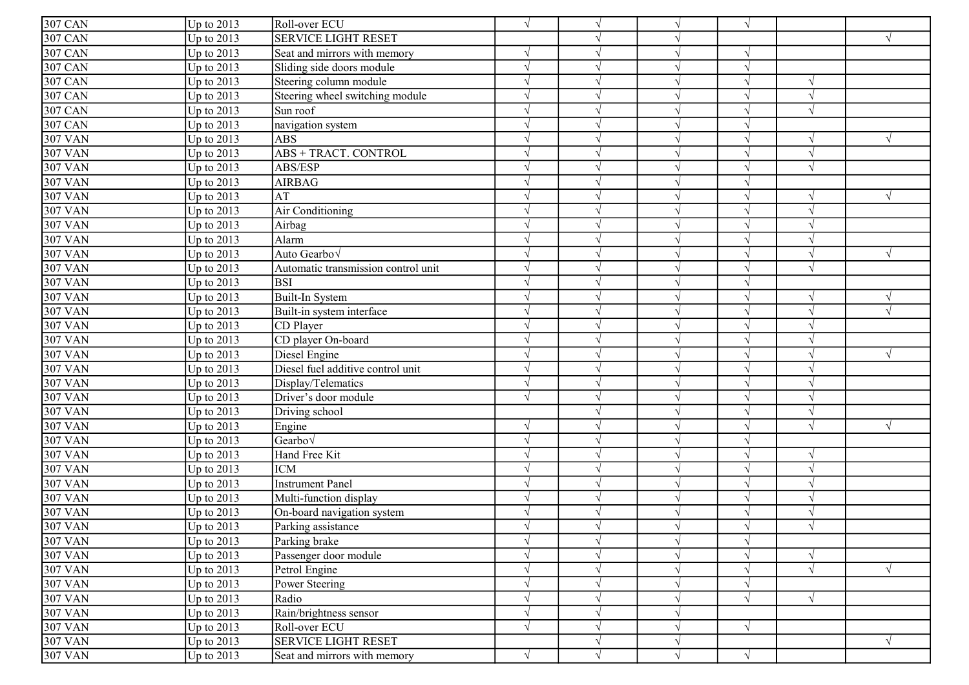| <b>307 CAN</b> | Up to $2013$ | Roll-over ECU                       | $\sqrt{ }$    |               |            | $\sqrt{ }$ |            |            |
|----------------|--------------|-------------------------------------|---------------|---------------|------------|------------|------------|------------|
| 307 CAN        | Up to 2013   | <b>SERVICE LIGHT RESET</b>          |               |               |            |            |            | $\sqrt{ }$ |
| 307 CAN        | Up to 2013   | Seat and mirrors with memory        |               |               |            | V          |            |            |
| 307 CAN        | Up to 2013   | Sliding side doors module           | $\sqrt{ }$    |               |            | $\sqrt{ }$ |            |            |
| <b>307 CAN</b> | Up to 2013   | Steering column module              | $\mathcal{L}$ |               |            | $\sqrt{}$  | $\sqrt{ }$ |            |
| 307 CAN        | Up to 2013   | Steering wheel switching module     |               |               |            | $\sqrt{ }$ | $\sqrt{ }$ |            |
| <b>307 CAN</b> | Up to 2013   | Sun roof                            |               |               |            |            |            |            |
| <b>307 CAN</b> | Up to 2013   | navigation system                   | V             |               |            |            |            |            |
| 307 VAN        | Up to $2013$ | <b>ABS</b>                          | V             |               |            | $\sqrt{ }$ | $\gamma$   | $\sqrt{ }$ |
| 307 VAN        | Up to 2013   | ABS + TRACT. CONTROL                | $\sqrt{ }$    |               |            | $\sqrt{ }$ | $\gamma$   |            |
| <b>307 VAN</b> | Up to $2013$ | ABS/ESP                             | $\sqrt{ }$    | $\mathcal{L}$ |            | $\sqrt{ }$ | $\sqrt{ }$ |            |
| <b>307 VAN</b> | Up to 2013   | <b>AIRBAG</b>                       | $\gamma$      | $\lambda$     |            | $\sqrt{ }$ |            |            |
| 307 VAN        | Up to 2013   | AT                                  |               |               |            |            |            | $\sqrt{ }$ |
| <b>307 VAN</b> | Up to 2013   | Air Conditioning                    | $\mathcal{L}$ |               |            | $\sqrt{}$  | $\sqrt{ }$ |            |
| 307 VAN        | Up to 2013   | Airbag                              |               |               |            |            |            |            |
| 307 VAN        | Up to 2013   | Alarm                               | $\mathcal{L}$ |               |            | V          | $\gamma$   |            |
| 307 VAN        | Up to 2013   | Auto Gearbo <sub>V</sub>            | $\sqrt{ }$    | $\lambda$     |            | $\sqrt{}$  | $\sqrt{ }$ | $\sqrt{ }$ |
| <b>307 VAN</b> | Up to 2013   | Automatic transmission control unit | $\mathcal{L}$ |               |            | $\sqrt{}$  | $\sqrt{ }$ |            |
| 307 VAN        | Up to 2013   | <b>BSI</b>                          |               |               |            |            |            |            |
| $307$ VAN      | Up to 2013   | Built-In System                     |               |               |            | $\sqrt{}$  | $\sqrt{ }$ | $\sqrt{ }$ |
| 307 VAN        | Up to 2013   | Built-in system interface           |               |               |            | $\sqrt{ }$ |            |            |
| 307 VAN        | Up to $2013$ | CD Player                           | $\sqrt{ }$    | $\mathcal{N}$ |            | $\sqrt{ }$ | $\sqrt{ }$ |            |
| 307 VAN        | Up to 2013   | CD player On-board                  | V             | $\mathcal{N}$ |            | $\sqrt{ }$ | $\sqrt{ }$ |            |
| <b>307 VAN</b> | Up to 2013   | Diesel Engine                       | $\mathcal{L}$ | $\mathcal{L}$ |            | $\sqrt{}$  | $\sqrt{ }$ | $\sqrt{ }$ |
| 307 VAN        | Up to 2013   | Diesel fuel additive control unit   | $\gamma$      |               |            | $\sqrt{ }$ | $\gamma$   |            |
| 307 VAN        | Up to 2013   | Display/Telematics                  | $\mathcal{L}$ |               |            |            | $\gamma$   |            |
| 307 VAN        | Up to 2013   | Driver's door module                | $\mathcal{L}$ |               |            |            |            |            |
| 307 VAN        | Up to 2013   | Driving school                      |               |               |            | V          | $\sqrt{ }$ |            |
| <b>307 VAN</b> | Up to 2013   | Engine                              | $\mathcal{L}$ |               |            | V          | $\sqrt{ }$ | $\sqrt{ }$ |
| 307 VAN        | Up to 2013   | Gearbov                             | $\mathcal{L}$ |               |            | $\sqrt{}$  |            |            |
| 307 VAN        | Up to 2013   | Hand Free Kit                       |               |               |            | $\sqrt{}$  | $\sqrt{ }$ |            |
| <b>307 VAN</b> | Up to 2013   | <b>ICM</b>                          |               |               |            |            |            |            |
| <b>307 VAN</b> | Up to 2013   | <b>Instrument Panel</b>             |               |               |            | $\sqrt{ }$ |            |            |
| <b>307 VAN</b> | Up to 2013   | Multi-function display              | $\sqrt{ }$    |               |            | $\sqrt{ }$ | $\gamma$   |            |
| <b>307 VAN</b> | Up to 2013   | On-board navigation system          | $\mathcal{L}$ |               |            | V          |            |            |
| 307 VAN        | Up to $2013$ | Parking assistance                  | $\sqrt{ }$    |               |            | $\sqrt{ }$ | $\gamma$   |            |
| <b>307 VAN</b> | Up to $2013$ | Parking brake                       | $\sqrt{ }$    | $\sqrt{ }$    | $\sqrt{}$  | $\sqrt{}$  |            |            |
| 307 VAN        | Up to 2013   | Passenger door module               |               |               |            | $\sqrt{ }$ |            |            |
| 307 VAN        | Up to 2013   | Petrol Engine                       | V             | $\sqrt{ }$    |            | $\sqrt{}$  | $\sqrt{ }$ | $\sqrt{ }$ |
| 307 VAN        | Up to 2013   | Power Steering                      | ٦             |               |            | $\sqrt{}$  |            |            |
| 307 VAN        | Up to 2013   | Radio                               | V             |               |            | V          | $\gamma$   |            |
| 307 VAN        | Up to 2013   | Rain/brightness sensor              | $\sqrt{ }$    | $\mathcal{L}$ |            |            |            |            |
| $307$ VAN      | Up to $2013$ | Roll-over ECU                       | $\sqrt{}$     |               |            | $\sqrt{ }$ |            |            |
| <b>307 VAN</b> | Up to $2013$ | <b>SERVICE LIGHT RESET</b>          |               |               |            |            |            | $\sqrt{}$  |
| <b>307 VAN</b> | Up to $2013$ | Seat and mirrors with memory        | $\sqrt{ }$    | $\sqrt{ }$    | $\sqrt{ }$ | $\sqrt{}$  |            |            |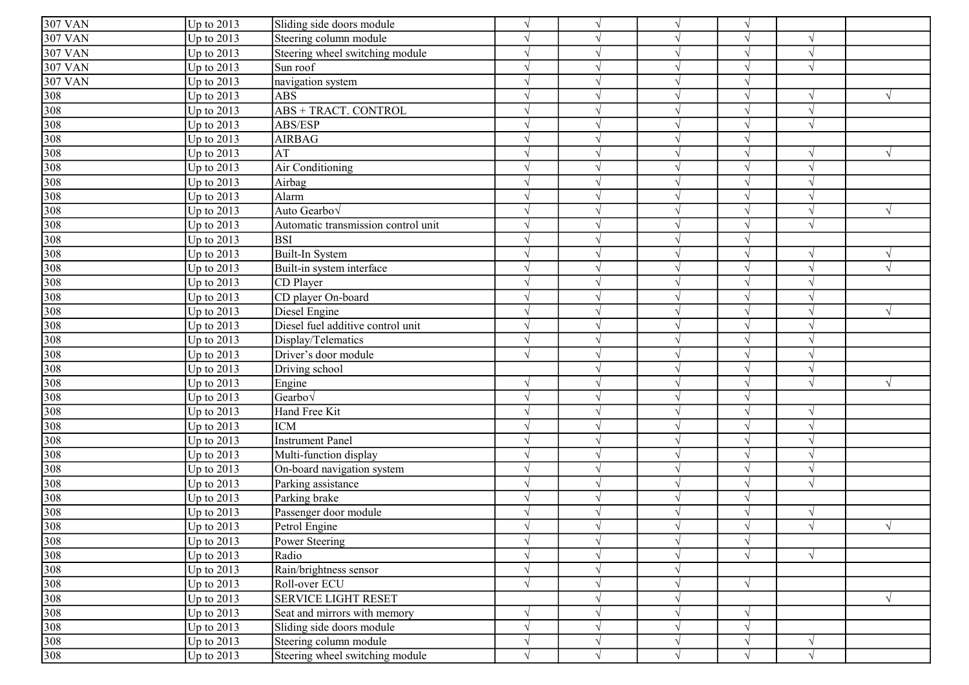| <b>307 VAN</b>                                                                  | Up to $2013$ | Sliding side doors module           | $\sqrt{ }$    | $\sqrt{ }$                 |            | $\sqrt{ }$ |            |            |
|---------------------------------------------------------------------------------|--------------|-------------------------------------|---------------|----------------------------|------------|------------|------------|------------|
| <b>307 VAN</b>                                                                  | Up to $2013$ | Steering column module              | $\mathcal{L}$ |                            |            |            |            |            |
| <b>307 VAN</b>                                                                  | Up to 2013   | Steering wheel switching module     | $\gamma$      |                            |            | V          | $\sqrt{ }$ |            |
| <b>307 VAN</b>                                                                  | Up to 2013   | Sun roof                            | $\gamma$      | $\lambda$                  |            | V          | $\sqrt{ }$ |            |
| <b>307 VAN</b>                                                                  | Up to 2013   | navigation system                   | $\gamma$      | $\boldsymbol{\mathcal{A}}$ |            | $\sqrt{ }$ |            |            |
| 308                                                                             | Up to 2013   | <b>ABS</b>                          | $\mathcal{L}$ |                            |            | $\sqrt{}$  | $\sqrt{ }$ |            |
| 308                                                                             | Up to $2013$ | <b>ABS + TRACT. CONTROL</b>         | $\mathcal{L}$ |                            |            | V          | $\sqrt{ }$ |            |
| 308                                                                             | Up to 2013   | ABS/ESP                             | $\mathcal{L}$ |                            |            | V          |            |            |
| 308                                                                             | Up to 2013   | <b>AIRBAG</b>                       | $\sqrt{ }$    |                            |            | V          |            |            |
| 308                                                                             | Up to 2013   | AT                                  | $\sqrt{ }$    | $\mathcal{N}$              |            | V          | $\sqrt{ }$ |            |
|                                                                                 | Up to 2013   | Air Conditioning                    | $\sqrt{ }$    | $\mathcal{N}$              |            | $\sqrt{ }$ | $\sqrt{ }$ |            |
| $\frac{308}{308}$                                                               | Up to $2013$ | Airbag                              | $\sqrt{ }$    | $\sqrt{ }$                 |            | $\sqrt{ }$ | $\sqrt{ }$ |            |
|                                                                                 | Up to 2013   | Alarm                               | $\sqrt{ }$    | $\sqrt{ }$                 |            | $\sqrt{ }$ | $\sqrt{ }$ |            |
|                                                                                 | Up to 2013   | Auto Gearbo√                        | $\gamma$      |                            |            | V          |            |            |
| $\frac{308}{308}$                                                               | Up to 2013   | Automatic transmission control unit | $\sqrt{ }$    | $\mathcal{N}$              |            | V          | $\sqrt{ }$ |            |
| 308                                                                             | Up to 2013   | <b>BSI</b>                          | $\gamma$      | $\lambda$                  |            | V          |            |            |
| 308                                                                             | Up to 2013   | Built-In System                     | $\gamma$      |                            |            | V          | $\sqrt{ }$ |            |
| 308                                                                             | Up to 2013   | Built-in system interface           | $\gamma$      | $\lambda$                  |            | $\sqrt{ }$ | $\sqrt{ }$ |            |
| 308                                                                             | Up to $2013$ | CD Player                           | $\mathcal{L}$ | $\mathcal{L}$              |            | $\sqrt{}$  | $\sqrt{ }$ |            |
| 308                                                                             | Up to $2013$ | CD player On-board                  | $\mathcal{L}$ |                            |            | V          |            |            |
| 308                                                                             | Up to 2013   | Diesel Engine                       | $\sqrt{ }$    | $\sqrt{ }$                 |            | $\sqrt{}$  | $\sqrt{ }$ |            |
| 308                                                                             | Up to 2013   | Diesel fuel additive control unit   | $\sqrt{ }$    | $\sqrt{ }$                 |            | $\sqrt{}$  |            |            |
| 308                                                                             | Up to $2013$ | Display/Telematics                  | $\sqrt{ }$    | $\mathcal{N}$              |            | $\sqrt{ }$ | $\sqrt{ }$ |            |
| $\frac{308}{308}$                                                               | Up to 2013   | Driver's door module                | $\sqrt{ }$    | $\sqrt{ }$                 |            | $\sqrt{ }$ | $\sqrt{ }$ |            |
|                                                                                 | Up to 2013   | Driving school                      |               | $\sqrt{ }$                 |            | $\sqrt{ }$ | $\sqrt{ }$ |            |
| 308                                                                             | Up to 2013   | Engine                              | $\mathcal{L}$ |                            |            | $\sqrt{}$  |            |            |
| 308                                                                             | Up to 2013   | Gearbo $\sqrt$                      | $\sqrt{ }$    | $\mathcal{N}$              |            | V          |            |            |
| 308                                                                             | Up to 2013   | Hand Free Kit                       | $\sqrt{ }$    |                            |            | V          | $\sqrt{ }$ |            |
| 308                                                                             | Up to 2013   | <b>ICM</b>                          | $\gamma$      |                            |            | V          | $\sqrt{ }$ |            |
| 308                                                                             | Up to 2013   | <b>Instrument Panel</b>             | $\gamma$      |                            |            | V          |            |            |
| 308                                                                             | Up to 2013   | Multi-function display              | $\mathcal{L}$ |                            |            | $\sqrt{ }$ |            |            |
| 308                                                                             | Up to $2013$ | On-board navigation system          | $\mathcal{L}$ |                            |            | $\sqrt{}$  |            |            |
| 308                                                                             | Up to 2013   | Parking assistance                  |               |                            |            |            |            |            |
| 308                                                                             | Up to 2013   | Parking brake                       | $\sqrt{ }$    |                            |            | V          |            |            |
| 308                                                                             | Up to $2013$ | Passenger door module               | $\mathcal{L}$ | $\lambda$                  |            | V          | $\sqrt{ }$ |            |
| 308                                                                             | Up to $2013$ | Petrol Engine                       | $\sqrt{ }$    | $\mathcal{N}$              |            | $\sqrt{ }$ |            | $\sqrt{ }$ |
|                                                                                 | Up to $2013$ | Power Steering                      | $\sqrt{ }$    | $\sqrt{ }$                 | $\sqrt{}$  | $\sqrt{ }$ |            |            |
|                                                                                 | Up to 2013   | Radio                               | $\sqrt{ }$    | $\sqrt{ }$                 |            | $\sqrt{}$  |            |            |
| $\begin{array}{r} 308 \\ 308 \\ 308 \\ \hline 308 \\ 308 \\ \hline \end{array}$ | Up to 2013   | Rain/brightness sensor              | $\sqrt{ }$    | $\sqrt{ }$                 |            |            |            |            |
|                                                                                 | Up to 2013   | Roll-over ECU                       | $\sqrt{ }$    | $\sqrt{ }$                 |            | $\sqrt{}$  |            |            |
|                                                                                 | Up to 2013   | <b>SERVICE LIGHT RESET</b>          |               | $\sqrt{ }$                 |            |            |            | $\sqrt{ }$ |
| $\frac{308}{308}$                                                               | Up to 2013   | Seat and mirrors with memory        | $\gamma$      | $\sqrt{ }$                 |            | $\sqrt{}$  |            |            |
|                                                                                 | Up to 2013   | Sliding side doors module           | $\sqrt{ }$    | $\sqrt{ }$                 | $\sqrt{ }$ | $\sqrt{ }$ |            |            |
| 308                                                                             | Up to $2013$ | Steering column module              | $\sqrt{}$     | $\sqrt{ }$                 |            | $\sqrt{}$  | $\sqrt{}$  |            |
| 308                                                                             | Up to $2013$ | Steering wheel switching module     | $\sqrt{ }$    | $\sqrt{ }$                 |            | $\sqrt{ }$ | $\sqrt{ }$ |            |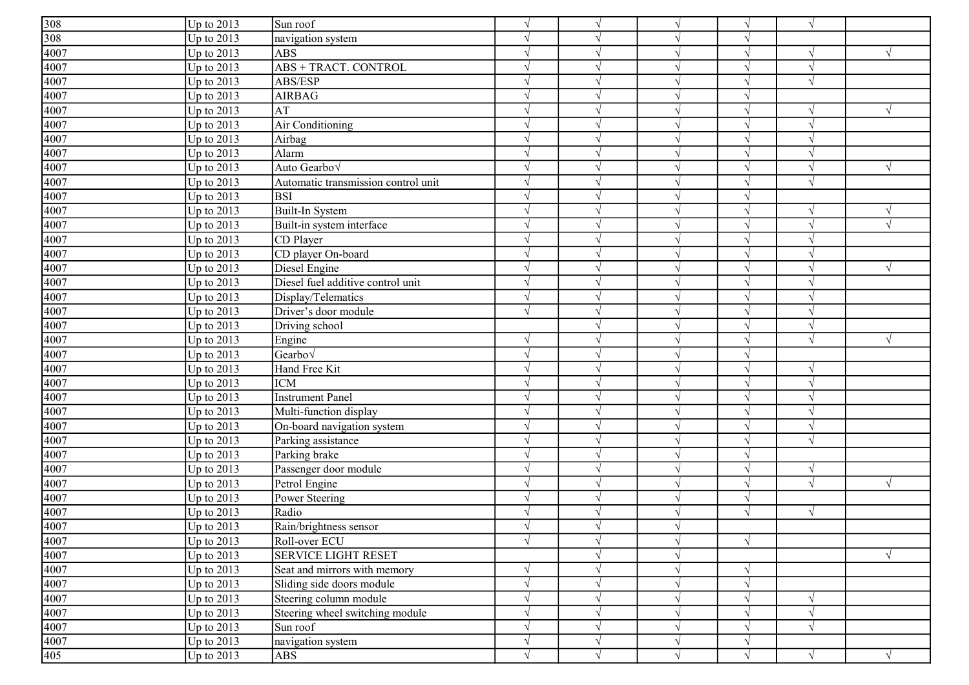| $\frac{308}{308}$<br>$\frac{308}{4007}$                     | Up to $2013$ | Sun roof                            | $\sqrt{ }$        | $\sqrt{ }$                 |            | $\sqrt{ }$ | $\sqrt{ }$               |            |
|-------------------------------------------------------------|--------------|-------------------------------------|-------------------|----------------------------|------------|------------|--------------------------|------------|
|                                                             | Up to $2013$ | navigation system                   | $\gamma$          | $\boldsymbol{\mathcal{A}}$ |            | $\sqrt{ }$ |                          |            |
|                                                             | Up to $2013$ | <b>ABS</b>                          | $\gamma$          |                            |            | $\sqrt{ }$ |                          |            |
| 4007                                                        | Up to $2013$ | <b>ABS + TRACT. CONTROL</b>         | $\gamma$          |                            |            | $\sqrt{ }$ | $\overline{\mathcal{N}}$ |            |
| 4007                                                        | Up to $2013$ | ABS/ESP                             | $\mathcal{L}$     |                            |            | $\sqrt{ }$ |                          |            |
| 4007                                                        | Up to $2013$ | <b>AIRBAG</b>                       | $\sqrt{ }$        |                            |            | $\sqrt{ }$ |                          |            |
| 4007                                                        | Up to $2013$ | AT                                  | $\sqrt{ }$        | $\mathcal{N}$              |            | $\sqrt{ }$ | $\sqrt{}$                |            |
| $\frac{4007}{4007}$                                         | Up to $2013$ | Air Conditioning                    | $\sqrt{ }$        | $\sqrt{ }$                 |            | $\sqrt{ }$ | $\sqrt{ }$               |            |
|                                                             | Up to $2013$ | Airbag                              | $\mathcal{L}$     | $\lambda$                  |            | $\sqrt{ }$ | $\sqrt{2}$               |            |
|                                                             | Up to 2013   | Alarm                               | $\mathcal{L}$     | $\lambda$                  |            | $\sqrt{ }$ | $\sqrt{ }$               |            |
| 4007                                                        | Up to 2013   | Auto Gearbo <sub>V</sub>            | $\gamma$          |                            |            | $\sqrt{ }$ |                          |            |
| 4007                                                        | Up to $2013$ | Automatic transmission control unit | $\sqrt{ }$        | $\mathcal{N}$              |            | $\sqrt{ }$ | $\sqrt{ }$               |            |
| 4007                                                        | Up to $2013$ | <b>BSI</b>                          | $\gamma$          | ٦                          |            | $\sqrt{ }$ |                          |            |
| 4007                                                        | Up to $2013$ | Built-In System                     | $\gamma$          |                            |            | $\sqrt{ }$ | N                        |            |
| 4007                                                        | Up to $2013$ | Built-in system interface           | $\mathcal{L}$     | $\mathcal{L}$              |            | $\sqrt{ }$ | $\sqrt{ }$               |            |
| 4007                                                        | Up to $2013$ | CD Player                           | $\mathcal{L}$     | $\mathcal{L}$              |            | $\sqrt{}$  |                          |            |
| 4007                                                        | Up to $2013$ | CD player On-board                  | $\gamma$          |                            |            | $\sqrt{ }$ |                          |            |
| 4007                                                        | Up to $2013$ | Diesel Engine                       | $\sqrt{ }$        | $\sqrt{ }$                 |            | $\sqrt{ }$ | $\sqrt{ }$               |            |
| 4007                                                        | Up to $2013$ | Diesel fuel additive control unit   | $\mathbf{\hat{}}$ | $\sqrt{ }$                 |            | $\sqrt{}$  |                          |            |
| $\frac{4007}{4007}$ $\frac{4007}{4007}$                     | Up to $2013$ | Display/Telematics                  | $\mathcal{L}$     | $\sqrt{ }$                 |            | $\sqrt{ }$ | $\sqrt{ }$               |            |
|                                                             | Up to 2013   | Driver's door module                | $\Delta$          | $\sqrt{ }$                 |            | $\sqrt{ }$ | $\sqrt{ }$               |            |
|                                                             | Up to 2013   | Driving school                      |                   | $\sqrt{ }$                 |            | $\sqrt{ }$ | $\sqrt{ }$               |            |
|                                                             | Up to 2013   | Engine                              |                   |                            |            | $\sqrt{ }$ |                          |            |
| 4007                                                        | Up to $2013$ | Gearbo $\sqrt$                      | $\sqrt{ }$        | $\sqrt{ }$                 |            | $\sqrt{ }$ |                          |            |
| 4007                                                        | Up to $2013$ | Hand Free Kit                       | $\gamma$          |                            |            | $\sqrt{ }$ |                          |            |
| 4007                                                        | Up to $2013$ | <b>ICM</b>                          | $\gamma$          | ٦                          |            | $\sqrt{ }$ | $\sqrt{ }$               |            |
| 4007                                                        | Up to $2013$ | <b>Instrument Panel</b>             | $\sqrt{ }$        | $\mathcal{L}$              |            | $\sqrt{ }$ |                          |            |
| 4007                                                        | Up to $2013$ | Multi-function display              | $\gamma$          |                            |            | $\sqrt{ }$ |                          |            |
| 4007                                                        | Up to $2013$ | On-board navigation system          | $\mathcal{L}$     |                            |            | $\sqrt{ }$ | $\gamma$                 |            |
| 4007                                                        | Up to $2013$ | Parking assistance                  | $\sqrt{ }$        |                            |            | $\sqrt{ }$ |                          |            |
| 4007                                                        | Up to $2013$ | Parking brake                       | $\sqrt{ }$        |                            |            | $\sqrt{ }$ |                          |            |
| 4007                                                        | Up to $2013$ | Passenger door module               | $\sqrt{ }$        | $\sqrt{ }$                 |            | $\sqrt{ }$ | $\sqrt{ }$               |            |
| $\frac{4007}{4007}$ $\frac{4007}{4007}$                     | Up to 2013   | Petrol Engine                       | $\sqrt{ }$        | $\sqrt{ }$                 |            | $\sqrt{ }$ | $\sqrt{ }$               | V          |
|                                                             | Up to 2013   | Power Steering                      | $\mathcal{L}$     | $\sqrt{ }$                 |            | $\sqrt{}$  |                          |            |
|                                                             | Up to 2013   | Radio                               | $\gamma$          | $\mathcal{L}$              |            | $\sqrt{ }$ | $\sqrt{ }$               |            |
|                                                             | Up to $2013$ | Rain/brightness sensor              |                   |                            |            |            |                          |            |
|                                                             | Up to $2013$ | Roll-over ECU                       | $\sqrt{ }$        | $\sqrt{ }$                 | $\sqrt{ }$ | $\sqrt{}$  |                          |            |
|                                                             | Up to $2013$ | SERVICE LIGHT RESET                 |                   | $\sqrt{ }$                 |            |            |                          | $\sqrt{ }$ |
|                                                             | Up to $2013$ | Seat and mirrors with memory        | $\gamma$          | $\sqrt{ }$                 |            | $\sqrt{ }$ |                          |            |
|                                                             | Up to $2013$ | Sliding side doors module           | $\sqrt{ }$        | $\sqrt{ }$                 |            | $\sqrt{}$  |                          |            |
| $\frac{4007}{4007}$ $\frac{4007}{4007}$ $\frac{4007}{4007}$ | Up to $2013$ | Steering column module              | $\sqrt{ }$        | $\sqrt{ }$                 |            | $\sqrt{ }$ | $\sqrt{}$                |            |
| 4007                                                        | Up to $2013$ | Steering wheel switching module     | $\sqrt{ }$        | $\mathcal{N}$              |            | $\sqrt{ }$ |                          |            |
| 4007                                                        | Up to $2013$ | Sun roof                            | $\sqrt{ }$        | $\sqrt{ }$                 |            | $\sqrt{ }$ | $\sqrt{}$                |            |
|                                                             | Up to $2013$ | navigation system                   | $\sqrt{ }$        | $\sqrt{ }$                 |            | $\sqrt{}$  |                          |            |
| $\frac{4007}{405}$                                          | Up to $2013$ | <b>ABS</b>                          | $\sqrt{ }$        | $\sqrt{ }$                 |            | $\sqrt{ }$ | $\sqrt{}$                |            |
|                                                             |              |                                     |                   |                            |            |            |                          |            |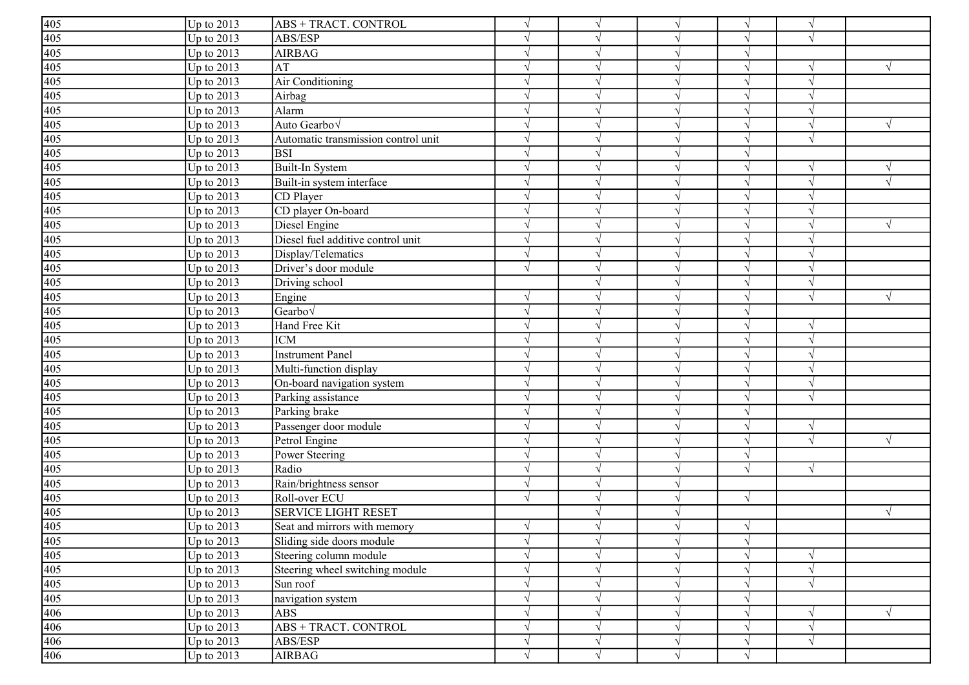|                                                                         | Up to $2013$ | ABS + TRACT. CONTROL                | $\sqrt{ }$    | $\sqrt{ }$                 |            | $\sqrt{ }$ | $\sqrt{ }$ |            |
|-------------------------------------------------------------------------|--------------|-------------------------------------|---------------|----------------------------|------------|------------|------------|------------|
|                                                                         | Up to 2013   | ABS/ESP                             | $\gamma$      | $\lambda$                  |            | V          | $\sqrt{ }$ |            |
|                                                                         | Up to $2013$ | <b>AIRBAG</b>                       | $\gamma$      | $\boldsymbol{\mathcal{A}}$ |            | V          |            |            |
| $\frac{405}{405}$ $\frac{405}{405}$ $\frac{405}{405}$                   | Up to 2013   | AT                                  | $\gamma$      | $\boldsymbol{\mathcal{A}}$ |            | $\sqrt{ }$ | $\sqrt{ }$ |            |
|                                                                         | Up to $2013$ | Air Conditioning                    | $\sqrt{ }$    | $\lambda$                  |            | $\sqrt{ }$ | $\sqrt{ }$ |            |
| 405                                                                     | Up to $2013$ | Airbag                              | $\mathcal{L}$ |                            |            | V          |            |            |
| 405                                                                     | Up to 2013   | Alarm                               | $\sqrt{ }$    | $\mathcal{N}$              |            | $\sqrt{ }$ |            |            |
| 405                                                                     | Up to 2013   | Auto Gearbov                        | $\sqrt{ }$    | $\mathcal{N}$              |            | V          | $\sqrt{ }$ |            |
| 405                                                                     | Up to 2013   | Automatic transmission control unit | $\sqrt{ }$    | $\mathcal{N}$              |            | $\sqrt{ }$ | $\sqrt{ }$ |            |
| 405<br>405<br>405<br>405<br>405<br>405                                  | Up to 2013   | <b>BSI</b>                          | $\sqrt{ }$    | $\sqrt{ }$                 |            | $\sqrt{ }$ |            |            |
|                                                                         | Up to 2013   | Built-In System                     | $\sqrt{ }$    | $\mathcal{N}$              |            | $\sqrt{ }$ | $\sqrt{ }$ |            |
|                                                                         | Up to 2013   | Built-in system interface           | $\mathcal{L}$ |                            |            | V          |            |            |
|                                                                         | Up to 2013   | CD Player                           | $\gamma$      | $\boldsymbol{\mathcal{A}}$ |            | V          |            |            |
|                                                                         | Up to 2013   | CD player On-board                  | $\gamma$      |                            |            | V          |            |            |
|                                                                         | Up to 2013   | Diesel Engine                       | $\gamma$      |                            |            | V          | $\sqrt{ }$ | V          |
|                                                                         | Up to 2013   | Diesel fuel additive control unit   | $\gamma$      |                            |            | $\sqrt{ }$ |            |            |
| $\frac{405}{405}$                                                       | Up to $2013$ | Display/Telematics                  | $\mathcal{L}$ |                            |            | $\sqrt{ }$ | $\sqrt{ }$ |            |
| 405                                                                     | Up to $2013$ | Driver's door module                | $\sqrt{ }$    |                            |            | $\sqrt{}$  |            |            |
| 405                                                                     | Up to $2013$ | Driving school                      |               |                            |            | V          |            |            |
| 405                                                                     | Up to $2013$ | Engine                              | $\sqrt{ }$    |                            |            | V          | $\sqrt{ }$ |            |
| 405                                                                     | Up to $2013$ | Gearbo√                             | $\sqrt{ }$    | $\mathcal{N}$              |            | V          |            |            |
| 405<br>405<br>405<br>405<br>405<br>405<br>405<br>405                    | Up to $2013$ | Hand Free Kit                       | $\gamma$      | $\sqrt{ }$                 |            | $\sqrt{ }$ | $\sqrt{ }$ |            |
|                                                                         | Up to 2013   | <b>ICM</b>                          | $\gamma$      | $\mathcal{N}$              |            | $\sqrt{ }$ | $\sqrt{ }$ |            |
|                                                                         | Up to 2013   | <b>Instrument Panel</b>             | $\mathcal{L}$ | $\sim$                     |            | $\sqrt{}$  | $\sqrt{ }$ |            |
|                                                                         | Up to 2013   | Multi-function display              | $\gamma$      |                            |            | $\sqrt{ }$ |            |            |
|                                                                         | Up to 2013   | On-board navigation system          | $\gamma$      |                            |            | V          |            |            |
|                                                                         | Up to 2013   | Parking assistance                  | $\gamma$      |                            |            | V          | $\sqrt{ }$ |            |
|                                                                         | Up to $2013$ | Parking brake                       | $\gamma$      |                            |            | V          |            |            |
|                                                                         | Up to 2013   | Passenger door module               | $\gamma$      | $\lambda$                  |            | $\sqrt{ }$ | $\sqrt{ }$ |            |
| 405                                                                     | Up to $2013$ | Petrol Engine                       | $\mathcal{L}$ |                            |            | $\sqrt{}$  | $\sqrt{ }$ |            |
| 405                                                                     | Up to $2013$ | Power Steering                      | $\mathcal{L}$ |                            |            | $\sqrt{}$  |            |            |
| 405                                                                     | Up to 2013   | Radio                               | $\sqrt{ }$    | $\mathcal{N}$              |            | $\sqrt{ }$ | $\sqrt{ }$ |            |
| 405                                                                     | Up to $2013$ | Rain/brightness sensor              | $\mathcal{L}$ | $\mathcal{N}$              |            |            |            |            |
|                                                                         | Up to $2013$ | Roll-over ECU                       | $\sqrt{ }$    | $\sqrt{ }$                 |            | $\sqrt{ }$ |            |            |
| $\frac{405}{405}$                                                       | Up to 2013   | <b>SERVICE LIGHT RESET</b>          |               | $\sqrt{ }$                 |            |            |            | $\sqrt{ }$ |
|                                                                         | Up to $2013$ | Seat and mirrors with memory        | $\sqrt{ }$    |                            |            | $\sqrt{ }$ |            |            |
|                                                                         | Up to $2013$ | Sliding side doors module           | $\sqrt{ }$    | $\sqrt{ }$                 | $\sqrt{ }$ | $\sqrt{ }$ |            |            |
|                                                                         | Up to 2013   | Steering column module              | $\sqrt{ }$    | $\sqrt{ }$                 |            | $\sqrt{}$  | $\sqrt{ }$ |            |
|                                                                         | Up to 2013   | Steering wheel switching module     | $\sqrt{ }$    | $\sqrt{ }$                 |            | $\sqrt{ }$ | $\sqrt{}$  |            |
|                                                                         | Up to 2013   | Sun roof                            | $\sqrt{ }$    | $\mathcal{N}$              |            | V          | $\sqrt{ }$ |            |
| $\frac{405}{405}$ $\frac{405}{405}$ $\frac{405}{406}$ $\frac{406}{406}$ | Up to 2013   | navigation system                   | $\sqrt{ }$    | $\sqrt{ }$                 | $\sqrt{ }$ | $\sqrt{}$  |            |            |
|                                                                         | Up to 2013   | <b>ABS</b>                          | $\sqrt{ }$    | $\sqrt{ }$                 |            | $\sqrt{}$  | $\sqrt{ }$ |            |
|                                                                         | Up to $2013$ | <b>ABS + TRACT. CONTROL</b>         | $\sqrt{ }$    | $\sqrt{ }$                 |            | $\sqrt{ }$ | $\sqrt{ }$ |            |
| 406                                                                     | Up to $2013$ | ABS/ESP                             | $\sqrt{ }$    | $\sqrt{ }$                 |            | $\sqrt{}$  | $\sqrt{ }$ |            |
| 406                                                                     | Up to $2013$ | <b>AIRBAG</b>                       | $\sqrt{ }$    | $\sqrt{ }$                 | $\sqrt{}$  | $\sqrt{}$  |            |            |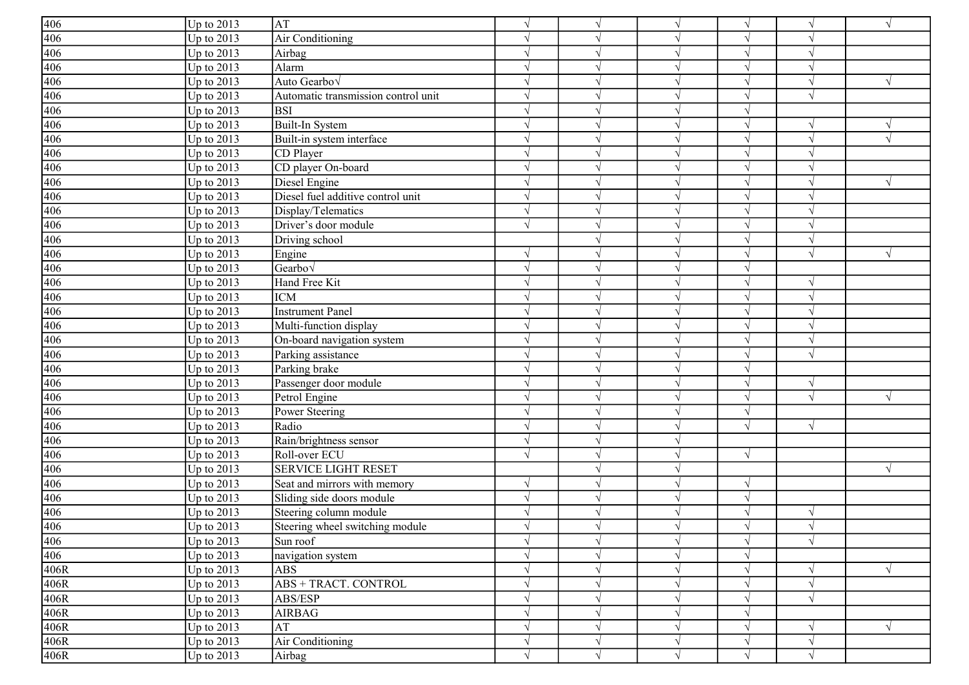| $\frac{406}{406}$             | Up to $2013$      | AT                                  | $\sqrt{ }$    | $\gamma$      | $\sqrt{ }$   | $\sqrt{ }$ | $\sqrt{ }$    | $\sqrt{}$  |
|-------------------------------|-------------------|-------------------------------------|---------------|---------------|--------------|------------|---------------|------------|
|                               | Up to 2013        | Air Conditioning                    | $\gamma$      |               |              | $\sqrt{ }$ |               |            |
| 406                           | Up to 2013        | Airbag                              | $\mathcal{L}$ |               |              | $\sqrt{ }$ |               |            |
| 406                           | Up to $2013$      | Alarm                               |               |               |              | $\sqrt{ }$ |               |            |
| 406                           | Up to 2013        | Auto Gearbov                        |               |               |              | $\sqrt{ }$ |               |            |
| 406                           | Up to 2013        | Automatic transmission control unit |               |               |              | V          |               |            |
| 406                           | Up to 2013        | <b>BSI</b>                          | N             |               | $\mathcal N$ | $\sqrt{ }$ |               |            |
| 406                           | Up to 2013        | Built-In System                     | N             |               |              | $\sqrt{ }$ | $\sqrt{ }$    |            |
| 406                           | Up to 2013        | Built-in system interface           | N             |               |              | $\sqrt{ }$ |               | $\sqrt{ }$ |
| 406                           | Up to $2013$      | CD Player                           | $\sqrt{ }$    |               |              | $\sqrt{}$  | $\sqrt{ }$    |            |
|                               | Up to 2013        | CD player On-board                  |               |               |              | $\sqrt{ }$ | $\gamma$      |            |
| $\frac{406}{406}$             | Up to 2013        | Diesel Engine                       | $\sqrt{ }$    |               |              | $\sqrt{ }$ | $\sqrt{ }$    | $\sqrt{ }$ |
|                               | Up to 2013        | Diesel fuel additive control unit   | $\gamma$      |               | $\mathcal N$ | $\sqrt{ }$ | $\gamma$      |            |
| 406                           | Up to 2013        | Display/Telematics                  | $\gamma$      |               |              | $\sqrt{ }$ |               |            |
| 406                           | Up to 2013        | Driver's door module                | $\sqrt{ }$    |               | $\sqrt{ }$   | $\sqrt{ }$ | $\sqrt{ }$    |            |
| 406                           | Up to 2013        | Driving school                      |               |               |              | $\sqrt{}$  | $\sqrt{ }$    |            |
| 406                           | Up to 2013        | Engine                              | $\mathcal{L}$ |               |              | $\sqrt{ }$ | $\sqrt{ }$    |            |
| 406                           | Up to 2013        | $\overline{\text{Gearbo}}\sqrt{}$   | $\sqrt{ }$    |               |              | $\sqrt{ }$ |               |            |
| 406                           | Up to 2013        | Hand Free Kit                       | N             | N             | $\sqrt{ }$   | $\sqrt{}$  | $\sqrt{ }$    |            |
| 406                           | Up to 2013        | <b>ICM</b>                          | N             | $\mathcal{L}$ |              | $\sqrt{ }$ | $\sqrt{ }$    |            |
| 406                           | Up to 2013        | <b>Instrument Panel</b>             | $\sqrt{ }$    | $\sqrt{ }$    |              | $\sqrt{}$  | $\sqrt{ }$    |            |
| 406                           | Up to 2013        | Multi-function display              | $\sqrt{ }$    | $\sqrt{ }$    |              | $\sqrt{ }$ | $\sqrt{ }$    |            |
| 406                           | Up to 2013        | On-board navigation system          | $\mathcal{L}$ |               |              | $\sqrt{ }$ | $\sqrt{ }$    |            |
| $\frac{406}{406}$             | Up to 2013        | Parking assistance                  | $\mathcal{L}$ |               |              | $\sqrt{ }$ | $\sqrt{ }$    |            |
|                               | Up to 2013        | Parking brake                       | $\gamma$      |               |              | $\sqrt{ }$ |               |            |
| 406                           | Up to 2013        | Passenger door module               | $\gamma$      |               |              | $\sqrt{ }$ | $\mathcal{N}$ |            |
| 406                           | Up to 2013        | Petrol Engine                       | $\mathcal{L}$ |               |              | $\sqrt{ }$ | $\sqrt{ }$    | $\sqrt{}$  |
| 406                           | Up to 2013        | Power Steering                      | $\mathcal{L}$ |               |              | $\sqrt{}$  |               |            |
| 406                           | Up to $2013$      | Radio                               | N             |               |              | $\sqrt{ }$ | $\sqrt{ }$    |            |
| 406                           | Up to 2013        | Rain/brightness sensor              | N             |               |              |            |               |            |
| 406                           | Up to 2013        | Roll-over ECU                       | $\sqrt{ }$    |               |              | $\sqrt{ }$ |               |            |
| 406                           | Up to 2013        | <b>SERVICE LIGHT RESET</b>          |               |               | $\mathcal N$ |            |               | $\sqrt{ }$ |
| 406                           | Up to 2013        | Seat and mirrors with memory        | $\sqrt{ }$    |               |              | $\sqrt{ }$ |               |            |
| $\overline{406}$              | Up to 2013        | Sliding side doors module           | $\sqrt{ }$    | $\gamma$      |              | $\sqrt{}$  |               |            |
| $\frac{406}{406}$             | Up to $2013$      | Steering column module              | $\sqrt{ }$    |               |              | $\sqrt{ }$ | $\sqrt{ }$    |            |
|                               | Up to $2013$      | Steering wheel switching module     |               |               |              |            |               |            |
| $\frac{406}{\frac{406}{406}}$ | Up to 2013        | Sun roof                            | $\sqrt{ }$    | $\sqrt{ }$    | $\sqrt{ }$   | $\sqrt{}$  | $\sqrt{ }$    |            |
|                               | Up to 2013        | navigation system                   | $\sqrt{ }$    | $\sqrt{ }$    | $\sqrt{ }$   | $\sqrt{}$  |               |            |
|                               | <b>Up to 2013</b> | <b>ABS</b>                          | $\sqrt{ }$    | $\mathcal{L}$ | $\mathcal N$ | $\sqrt{ }$ | $\sqrt{ }$    | $\sqrt{ }$ |
| 406R                          | Up to 2013        | <b>ABS + TRACT. CONTROL</b>         | $\sqrt{ }$    | $\sqrt{ }$    | $\sqrt{ }$   | $\sqrt{}$  | $\sqrt{ }$    |            |
| 406R                          | Up to 2013        | ABS/ESP                             | $\sqrt{ }$    | $\sqrt{ }$    | $\sqrt{ }$   | $\sqrt{}$  | $\sqrt{ }$    |            |
| 406R                          | Up to 2013        | <b>AIRBAG</b>                       | N             | $\mathcal{L}$ |              | $\sqrt{ }$ |               |            |
| 406R                          | Up to 2013        | AT                                  | $\sqrt{}$     | $\sqrt{ }$    | $\sqrt{ }$   | $\sqrt{}$  | $\sqrt{ }$    | $\sqrt{ }$ |
| 406R                          | Up to 2013        | <b>Air Conditioning</b>             | V             | $\sqrt{ }$    | $\sqrt{ }$   | $\sqrt{}$  | $\sqrt{}$     |            |
| 406R                          | Up to 2013        | Airbag                              | $\sqrt{ }$    | $\sqrt{ }$    | $\sqrt{ }$   | $\sqrt{}$  | $\sqrt{ }$    |            |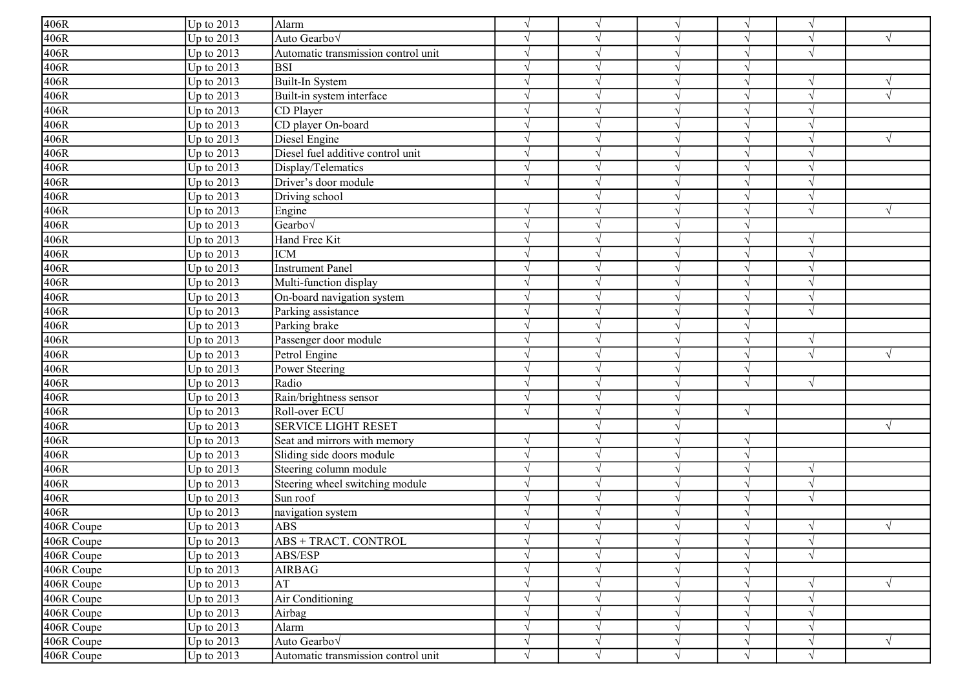| 406R       | Up to $2013$ | Alarm                               | $\sqrt{ }$    | $\sqrt{ }$    |           |            |                          |   |
|------------|--------------|-------------------------------------|---------------|---------------|-----------|------------|--------------------------|---|
| 406R       | Up to $2013$ | Auto Gearbov                        | $\sqrt{ }$    | $\gamma$      |           | N          |                          |   |
| 406R       | Up to $2013$ | Automatic transmission control unit | $\sqrt{ }$    | $\sqrt{ }$    |           | $\sqrt{ }$ |                          |   |
| 406R       | Up to $2013$ | lbsi                                | $\sqrt{ }$    | $\mathcal{L}$ |           | $\sqrt{ }$ |                          |   |
| 406R       | Up to $2013$ | Built-In System                     | $\sqrt{ }$    | $\gamma$      |           | $\sqrt{ }$ |                          |   |
| 406R       | Up to 2013   | Built-in system interface           | $\sqrt{ }$    | $\sqrt{ }$    |           | $\sqrt{ }$ |                          |   |
| 406R       | Up to $2013$ | CD Player                           | $\sqrt{ }$    | $\sqrt{ }$    |           | $\sqrt{ }$ |                          |   |
| 406R       | Up to $2013$ | CD player On-board                  | $\sqrt{ }$    | $\sqrt{ }$    |           | $\sqrt{ }$ | $\mathcal{N}$            |   |
| 406R       | Up to 2013   | Diesel Engine                       | $\sqrt{ }$    | $\sqrt{ }$    |           | $\sqrt{ }$ | $\Delta$                 |   |
| 406R       | Up to 2013   | Diesel fuel additive control unit   | $\sqrt{ }$    | $\sqrt{ }$    |           | $\sqrt{ }$ | $\overline{\mathcal{N}}$ |   |
| 406R       | Up to 2013   | Display/Telematics                  | $\sqrt{ }$    | $\sqrt{ }$    |           | $\sqrt{ }$ | $\mathcal{L}$            |   |
| 406R       | Up to $2013$ | Driver's door module                | $\sqrt{ }$    | $\sqrt{ }$    |           | $\sqrt{ }$ |                          |   |
| 406R       | Up to $2013$ | Driving school                      |               | $\mathcal{L}$ |           |            |                          |   |
| 406R       | Up to $2013$ | Engine                              | $\sqrt{ }$    | $\sqrt{ }$    |           | $\sqrt{ }$ | $\sqrt{ }$               | V |
| 406R       | Up to $2013$ | Gearbo√                             | $\sqrt{ }$    | $\gamma$      |           | $\sqrt{ }$ |                          |   |
| 406R       | Up to $2013$ | Hand Free Kit                       | $\sqrt{ }$    | $\mathcal{L}$ |           | $\sqrt{ }$ | $\mathcal{A}$            |   |
| 406R       | Up to 2013   | <b>ICM</b>                          | $\sqrt{ }$    | $\sqrt{ }$    |           | $\sqrt{ }$ |                          |   |
| 406R       | Up to $2013$ | Instrument Panel                    | $\mathcal{L}$ | $\gamma$      |           |            |                          |   |
| 406R       | Up to $2013$ | Multi-function display              | $\sqrt{ }$    | $\sqrt{ }$    |           | $\sqrt{}$  |                          |   |
| 406R       | Up to $2013$ | On-board navigation system          | $\sqrt{ }$    | $\sqrt{ }$    |           | $\sqrt{ }$ | $\overline{\mathcal{N}}$ |   |
| 406R       | Up to $2013$ | Parking assistance                  | $\sqrt{ }$    | $\sqrt{ }$    |           | $\sqrt{ }$ |                          |   |
| 406R       | Up to $2013$ | Parking brake                       | $\sqrt{ }$    | $\sqrt{ }$    |           | $\sqrt{ }$ |                          |   |
| 406R       | Up to 2013   | Passenger door module               | $\sqrt{ }$    | $\sqrt{ }$    |           | $\sqrt{ }$ | $\sqrt{2}$               |   |
| 406R       | Up to 2013   | Petrol Engine                       | $\sqrt{ }$    | $\sqrt{ }$    |           | $\sqrt{ }$ |                          |   |
| 406R       | Up to 2013   | Power Steering                      | $\sqrt{ }$    | $\sqrt{ }$    |           | $\sqrt{}$  |                          |   |
| 406R       | Up to $2013$ | Radio                               | $\sqrt{ }$    | $\gamma$      |           | $\sqrt{ }$ | $\sqrt{}$                |   |
| 406R       | Up to 2013   | Rain/brightness sensor              | $\sqrt{ }$    | $\gamma$      |           |            |                          |   |
| 406R       | Up to $2013$ | Roll-over ECU                       | $\sqrt{ }$    | $\sqrt{ }$    |           | $\sqrt{ }$ |                          |   |
| 406R       | Up to $2013$ | <b>SERVICE LIGHT RESET</b>          |               | $\sqrt{ }$    |           |            |                          | V |
| 406R       | Up to 2013   | Seat and mirrors with memory        | $\sqrt{ }$    | $\mathcal{L}$ |           | $\sqrt{ }$ |                          |   |
| 406R       | Up to $2013$ | Sliding side doors module           | $\sqrt{ }$    | $\sqrt{ }$    |           | $\sqrt{ }$ |                          |   |
| 406R       | Up to 2013   | Steering column module              | $\sqrt{ }$    | $\sqrt{ }$    |           | $\sqrt{ }$ | $\sqrt{ }$               |   |
| 406R       | Up to 2013   | Steering wheel switching module     | $\sqrt{ }$    | $\sqrt{ }$    |           | $\sqrt{ }$ | $\sqrt{ }$               |   |
| 406R       | Up to 2013   | Sun roof                            | $\sqrt{ }$    | $\sqrt{ }$    |           | $\sqrt{ }$ | $\sqrt{ }$               |   |
| 406R       | Up to 2013   | navigation system                   | $\sqrt{ }$    | $\sqrt{ }$    |           | $\sqrt{ }$ |                          |   |
| 406R Coupe | Up to $2013$ | <b>ABS</b>                          |               |               |           |            |                          |   |
| 406R Coupe | Up to $2013$ | ABS + TRACT. CONTROL                | $\sqrt{ }$    | $\sqrt{}$     | $\sqrt{}$ | $\sqrt{}$  | $\sqrt{ }$               |   |
| 406R Coupe | Up to $2013$ | ABS/ESP                             | $\sqrt{ }$    | $\sqrt{ }$    |           | $\sqrt{ }$ | $\sqrt{ }$               |   |
| 406R Coupe | Up to $2013$ | <b>AIRBAG</b>                       | $\sqrt{ }$    | $\sqrt{ }$    |           | $\sqrt{ }$ |                          |   |
| 406R Coupe | Up to $2013$ | AT                                  | $\sqrt{ }$    | $\sqrt{ }$    |           | $\sqrt{ }$ |                          |   |
| 406R Coupe | Up to $2013$ | Air Conditioning                    | $\sqrt{ }$    | $\sqrt{ }$    |           | $\sqrt{ }$ |                          |   |
| 406R Coupe | Up to $2013$ | Airbag                              | $\sqrt{ }$    | $\sqrt{ }$    |           | $\sqrt{ }$ |                          |   |
| 406R Coupe | Up to $2013$ | Alarm                               | $\sqrt{ }$    | $\sqrt{ }$    |           | $\sqrt{ }$ |                          |   |
| 406R Coupe | Up to $2013$ | Auto Gearbo <sub>V</sub>            | $\sqrt{ }$    | $\sqrt{ }$    |           | V          | $\sqrt{}$                |   |
| 406R Coupe | Up to $2013$ | Automatic transmission control unit | $\sqrt{ }$    | $\sqrt{ }$    | $\sqrt{}$ | $\sqrt{}$  | $\sqrt{}$                |   |
|            |              |                                     |               |               |           |            |                          |   |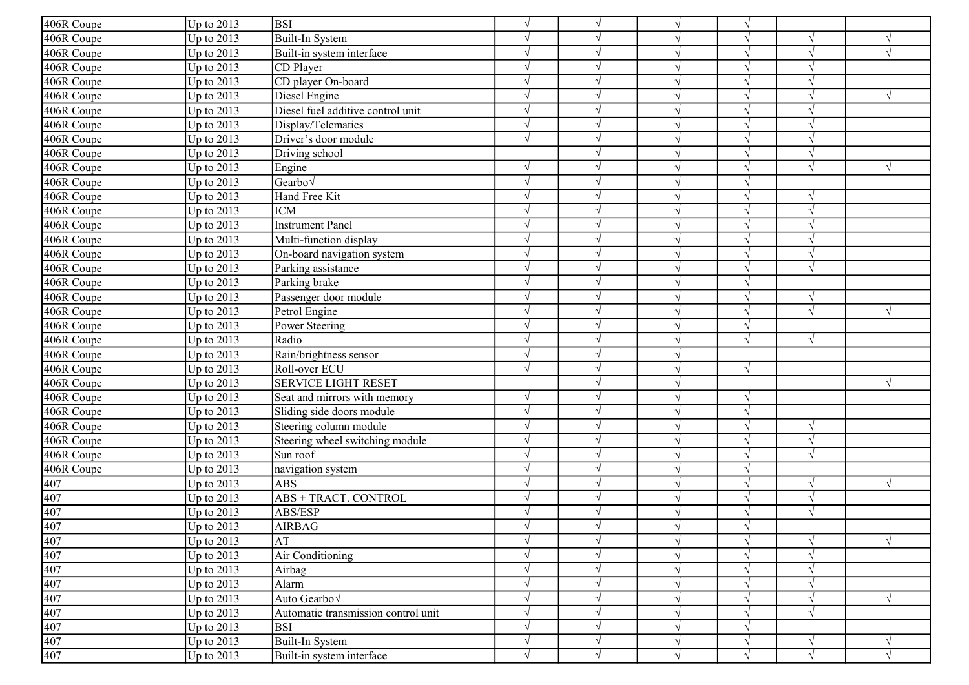| Up to 2013<br><b>BSI</b><br>$\sqrt{ }$<br>$\sqrt{ }$<br>$\sqrt{ }$<br>Up to 2013<br>Built-In System<br>$\sqrt{ }$<br>N<br>$\gamma$<br>Up to 2013<br>Built-in system interface<br>$\sqrt{ }$<br>$\sqrt{ }$<br>$\sqrt{ }$<br>$\mathcal{L}$<br>Up to 2013<br>CD Player<br>$\sqrt{}$<br>$\mathbf{\hat{}}$<br>$\mathcal{L}$<br>CD player On-board<br>Up to 2013<br>V<br>Up to 2013<br>Diesel Engine<br>V<br>Diesel fuel additive control unit<br>Up to 2013<br>$\sqrt{ }$<br>$\sqrt{ }$<br>Up to 2013<br>Display/Telematics<br>$\sqrt{ }$<br>$\sqrt{ }$<br>$\mathcal{L}$<br>$\mathcal{N}$<br>Up to 2013<br>Driver's door module<br>$\sqrt{ }$<br>$\sqrt{ }$<br>$\gamma$<br>Up to 2013<br>$\sqrt{ }$<br>$\sqrt{ }$<br>Driving school<br>$\mathcal{L}$<br>$\sqrt{}$<br>$\sqrt{ }$<br>Up to 2013<br>Engine<br>Up to 2013<br>Gearbo√<br>$\sqrt{ }$<br>$\gamma$<br>Up to 2013<br>Hand Free Kit<br>V<br>$\sqrt{ }$<br>$\gamma$<br>Up to 2013<br><b>ICM</b><br>$\sqrt{ }$<br>V<br>٦<br>Up to 2013<br><b>Instrument Panel</b><br>V<br>406R Coupe<br>Up to 2013<br>Multi-function display<br>$\sqrt{ }$<br>406R Coupe<br>$\sqrt{ }$<br>Up to 2013<br>On-board navigation system<br>$\sqrt{}$<br>$\sqrt{ }$<br>$\mathcal{L}$<br>406R Coupe<br>Up to 2013<br>Parking assistance<br>$\sqrt{ }$<br>$\mathcal{L}$<br>406R Coupe<br>Up to 2013<br>Parking brake<br>$\sqrt{ }$<br>$\sqrt{ }$<br>$\mathcal{N}$<br>Up to 2013<br>Passenger door module<br>$\sqrt{}$<br>$\sqrt{ }$<br>$\sqrt{ }$<br>$\mathcal{N}$<br>406R Coupe<br>Up to 2013<br>Petrol Engine<br>$\sqrt{ }$<br>$\sqrt{ }$<br>$\sqrt{ }$<br>$\mathcal{N}$<br>406R Coupe<br>Up to 2013<br>Power Steering<br>$\sqrt{ }$<br>$\sqrt{ }$<br>$\mathcal{N}$<br>406R Coupe<br>Up to 2013<br>Radio<br>$\sqrt{ }$<br>$\sqrt{ }$<br>$\sqrt{ }$<br>$\Delta$<br>406R Coupe<br>Rain/brightness sensor<br>Up to 2013<br>$\mathcal{L}$<br>$\mathcal{L}$<br>406R Coupe<br>Up to 2013<br>Roll-over ECU<br>$\sqrt{ }$<br>$\sqrt{ }$<br>$\sqrt{ }$<br>406R Coupe<br><b>SERVICE LIGHT RESET</b><br>Up to 2013<br>406R Coupe<br>Up to 2013<br>Seat and mirrors with memory<br>$\sqrt{ }$<br>$\mathcal{N}$<br>$\mathcal{L}$<br>406R Coupe<br>Up to 2013<br>Sliding side doors module<br>$\sqrt{ }$<br>$\sqrt{ }$<br>$\gamma$<br>406R Coupe<br>Up to 2013<br>Steering column module<br>$\sqrt{}$<br>$\sqrt{ }$<br>$\mathcal{L}$<br>$\mathcal{L}$<br>406R Coupe<br>Up to 2013<br>Steering wheel switching module<br>V<br>$\sqrt{ }$<br>406R Coupe<br>$\sqrt{ }$<br>Up to 2013<br>Sun roof<br>$\sqrt{ }$<br>$\sqrt{ }$<br>$\sqrt{ }$<br>406R Coupe<br>Up to 2013<br>$\sqrt{ }$<br>$\sqrt{ }$<br>navigation system<br>$\sqrt{ }$<br>Up to 2013<br><b>ABS</b><br>$\sqrt{ }$<br>$\sqrt{ }$<br>$\sqrt{ }$<br>$\sqrt{ }$<br>V<br>407<br>Up to 2013<br><b>ABS + TRACT. CONTROL</b><br>$\sqrt{ }$<br>$\sqrt{ }$<br>$\sqrt{ }$<br>$\sqrt{ }$<br>Up to 2013<br>ABS/ESP<br>$\sqrt{}$<br>$\sqrt{}$<br>$\mathcal{L}$<br>$\mathcal{N}$<br>Up to $2013$<br><b>AIRBAG</b><br>J<br>$\frac{407}{407}$<br>Up to 2013<br>AT<br>$\sqrt{}$<br>$\sqrt{ }$<br>$\sqrt{}$<br>$\sqrt{ }$<br>$\sqrt{ }$<br>$\sqrt{ }$<br>Up to 2013<br>Air Conditioning<br>$\sqrt{}$<br>$\sqrt{}$<br>$\sqrt{ }$<br>$\sqrt{ }$<br>407<br>Up to 2013<br>$\sqrt{}$<br>Airbag<br>V<br>$\sqrt{ }$<br>$\sqrt{ }$<br>N<br>407<br>Up to 2013<br>Alarm<br>$\sqrt{}$<br>$\sqrt{ }$<br>$\sqrt{ }$<br>$\gamma$<br>407<br>Auto Gearbov<br>Up to 2013<br>$\sqrt{}$<br>$\sqrt{ }$<br>$\sqrt{ }$<br>$\sqrt{ }$<br>407<br>Automatic transmission control unit<br>Up to $2013$<br>$\sqrt{ }$<br>$\sqrt{ }$<br>$\sqrt{ }$<br>$\sqrt{ }$<br>407<br>Up to $2013$<br><b>BSI</b><br>$\sqrt{ }$<br>$\sqrt{ }$<br>$\sqrt{ }$<br>407<br>Up to $2013$<br>Built-In System<br>$\sqrt{}$<br>$\sqrt{}$<br>$\sqrt{ }$<br>$\sqrt{}$<br>$\gamma$<br>$\sqrt{}$<br>Up to $2013$<br>$\sqrt{}$<br>Built-in system interface<br>$\sqrt{ }$<br>$\sqrt{ }$<br>$\sqrt{ }$ |            |  |  |  |  |
|----------------------------------------------------------------------------------------------------------------------------------------------------------------------------------------------------------------------------------------------------------------------------------------------------------------------------------------------------------------------------------------------------------------------------------------------------------------------------------------------------------------------------------------------------------------------------------------------------------------------------------------------------------------------------------------------------------------------------------------------------------------------------------------------------------------------------------------------------------------------------------------------------------------------------------------------------------------------------------------------------------------------------------------------------------------------------------------------------------------------------------------------------------------------------------------------------------------------------------------------------------------------------------------------------------------------------------------------------------------------------------------------------------------------------------------------------------------------------------------------------------------------------------------------------------------------------------------------------------------------------------------------------------------------------------------------------------------------------------------------------------------------------------------------------------------------------------------------------------------------------------------------------------------------------------------------------------------------------------------------------------------------------------------------------------------------------------------------------------------------------------------------------------------------------------------------------------------------------------------------------------------------------------------------------------------------------------------------------------------------------------------------------------------------------------------------------------------------------------------------------------------------------------------------------------------------------------------------------------------------------------------------------------------------------------------------------------------------------------------------------------------------------------------------------------------------------------------------------------------------------------------------------------------------------------------------------------------------------------------------------------------------------------------------------------------------------------------------------------------------------------------------------------------------------------------------------------------------------------------------------------------------------------------------------------------------------------------------------------------------------------------------------------------------------------------------------------------------------------------------------------------------------------------------------------------------------------------------------------------------------------------------------------------------------------------------------------------------------------------------------------------------------------------------------------------------------------------------------------------------------------------------------|------------|--|--|--|--|
|                                                                                                                                                                                                                                                                                                                                                                                                                                                                                                                                                                                                                                                                                                                                                                                                                                                                                                                                                                                                                                                                                                                                                                                                                                                                                                                                                                                                                                                                                                                                                                                                                                                                                                                                                                                                                                                                                                                                                                                                                                                                                                                                                                                                                                                                                                                                                                                                                                                                                                                                                                                                                                                                                                                                                                                                                                                                                                                                                                                                                                                                                                                                                                                                                                                                                                                                                                                                                                                                                                                                                                                                                                                                                                                                                                                                                                                                                                    | 406R Coupe |  |  |  |  |
|                                                                                                                                                                                                                                                                                                                                                                                                                                                                                                                                                                                                                                                                                                                                                                                                                                                                                                                                                                                                                                                                                                                                                                                                                                                                                                                                                                                                                                                                                                                                                                                                                                                                                                                                                                                                                                                                                                                                                                                                                                                                                                                                                                                                                                                                                                                                                                                                                                                                                                                                                                                                                                                                                                                                                                                                                                                                                                                                                                                                                                                                                                                                                                                                                                                                                                                                                                                                                                                                                                                                                                                                                                                                                                                                                                                                                                                                                                    | 406R Coupe |  |  |  |  |
|                                                                                                                                                                                                                                                                                                                                                                                                                                                                                                                                                                                                                                                                                                                                                                                                                                                                                                                                                                                                                                                                                                                                                                                                                                                                                                                                                                                                                                                                                                                                                                                                                                                                                                                                                                                                                                                                                                                                                                                                                                                                                                                                                                                                                                                                                                                                                                                                                                                                                                                                                                                                                                                                                                                                                                                                                                                                                                                                                                                                                                                                                                                                                                                                                                                                                                                                                                                                                                                                                                                                                                                                                                                                                                                                                                                                                                                                                                    | 406R Coupe |  |  |  |  |
|                                                                                                                                                                                                                                                                                                                                                                                                                                                                                                                                                                                                                                                                                                                                                                                                                                                                                                                                                                                                                                                                                                                                                                                                                                                                                                                                                                                                                                                                                                                                                                                                                                                                                                                                                                                                                                                                                                                                                                                                                                                                                                                                                                                                                                                                                                                                                                                                                                                                                                                                                                                                                                                                                                                                                                                                                                                                                                                                                                                                                                                                                                                                                                                                                                                                                                                                                                                                                                                                                                                                                                                                                                                                                                                                                                                                                                                                                                    | 406R Coupe |  |  |  |  |
|                                                                                                                                                                                                                                                                                                                                                                                                                                                                                                                                                                                                                                                                                                                                                                                                                                                                                                                                                                                                                                                                                                                                                                                                                                                                                                                                                                                                                                                                                                                                                                                                                                                                                                                                                                                                                                                                                                                                                                                                                                                                                                                                                                                                                                                                                                                                                                                                                                                                                                                                                                                                                                                                                                                                                                                                                                                                                                                                                                                                                                                                                                                                                                                                                                                                                                                                                                                                                                                                                                                                                                                                                                                                                                                                                                                                                                                                                                    | 406R Coupe |  |  |  |  |
|                                                                                                                                                                                                                                                                                                                                                                                                                                                                                                                                                                                                                                                                                                                                                                                                                                                                                                                                                                                                                                                                                                                                                                                                                                                                                                                                                                                                                                                                                                                                                                                                                                                                                                                                                                                                                                                                                                                                                                                                                                                                                                                                                                                                                                                                                                                                                                                                                                                                                                                                                                                                                                                                                                                                                                                                                                                                                                                                                                                                                                                                                                                                                                                                                                                                                                                                                                                                                                                                                                                                                                                                                                                                                                                                                                                                                                                                                                    | 406R Coupe |  |  |  |  |
|                                                                                                                                                                                                                                                                                                                                                                                                                                                                                                                                                                                                                                                                                                                                                                                                                                                                                                                                                                                                                                                                                                                                                                                                                                                                                                                                                                                                                                                                                                                                                                                                                                                                                                                                                                                                                                                                                                                                                                                                                                                                                                                                                                                                                                                                                                                                                                                                                                                                                                                                                                                                                                                                                                                                                                                                                                                                                                                                                                                                                                                                                                                                                                                                                                                                                                                                                                                                                                                                                                                                                                                                                                                                                                                                                                                                                                                                                                    | 406R Coupe |  |  |  |  |
|                                                                                                                                                                                                                                                                                                                                                                                                                                                                                                                                                                                                                                                                                                                                                                                                                                                                                                                                                                                                                                                                                                                                                                                                                                                                                                                                                                                                                                                                                                                                                                                                                                                                                                                                                                                                                                                                                                                                                                                                                                                                                                                                                                                                                                                                                                                                                                                                                                                                                                                                                                                                                                                                                                                                                                                                                                                                                                                                                                                                                                                                                                                                                                                                                                                                                                                                                                                                                                                                                                                                                                                                                                                                                                                                                                                                                                                                                                    | 406R Coupe |  |  |  |  |
|                                                                                                                                                                                                                                                                                                                                                                                                                                                                                                                                                                                                                                                                                                                                                                                                                                                                                                                                                                                                                                                                                                                                                                                                                                                                                                                                                                                                                                                                                                                                                                                                                                                                                                                                                                                                                                                                                                                                                                                                                                                                                                                                                                                                                                                                                                                                                                                                                                                                                                                                                                                                                                                                                                                                                                                                                                                                                                                                                                                                                                                                                                                                                                                                                                                                                                                                                                                                                                                                                                                                                                                                                                                                                                                                                                                                                                                                                                    | 406R Coupe |  |  |  |  |
|                                                                                                                                                                                                                                                                                                                                                                                                                                                                                                                                                                                                                                                                                                                                                                                                                                                                                                                                                                                                                                                                                                                                                                                                                                                                                                                                                                                                                                                                                                                                                                                                                                                                                                                                                                                                                                                                                                                                                                                                                                                                                                                                                                                                                                                                                                                                                                                                                                                                                                                                                                                                                                                                                                                                                                                                                                                                                                                                                                                                                                                                                                                                                                                                                                                                                                                                                                                                                                                                                                                                                                                                                                                                                                                                                                                                                                                                                                    | 406R Coupe |  |  |  |  |
|                                                                                                                                                                                                                                                                                                                                                                                                                                                                                                                                                                                                                                                                                                                                                                                                                                                                                                                                                                                                                                                                                                                                                                                                                                                                                                                                                                                                                                                                                                                                                                                                                                                                                                                                                                                                                                                                                                                                                                                                                                                                                                                                                                                                                                                                                                                                                                                                                                                                                                                                                                                                                                                                                                                                                                                                                                                                                                                                                                                                                                                                                                                                                                                                                                                                                                                                                                                                                                                                                                                                                                                                                                                                                                                                                                                                                                                                                                    | 406R Coupe |  |  |  |  |
|                                                                                                                                                                                                                                                                                                                                                                                                                                                                                                                                                                                                                                                                                                                                                                                                                                                                                                                                                                                                                                                                                                                                                                                                                                                                                                                                                                                                                                                                                                                                                                                                                                                                                                                                                                                                                                                                                                                                                                                                                                                                                                                                                                                                                                                                                                                                                                                                                                                                                                                                                                                                                                                                                                                                                                                                                                                                                                                                                                                                                                                                                                                                                                                                                                                                                                                                                                                                                                                                                                                                                                                                                                                                                                                                                                                                                                                                                                    | 406R Coupe |  |  |  |  |
|                                                                                                                                                                                                                                                                                                                                                                                                                                                                                                                                                                                                                                                                                                                                                                                                                                                                                                                                                                                                                                                                                                                                                                                                                                                                                                                                                                                                                                                                                                                                                                                                                                                                                                                                                                                                                                                                                                                                                                                                                                                                                                                                                                                                                                                                                                                                                                                                                                                                                                                                                                                                                                                                                                                                                                                                                                                                                                                                                                                                                                                                                                                                                                                                                                                                                                                                                                                                                                                                                                                                                                                                                                                                                                                                                                                                                                                                                                    | 406R Coupe |  |  |  |  |
|                                                                                                                                                                                                                                                                                                                                                                                                                                                                                                                                                                                                                                                                                                                                                                                                                                                                                                                                                                                                                                                                                                                                                                                                                                                                                                                                                                                                                                                                                                                                                                                                                                                                                                                                                                                                                                                                                                                                                                                                                                                                                                                                                                                                                                                                                                                                                                                                                                                                                                                                                                                                                                                                                                                                                                                                                                                                                                                                                                                                                                                                                                                                                                                                                                                                                                                                                                                                                                                                                                                                                                                                                                                                                                                                                                                                                                                                                                    | 406R Coupe |  |  |  |  |
|                                                                                                                                                                                                                                                                                                                                                                                                                                                                                                                                                                                                                                                                                                                                                                                                                                                                                                                                                                                                                                                                                                                                                                                                                                                                                                                                                                                                                                                                                                                                                                                                                                                                                                                                                                                                                                                                                                                                                                                                                                                                                                                                                                                                                                                                                                                                                                                                                                                                                                                                                                                                                                                                                                                                                                                                                                                                                                                                                                                                                                                                                                                                                                                                                                                                                                                                                                                                                                                                                                                                                                                                                                                                                                                                                                                                                                                                                                    | 406R Coupe |  |  |  |  |
|                                                                                                                                                                                                                                                                                                                                                                                                                                                                                                                                                                                                                                                                                                                                                                                                                                                                                                                                                                                                                                                                                                                                                                                                                                                                                                                                                                                                                                                                                                                                                                                                                                                                                                                                                                                                                                                                                                                                                                                                                                                                                                                                                                                                                                                                                                                                                                                                                                                                                                                                                                                                                                                                                                                                                                                                                                                                                                                                                                                                                                                                                                                                                                                                                                                                                                                                                                                                                                                                                                                                                                                                                                                                                                                                                                                                                                                                                                    |            |  |  |  |  |
|                                                                                                                                                                                                                                                                                                                                                                                                                                                                                                                                                                                                                                                                                                                                                                                                                                                                                                                                                                                                                                                                                                                                                                                                                                                                                                                                                                                                                                                                                                                                                                                                                                                                                                                                                                                                                                                                                                                                                                                                                                                                                                                                                                                                                                                                                                                                                                                                                                                                                                                                                                                                                                                                                                                                                                                                                                                                                                                                                                                                                                                                                                                                                                                                                                                                                                                                                                                                                                                                                                                                                                                                                                                                                                                                                                                                                                                                                                    |            |  |  |  |  |
|                                                                                                                                                                                                                                                                                                                                                                                                                                                                                                                                                                                                                                                                                                                                                                                                                                                                                                                                                                                                                                                                                                                                                                                                                                                                                                                                                                                                                                                                                                                                                                                                                                                                                                                                                                                                                                                                                                                                                                                                                                                                                                                                                                                                                                                                                                                                                                                                                                                                                                                                                                                                                                                                                                                                                                                                                                                                                                                                                                                                                                                                                                                                                                                                                                                                                                                                                                                                                                                                                                                                                                                                                                                                                                                                                                                                                                                                                                    |            |  |  |  |  |
|                                                                                                                                                                                                                                                                                                                                                                                                                                                                                                                                                                                                                                                                                                                                                                                                                                                                                                                                                                                                                                                                                                                                                                                                                                                                                                                                                                                                                                                                                                                                                                                                                                                                                                                                                                                                                                                                                                                                                                                                                                                                                                                                                                                                                                                                                                                                                                                                                                                                                                                                                                                                                                                                                                                                                                                                                                                                                                                                                                                                                                                                                                                                                                                                                                                                                                                                                                                                                                                                                                                                                                                                                                                                                                                                                                                                                                                                                                    |            |  |  |  |  |
|                                                                                                                                                                                                                                                                                                                                                                                                                                                                                                                                                                                                                                                                                                                                                                                                                                                                                                                                                                                                                                                                                                                                                                                                                                                                                                                                                                                                                                                                                                                                                                                                                                                                                                                                                                                                                                                                                                                                                                                                                                                                                                                                                                                                                                                                                                                                                                                                                                                                                                                                                                                                                                                                                                                                                                                                                                                                                                                                                                                                                                                                                                                                                                                                                                                                                                                                                                                                                                                                                                                                                                                                                                                                                                                                                                                                                                                                                                    | 406R Coupe |  |  |  |  |
|                                                                                                                                                                                                                                                                                                                                                                                                                                                                                                                                                                                                                                                                                                                                                                                                                                                                                                                                                                                                                                                                                                                                                                                                                                                                                                                                                                                                                                                                                                                                                                                                                                                                                                                                                                                                                                                                                                                                                                                                                                                                                                                                                                                                                                                                                                                                                                                                                                                                                                                                                                                                                                                                                                                                                                                                                                                                                                                                                                                                                                                                                                                                                                                                                                                                                                                                                                                                                                                                                                                                                                                                                                                                                                                                                                                                                                                                                                    |            |  |  |  |  |
|                                                                                                                                                                                                                                                                                                                                                                                                                                                                                                                                                                                                                                                                                                                                                                                                                                                                                                                                                                                                                                                                                                                                                                                                                                                                                                                                                                                                                                                                                                                                                                                                                                                                                                                                                                                                                                                                                                                                                                                                                                                                                                                                                                                                                                                                                                                                                                                                                                                                                                                                                                                                                                                                                                                                                                                                                                                                                                                                                                                                                                                                                                                                                                                                                                                                                                                                                                                                                                                                                                                                                                                                                                                                                                                                                                                                                                                                                                    |            |  |  |  |  |
|                                                                                                                                                                                                                                                                                                                                                                                                                                                                                                                                                                                                                                                                                                                                                                                                                                                                                                                                                                                                                                                                                                                                                                                                                                                                                                                                                                                                                                                                                                                                                                                                                                                                                                                                                                                                                                                                                                                                                                                                                                                                                                                                                                                                                                                                                                                                                                                                                                                                                                                                                                                                                                                                                                                                                                                                                                                                                                                                                                                                                                                                                                                                                                                                                                                                                                                                                                                                                                                                                                                                                                                                                                                                                                                                                                                                                                                                                                    |            |  |  |  |  |
|                                                                                                                                                                                                                                                                                                                                                                                                                                                                                                                                                                                                                                                                                                                                                                                                                                                                                                                                                                                                                                                                                                                                                                                                                                                                                                                                                                                                                                                                                                                                                                                                                                                                                                                                                                                                                                                                                                                                                                                                                                                                                                                                                                                                                                                                                                                                                                                                                                                                                                                                                                                                                                                                                                                                                                                                                                                                                                                                                                                                                                                                                                                                                                                                                                                                                                                                                                                                                                                                                                                                                                                                                                                                                                                                                                                                                                                                                                    |            |  |  |  |  |
|                                                                                                                                                                                                                                                                                                                                                                                                                                                                                                                                                                                                                                                                                                                                                                                                                                                                                                                                                                                                                                                                                                                                                                                                                                                                                                                                                                                                                                                                                                                                                                                                                                                                                                                                                                                                                                                                                                                                                                                                                                                                                                                                                                                                                                                                                                                                                                                                                                                                                                                                                                                                                                                                                                                                                                                                                                                                                                                                                                                                                                                                                                                                                                                                                                                                                                                                                                                                                                                                                                                                                                                                                                                                                                                                                                                                                                                                                                    |            |  |  |  |  |
|                                                                                                                                                                                                                                                                                                                                                                                                                                                                                                                                                                                                                                                                                                                                                                                                                                                                                                                                                                                                                                                                                                                                                                                                                                                                                                                                                                                                                                                                                                                                                                                                                                                                                                                                                                                                                                                                                                                                                                                                                                                                                                                                                                                                                                                                                                                                                                                                                                                                                                                                                                                                                                                                                                                                                                                                                                                                                                                                                                                                                                                                                                                                                                                                                                                                                                                                                                                                                                                                                                                                                                                                                                                                                                                                                                                                                                                                                                    |            |  |  |  |  |
|                                                                                                                                                                                                                                                                                                                                                                                                                                                                                                                                                                                                                                                                                                                                                                                                                                                                                                                                                                                                                                                                                                                                                                                                                                                                                                                                                                                                                                                                                                                                                                                                                                                                                                                                                                                                                                                                                                                                                                                                                                                                                                                                                                                                                                                                                                                                                                                                                                                                                                                                                                                                                                                                                                                                                                                                                                                                                                                                                                                                                                                                                                                                                                                                                                                                                                                                                                                                                                                                                                                                                                                                                                                                                                                                                                                                                                                                                                    |            |  |  |  |  |
|                                                                                                                                                                                                                                                                                                                                                                                                                                                                                                                                                                                                                                                                                                                                                                                                                                                                                                                                                                                                                                                                                                                                                                                                                                                                                                                                                                                                                                                                                                                                                                                                                                                                                                                                                                                                                                                                                                                                                                                                                                                                                                                                                                                                                                                                                                                                                                                                                                                                                                                                                                                                                                                                                                                                                                                                                                                                                                                                                                                                                                                                                                                                                                                                                                                                                                                                                                                                                                                                                                                                                                                                                                                                                                                                                                                                                                                                                                    |            |  |  |  |  |
|                                                                                                                                                                                                                                                                                                                                                                                                                                                                                                                                                                                                                                                                                                                                                                                                                                                                                                                                                                                                                                                                                                                                                                                                                                                                                                                                                                                                                                                                                                                                                                                                                                                                                                                                                                                                                                                                                                                                                                                                                                                                                                                                                                                                                                                                                                                                                                                                                                                                                                                                                                                                                                                                                                                                                                                                                                                                                                                                                                                                                                                                                                                                                                                                                                                                                                                                                                                                                                                                                                                                                                                                                                                                                                                                                                                                                                                                                                    |            |  |  |  |  |
|                                                                                                                                                                                                                                                                                                                                                                                                                                                                                                                                                                                                                                                                                                                                                                                                                                                                                                                                                                                                                                                                                                                                                                                                                                                                                                                                                                                                                                                                                                                                                                                                                                                                                                                                                                                                                                                                                                                                                                                                                                                                                                                                                                                                                                                                                                                                                                                                                                                                                                                                                                                                                                                                                                                                                                                                                                                                                                                                                                                                                                                                                                                                                                                                                                                                                                                                                                                                                                                                                                                                                                                                                                                                                                                                                                                                                                                                                                    |            |  |  |  |  |
|                                                                                                                                                                                                                                                                                                                                                                                                                                                                                                                                                                                                                                                                                                                                                                                                                                                                                                                                                                                                                                                                                                                                                                                                                                                                                                                                                                                                                                                                                                                                                                                                                                                                                                                                                                                                                                                                                                                                                                                                                                                                                                                                                                                                                                                                                                                                                                                                                                                                                                                                                                                                                                                                                                                                                                                                                                                                                                                                                                                                                                                                                                                                                                                                                                                                                                                                                                                                                                                                                                                                                                                                                                                                                                                                                                                                                                                                                                    |            |  |  |  |  |
|                                                                                                                                                                                                                                                                                                                                                                                                                                                                                                                                                                                                                                                                                                                                                                                                                                                                                                                                                                                                                                                                                                                                                                                                                                                                                                                                                                                                                                                                                                                                                                                                                                                                                                                                                                                                                                                                                                                                                                                                                                                                                                                                                                                                                                                                                                                                                                                                                                                                                                                                                                                                                                                                                                                                                                                                                                                                                                                                                                                                                                                                                                                                                                                                                                                                                                                                                                                                                                                                                                                                                                                                                                                                                                                                                                                                                                                                                                    |            |  |  |  |  |
|                                                                                                                                                                                                                                                                                                                                                                                                                                                                                                                                                                                                                                                                                                                                                                                                                                                                                                                                                                                                                                                                                                                                                                                                                                                                                                                                                                                                                                                                                                                                                                                                                                                                                                                                                                                                                                                                                                                                                                                                                                                                                                                                                                                                                                                                                                                                                                                                                                                                                                                                                                                                                                                                                                                                                                                                                                                                                                                                                                                                                                                                                                                                                                                                                                                                                                                                                                                                                                                                                                                                                                                                                                                                                                                                                                                                                                                                                                    | 407        |  |  |  |  |
|                                                                                                                                                                                                                                                                                                                                                                                                                                                                                                                                                                                                                                                                                                                                                                                                                                                                                                                                                                                                                                                                                                                                                                                                                                                                                                                                                                                                                                                                                                                                                                                                                                                                                                                                                                                                                                                                                                                                                                                                                                                                                                                                                                                                                                                                                                                                                                                                                                                                                                                                                                                                                                                                                                                                                                                                                                                                                                                                                                                                                                                                                                                                                                                                                                                                                                                                                                                                                                                                                                                                                                                                                                                                                                                                                                                                                                                                                                    |            |  |  |  |  |
|                                                                                                                                                                                                                                                                                                                                                                                                                                                                                                                                                                                                                                                                                                                                                                                                                                                                                                                                                                                                                                                                                                                                                                                                                                                                                                                                                                                                                                                                                                                                                                                                                                                                                                                                                                                                                                                                                                                                                                                                                                                                                                                                                                                                                                                                                                                                                                                                                                                                                                                                                                                                                                                                                                                                                                                                                                                                                                                                                                                                                                                                                                                                                                                                                                                                                                                                                                                                                                                                                                                                                                                                                                                                                                                                                                                                                                                                                                    | 407        |  |  |  |  |
|                                                                                                                                                                                                                                                                                                                                                                                                                                                                                                                                                                                                                                                                                                                                                                                                                                                                                                                                                                                                                                                                                                                                                                                                                                                                                                                                                                                                                                                                                                                                                                                                                                                                                                                                                                                                                                                                                                                                                                                                                                                                                                                                                                                                                                                                                                                                                                                                                                                                                                                                                                                                                                                                                                                                                                                                                                                                                                                                                                                                                                                                                                                                                                                                                                                                                                                                                                                                                                                                                                                                                                                                                                                                                                                                                                                                                                                                                                    | 407        |  |  |  |  |
|                                                                                                                                                                                                                                                                                                                                                                                                                                                                                                                                                                                                                                                                                                                                                                                                                                                                                                                                                                                                                                                                                                                                                                                                                                                                                                                                                                                                                                                                                                                                                                                                                                                                                                                                                                                                                                                                                                                                                                                                                                                                                                                                                                                                                                                                                                                                                                                                                                                                                                                                                                                                                                                                                                                                                                                                                                                                                                                                                                                                                                                                                                                                                                                                                                                                                                                                                                                                                                                                                                                                                                                                                                                                                                                                                                                                                                                                                                    |            |  |  |  |  |
|                                                                                                                                                                                                                                                                                                                                                                                                                                                                                                                                                                                                                                                                                                                                                                                                                                                                                                                                                                                                                                                                                                                                                                                                                                                                                                                                                                                                                                                                                                                                                                                                                                                                                                                                                                                                                                                                                                                                                                                                                                                                                                                                                                                                                                                                                                                                                                                                                                                                                                                                                                                                                                                                                                                                                                                                                                                                                                                                                                                                                                                                                                                                                                                                                                                                                                                                                                                                                                                                                                                                                                                                                                                                                                                                                                                                                                                                                                    |            |  |  |  |  |
|                                                                                                                                                                                                                                                                                                                                                                                                                                                                                                                                                                                                                                                                                                                                                                                                                                                                                                                                                                                                                                                                                                                                                                                                                                                                                                                                                                                                                                                                                                                                                                                                                                                                                                                                                                                                                                                                                                                                                                                                                                                                                                                                                                                                                                                                                                                                                                                                                                                                                                                                                                                                                                                                                                                                                                                                                                                                                                                                                                                                                                                                                                                                                                                                                                                                                                                                                                                                                                                                                                                                                                                                                                                                                                                                                                                                                                                                                                    |            |  |  |  |  |
|                                                                                                                                                                                                                                                                                                                                                                                                                                                                                                                                                                                                                                                                                                                                                                                                                                                                                                                                                                                                                                                                                                                                                                                                                                                                                                                                                                                                                                                                                                                                                                                                                                                                                                                                                                                                                                                                                                                                                                                                                                                                                                                                                                                                                                                                                                                                                                                                                                                                                                                                                                                                                                                                                                                                                                                                                                                                                                                                                                                                                                                                                                                                                                                                                                                                                                                                                                                                                                                                                                                                                                                                                                                                                                                                                                                                                                                                                                    |            |  |  |  |  |
|                                                                                                                                                                                                                                                                                                                                                                                                                                                                                                                                                                                                                                                                                                                                                                                                                                                                                                                                                                                                                                                                                                                                                                                                                                                                                                                                                                                                                                                                                                                                                                                                                                                                                                                                                                                                                                                                                                                                                                                                                                                                                                                                                                                                                                                                                                                                                                                                                                                                                                                                                                                                                                                                                                                                                                                                                                                                                                                                                                                                                                                                                                                                                                                                                                                                                                                                                                                                                                                                                                                                                                                                                                                                                                                                                                                                                                                                                                    |            |  |  |  |  |
|                                                                                                                                                                                                                                                                                                                                                                                                                                                                                                                                                                                                                                                                                                                                                                                                                                                                                                                                                                                                                                                                                                                                                                                                                                                                                                                                                                                                                                                                                                                                                                                                                                                                                                                                                                                                                                                                                                                                                                                                                                                                                                                                                                                                                                                                                                                                                                                                                                                                                                                                                                                                                                                                                                                                                                                                                                                                                                                                                                                                                                                                                                                                                                                                                                                                                                                                                                                                                                                                                                                                                                                                                                                                                                                                                                                                                                                                                                    |            |  |  |  |  |
|                                                                                                                                                                                                                                                                                                                                                                                                                                                                                                                                                                                                                                                                                                                                                                                                                                                                                                                                                                                                                                                                                                                                                                                                                                                                                                                                                                                                                                                                                                                                                                                                                                                                                                                                                                                                                                                                                                                                                                                                                                                                                                                                                                                                                                                                                                                                                                                                                                                                                                                                                                                                                                                                                                                                                                                                                                                                                                                                                                                                                                                                                                                                                                                                                                                                                                                                                                                                                                                                                                                                                                                                                                                                                                                                                                                                                                                                                                    |            |  |  |  |  |
|                                                                                                                                                                                                                                                                                                                                                                                                                                                                                                                                                                                                                                                                                                                                                                                                                                                                                                                                                                                                                                                                                                                                                                                                                                                                                                                                                                                                                                                                                                                                                                                                                                                                                                                                                                                                                                                                                                                                                                                                                                                                                                                                                                                                                                                                                                                                                                                                                                                                                                                                                                                                                                                                                                                                                                                                                                                                                                                                                                                                                                                                                                                                                                                                                                                                                                                                                                                                                                                                                                                                                                                                                                                                                                                                                                                                                                                                                                    |            |  |  |  |  |
|                                                                                                                                                                                                                                                                                                                                                                                                                                                                                                                                                                                                                                                                                                                                                                                                                                                                                                                                                                                                                                                                                                                                                                                                                                                                                                                                                                                                                                                                                                                                                                                                                                                                                                                                                                                                                                                                                                                                                                                                                                                                                                                                                                                                                                                                                                                                                                                                                                                                                                                                                                                                                                                                                                                                                                                                                                                                                                                                                                                                                                                                                                                                                                                                                                                                                                                                                                                                                                                                                                                                                                                                                                                                                                                                                                                                                                                                                                    | 407        |  |  |  |  |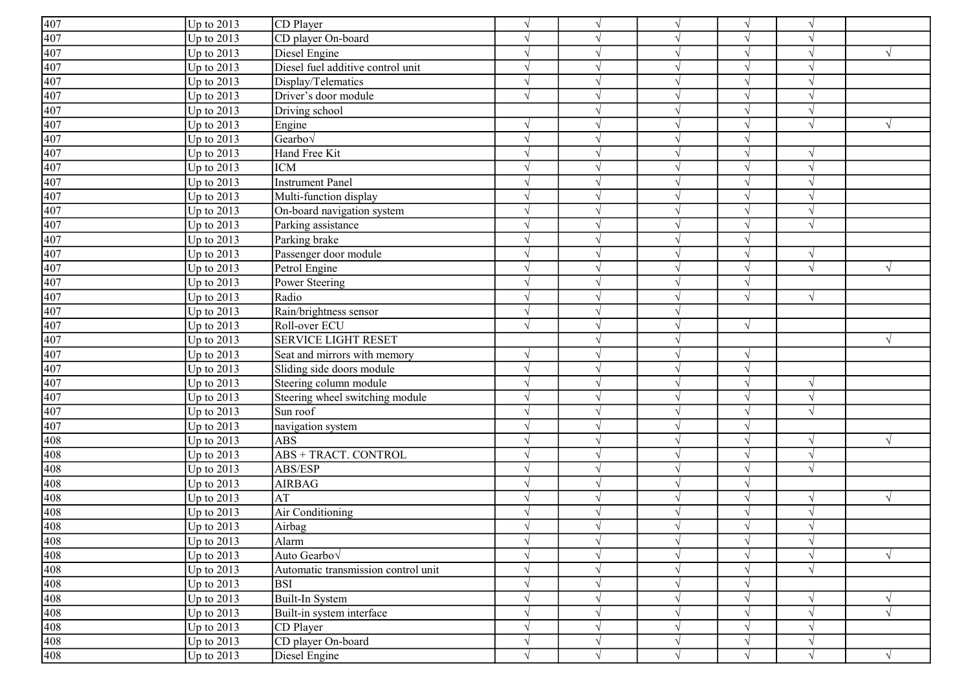| $\frac{407}{407}$                                           | $Up$ to 2013 | CD Player                           | $\sqrt{ }$    | $\sqrt{ }$    |            | $\mathcal{N}$ |               |            |
|-------------------------------------------------------------|--------------|-------------------------------------|---------------|---------------|------------|---------------|---------------|------------|
|                                                             | Up to $2013$ | CD player On-board                  | $\sqrt{ }$    | $\gamma$      |            | $\sqrt{ }$    |               |            |
|                                                             | Up to $2013$ | Diesel Engine                       | $\sqrt{ }$    | $\gamma$      |            | $\sqrt{ }$    |               |            |
| 407                                                         | Up to $2013$ | Diesel fuel additive control unit   | $\sqrt{ }$    |               |            | $\sqrt{ }$    |               |            |
| 407                                                         | Up to $2013$ | Display/Telematics                  | $\sqrt{ }$    | $\gamma$      |            | $\sqrt{ }$    |               |            |
| 407                                                         | Up to $2013$ | Driver's door module                | $\sqrt{ }$    | $\gamma$      |            |               |               |            |
| 407                                                         | Up to $2013$ | Driving school                      |               | $\sqrt{ }$    |            | $\sqrt{ }$    | $\mathcal{N}$ |            |
| 407                                                         | Up to 2013   | Engine                              | $\sqrt{ }$    | $\sqrt{ }$    |            | $\sqrt{ }$    |               |            |
|                                                             | Up to 2013   | Gearbo√                             | $\sqrt{ }$    | $\sqrt{ }$    |            | $\sqrt{ }$    |               |            |
|                                                             | Up to $2013$ | Hand Free Kit                       | $\sqrt{ }$    | $\sqrt{ }$    |            | $\sqrt{ }$    | $\mathcal{A}$ |            |
| $\frac{407}{407}$ $\frac{407}{407}$                         | Up to 2013   | <b>ICM</b>                          | $\sqrt{ }$    | $\sqrt{ }$    |            |               |               |            |
|                                                             | Up to 2013   | <b>Instrument Panel</b>             | $\sqrt{ }$    | $\sqrt{ }$    |            | N             |               |            |
|                                                             | Up to 2013   | Multi-function display              | $\gamma$      | $\gamma$      |            |               |               |            |
|                                                             | Up to $2013$ | On-board navigation system          | $\mathcal{N}$ | $\gamma$      |            | V             |               |            |
| $\frac{407}{407}$                                           | Up to $2013$ | Parking assistance                  | $\sqrt{ }$    | $\mathcal{L}$ |            | $\sqrt{ }$    |               |            |
| 407                                                         | Up to $2013$ | Parking brake                       | $\sqrt{ }$    | $\mathcal{L}$ |            | $\sqrt{ }$    |               |            |
| 407                                                         | Up to $2013$ | Passenger door module               |               | $\mathcal{L}$ |            | $\sqrt{ }$    |               |            |
| 407                                                         | Up to $2013$ | Petrol Engine                       | $\sqrt{ }$    | $\sqrt{ }$    |            | $\sqrt{ }$    | $\sqrt{ }$    |            |
| 407                                                         | Up to $2013$ | Power Steering                      | $\mathcal{L}$ | $\gamma$      |            | $\sqrt{ }$    |               |            |
|                                                             | Up to $2013$ | Radio                               | $\sqrt{ }$    | $\sqrt{ }$    |            | $\sqrt{ }$    | $\sqrt{ }$    |            |
| $\frac{407}{407}$                                           | Up to 2013   | Rain/brightness sensor              | $\sqrt{ }$    | $\sqrt{ }$    |            |               |               |            |
| 407                                                         | Up to 2013   | Roll-over ECU                       | $\sqrt{ }$    | $\sqrt{ }$    | $\sqrt{ }$ | $\sqrt{ }$    |               |            |
|                                                             | Up to 2013   | <b>SERVICE LIGHT RESET</b>          |               | $\sqrt{ }$    |            |               |               |            |
| $\frac{407}{\frac{407}{407}}$ $\frac{407}{\frac{407}{407}}$ | Up to 2013   | Seat and mirrors with memory        | $\sqrt{ }$    | $\sqrt{ }$    |            | $\sqrt{ }$    |               |            |
|                                                             | Up to 2013   | Sliding side doors module           | $\sqrt{ }$    | $\gamma$      |            | $\sqrt{ }$    |               |            |
|                                                             | Up to $2013$ | Steering column module              | $\gamma$      | $\gamma$      |            | N             |               |            |
|                                                             | Up to $2013$ | Steering wheel switching module     | $\sqrt{ }$    | $\mathcal{L}$ |            | $\sqrt{ }$    | $\mathcal{A}$ |            |
|                                                             | Up to $2013$ | Sun roof                            | $\sqrt{ }$    | $\mathcal{L}$ |            | $\sqrt{ }$    |               |            |
| 407                                                         | Up to $2013$ | navigation system                   | $\sqrt{ }$    | $\gamma$      |            | $\sqrt{ }$    |               |            |
| 408                                                         | Up to $2013$ | <b>ABS</b>                          | $\sqrt{ }$    | $\sqrt{ }$    |            | $\sqrt{ }$    |               |            |
| 408                                                         | Up to $2013$ | <b>ABS + TRACT. CONTROL</b>         | $\sqrt{ }$    | $\sqrt{ }$    |            | $\sqrt{ }$    |               |            |
| 408                                                         | Up to $2013$ | ABS/ESP                             | $\sqrt{ }$    | $\sqrt{ }$    |            | $\sqrt{ }$    | $\sqrt{ }$    |            |
|                                                             | Up to 2013   | <b>AIRBAG</b>                       | $\sqrt{ }$    | $\sqrt{ }$    |            | $\sqrt{ }$    |               |            |
| $\frac{408}{408}$ $\frac{408}{408}$                         | Up to 2013   | $\mathbf{A}\mathbf{T}$              | $\sqrt{ }$    | $\sqrt{ }$    |            | $\sqrt{ }$    | $\mathcal{N}$ | $\sqrt{ }$ |
|                                                             | Up to 2013   | Air Conditioning                    | $\sqrt{ }$    | $\sqrt{ }$    |            | $\sqrt{ }$    | $\mathcal{N}$ |            |
|                                                             | Up to $2013$ | Airbag                              |               |               |            |               |               |            |
|                                                             | Up to $2013$ | Alarm                               | $\sqrt{ }$    | $\sqrt{ }$    | $\sqrt{}$  | $\sqrt{ }$    | $\sqrt{}$     |            |
|                                                             | Up to $2013$ | Auto Gearbo <sub>V</sub>            | $\sqrt{ }$    | $\sqrt{ }$    |            | $\sqrt{ }$    | $\sqrt{ }$    | $\sqrt{ }$ |
|                                                             | Up to $2013$ | Automatic transmission control unit | $\sqrt{ }$    | $\sqrt{ }$    |            | $\sqrt{ }$    |               |            |
| 408<br>408<br>408<br>408<br>408<br>408<br>408               | Up to $2013$ | <b>BSI</b>                          | $\sqrt{ }$    | $\sqrt{ }$    |            | $\sqrt{ }$    |               |            |
|                                                             | Up to $2013$ | Built-In System                     | $\sqrt{ }$    | $\sqrt{ }$    |            | $\sqrt{ }$    |               |            |
|                                                             | Up to $2013$ | Built-in system interface           | $\mathcal{N}$ | $\sqrt{ }$    |            |               |               |            |
|                                                             | Up to $2013$ | CD Player                           | $\sqrt{ }$    | $\sqrt{}$     |            | $\sqrt{ }$    | $\sqrt{ }$    |            |
|                                                             | Up to $2013$ | CD player On-board                  | $\sqrt{ }$    | $\sqrt{}$     |            | $\sqrt{}$     | $\sqrt{}$     |            |
|                                                             | Up to 2013   | Diesel Engine                       | $\sqrt{ }$    | $\sqrt{ }$    |            | $\sqrt{ }$    |               |            |
|                                                             |              |                                     |               |               |            |               |               |            |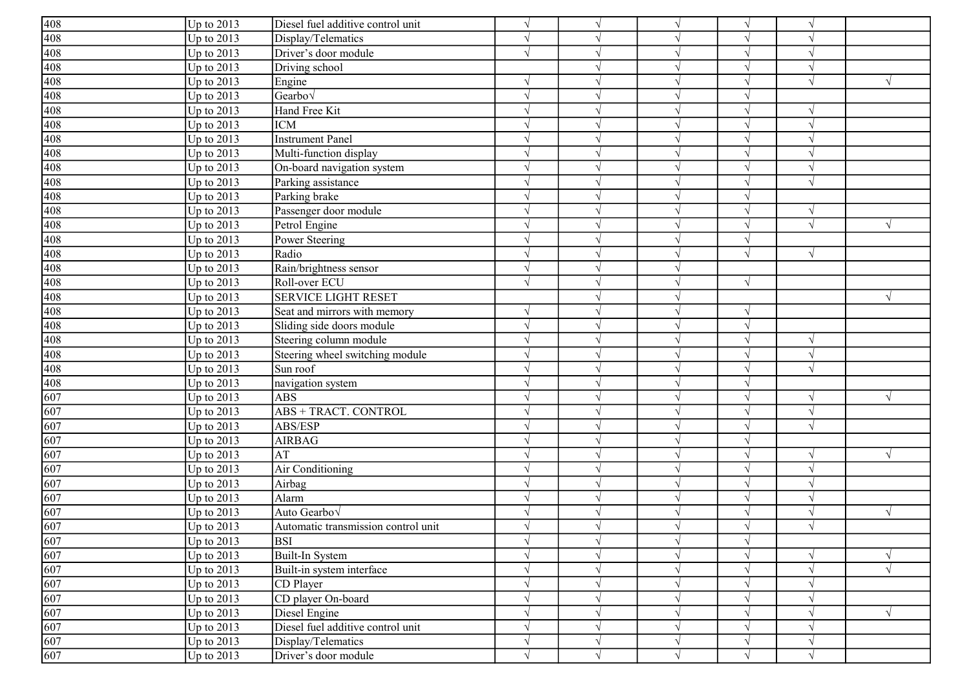| $\frac{408}{408}$                                                                                                           | Up to $2013$ | Diesel fuel additive control unit   | $\sqrt{ }$    | $\sqrt{ }$    | $\sqrt{ }$   | $\sqrt{}$  | $\sqrt{ }$ |            |
|-----------------------------------------------------------------------------------------------------------------------------|--------------|-------------------------------------|---------------|---------------|--------------|------------|------------|------------|
|                                                                                                                             | Up to 2013   | Display/Telematics                  | $\sqrt{ }$    |               |              | $\sqrt{ }$ | $\gamma$   |            |
|                                                                                                                             | Up to 2013   | Driver's door module                | $\sqrt{ }$    |               |              | $\sqrt{ }$ | $\gamma$   |            |
| $\frac{408}{408}$                                                                                                           | Up to 2013   | Driving school                      |               |               |              | $\sqrt{ }$ | $\sqrt{ }$ |            |
| 408                                                                                                                         | Up to 2013   | Engine                              | $\mathcal{L}$ |               |              | $\sqrt{ }$ | $\sqrt{ }$ | $\sqrt{ }$ |
| 408                                                                                                                         | Up to 2013   | Gearbo $\sqrt$                      | N             |               |              | V          |            |            |
| 408                                                                                                                         | Up to 2013   | Hand Free Kit                       | $\sqrt{}$     |               |              | $\sqrt{ }$ | $\sqrt{ }$ |            |
| 408                                                                                                                         | Up to 2013   | <b>ICM</b>                          | N             |               |              | $\sqrt{ }$ | $\sqrt{ }$ |            |
| 408                                                                                                                         | Up to 2013   | <b>Instrument Panel</b>             | N             | $\mathcal{L}$ |              | $\sqrt{ }$ | $\sqrt{ }$ |            |
| 408                                                                                                                         | Up to 2013   | Multi-function display              | $\sqrt{ }$    | $\gamma$      |              | $\sqrt{ }$ | $\sqrt{ }$ |            |
| $\overline{408}$                                                                                                            | Up to 2013   | On-board navigation system          | $\sqrt{ }$    | $\sqrt{ }$    |              | $\sqrt{ }$ | $\sqrt{ }$ |            |
| $\frac{408}{408}$<br>$\frac{408}{408}$                                                                                      | Up to 2013   | Parking assistance                  | $\sqrt{ }$    | $\gamma$      |              | $\sqrt{ }$ | $\sqrt{ }$ |            |
|                                                                                                                             | Up to 2013   | Parking brake                       |               |               |              | $\sqrt{ }$ |            |            |
|                                                                                                                             | Up to 2013   | Passenger door module               |               |               |              | $\sqrt{ }$ | $\sqrt{ }$ |            |
|                                                                                                                             | Up to 2013   | Petrol Engine                       | $\gamma$      |               | $\mathcal N$ | $\sqrt{ }$ | $\sqrt{ }$ | $\sqrt{ }$ |
|                                                                                                                             | Up to 2013   | Power Steering                      | $\mathcal{L}$ |               |              | $\sqrt{ }$ |            |            |
| $\frac{408}{408}$                                                                                                           | Up to 2013   | Radio                               |               |               |              | $\sqrt{ }$ | $\sqrt{ }$ |            |
| 408                                                                                                                         | Up to $2013$ | Rain/brightness sensor              | $\sqrt{ }$    |               |              |            |            |            |
| 408                                                                                                                         | Up to 2013   | Roll-over ECU                       | $\sqrt{}$     |               |              | $\sqrt{ }$ |            |            |
| 408                                                                                                                         | Up to 2013   | <b>SERVICE LIGHT RESET</b>          |               |               |              |            |            | $\sqrt{ }$ |
| 408                                                                                                                         | Up to 2013   | Seat and mirrors with memory        | $\sqrt{ }$    | $\gamma$      | $\sqrt{ }$   | $\sqrt{ }$ |            |            |
|                                                                                                                             | Up to 2013   | Sliding side doors module           | $\sqrt{ }$    | $\sqrt{ }$    | V            | $\sqrt{ }$ |            |            |
|                                                                                                                             | Up to 2013   | Steering column module              | $\sqrt{ }$    | $\gamma$      |              | $\sqrt{}$  | $\sqrt{ }$ |            |
|                                                                                                                             | Up to 2013   | Steering wheel switching module     | $\sqrt{ }$    | $\sqrt{ }$    |              | $\sqrt{}$  | $\sqrt{ }$ |            |
| $\begin{array}{r}\n 408 \\  \hline\n 408 \\  \hline\n 408 \\  \hline\n 408 \\  \hline\n 408 \\  \hline\n 607\n \end{array}$ | Up to 2013   | Sun roof                            | $\mathcal{L}$ |               |              | $\sqrt{ }$ | $\sqrt{ }$ |            |
|                                                                                                                             | Up to 2013   | navigation system                   | $\gamma$      |               |              | $\sqrt{ }$ |            |            |
|                                                                                                                             | Up to 2013   | <b>ABS</b>                          | $\gamma$      |               | $\gamma$     | $\sqrt{ }$ | $\gamma$   | $\sqrt{ }$ |
| $\frac{607}{607}$                                                                                                           | Up to 2013   | ABS + TRACT. CONTROL                | $\mathcal{L}$ |               |              | $\sqrt{ }$ | $\sqrt{ }$ |            |
|                                                                                                                             | Up to 2013   | ABS/ESP                             | $\mathcal{L}$ |               |              | $\sqrt{ }$ | $\sqrt{ }$ |            |
| 607                                                                                                                         | Up to $2013$ | <b>AIRBAG</b>                       | $\mathcal{L}$ |               |              | $\sqrt{ }$ |            |            |
| 607                                                                                                                         | Up to 2013   | AT                                  |               |               |              | V          |            | $\sqrt{ }$ |
| 607                                                                                                                         | Up to 2013   | Air Conditioning                    | N             |               |              | $\sqrt{ }$ | $\sqrt{ }$ |            |
| 607                                                                                                                         | Up to 2013   | Airbag                              | N             |               | $\mathcal N$ | $\sqrt{ }$ | $\sqrt{ }$ |            |
| 607                                                                                                                         | Up to 2013   | Alarm                               | N             |               |              | $\sqrt{ }$ | $\sqrt{ }$ |            |
| $\overline{607}$                                                                                                            | Up to 2013   | Auto Gearbo√                        | $\sqrt{ }$    |               |              | $\sqrt{ }$ | $\sqrt{ }$ | $\sqrt{}$  |
| 607                                                                                                                         | Up to $2013$ | Automatic transmission control unit |               |               |              | $\sqrt{ }$ |            |            |
|                                                                                                                             | Up to $2013$ | <b>BSI</b>                          | $\sqrt{ }$    | $\sqrt{ }$    | $\sqrt{ }$   | $\sqrt{}$  |            |            |
|                                                                                                                             | Up to $2013$ | Built-In System                     | $\sqrt{ }$    | $\sqrt{ }$    | $\sqrt{ }$   | $\sqrt{}$  | $\sqrt{ }$ | $\sqrt{}$  |
| $\frac{607}{607}$ $\frac{607}{607}$                                                                                         | Up to 2013   | Built-in system interface           | $\sqrt{ }$    | $\sqrt{ }$    |              | $\sqrt{ }$ | $\sqrt{ }$ | $\sqrt{ }$ |
|                                                                                                                             | Up to 2013   | CD Player                           | $\sqrt{ }$    | $\gamma$      | $\sqrt{ }$   | $\sqrt{ }$ | $\sqrt{ }$ |            |
|                                                                                                                             | Up to 2013   | CD player On-board                  | $\sqrt{ }$    | $\gamma$      | $\sqrt{ }$   | $\sqrt{}$  | $\sqrt{ }$ |            |
| 607                                                                                                                         | Up to 2013   | Diesel Engine                       | $\sqrt{ }$    | $\sqrt{ }$    |              | $\sqrt{ }$ | $\sqrt{ }$ | $\sqrt{}$  |
| 607                                                                                                                         | Up to 2013   | Diesel fuel additive control unit   | $\sqrt{ }$    | $\sqrt{ }$    |              | $\sqrt{}$  | $\sqrt{ }$ |            |
| 607                                                                                                                         | Up to 2013   | Display/Telematics                  | $\sqrt{ }$    | $\sqrt{ }$    | $\sqrt{ }$   | $\sqrt{ }$ | $\sqrt{ }$ |            |
| 607                                                                                                                         | Up to 2013   | Driver's door module                | $\sqrt{ }$    | $\sqrt{ }$    | $\sqrt{ }$   | $\sqrt{ }$ | $\sqrt{ }$ |            |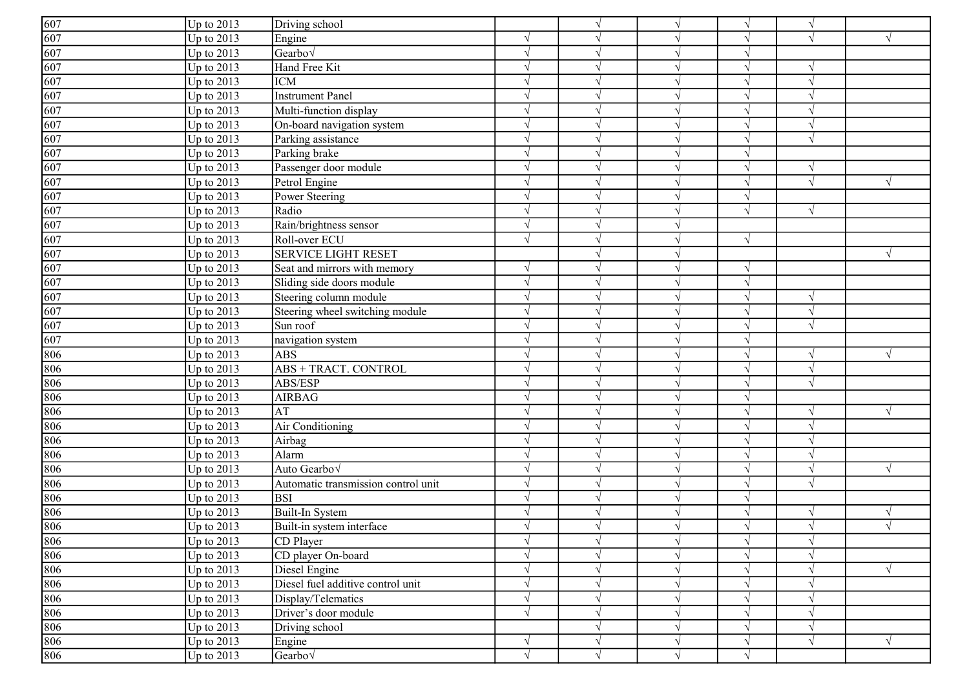| 607               | Up to $2013$ | Driving school                      |               | $\gamma$      |              | $\sqrt{ }$ | $\sqrt{ }$    |            |
|-------------------|--------------|-------------------------------------|---------------|---------------|--------------|------------|---------------|------------|
| $\frac{607}{607}$ | Up to 2013   | Engine                              |               |               |              | $\sqrt{ }$ | $\sqrt{ }$    | $\sqrt{ }$ |
|                   | Up to 2013   | Gearbo $\sqrt$                      | $\sqrt{ }$    |               |              | $\sqrt{ }$ |               |            |
| 607               | Up to 2013   | Hand Free Kit                       | $\mathcal{L}$ |               |              | $\sqrt{ }$ |               |            |
| 607               | Up to $2013$ | <b>ICM</b>                          | $\mathcal{L}$ |               |              | $\sqrt{ }$ | $\sqrt{ }$    |            |
| 607               | Up to 2013   | <b>Instrument Panel</b>             | $\sqrt{ }$    |               |              | $\sqrt{ }$ |               |            |
| 607               | Up to 2013   | Multi-function display              | $\mathcal{N}$ |               |              | $\sqrt{ }$ |               |            |
| 607               | Up to 2013   | On-board navigation system          | $\sqrt{ }$    | $\sqrt{ }$    | $\mathcal N$ | $\sqrt{ }$ | $\sqrt{ }$    |            |
| 607               | Up to 2013   | Parking assistance                  | $\sqrt{ }$    | $\gamma$      | $\sqrt{ }$   | $\sqrt{ }$ | $\sqrt{ }$    |            |
| 607               | Up to 2013   | Parking brake                       | $\sqrt{ }$    | $\gamma$      |              | $\sqrt{ }$ |               |            |
| 607               | Up to 2013   | Passenger door module               | $\sqrt{ }$    | $\sqrt{ }$    |              | $\sqrt{ }$ | $\sqrt{ }$    |            |
| 607               | Up to 2013   | Petrol Engine                       | $\mathcal{L}$ |               |              | $\sqrt{ }$ | $\sqrt{ }$    | $\sqrt{ }$ |
| 607               | Up to 2013   | Power Steering                      | $\mathcal{L}$ |               |              | $\sqrt{ }$ |               |            |
| 607               | Up to 2013   | Radio                               | $\gamma$      |               | $\gamma$     | $\sqrt{ }$ | $\sqrt{ }$    |            |
| $\frac{607}{607}$ | Up to 2013   | Rain/brightness sensor              | $\gamma$      |               |              |            |               |            |
|                   | Up to 2013   | Roll-over ECU                       | $\sqrt{ }$    |               |              | $\sqrt{ }$ |               |            |
| 607               | Up to 2013   | <b>SERVICE LIGHT RESET</b>          |               |               |              |            |               | $\sqrt{ }$ |
| 607               | Up to 2013   | Seat and mirrors with memory        | $\sqrt{ }$    |               |              | $\sqrt{ }$ |               |            |
| 607               | Up to $2013$ | Sliding side doors module           | $\mathcal{N}$ |               |              | $\sqrt{ }$ |               |            |
| 607               | Up to 2013   | Steering column module              | N             | $\sqrt{ }$    | $\sqrt{ }$   | $\sqrt{}$  | $\sqrt{ }$    |            |
| 607               | Up to 2013   | Steering wheel switching module     | $\sqrt{ }$    | $\gamma$      | V            | $\sqrt{ }$ | $\sqrt{ }$    |            |
| $\overline{607}$  | Up to $2013$ | Sun roof                            | $\mathcal{N}$ | $\gamma$      |              | $\sqrt{ }$ | $\sqrt{ }$    |            |
| 607               | Up to $2013$ | navigation system                   | $\sqrt{ }$    | $\sqrt{ }$    |              | $\sqrt{}$  |               |            |
| 806               | Up to 2013   | <b>ABS</b>                          |               |               |              | $\sqrt{}$  | $\gamma$      | $\sqrt{ }$ |
| 806               | Up to 2013   | ABS + TRACT. CONTROL                | $\sqrt{ }$    |               |              | $\sqrt{ }$ | $\sqrt{ }$    |            |
| 806               | Up to 2013   | ABS/ESP                             | $\gamma$      |               | $\gamma$     | $\sqrt{ }$ | $\sqrt{ }$    |            |
| 806               | Up to 2013   | <b>AIRBAG</b>                       | $\gamma$      |               |              | $\sqrt{ }$ |               |            |
| 806               | Up to 2013   | AT                                  | $\sqrt{ }$    |               |              | $\sqrt{ }$ | $\sqrt{ }$    | $\sqrt{}$  |
| 806               | Up to 2013   | Air Conditioning                    | $\sqrt{ }$    | $\mathcal{L}$ |              | $\sqrt{ }$ | $\sqrt{ }$    |            |
| 806               | Up to 2013   | Airbag                              |               |               |              | $\sqrt{}$  |               |            |
| 806               | Up to 2013   | Alarm                               | $\sqrt{ }$    |               |              | $\sqrt{ }$ | $\sqrt{ }$    |            |
| 806               | Up to 2013   | Auto Gearbov                        | N             | $\gamma$      |              | $\sqrt{ }$ | $\mathcal{L}$ | $\sqrt{ }$ |
| 806               | Up to $2013$ | Automatic transmission control unit | $\sqrt{ }$    | $\gamma$      | V            | $\sqrt{ }$ | $\sqrt{ }$    |            |
| 806               | Up to 2013   | <b>BSI</b>                          | $\mathcal{N}$ | $\gamma$      |              | $\sqrt{ }$ |               |            |
| 806               | Up to 2013   | Built-In System                     | $\sqrt{ }$    | $\mathcal{L}$ |              | $\sqrt{ }$ | $\sqrt{ }$    | $\sqrt{ }$ |
| 806               | Up to 2013   | Built-in system interface           |               |               |              | $\sqrt{ }$ |               |            |
|                   | Up to 2013   | CD Player                           | $\sqrt{ }$    | $\sqrt{ }$    | $\sqrt{ }$   | $\sqrt{}$  | $\sqrt{ }$    |            |
|                   | Up to 2013   | CD player On-board                  | $\sqrt{ }$    | $\sqrt{ }$    | $\sqrt{ }$   | $\sqrt{ }$ | $\sqrt{ }$    |            |
| $\frac{806}{806}$ | Up to 2013   | Diesel Engine                       | $\sqrt{ }$    | $\sqrt{ }$    | $\sqrt{ }$   | $\sqrt{}$  | $\sqrt{ }$    | $\sqrt{ }$ |
| $\frac{806}{806}$ | Up to 2013   | Diesel fuel additive control unit   | $\sqrt{ }$    | $\gamma$      |              | $\sqrt{ }$ | $\sqrt{ }$    |            |
|                   | Up to 2013   | Display/Telematics                  | $\sqrt{ }$    | $\sqrt{ }$    | $\sqrt{ }$   | $\sqrt{}$  | $\sqrt{ }$    |            |
| 806               | Up to 2013   | Driver's door module                | $\sqrt{ }$    | $\sqrt{}$     | $\sqrt{ }$   | $\sqrt{}$  | $\sqrt{ }$    |            |
| 806               | Up to 2013   | Driving school                      |               |               |              | $\sqrt{ }$ | $\sqrt{ }$    |            |
| 806               | Up to 2013   | Engine                              | √             | $\sqrt{ }$    | $\sqrt{ }$   | $\sqrt{ }$ | $\sqrt{ }$    | $\sqrt{ }$ |
| 806               | Up to 2013   | Gearbo√                             | $\sqrt{}$     | $\sqrt{ }$    | $\sqrt{ }$   | $\sqrt{}$  |               |            |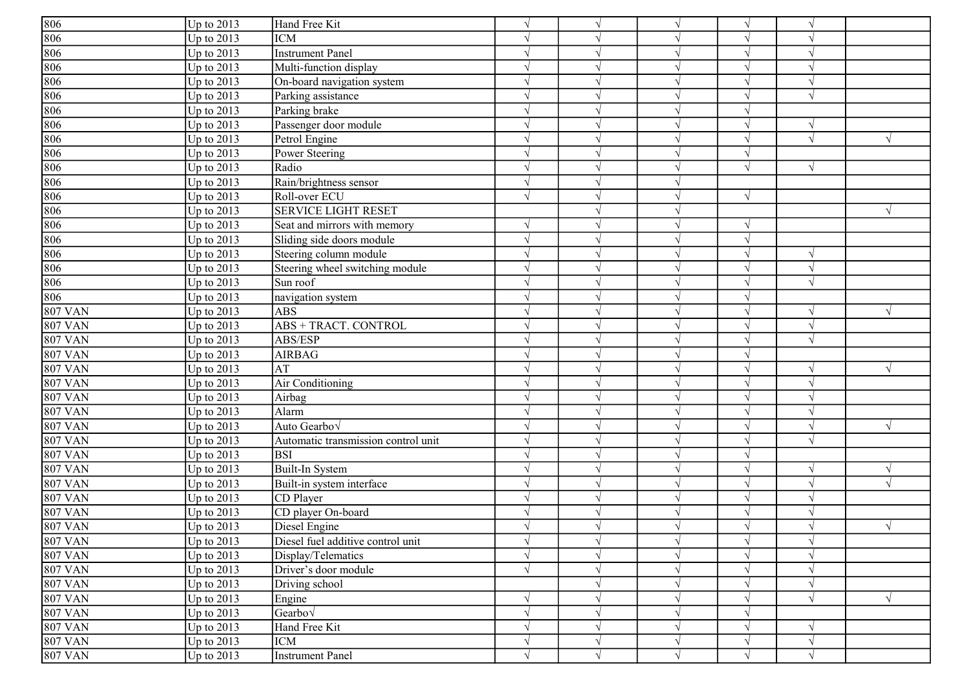| 806            | Up to $2013$      | Hand Free Kit                       | $\sqrt{ }$ | $\sqrt{ }$        |            |            |                          |            |
|----------------|-------------------|-------------------------------------|------------|-------------------|------------|------------|--------------------------|------------|
| 806            | Up to $2013$      | <b>ICM</b>                          | $\sqrt{ }$ | $\gamma$          |            | $\sqrt{ }$ |                          |            |
| 806            | Up to $2013$      | Instrument Panel                    | $\sqrt{ }$ | $\gamma$          |            | $\sqrt{ }$ |                          |            |
| 806            | Up to 2013        | Multi-function display              | $\sqrt{ }$ | $\mathcal{L}$     |            | $\sqrt{ }$ |                          |            |
| 806            | Up to $2013$      | On-board navigation system          | $\sqrt{ }$ | $\gamma$          |            | $\sqrt{ }$ |                          |            |
| 806            | Up to $2013$      | Parking assistance                  | $\sqrt{ }$ | $\mathcal{L}$     |            | $\sqrt{}$  |                          |            |
| 806            | Up to 2013        | Parking brake                       | $\sqrt{ }$ | $\mathcal{L}$     |            | $\sqrt{ }$ |                          |            |
| 806            | Up to 2013        | Passenger door module               | $\sqrt{ }$ | $\sqrt{ }$        |            | $\sqrt{ }$ | $\sqrt{}$                |            |
| 806            | Up to 2013        | Petrol Engine                       | $\sqrt{ }$ | $\sqrt{ }$        |            | $\sqrt{ }$ |                          |            |
| 806            | Up to 2013        | Power Steering                      | $\sqrt{ }$ | $\mathbf{\hat{}}$ |            | $\sqrt{ }$ |                          |            |
| 806            | Up to $2013$      | Radio                               | $\sqrt{ }$ | $\sqrt{ }$        |            | $\sqrt{ }$ | $\sqrt{ }$               |            |
| 806            | Up to 2013        | Rain/brightness sensor              | $\sqrt{ }$ | $\gamma$          |            |            |                          |            |
| 806            | Up to $2013$      | Roll-over ECU                       | $\sqrt{ }$ | $\gamma$          |            | $\sqrt{ }$ |                          |            |
| 806            | Up to $2013$      | <b>SERVICE LIGHT RESET</b>          |            | $\gamma$          |            |            |                          | V          |
| 806            | Up to $2013$      | Seat and mirrors with memory        | $\sqrt{ }$ | $\gamma$          |            | $\sqrt{ }$ |                          |            |
| 806            | Up to 2013        | Sliding side doors module           | $\sqrt{ }$ | $\mathcal{L}$     |            | $\sqrt{ }$ |                          |            |
| 806            | Up to 2013        | Steering column module              | $\sqrt{ }$ | $\mathcal{L}$     |            | $\sqrt{ }$ | $\mathcal{N}$            |            |
| 806            | Up to $2013$      | Steering wheel switching module     | $\gamma$   |                   |            |            |                          |            |
| 806            | Up to 2013        | Sun roof                            | $\sqrt{ }$ | $\mathcal{L}$     |            | $\sqrt{ }$ |                          |            |
| 806            | Up to 2013        | navigation system                   | $\sqrt{ }$ | $\sqrt{ }$        |            | $\sqrt{ }$ |                          |            |
| <b>807 VAN</b> | Up to 2013        | <b>ABS</b>                          | $\sqrt{ }$ | $\sqrt{ }$        |            | $\sqrt{ }$ |                          |            |
| <b>807 VAN</b> | <b>Up to 2013</b> | <b>ABS + TRACT. CONTROL</b>         | $\sqrt{ }$ | $\sqrt{ }$        |            | $\sqrt{ }$ | $\sqrt{ }$               |            |
| <b>807 VAN</b> | Up to 2013        | ABS/ESP                             | $\sqrt{ }$ | $\sqrt{ }$        |            | $\sqrt{ }$ | $\overline{\mathcal{N}}$ |            |
| <b>807 VAN</b> | Up to 2013        | <b>AIRBAG</b>                       | $\sqrt{ }$ | $\gamma$          |            | $\sqrt{ }$ |                          |            |
| <b>807 VAN</b> | Up to 2013        | AT                                  | $\sqrt{ }$ | $\sqrt{ }$        |            | $\sqrt{ }$ |                          |            |
| <b>807 VAN</b> | Up to $2013$      | Air Conditioning                    | $\sqrt{ }$ | $\gamma$          |            | $\sqrt{ }$ |                          |            |
| <b>807 VAN</b> | Up to 2013        | Airbag                              | $\gamma$   | $\gamma$          |            | $\sqrt{ }$ |                          |            |
| <b>807 VAN</b> | Up to 2013        | Alarm                               | $\sqrt{ }$ | $\gamma$          |            | $\sqrt{ }$ |                          |            |
| <b>807 VAN</b> | Up to $2013$      | Auto Gearbo <sub>V</sub>            | $\sqrt{ }$ | $\gamma$          |            | $\sqrt{ }$ |                          | $\sqrt{ }$ |
| <b>807 VAN</b> | Up to 2013        | Automatic transmission control unit | $\sqrt{ }$ |                   |            |            |                          |            |
| <b>807 VAN</b> | Up to $2013$      | <b>BSI</b>                          | $\sqrt{ }$ | $\sqrt{ }$        |            | $\sqrt{ }$ |                          |            |
| <b>807 VAN</b> | Up to 2013        | Built-In System                     | $\sqrt{ }$ | $\sqrt{ }$        |            | $\sqrt{ }$ | $\mathcal{N}$            |            |
| <b>807 VAN</b> | Up to 2013        | Built-in system interface           | $\sqrt{ }$ | $\sqrt{ }$        |            | $\sqrt{ }$ |                          | $\sqrt{ }$ |
| <b>807 VAN</b> | Up to 2013        | CD Player                           | $\sqrt{ }$ | $\sqrt{ }$        |            | $\sqrt{ }$ |                          |            |
| <b>807 VAN</b> | Up to 2013        | CD player On-board                  | $\sqrt{ }$ | $\gamma$          |            | $\sqrt{ }$ |                          |            |
| 807 VAN        | Up to $2013$      | Diesel Engine                       |            |                   |            |            |                          |            |
| 807 VAN        | Up to $2013$      | Diesel fuel additive control unit   | $\sqrt{ }$ | $\sqrt{}$         | $\sqrt{}$  | $\sqrt{ }$ | $\sqrt{ }$               |            |
| <b>807 VAN</b> | Up to $2013$      | Display/Telematics                  | $\sqrt{ }$ | $\sqrt{ }$        |            | $\sqrt{ }$ | $\gamma$                 |            |
| 807 VAN        | Up to $2013$      | Driver's door module                | $\sqrt{ }$ | $\sqrt{ }$        |            | $\sqrt{ }$ | $\gamma$                 |            |
| <b>807 VAN</b> | Up to $2013$      | Driving school                      |            | $\gamma$          |            | $\sqrt{ }$ |                          |            |
| <b>807 VAN</b> | Up to $2013$      | Engine                              | $\sqrt{ }$ | $\sqrt{ }$        |            | $\sqrt{ }$ | $\sqrt{ }$               | $\sqrt{}$  |
| <b>807 VAN</b> | Up to $2013$      | $Gearbo\sqrt$                       | $\sqrt{ }$ | $\sqrt{ }$        |            | $\sqrt{ }$ |                          |            |
| <b>807 VAN</b> | Up to 2013        | Hand Free Kit                       | $\sqrt{ }$ | $\sqrt{ }$        |            | $\sqrt{ }$ |                          |            |
| <b>807 VAN</b> | Up to $2013$      | <b>ICM</b>                          | $\sqrt{ }$ | $\sqrt{ }$        |            | $\sqrt{ }$ | $\sqrt{}$                |            |
| <b>807 VAN</b> | Up to $2013$      | Instrument Panel                    | $\sqrt{ }$ | $\sqrt{ }$        | $\sqrt{ }$ | $\sqrt{}$  | $\sqrt{ }$               |            |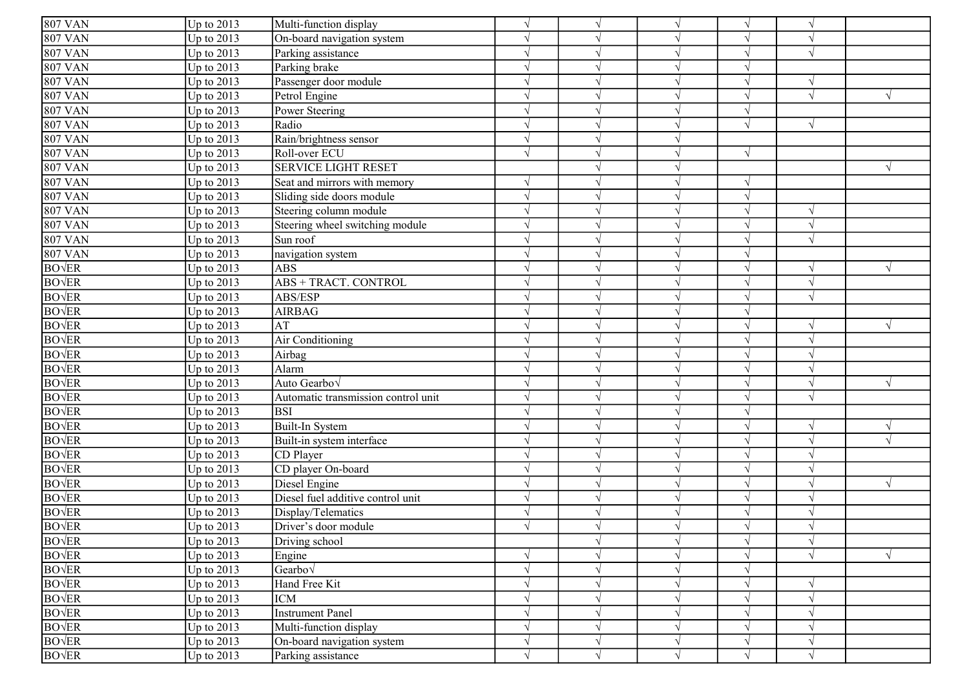| <b>807 VAN</b>           | Up to $2013$            | Multi-function display              | $\sqrt{ }$    | $\sqrt{ }$    |            | $\sqrt{ }$ | $\sqrt{ }$ |  |
|--------------------------|-------------------------|-------------------------------------|---------------|---------------|------------|------------|------------|--|
| <b>807 VAN</b>           | Up to $2013$            | On-board navigation system          | $\gamma$      |               |            | $\sqrt{ }$ |            |  |
| <b>807 VAN</b>           | Up to $2013$            | Parking assistance                  |               |               |            | $\sqrt{ }$ | $\sqrt{ }$ |  |
| <b>807 VAN</b>           | Up to $2013$            | Parking brake                       | $\gamma$      |               |            | $\sqrt{ }$ |            |  |
| <b>807 VAN</b>           | Up to 2013              | Passenger door module               | $\gamma$      |               |            | $\sqrt{ }$ |            |  |
| <b>807 VAN</b>           | Up to $2013$            | Petrol Engine                       | $\mathcal{L}$ |               |            | $\sqrt{ }$ | $\sqrt{ }$ |  |
| <b>807 VAN</b>           | Up to $2013$            | Power Steering                      | $\mathcal{L}$ |               |            | $\sqrt{ }$ |            |  |
| <b>807 VAN</b>           | Up to $2013$            | Radio                               | $\sqrt{ }$    | $\sqrt{ }$    |            | $\sqrt{ }$ | $\sqrt{ }$ |  |
| <b>807 VAN</b>           | Up to 2013              | Rain/brightness sensor              | $\sqrt{ }$    |               |            |            |            |  |
| <b>807 VAN</b>           | Up to $2013$            | Roll-over ECU                       | $\sqrt{ }$    | $\mathcal{N}$ |            | $\sqrt{ }$ |            |  |
| <b>807 VAN</b>           | Up to 2013              | <b>SERVICE LIGHT RESET</b>          |               | $\sqrt{ }$    |            |            |            |  |
| <b>807 VAN</b>           | Up to 2013              | Seat and mirrors with memory        | $\sqrt{ }$    | $\sqrt{ }$    |            | $\sqrt{ }$ |            |  |
| <b>807 VAN</b>           | Up to $2013$            | Sliding side doors module           | $\sqrt{ }$    |               |            | $\sqrt{ }$ |            |  |
| <b>807 VAN</b>           | Up to 2013              | Steering column module              | $\sqrt{ }$    | $\mathcal{L}$ |            | $\sqrt{ }$ | $\sqrt{ }$ |  |
| <b>807 VAN</b>           | Up to $2013$            | Steering wheel switching module     | $\sqrt{ }$    |               |            | $\sqrt{ }$ | $\sqrt{ }$ |  |
| 807 VAN                  | Up to 2013              | Sun roof                            | $\gamma$      |               |            | $\sqrt{ }$ | $\sqrt{ }$ |  |
| $\sqrt{807}$ VAN         | Up to $2013$            | navigation system                   | $\mathcal{L}$ | $\mathcal{L}$ |            | $\sqrt{ }$ |            |  |
| <b>BOVER</b>             | Up to 2013              | <b>ABS</b>                          | $\mathcal{L}$ |               |            | $\sqrt{ }$ | $\sqrt{ }$ |  |
| <b>BOVER</b>             | Up to $2013$            | ABS + TRACT. CONTROL                |               |               |            | $\sqrt{ }$ |            |  |
| <b>BOVER</b>             | Up to $2013$            | ABS/ESP                             | $\sqrt{ }$    |               |            | $\sqrt{ }$ |            |  |
| <b>BO</b> $\sqrt{ER}$    | Up to $\overline{2013}$ | <b>AIRBAG</b>                       | $\sqrt{ }$    |               |            | $\sqrt{ }$ |            |  |
| <b>BO</b> <sub>VER</sub> | Up to $2013$            | AT                                  | $\mathcal{L}$ | $\sqrt{ }$    |            | $\sqrt{ }$ | $\sqrt{ }$ |  |
| <b>BO</b> <sub>VER</sub> | Up to $2013$            | Air Conditioning                    | $\gamma$      | $\sqrt{ }$    |            | $\sqrt{ }$ |            |  |
| <b>BOVER</b>             | Up to 2013              | Airbag                              | $\sqrt{ }$    | $\sqrt{ }$    |            | $\sqrt{ }$ | $\sqrt{ }$ |  |
| <b>BOVER</b>             | Up to $2013$            | Alarm                               | $\Delta$      | $\mathcal{L}$ |            | $\sqrt{ }$ |            |  |
| <b>BO</b> <sub>VER</sub> | Up to 2013              | Auto Gearbo <sub>V</sub>            | $\mathcal{L}$ |               |            | $\sqrt{ }$ |            |  |
| <b>BO</b> <sub>VER</sub> | Up to $2013$            | Automatic transmission control unit | $\gamma$      |               |            | $\sqrt{ }$ |            |  |
| <b>BOVER</b>             | Up to $2013$            | <b>BSI</b>                          | $\mathcal{L}$ |               |            | $\sqrt{ }$ |            |  |
| <b>BOVER</b>             | Up to $2013$            | Built-In System                     | $\mathcal{L}$ |               |            | $\sqrt{ }$ |            |  |
| <b>BO</b> <sub>VER</sub> | Up to 2013              | Built-in system interface           | $\mathcal{L}$ |               |            | $\sqrt{ }$ |            |  |
| <b>BO</b> <sub>VER</sub> | Up to $2013$            | CD Player                           | $\mathcal{L}$ |               |            | $\sqrt{ }$ |            |  |
| <b>BOVER</b>             | Up to $2013$            | CD player On-board                  | $\mathcal{L}$ |               |            | $\sqrt{ }$ |            |  |
| <b>BO</b> <sub>VER</sub> | Up to $2013$            | Diesel Engine                       | $\sqrt{ }$    |               |            | $\sqrt{ }$ |            |  |
| <b>BO</b> $\sqrt{ER}$    | Up to $2013$            | Diesel fuel additive control unit   | $\sqrt{ }$    | $\sqrt{ }$    |            | $\sqrt{ }$ |            |  |
| <b>BO</b> $\sqrt{ER}$    | Up to 2013              | Display/Telematics                  | $\gamma$      | $\mathcal{N}$ |            | $\sqrt{ }$ |            |  |
| <b>BO</b> <sub>VER</sub> | $Up$ to 2013            | Driver's door module                | $\sqrt{ }$    | $\mathcal{N}$ |            | $\sqrt{ }$ |            |  |
| <b>BO</b> $\sqrt{ER}$    | Up to $2013$            | Driving school                      |               | $\sqrt{ }$    | $\sqrt{}$  | $\sqrt{}$  | $\sqrt{ }$ |  |
| <b>BO</b> <sub>VER</sub> | Up to $2013$            | Engine                              |               | $\sqrt{ }$    |            | $\sqrt{ }$ |            |  |
| <b>BOVER</b>             | Up to $2013$            | Gearbo $\sqrt$                      | $\sqrt{ }$    | $\sqrt{ }$    |            | $\sqrt{}$  |            |  |
| BO√ER                    | Up to $2013$            | Hand Free Kit                       | $\mathcal{L}$ | $\sqrt{ }$    |            | $\sqrt{}$  |            |  |
| <b>BO</b> <sub>VER</sub> | Up to $2013$            | <b>ICM</b>                          | $\gamma$      | $\mathcal{N}$ |            | $\sqrt{ }$ | $\sqrt{}$  |  |
| <b>BOVER</b>             | Up to $2013$            | <b>Instrument Panel</b>             | $\sqrt{ }$    | $\sqrt{ }$    |            | $\sqrt{ }$ | $\sqrt{ }$ |  |
| <b>BOVER</b>             | Up to $2013$            | Multi-function display              | $\sqrt{ }$    | $\sqrt{ }$    | $\sqrt{ }$ | $\sqrt{ }$ | $\sqrt{ }$ |  |
| <b>BOVER</b>             | Up to $2013$            | On-board navigation system          | $\sqrt{ }$    | $\sqrt{ }$    |            | $\sqrt{ }$ | $\sqrt{ }$ |  |
| <b>BO</b> <sub>VER</sub> | Up to $2013$            | Parking assistance                  | $\sqrt{}$     | $\sqrt{ }$    |            | $\sqrt{}$  | $\sqrt{}$  |  |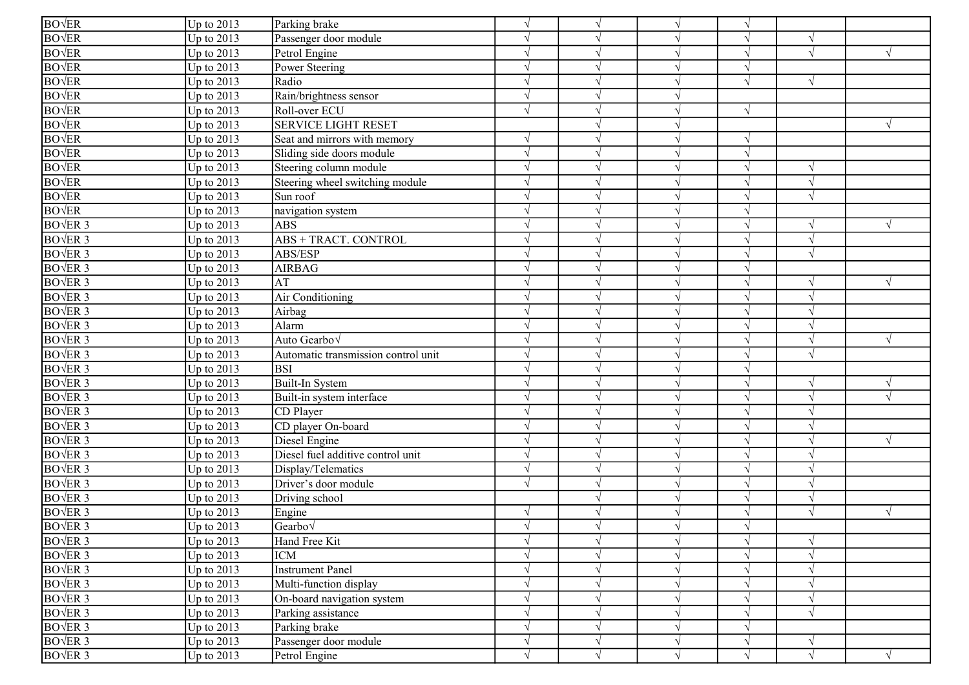| <b>BO</b> <sub>VER</sub>   |              |                                     |            |            |           |            |                          |            |
|----------------------------|--------------|-------------------------------------|------------|------------|-----------|------------|--------------------------|------------|
|                            | Up to $2013$ | Parking brake                       | $\sqrt{ }$ | $\sqrt{ }$ |           |            |                          |            |
| <b>BO</b> <sub>VER</sub>   | Up to $2013$ | Passenger door module               | $\sqrt{ }$ | $\sqrt{ }$ |           | $\sqrt{ }$ |                          |            |
| <b>BO</b> $\sqrt{ER}$      | Up to $2013$ | Petrol Engine                       | $\sqrt{ }$ | $\sqrt{ }$ |           | $\sqrt{ }$ | $\sqrt{ }$               |            |
| <b>BO</b> $\sqrt{ER}$      | Up to $2013$ | Power Steering                      | $\sqrt{ }$ | $\sqrt{ }$ |           | $\sqrt{ }$ |                          |            |
| <b>BO</b> <sub>VER</sub>   | Up to $2013$ | Radio                               | $\sqrt{ }$ | $\sqrt{ }$ |           | $\sqrt{ }$ | $\mathcal{N}$            |            |
| <b>BO</b> <sub>VER</sub>   | Up to 2013   | Rain/brightness sensor              | $\sqrt{ }$ | $\sqrt{ }$ |           |            |                          |            |
| <b>BO</b> <sub>VER</sub>   | Up to $2013$ | Roll-over ECU                       | $\sqrt{ }$ | $\sqrt{ }$ |           | $\sqrt{ }$ |                          |            |
| <b>BO</b> <sub>VER</sub>   | Up to $2013$ | <b>SERVICE LIGHT RESET</b>          |            | $\sqrt{ }$ |           |            |                          | V          |
| <b>BO</b> <sub>VER</sub>   | Up to 2013   | Seat and mirrors with memory        | $\sqrt{ }$ | $\sqrt{ }$ |           | $\sqrt{ }$ |                          |            |
| <b>BO</b> $\sqrt{ER}$      | Up to 2013   | Sliding side doors module           | $\sqrt{ }$ | $\sqrt{ }$ |           | $\sqrt{ }$ |                          |            |
| <b>BO</b> <sub>VER</sub>   | Up to 2013   | Steering column module              | $\sqrt{ }$ | $\sqrt{ }$ |           | $\sqrt{ }$ | $\sqrt{}$                |            |
| BOVER                      | Up to $2013$ | Steering wheel switching module     | $\sqrt{ }$ | $\sqrt{ }$ |           |            | $\mathcal{A}$            |            |
| <b>BO</b> <sub>VER</sub>   | Up to $2013$ | Sun roof                            | $\sqrt{ }$ | $\sqrt{ }$ |           |            | $\sqrt{ }$               |            |
| <b>BO</b> <sub>VER</sub>   | Up to 2013   | navigation system                   | $\sqrt{ }$ | $\sqrt{ }$ |           | $\sqrt{ }$ |                          |            |
| <b>BOVER 3</b>             | Up to $2013$ | <b>ABS</b>                          | $\sqrt{ }$ | $\gamma$   |           | $\sqrt{ }$ |                          |            |
| <b>BOVER 3</b>             | Up to $2013$ | ABS + TRACT. CONTROL                | $\sqrt{ }$ | $\sqrt{ }$ |           | $\sqrt{ }$ | $\overline{\mathcal{N}}$ |            |
| <b>BOVER 3</b>             | Up to 2013   | ABS/ESP                             | $\sqrt{ }$ | $\sqrt{ }$ |           | $\sqrt{ }$ | $\sqrt{ }$               |            |
| <b>BOVER 3</b>             | Up to $2013$ | <b>AIRBAG</b>                       |            | $\gamma$   |           |            |                          |            |
| $BOVER$ 3                  | Up to $2013$ | AT                                  | $\sqrt{ }$ | $\sqrt{ }$ |           | $\sqrt{ }$ | $\sqrt{ }$               |            |
| <b>BOVER 3</b>             | Up to 2013   | Air Conditioning                    | $\sqrt{ }$ | $\sqrt{ }$ |           | $\sqrt{ }$ | $\overline{\mathcal{N}}$ |            |
| <b>BOVER</b> <sub>3</sub>  | Up to $2013$ | Airbag                              | $\sqrt{ }$ | $\sqrt{ }$ |           | $\sqrt{ }$ |                          |            |
| <b>BOVER 3</b>             | Up to $2013$ | Alarm                               | $\sqrt{ }$ | $\sqrt{ }$ |           | $\sqrt{ }$ | $\sqrt{ }$               |            |
| <b>BOVER 3</b>             | Up to $2013$ | Auto Gearbo√                        | $\sqrt{ }$ | $\sqrt{ }$ |           | $\sqrt{ }$ | $\overline{\mathcal{N}}$ |            |
| <b>BOVER 3</b>             | Up to 2013   | Automatic transmission control unit | $\sqrt{ }$ | $\sqrt{ }$ |           | $\sqrt{ }$ |                          |            |
| <b>BOVER 3</b>             | Up to 2013   | <b>BSI</b>                          | $\sqrt{ }$ | $\sqrt{ }$ |           | $\sqrt{ }$ |                          |            |
| $BO\sqrt{ER}$ 3            | Up to $2013$ | Built-In System                     | $\sqrt{ }$ | $\sqrt{ }$ |           | $\sqrt{ }$ |                          |            |
| <b>BO</b> $\sqrt{ER}$ 3    | Up to 2013   | Built-in system interface           | $\sqrt{ }$ | $\gamma$   |           | $\sqrt{ }$ |                          |            |
| BO <sub>VER</sub> 3        | Up to $2013$ | CD Player                           | $\sqrt{ }$ | $\sqrt{ }$ |           | $\sqrt{ }$ |                          |            |
| <b>BOVER 3</b>             | Up to $2013$ | CD player On-board                  | $\sqrt{ }$ | $\sqrt{ }$ |           | $\sqrt{ }$ |                          |            |
| <b>BOVER 3</b>             | Up to 2013   | Diesel Engine                       | $\sqrt{ }$ | $\sqrt{ }$ |           |            |                          |            |
| <b>BOVER 3</b>             | Up to $2013$ | Diesel fuel additive control unit   | $\sqrt{ }$ | $\sqrt{ }$ |           | $\sqrt{ }$ |                          |            |
| <b>BO</b> VER <sub>3</sub> | Up to $2013$ | Display/Telematics                  | $\sqrt{ }$ | $\sqrt{ }$ |           | $\sqrt{ }$ |                          |            |
| <b>BO</b> $\sqrt{ER}$ 3    | Up to 2013   | Driver's door module                | $\sqrt{ }$ | $\sqrt{ }$ |           | $\sqrt{ }$ |                          |            |
| <b>BO</b> $\sqrt{ER}$ 3    | Up to 2013   | Driving school                      |            | $\sqrt{ }$ |           | $\sqrt{ }$ | $\sqrt{ }$               |            |
| BO <sub>VER</sub> 3        | Up to 2013   | Engine                              | $\sqrt{ }$ | $\sqrt{ }$ |           | $\sqrt{ }$ | $\sqrt{ }$               | $\sqrt{ }$ |
| $BO\sqrt{ER 3}$            | Up to $2013$ | $Gearbo\sqrt$                       |            |            |           |            |                          |            |
| BO <sub>VER</sub> 3        | Up to $2013$ | Hand Free Kit                       | $\sqrt{ }$ | $\sqrt{}$  | $\sqrt{}$ | $\sqrt{}$  | $\sqrt{ }$               |            |
| $BO\sqrt{ER}$ 3            | Up to 2013   | <b>ICM</b>                          | $\sqrt{ }$ | $\sqrt{ }$ |           | $\sqrt{ }$ | $\sqrt{}$                |            |
| $BO\sqrt{ER}$ 3            | Up to $2013$ | <b>Instrument Panel</b>             | $\sqrt{ }$ | $\sqrt{ }$ |           | $\sqrt{ }$ | $\sqrt{}$                |            |
| <b>BOVER 3</b>             | Up to $2013$ | Multi-function display              | $\sqrt{ }$ | $\sqrt{ }$ |           | $\sqrt{ }$ |                          |            |
| BOVER 3                    | Up to $2013$ | On-board navigation system          | $\sqrt{ }$ | $\sqrt{ }$ |           | $\sqrt{ }$ | $\sqrt{ }$               |            |
| $BO\sqrt{ER}$ 3            | Up to $2013$ | Parking assistance                  | $\sqrt{ }$ | $\sqrt{ }$ |           | $\sqrt{ }$ | $\sqrt{ }$               |            |
| $BOVER$ 3                  | Up to $2013$ | Parking brake                       | $\sqrt{ }$ | $\sqrt{ }$ |           |            |                          |            |
| BOVER 3                    | Up to $2013$ | Passenger door module               | $\sqrt{ }$ | $\sqrt{ }$ |           | $\sqrt{}$  | $\sqrt{}$                |            |
| BOVER <sub>3</sub>         | Up to $2013$ | Petrol Engine                       | $\sqrt{ }$ | $\sqrt{ }$ | $\sqrt{}$ | $\sqrt{ }$ | $\sqrt{ }$               | $\sqrt{}$  |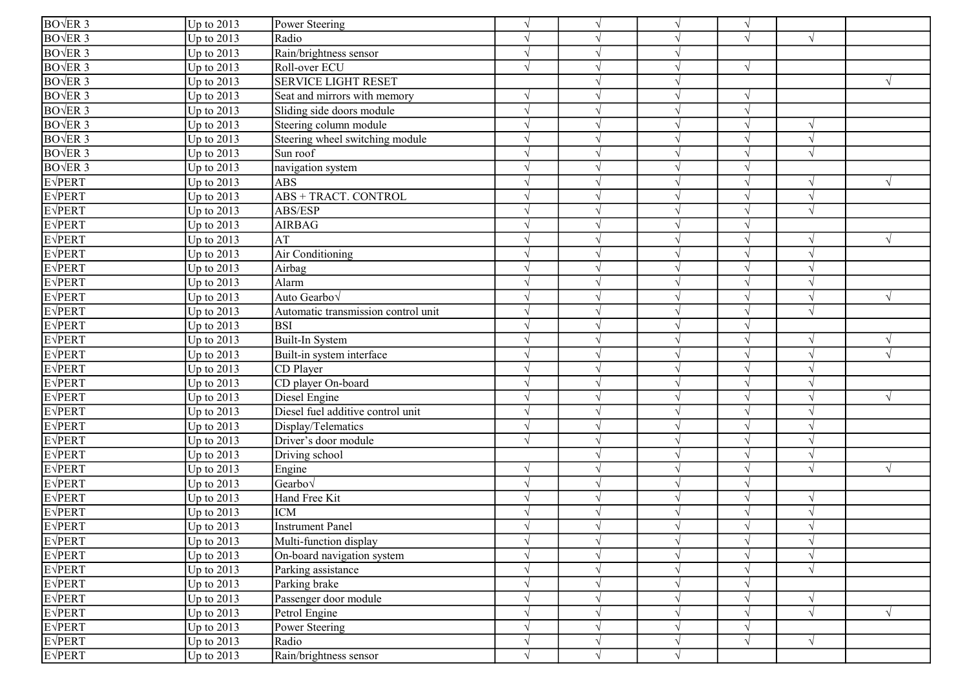| $BOVER$ 3               | Up to $2013$ | Power Steering                      | $\sqrt{ }$    |               |           | $\sqrt{ }$ |               |            |
|-------------------------|--------------|-------------------------------------|---------------|---------------|-----------|------------|---------------|------------|
| BOVER 3                 | Up to 2013   | Radio                               |               |               |           | $\sqrt{ }$ | $\sqrt{ }$    |            |
| BOVER 3                 | Up to 2013   | Rain/brightness sensor              | $\sqrt{}$     |               |           |            |               |            |
| <b>BOVER 3</b>          | Up to 2013   | Roll-over ECU                       | $\sqrt{ }$    |               |           | $\sqrt{ }$ |               |            |
| BOVER <sub>3</sub>      | Up to 2013   | <b>SERVICE LIGHT RESET</b>          |               |               |           |            |               | $\sqrt{ }$ |
| BOVER <sub>3</sub>      | Up to 2013   | Seat and mirrors with memory        |               |               |           | $\sqrt{}$  |               |            |
| $BO\sqrt{ER}$ 3         | Up to 2013   | Sliding side doors module           |               |               |           | $\sqrt{}$  |               |            |
| BOVER 3                 | Up to 2013   | Steering column module              | $\sqrt{ }$    |               |           | V          | $\sqrt{ }$    |            |
| $BOVER$ 3               | Up to $2013$ | Steering wheel switching module     | $\sqrt{ }$    |               |           | V          | $\sqrt{ }$    |            |
| BOVER <sub>3</sub>      | Up to 2013   | Sun roof                            | $\sqrt{ }$    | $\mathcal{N}$ |           | $\sqrt{ }$ | $\gamma$      |            |
| <b>BO</b> $\sqrt{ER}$ 3 | Up to $2013$ | navigation system                   | $\sqrt{ }$    | $\mathcal{L}$ |           | $\sqrt{ }$ |               |            |
| <b>E</b> VPERT          | Up to 2013   | <b>ABS</b>                          | $\mathcal{L}$ | $\lambda$     |           | $\sqrt{ }$ | $\sqrt{ }$    | $\sqrt{ }$ |
| <b>E</b> VPERT          | Up to 2013   | ABS + TRACT. CONTROL                |               |               |           |            |               |            |
| <b>E</b> VPERT          | Up to 2013   | ABS/ESP                             | $\mathcal{L}$ |               |           | $\sqrt{}$  | $\sqrt{ }$    |            |
| <b>E</b> VPERT          | Up to 2013   | <b>AIRBAG</b>                       |               |               |           | V          |               |            |
| <b>EVPERT</b>           | Up to 2013   | AT                                  | $\mathcal{L}$ |               |           | V          | $\sqrt{ }$    | $\sqrt{ }$ |
| <b>E</b> VPERT          | Up to 2013   | Air Conditioning                    | $\mathcal{L}$ | $\mathcal{L}$ |           | $\sqrt{}$  | $\sqrt{ }$    |            |
| <b>EVPERT</b>           | Up to 2013   | Airbag                              |               |               |           | $\sqrt{}$  |               |            |
| <b>E</b> VPERT          | Up to 2013   | Alarm                               |               |               |           |            |               |            |
| <b>E</b> VPERT          | Up to 2013   | Auto Gearbov                        |               |               |           | $\sqrt{}$  | $\mathcal{N}$ | $\sqrt{ }$ |
| $E\sqrt{PERT}$          | Up to 2013   | Automatic transmission control unit | ٦             |               |           | $\sqrt{ }$ |               |            |
| <b>E</b> VPERT          | Up to 2013   | <b>BSI</b>                          | $\sqrt{ }$    | $\mathcal{N}$ |           | $\sqrt{ }$ |               |            |
| <b>E</b> VPERT          | Up to 2013   | Built-In System                     | V             | $\mathcal{N}$ | $\gamma$  | $\sqrt{ }$ | $\sqrt{ }$    | $\sqrt{ }$ |
| <b>E</b> VPERT          | Up to 2013   | Built-in system interface           | $\mathcal{L}$ | $\mathcal{L}$ |           | $\sqrt{}$  | $\sqrt{ }$    |            |
| <b>E</b> VPERT          | Up to 2013   | CD Player                           | $\gamma$      |               |           | $\sqrt{ }$ | $\sqrt{ }$    |            |
| <b>E</b> VPERT          | Up to 2013   | CD player On-board                  |               |               |           |            | $\gamma$      |            |
| <b>E</b> VPERT          | Up to 2013   | Diesel Engine                       | ٦             |               |           | V          |               | $\sqrt{ }$ |
| <b>EVPERT</b>           | Up to 2013   | Diesel fuel additive control unit   | $\sqrt{ }$    |               |           | V          | $\mathcal{N}$ |            |
| <b>EVPERT</b>           | Up to 2013   | Display/Telematics                  | $\sqrt{ }$    |               |           | V          | $\gamma$      |            |
| <b>EVPERT</b>           | Up to 2013   | Driver's door module                | $\sqrt{ }$    |               |           | $\sqrt{}$  | $\Delta$      |            |
| <b>EVPERT</b>           | Up to 2013   | Driving school                      |               |               |           | $\sqrt{}$  | $\sqrt{ }$    |            |
| <b>E</b> VPERT          | Up to 2013   | Engine                              | $\mathcal{L}$ |               |           |            |               | $\sqrt{ }$ |
| <b>EVPERT</b>           | Up to 2013   | Gearbov                             | $\sqrt{ }$    |               |           | $\sqrt{ }$ |               |            |
| <b>E</b> VPERT          | Up to 2013   | Hand Free Kit                       | $\sqrt{ }$    |               |           | $\sqrt{ }$ | $\sqrt{ }$    |            |
| <b>E</b> VPERT          | Up to 2013   | <b>ICM</b>                          | $\mathcal{L}$ |               |           | V          | $\mathcal{N}$ |            |
| <b>EVPERT</b>           | Up to $2013$ | <b>Instrument Panel</b>             | $\sqrt{ }$    |               |           | $\sqrt{ }$ | $\sqrt{ }$    |            |
| <b>E</b> VPERT          | Up to $2013$ | Multi-function display              | $\sqrt{ }$    | $\sqrt{ }$    | $\sqrt{}$ | $\sqrt{}$  | $\sqrt{ }$    |            |
| <b>E</b> VPERT          | Up to 2013   | On-board navigation system          |               |               |           | V          | $\gamma$      |            |
| <b>E</b> VPERT          | Up to 2013   | Parking assistance                  | V             | N             |           | $\sqrt{}$  | $\sqrt{ }$    |            |
| <b>E</b> VPERT          | Up to 2013   | Parking brake                       |               |               |           | V          |               |            |
| <b>E</b> VPERT          | Up to 2013   | Passenger door module               | V             |               |           | V          | $\gamma$      |            |
| <b>E</b> VPERT          | Up to 2013   | Petrol Engine                       | V             | $\mathcal{L}$ |           | $\sqrt{}$  | $\sqrt{ }$    | $\sqrt{ }$ |
| <b>EVPERT</b>           | Up to 2013   | Power Steering                      | V             |               |           | $\sqrt{}$  |               |            |
| <b>E</b> VPERT          | Up to $2013$ | Radio                               |               |               |           | $\sqrt{}$  | $\gamma$      |            |
| <b>EVPERT</b>           | Up to 2013   | Rain/brightness sensor              | $\sqrt{}$     | N             | $\gamma$  |            |               |            |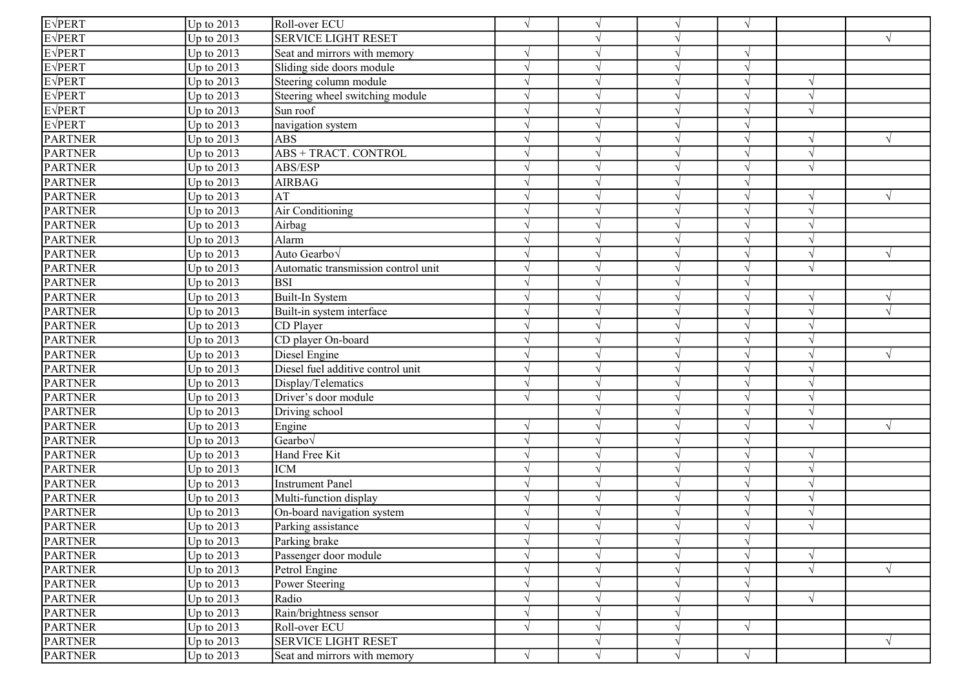| <b>E</b> VPERT | Up to $2013$            | Roll-over ECU                       | $\sqrt{ }$    | $\sqrt{ }$    |              | $\sqrt{ }$ |               |            |
|----------------|-------------------------|-------------------------------------|---------------|---------------|--------------|------------|---------------|------------|
| <b>EVPERT</b>  | Up to 2013              | <b>SERVICE LIGHT RESET</b>          |               |               |              |            |               | $\sqrt{ }$ |
| E√PERT         | Up to 2013              | Seat and mirrors with memory        |               |               | $\sqrt{ }$   | $\sqrt{}$  |               |            |
| E√PERT         | Up to 2013              | Sliding side doors module           | $\mathcal{L}$ |               |              | $\sqrt{ }$ |               |            |
| <b>EVPERT</b>  | Up to 2013              | Steering column module              | $\mathcal{N}$ |               |              | $\sqrt{ }$ | $\sqrt{ }$    |            |
| <b>E</b> VPERT | Up to 2013              | Steering wheel switching module     | $\sqrt{ }$    |               |              | $\sqrt{}$  | $\sqrt{ }$    |            |
| <b>E</b> VPERT | Up to 2013              | Sun roof                            |               |               |              |            |               |            |
| <b>E</b> VPERT | Up to $\overline{2013}$ | navigation system                   | $\sqrt{ }$    |               |              | V          |               |            |
| <b>PARTNER</b> | Up to 2013              | <b>ABS</b>                          | N             |               | $\mathcal N$ | $\sqrt{ }$ | $\sqrt{ }$    | $\sqrt{ }$ |
| <b>PARTNER</b> | Up to 2013              | ABS + TRACT. CONTROL                | $\sqrt{ }$    |               |              | $\sqrt{ }$ |               |            |
| <b>PARTNER</b> | Up to $2013$            | ABS/ESP                             | $\sqrt{ }$    | $\sqrt{ }$    |              | $\sqrt{ }$ | $\sqrt{ }$    |            |
| <b>PARTNER</b> | Up to $2013$            | <b>AIRBAG</b>                       | $\sqrt{ }$    | $\sqrt{ }$    |              | $\sqrt{ }$ |               |            |
| <b>PARTNER</b> | Up to $2013$            | AT                                  |               |               |              | $\sqrt{ }$ | $\sqrt{ }$    | $\sqrt{ }$ |
| <b>PARTNER</b> | Up to $2013$            | Air Conditioning                    | $\sqrt{ }$    |               |              | $\sqrt{ }$ | $\sqrt{ }$    |            |
| <b>PARTNER</b> | Up to $2013$            | Airbag                              | $\mathcal{L}$ |               |              | V          | $\mathcal{L}$ |            |
| <b>PARTNER</b> | Up to 2013              | Alarm                               | $\gamma$      |               |              | $\sqrt{ }$ | $\gamma$      |            |
| <b>PARTNER</b> | Up to 2013              | Auto Gearbo√                        | $\sqrt{ }$    |               |              | $\sqrt{ }$ | $\sqrt{ }$    | $\sqrt{ }$ |
| <b>PARTNER</b> | Up to 2013              | Automatic transmission control unit | $\sqrt{ }$    |               |              | $\sqrt{ }$ | $\sqrt{ }$    |            |
| <b>PARTNER</b> | Up to 2013              | <b>BSI</b>                          |               |               |              | $\sqrt{}$  |               |            |
| <b>PARTNER</b> | Up to 2013              | Built-In System                     |               |               |              | V          | $\sqrt{ }$    | $\sqrt{ }$ |
| <b>PARTNER</b> | Up to 2013              | Built-in system interface           |               |               |              | $\sqrt{ }$ |               |            |
| <b>PARTNER</b> | Up to 2013              | CD Player                           | N             | N             |              | $\sqrt{ }$ | $\sqrt{ }$    |            |
| <b>PARTNER</b> | Up to 2013              | CD player On-board                  | $\mathcal{N}$ | $\sqrt{ }$    |              | $\sqrt{ }$ | $\sqrt{ }$    |            |
| <b>PARTNER</b> | Up to 2013              | Diesel Engine                       | $\sqrt{ }$    | $\sqrt{ }$    |              | $\sqrt{ }$ | $\sqrt{ }$    | $\sqrt{ }$ |
| <b>PARTNER</b> | Up to 2013              | Diesel fuel additive control unit   | $\mathcal{L}$ |               |              | $\sqrt{ }$ |               |            |
| <b>PARTNER</b> | Up to 2013              | Display/Telematics                  |               |               |              | V          |               |            |
| <b>PARTNER</b> | Up to 2013              | Driver's door module                | $\sqrt{ }$    |               |              | $\sqrt{ }$ |               |            |
| <b>PARTNER</b> | Up to 2013              | Driving school                      |               |               | $\sqrt{ }$   | $\sqrt{ }$ | $\sqrt{ }$    |            |
| <b>PARTNER</b> | Up to 2013              | Engine                              | $\gamma$      |               |              | $\sqrt{ }$ | $\sqrt{ }$    | $\sqrt{ }$ |
| <b>PARTNER</b> | Up to 2013              | Gearbo $\sqrt$                      | $\sqrt{ }$    |               |              | $\sqrt{ }$ |               |            |
| <b>PARTNER</b> | Up to 2013              | Hand Free Kit                       | $\sqrt{ }$    |               |              | $\sqrt{ }$ | $\sqrt{ }$    |            |
| <b>PARTNER</b> | Up to 2013              | <b>ICM</b>                          |               |               |              |            |               |            |
| <b>PARTNER</b> | Up to 2013              | <b>Instrument Panel</b>             | N             |               |              | V          |               |            |
| <b>PARTNER</b> | Up to 2013              | Multi-function display              | $\gamma$      |               |              | $\sqrt{ }$ |               |            |
| <b>PARTNER</b> | Up to 2013              | On-board navigation system          | $\mathcal{L}$ |               |              | V          |               |            |
| <b>PARTNER</b> | Up to $2013$            | Parking assistance                  |               |               |              | $\sqrt{ }$ | $\sqrt{ }$    |            |
| <b>PARTNER</b> | Up to $2013$            | Parking brake                       | $\sqrt{ }$    | $\sqrt{ }$    | $\sqrt{ }$   | $\sqrt{ }$ |               |            |
| <b>PARTNER</b> | Up to 2013              | Passenger door module               |               | $\sqrt{ }$    |              | $\sqrt{ }$ |               |            |
| <b>PARTNER</b> | Up to 2013              | Petrol Engine                       | $\sqrt{ }$    | $\sqrt{ }$    | $\sqrt{ }$   | $\sqrt{ }$ | $\sqrt{ }$    | $\sqrt{ }$ |
| <b>PARTNER</b> | Up to 2013              | Power Steering                      | $\sqrt{ }$    | $\gamma$      | $\mathcal N$ | $\sqrt{ }$ |               |            |
| <b>PARTNER</b> | Up to 2013              | Radio                               | $\sqrt{ }$    | $\gamma$      |              | $\sqrt{ }$ | $\sqrt{ }$    |            |
| <b>PARTNER</b> | Up to 2013              | Rain/brightness sensor              | $\sqrt{ }$    | $\mathcal{L}$ |              |            |               |            |
| <b>PARTNER</b> | Up to 2013              | Roll-over ECU                       | $\sqrt{ }$    | $\sqrt{ }$    |              | $\sqrt{ }$ |               |            |
| <b>PARTNER</b> | Up to $2013$            | <b>SERVICE LIGHT RESET</b>          |               |               |              |            |               | $\sqrt{ }$ |
| <b>PARTNER</b> | Up to $2013$            | Seat and mirrors with memory        | $\sqrt{ }$    | $\sqrt{ }$    | $\sqrt{ }$   | $\sqrt{}$  |               |            |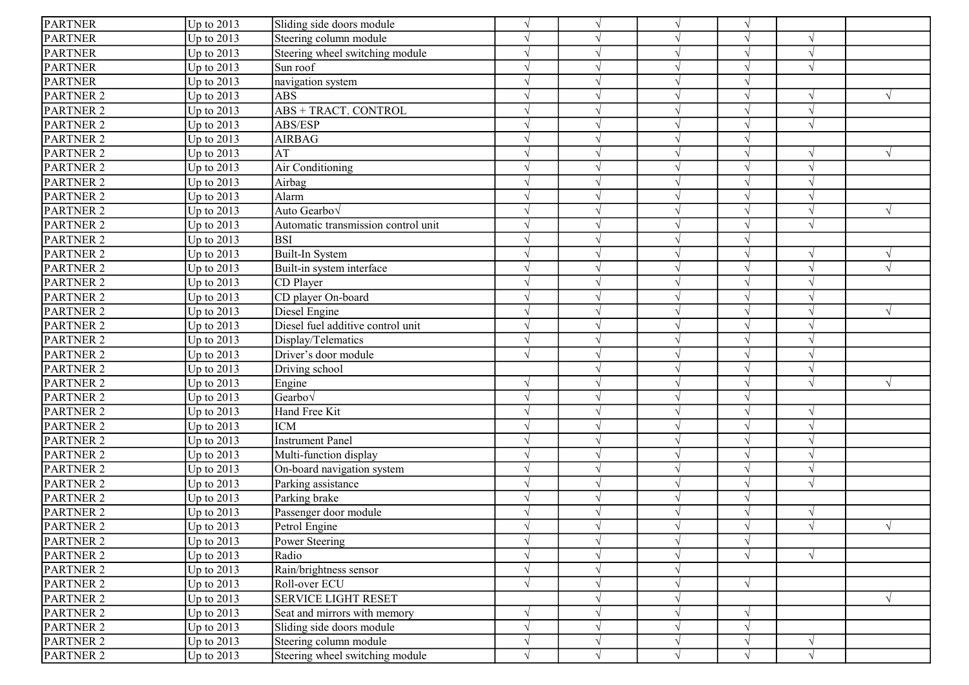| <b>PARTNER</b>   | Up to $2013$ | Sliding side doors module           | $\sqrt{ }$ | $\sqrt{ }$    | $\sqrt{ }$ | $\sqrt{ }$ |               |            |
|------------------|--------------|-------------------------------------|------------|---------------|------------|------------|---------------|------------|
| <b>PARTNER</b>   | Up to $2013$ | Steering column module              |            |               |            | $\sqrt{ }$ |               |            |
| <b>PARTNER</b>   | Up to 2013   | Steering wheel switching module     |            |               |            | V          | $\gamma$      |            |
| <b>PARTNER</b>   | Up to 2013   | Sun roof                            | $\sqrt{ }$ |               |            | $\sqrt{ }$ | $\sqrt{ }$    |            |
| <b>PARTNER</b>   | Up to 2013   | navigation system                   |            |               |            | √          |               |            |
| PARTNER 2        | Up to 2013   | <b>ABS</b>                          | $\Delta$   |               |            | $\sqrt{ }$ | $\gamma$      |            |
| PARTNER 2        | Up to 2013   | ABS + TRACT. CONTROL                |            |               |            |            |               |            |
| PARTNER 2        | Up to 2013   | ABS/ESP                             |            |               |            |            |               |            |
| PARTNER 2        | Up to 2013   | <b>AIRBAG</b>                       |            |               |            |            |               |            |
| PARTNER 2        | Up to 2013   | AT                                  |            |               |            | $\sqrt{ }$ | $\sqrt{ }$    |            |
| PARTNER 2        | Up to 2013   | Air Conditioning                    | V          |               |            | $\sqrt{ }$ |               |            |
| PARTNER 2        | Up to 2013   | Airbag                              | N          |               |            | $\sqrt{ }$ | $\sqrt{2}$    |            |
| PARTNER 2        | Up to 2013   | Alarm                               |            |               |            | $\sqrt{ }$ |               |            |
| PARTNER 2        | Up to $2013$ | Auto Gearbo√                        |            |               |            |            |               |            |
| PARTNER 2        | Up to 2013   | Automatic transmission control unit | $\sqrt{ }$ |               |            | V          | $\sqrt{ }$    |            |
| PARTNER 2        | Up to 2013   | <b>BSI</b>                          |            |               |            | V          |               |            |
| PARTNER 2        | Up to 2013   | Built-In System                     |            |               |            | V          | $\mathcal{N}$ |            |
| PARTNER 2        | Up to 2013   | Built-in system interface           |            |               |            | $\sqrt{ }$ | $\sqrt{2}$    |            |
| PARTNER 2        | Up to 2013   | CD Player                           |            |               |            | V          |               |            |
| PARTNER 2        | Up to 2013   | CD player On-board                  |            |               |            |            |               |            |
| PARTNER 2        | Up to 2013   | Diesel Engine                       |            |               |            | $\sqrt{ }$ | $\sqrt{ }$    |            |
| PARTNER 2        | Up to 2013   | Diesel fuel additive control unit   |            |               |            | $\sqrt{ }$ |               |            |
| <b>PARTNER 2</b> | Up to 2013   | Display/Telematics                  | V          | $\mathcal{N}$ |            | $\sqrt{ }$ |               |            |
| <b>PARTNER 2</b> | Up to 2013   | Driver's door module                | $\sqrt{ }$ | $\sim$        |            | $\sqrt{ }$ | $\sqrt{2}$    |            |
| PARTNER 2        | Up to 2013   | Driving school                      |            |               |            | $\sqrt{}$  | $\gamma$      |            |
| PARTNER 2        | Up to $2013$ | Engine                              |            |               |            | $\sqrt{ }$ |               |            |
| PARTNER 2        | Up to 2013   | Gearbo $\sqrt$                      |            |               |            | $\sqrt{}$  |               |            |
| PARTNER 2        | Up to 2013   | Hand Free Kit                       |            |               |            | $\sqrt{ }$ | $\gamma$      |            |
| PARTNER 2        | Up to 2013   | <b>ICM</b>                          | $\sqrt{ }$ |               |            | √          | $\sqrt{ }$    |            |
| PARTNER 2        | Up to 2013   | <b>Instrument Panel</b>             |            |               |            | $\sqrt{}$  |               |            |
| PARTNER 2        | Up to 2013   | Multi-function display              | $\sqrt{ }$ |               |            | $\sqrt{ }$ |               |            |
| PARTNER 2        | Up to 2013   | On-board navigation system          |            |               |            |            |               |            |
| PARTNER 2        | Up to 2013   | Parking assistance                  |            |               |            |            |               |            |
| PARTNER 2        | Up to 2013   | Parking brake                       |            |               |            |            |               |            |
| PARTNER 2        | Up to 2013   | Passenger door module               |            |               |            | V          | $\sqrt{ }$    |            |
| <b>PARTNER 2</b> | Up to $2013$ | Petrol Engine                       |            |               |            | √          | $\sqrt{ }$    | $\sqrt{ }$ |
| <b>PARTNER 2</b> | Up to $2013$ | Power Steering                      | $\sqrt{ }$ | $\sqrt{ }$    | $\sqrt{ }$ | $\sqrt{ }$ |               |            |
| PARTNER 2        | Up to 2013   | Radio                               | $\sqrt{ }$ |               |            | $\sqrt{}$  | $\sqrt{ }$    |            |
| PARTNER 2        | Up to 2013   | Rain/brightness sensor              | $\sqrt{ }$ | $\mathcal{N}$ |            |            |               |            |
| PARTNER 2        | Up to 2013   | Roll-over ECU                       | $\sqrt{ }$ | $\mathcal{N}$ | $\sqrt{ }$ | $\sqrt{ }$ |               |            |
| PARTNER 2        | Up to 2013   | <b>SERVICE LIGHT RESET</b>          |            | ٦             | $\sqrt{ }$ |            |               | $\sqrt{ }$ |
| PARTNER 2        | Up to 2013   | Seat and mirrors with memory        | $\sqrt{ }$ | $\mathcal{L}$ |            | $\sqrt{}$  |               |            |
| PARTNER 2        | Up to 2013   | Sliding side doors module           | $\sqrt{ }$ | $\mathcal{N}$ | $\sqrt{ }$ | $\sqrt{ }$ |               |            |
| PARTNER 2        | Up to 2013   | Steering column module              | $\sqrt{ }$ | $\sqrt{}$     | $\sqrt{}$  | $\sqrt{}$  | $\sqrt{ }$    |            |
| PARTNER 2        | Up to 2013   | Steering wheel switching module     | $\sqrt{ }$ | $\sqrt{ }$    | $\sqrt{}$  | $\sqrt{}$  | $\sqrt{}$     |            |